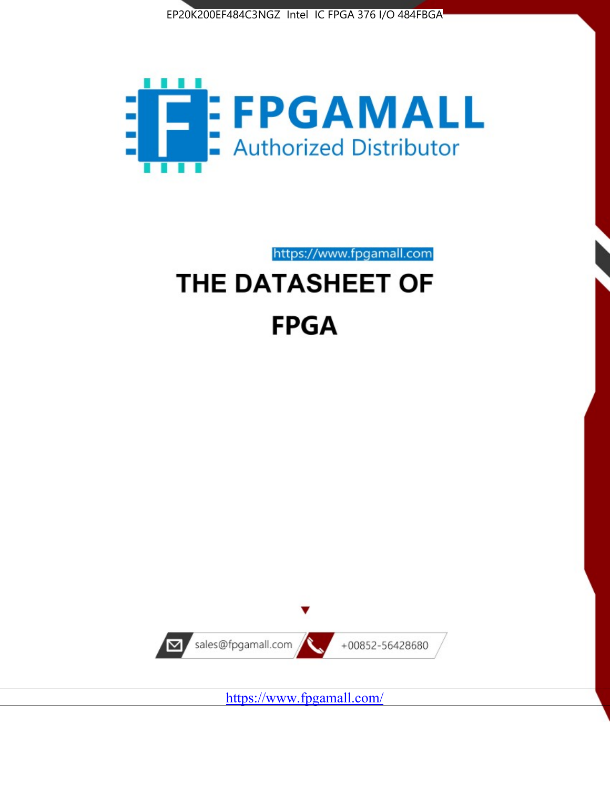



https://www.fpgamall.com

# THE DATASHEET OF **FPGA**



<https://www.fpgamall.com/>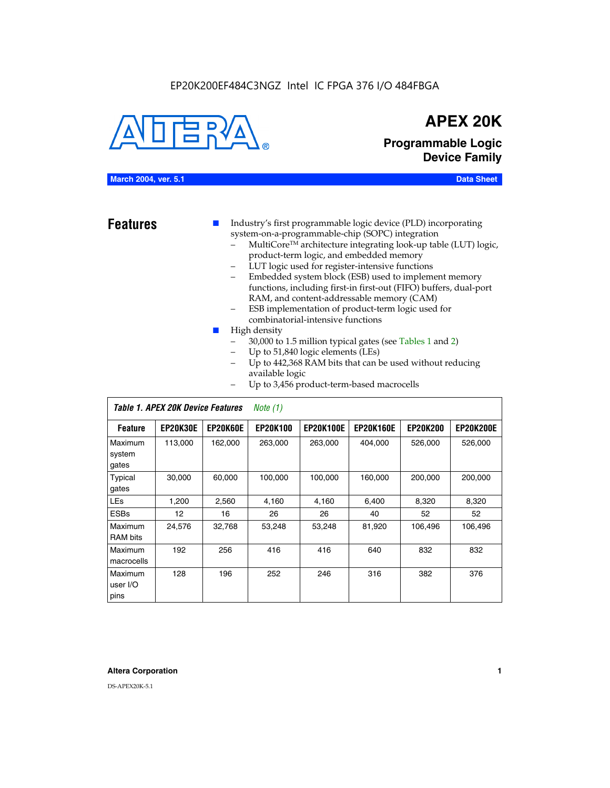#### EP20K200EF484C3NGZ Intel IC FPGA 376 I/O 484FBGA



### **APEX 20K**

**Programmable Logic Device Family**

#### **March 2004, ver. 5.1 Data Sheet**

**Features ■** Industry's first programmable logic device (PLD) incorporating system-on-a-programmable-chip (SOPC) integration

- MultiCore™ architecture integrating look-up table (LUT) logic, product-term logic, and embedded memory
- LUT logic used for register-intensive functions
- Embedded system block (ESB) used to implement memory functions, including first-in first-out (FIFO) buffers, dual-port RAM, and content-addressable memory (CAM)
- ESB implementation of product-term logic used for combinatorial-intensive functions
- High density
	- 30,000 to 1.5 million typical gates (see Tables 1 and 2)
	- Up to 51,840 logic elements (LEs)
	- Up to 442,368 RAM bits that can be used without reducing available logic
	- Up to 3,456 product-term-based macrocells

|                             | Table 1. APEX 20K Device Features<br>Note $(1)$ |                 |                 |                  |                  |                 |                  |  |  |
|-----------------------------|-------------------------------------------------|-----------------|-----------------|------------------|------------------|-----------------|------------------|--|--|
| <b>Feature</b>              | <b>EP20K30E</b>                                 | <b>EP20K60E</b> | <b>EP20K100</b> | <b>EP20K100E</b> | <b>EP20K160E</b> | <b>EP20K200</b> | <b>EP20K200E</b> |  |  |
| Maximum<br>system<br>gates  | 113,000                                         | 162,000         | 263.000         | 263,000          | 404.000          | 526,000         | 526,000          |  |  |
| Typical<br>gates            | 30,000                                          | 60,000          | 100,000         | 100,000          | 160,000          | 200,000         | 200,000          |  |  |
| <b>LEs</b>                  | 1,200                                           | 2,560           | 4,160           | 4,160            | 6.400            | 8,320           | 8,320            |  |  |
| <b>ESBs</b>                 | 12                                              | 16              | 26              | 26               | 40               | 52              | 52               |  |  |
| Maximum<br><b>RAM</b> bits  | 24,576                                          | 32,768          | 53,248          | 53,248           | 81,920           | 106,496         | 106,496          |  |  |
| Maximum<br>macrocells       | 192                                             | 256             | 416             | 416              | 640              | 832             | 832              |  |  |
| Maximum<br>user I/O<br>pins | 128                                             | 196             | 252             | 246              | 316              | 382             | 376              |  |  |

#### **Altera Corporation 1**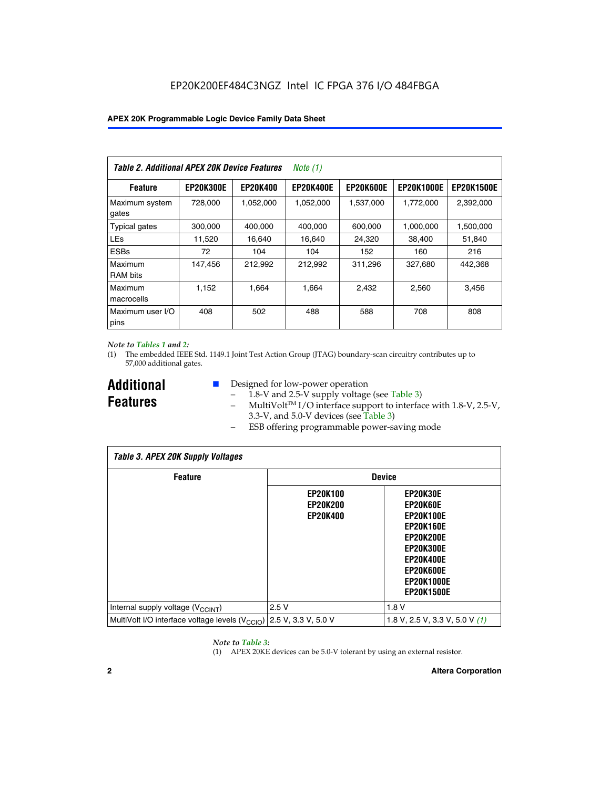| Table 2. Additional APEX 20K Device Features |                  |                 | Note (1)         |                  |                   |                   |
|----------------------------------------------|------------------|-----------------|------------------|------------------|-------------------|-------------------|
| <b>Feature</b>                               | <b>EP20K300E</b> | <b>EP20K400</b> | <b>EP20K400E</b> | <b>EP20K600E</b> | <b>EP20K1000E</b> | <b>EP20K1500E</b> |
| Maximum system<br>gates                      | 728,000          | 1,052,000       | 1,052,000        | 1,537,000        | 1,772,000         | 2,392,000         |
| <b>Typical gates</b>                         | 300,000          | 400,000         | 400,000          | 600,000          | 1,000,000         | 1,500,000         |
| <b>LEs</b>                                   | 11,520           | 16,640          | 16,640           | 24,320           | 38,400            | 51,840            |
| <b>ESBs</b>                                  | 72               | 104             | 104              | 152              | 160               | 216               |
| Maximum<br><b>RAM bits</b>                   | 147,456          | 212,992         | 212,992          | 311,296          | 327.680           | 442,368           |
| Maximum<br>macrocells                        | 1.152            | 1.664           | 1.664            | 2.432            | 2,560             | 3,456             |
| Maximum user I/O<br>pins                     | 408              | 502             | 488              | 588              | 708               | 808               |

#### *Note to Tables 1 and 2:*

(1) The embedded IEEE Std. 1149.1 Joint Test Action Group (JTAG) boundary-scan circuitry contributes up to 57,000 additional gates.

**Additional Features**

- Designed for low-power operation
	- 1.8-V and 2.5-V supply voltage (see Table 3)
	- $-$  MultiVolt<sup>TM</sup> I/O interface support to interface with 1.8-V, 2.5-V, 3.3-V, and 5.0-V devices (see Table 3)
	- ESB offering programmable power-saving mode

| <b>Table 3. APEX 20K Supply Voltages</b>                                       |                                                       |                                                                                                                                                                          |  |  |  |  |  |  |
|--------------------------------------------------------------------------------|-------------------------------------------------------|--------------------------------------------------------------------------------------------------------------------------------------------------------------------------|--|--|--|--|--|--|
| <b>Feature</b>                                                                 | <b>Device</b>                                         |                                                                                                                                                                          |  |  |  |  |  |  |
|                                                                                | <b>EP20K100</b><br><b>EP20K200</b><br><b>EP20K400</b> | EP20K30E<br>EP20K60E<br><b>EP20K100E</b><br><b>EP20K160E</b><br>EP20K200E<br><b>EP20K300E</b><br><b>EP20K400E</b><br>EP20K600E<br><b>EP20K1000E</b><br><b>EP20K1500E</b> |  |  |  |  |  |  |
| Internal supply voltage (V <sub>CCINT</sub> )                                  | 2.5V                                                  | 1.8V                                                                                                                                                                     |  |  |  |  |  |  |
| MultiVolt I/O interface voltage levels $(V_{\text{CCIO}})$ 2.5 V, 3.3 V, 5.0 V |                                                       | 1.8 V, 2.5 V, 3.3 V, 5.0 V $(1)$                                                                                                                                         |  |  |  |  |  |  |

#### *Note to Table 3:*

(1) APEX 20KE devices can be 5.0-V tolerant by using an external resistor.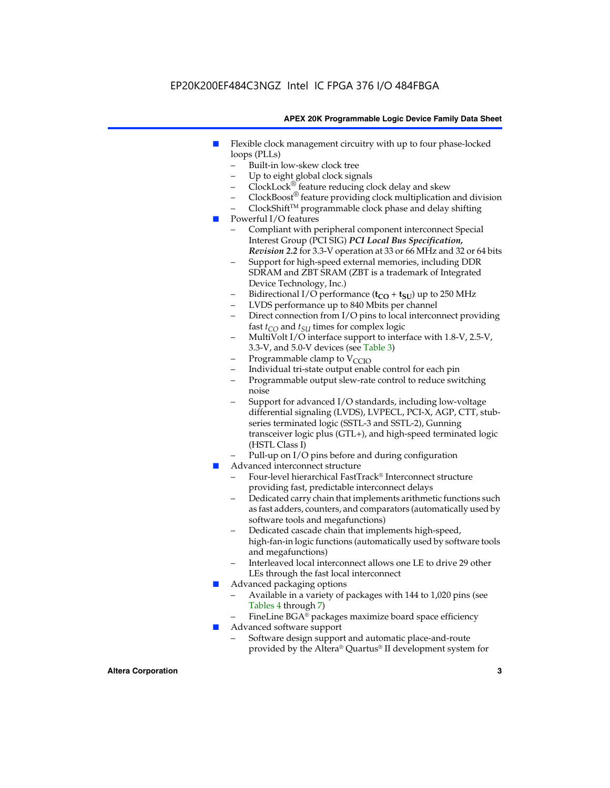### EP20K200EF484C3NGZ Intel IC FPGA 376 I/O 484FBGA

#### **APEX 20K Programmable Logic Device Family Data Sheet**

- Flexible clock management circuitry with up to four phase-locked loops (PLLs)
	- Built-in low-skew clock tree
	- Up to eight global clock signals
	- $ClockLock^{\circledR}$  feature reducing clock delay and skew
	- $ClockBoost^{\circledR}$  feature providing clock multiplication and division
	- ClockShiftTM programmable clock phase and delay shifting
- Powerful I/O features
	- Compliant with peripheral component interconnect Special Interest Group (PCI SIG) *PCI Local Bus Specification, Revision 2.2* for 3.3-V operation at 33 or 66 MHz and 32 or 64 bits
	- Support for high-speed external memories, including DDR SDRAM and ZBT SRAM (ZBT is a trademark of Integrated Device Technology, Inc.)
	- Bidirectional I/O performance  $(t_{CO} + t_{SU})$  up to 250 MHz
	- LVDS performance up to 840 Mbits per channel
	- Direct connection from I/O pins to local interconnect providing fast  $t_{CO}$  and  $t_{SU}$  times for complex logic
	- MultiVolt I/O interface support to interface with 1.8-V, 2.5-V, 3.3-V, and 5.0-V devices (see Table 3)
	- Programmable clamp to  $V_{\text{C}CD}$
	- Individual tri-state output enable control for each pin
	- Programmable output slew-rate control to reduce switching noise
	- Support for advanced I/O standards, including low-voltage differential signaling (LVDS), LVPECL, PCI-X, AGP, CTT, stubseries terminated logic (SSTL-3 and SSTL-2), Gunning transceiver logic plus (GTL+), and high-speed terminated logic (HSTL Class I)
	- Pull-up on I/O pins before and during configuration
- Advanced interconnect structure
	- Four-level hierarchical FastTrack® Interconnect structure providing fast, predictable interconnect delays
	- Dedicated carry chain that implements arithmetic functions such as fast adders, counters, and comparators (automatically used by software tools and megafunctions)
	- Dedicated cascade chain that implements high-speed, high-fan-in logic functions (automatically used by software tools and megafunctions)
	- Interleaved local interconnect allows one LE to drive 29 other LEs through the fast local interconnect
- Advanced packaging options
	- Available in a variety of packages with 144 to 1,020 pins (see Tables 4 through 7)
	- FineLine BGA® packages maximize board space efficiency
- Advanced software support
	- Software design support and automatic place-and-route provided by the Altera® Quartus® II development system for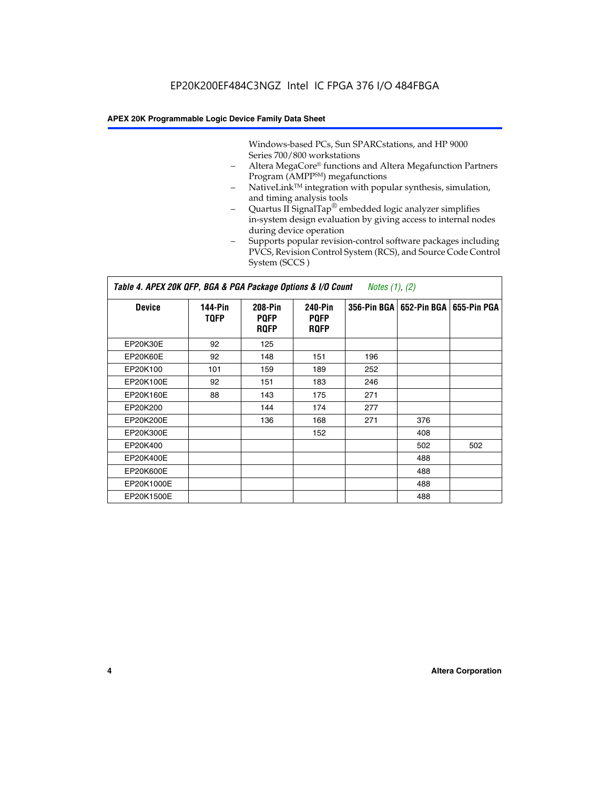Windows-based PCs, Sun SPARCstations, and HP 9000 Series 700/800 workstations

- Altera MegaCore® functions and Altera Megafunction Partners Program (AMPP<sup>SM</sup>) megafunctions
- NativeLink™ integration with popular synthesis, simulation, and timing analysis tools
- Quartus II SignalTap® embedded logic analyzer simplifies in-system design evaluation by giving access to internal nodes during device operation
- Supports popular revision-control software packages including PVCS, Revision Control System (RCS), and Source Code Control System (SCCS )

#### *Table 4. APEX 20K QFP, BGA & PGA Package Options & I/O Count Notes (1), (2)*

| <b>Device</b>   | 144-Pin<br><b>TQFP</b> | 208-Pin<br><b>PQFP</b><br><b>ROFP</b> | 240-Pin<br><b>PQFP</b><br><b>ROFP</b> |     | 356-Pin BGA   652-Pin BGA | 655-Pin PGA |
|-----------------|------------------------|---------------------------------------|---------------------------------------|-----|---------------------------|-------------|
| EP20K30E        | 92                     | 125                                   |                                       |     |                           |             |
| <b>EP20K60E</b> | 92                     | 148                                   | 151                                   | 196 |                           |             |
| EP20K100        | 101                    | 159                                   | 189                                   | 252 |                           |             |
| EP20K100E       | 92                     | 151                                   | 183                                   | 246 |                           |             |
| EP20K160E       | 88                     | 143                                   | 175                                   | 271 |                           |             |
| EP20K200        |                        | 144                                   | 174                                   | 277 |                           |             |
| EP20K200E       |                        | 136                                   | 168                                   | 271 | 376                       |             |
| EP20K300E       |                        |                                       | 152                                   |     | 408                       |             |
| EP20K400        |                        |                                       |                                       |     | 502                       | 502         |
| EP20K400E       |                        |                                       |                                       |     | 488                       |             |
| EP20K600E       |                        |                                       |                                       |     | 488                       |             |
| EP20K1000E      |                        |                                       |                                       |     | 488                       |             |
| EP20K1500E      |                        |                                       |                                       |     | 488                       |             |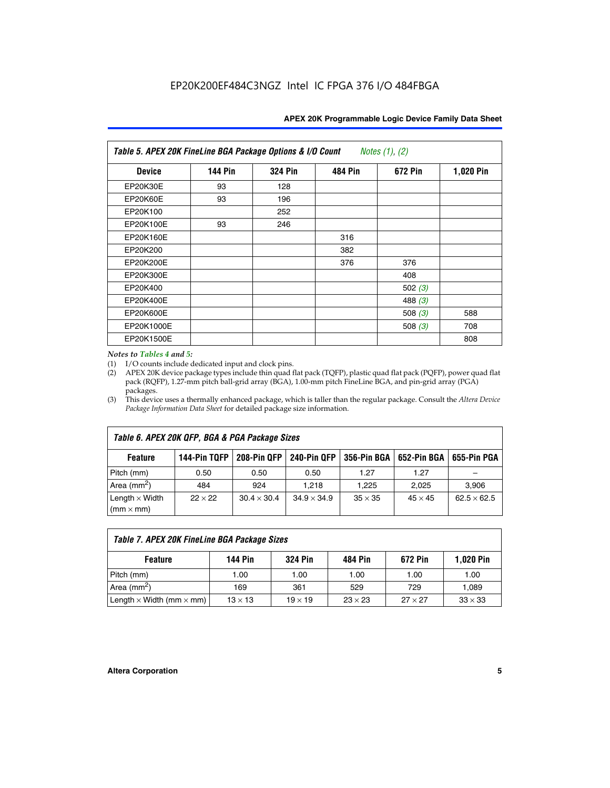| Table 5. APEX 20K FineLine BGA Package Options & I/O Count<br>Notes $(1)$ , $(2)$ |                |                |                |           |           |  |  |  |
|-----------------------------------------------------------------------------------|----------------|----------------|----------------|-----------|-----------|--|--|--|
| <b>Device</b>                                                                     | <b>144 Pin</b> | <b>324 Pin</b> | <b>484 Pin</b> | 672 Pin   | 1,020 Pin |  |  |  |
| EP20K30E                                                                          | 93             | 128            |                |           |           |  |  |  |
| <b>EP20K60E</b>                                                                   | 93             | 196            |                |           |           |  |  |  |
| EP20K100                                                                          |                | 252            |                |           |           |  |  |  |
| EP20K100E                                                                         | 93             | 246            |                |           |           |  |  |  |
| EP20K160E                                                                         |                |                | 316            |           |           |  |  |  |
| EP20K200                                                                          |                |                | 382            |           |           |  |  |  |
| EP20K200E                                                                         |                |                | 376            | 376       |           |  |  |  |
| EP20K300E                                                                         |                |                |                | 408       |           |  |  |  |
| EP20K400                                                                          |                |                |                | 502(3)    |           |  |  |  |
| EP20K400E                                                                         |                |                |                | 488 $(3)$ |           |  |  |  |
| EP20K600E                                                                         |                |                |                | 508 $(3)$ | 588       |  |  |  |
| EP20K1000E                                                                        |                |                |                | 508 $(3)$ | 708       |  |  |  |
| EP20K1500E                                                                        |                |                |                |           | 808       |  |  |  |

#### *Notes to Tables 4 and 5:*

 $\Gamma$ 

(1) I/O counts include dedicated input and clock pins.

(2) APEX 20K device package types include thin quad flat pack (TQFP), plastic quad flat pack (PQFP), power quad flat pack (RQFP), 1.27-mm pitch ball-grid array (BGA), 1.00-mm pitch FineLine BGA, and pin-grid array (PGA) packages.

(3) This device uses a thermally enhanced package, which is taller than the regular package. Consult the *Altera Device Package Information Data Sheet* for detailed package size information.

| Table 6. APEX 20K QFP, BGA & PGA Package Sizes                                                                  |                |                    |                    |                |                |                    |  |  |  |
|-----------------------------------------------------------------------------------------------------------------|----------------|--------------------|--------------------|----------------|----------------|--------------------|--|--|--|
| 144-Pin TQFP<br>208-Pin OFP<br><b>240-Pin OFP</b><br>356-Pin BGA   652-Pin BGA<br>655-Pin PGA<br><b>Feature</b> |                |                    |                    |                |                |                    |  |  |  |
| Pitch (mm)                                                                                                      | 0.50           | 0.50               | 0.50               | 1.27           | 1.27           |                    |  |  |  |
| Area $(mm^2)$                                                                                                   | 484            | 924                | 1.218              | 1.225          | 2.025          | 3,906              |  |  |  |
| Length $\times$ Width<br>$(mm \times mm)$                                                                       | $22 \times 22$ | $30.4 \times 30.4$ | $34.9 \times 34.9$ | $35 \times 35$ | $45 \times 45$ | $62.5 \times 62.5$ |  |  |  |

| Table 7. APEX 20K FineLine BGA Package Sizes                                          |                |                |                |                |                |  |  |  |
|---------------------------------------------------------------------------------------|----------------|----------------|----------------|----------------|----------------|--|--|--|
| 1,020 Pin<br><b>144 Pin</b><br><b>324 Pin</b><br>672 Pin<br>484 Pin<br><b>Feature</b> |                |                |                |                |                |  |  |  |
| Pitch (mm)                                                                            | 1.00           | 1.00           | 1.00           | 1.00           | 1.00           |  |  |  |
| Area ( $mm2$ )                                                                        | 169            | 361            | 529            | 729            | 1,089          |  |  |  |
| Length $\times$ Width (mm $\times$ mm)                                                | $13 \times 13$ | $19 \times 19$ | $23 \times 23$ | $27 \times 27$ | $33 \times 33$ |  |  |  |

٦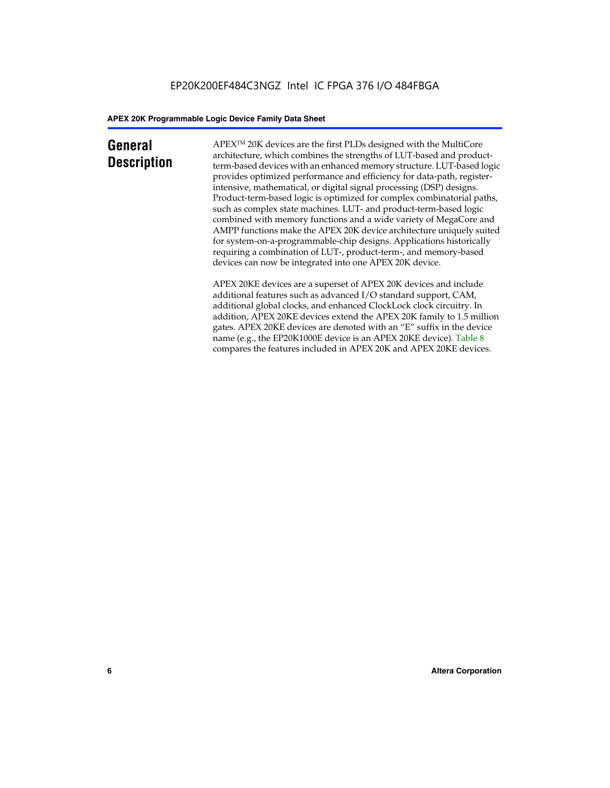### **General Description**

APEXTM 20K devices are the first PLDs designed with the MultiCore architecture, which combines the strengths of LUT-based and productterm-based devices with an enhanced memory structure. LUT-based logic provides optimized performance and efficiency for data-path, registerintensive, mathematical, or digital signal processing (DSP) designs. Product-term-based logic is optimized for complex combinatorial paths, such as complex state machines. LUT- and product-term-based logic combined with memory functions and a wide variety of MegaCore and AMPP functions make the APEX 20K device architecture uniquely suited for system-on-a-programmable-chip designs. Applications historically requiring a combination of LUT-, product-term-, and memory-based devices can now be integrated into one APEX 20K device.

APEX 20KE devices are a superset of APEX 20K devices and include additional features such as advanced I/O standard support, CAM, additional global clocks, and enhanced ClockLock clock circuitry. In addition, APEX 20KE devices extend the APEX 20K family to 1.5 million gates. APEX 20KE devices are denoted with an "E" suffix in the device name (e.g., the EP20K1000E device is an APEX 20KE device). Table 8 compares the features included in APEX 20K and APEX 20KE devices.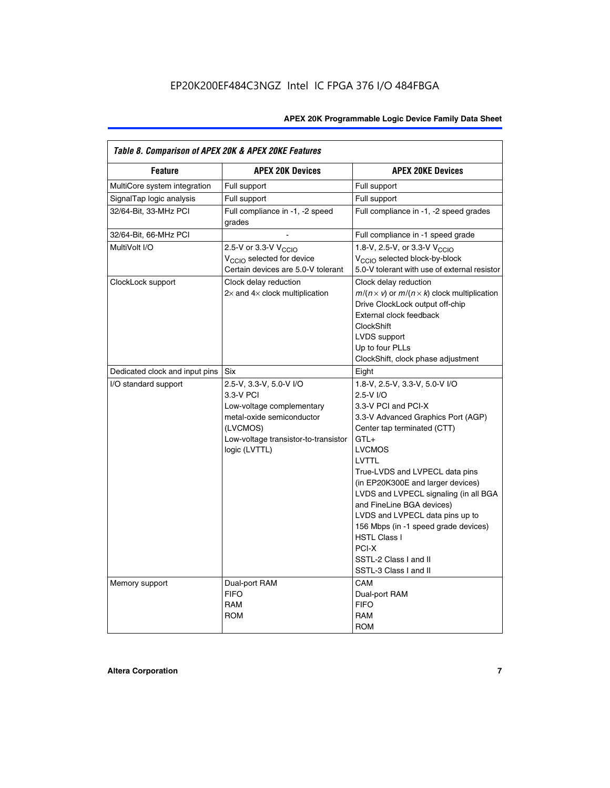| Table 8. Comparison of APEX 20K & APEX 20KE Features |                                                                                                                                                                     |                                                                                                                                                                                                                                                                                                                                                                                                                                                                                              |  |  |  |  |  |
|------------------------------------------------------|---------------------------------------------------------------------------------------------------------------------------------------------------------------------|----------------------------------------------------------------------------------------------------------------------------------------------------------------------------------------------------------------------------------------------------------------------------------------------------------------------------------------------------------------------------------------------------------------------------------------------------------------------------------------------|--|--|--|--|--|
| <b>Feature</b>                                       | <b>APEX 20K Devices</b>                                                                                                                                             | <b>APEX 20KE Devices</b>                                                                                                                                                                                                                                                                                                                                                                                                                                                                     |  |  |  |  |  |
| MultiCore system integration                         | Full support                                                                                                                                                        | Full support                                                                                                                                                                                                                                                                                                                                                                                                                                                                                 |  |  |  |  |  |
| SignalTap logic analysis                             | Full support                                                                                                                                                        | Full support                                                                                                                                                                                                                                                                                                                                                                                                                                                                                 |  |  |  |  |  |
| 32/64-Bit, 33-MHz PCI                                | Full compliance in -1, -2 speed<br>grades                                                                                                                           | Full compliance in -1, -2 speed grades                                                                                                                                                                                                                                                                                                                                                                                                                                                       |  |  |  |  |  |
| 32/64-Bit, 66-MHz PCI                                |                                                                                                                                                                     | Full compliance in -1 speed grade                                                                                                                                                                                                                                                                                                                                                                                                                                                            |  |  |  |  |  |
| MultiVolt I/O                                        | 2.5-V or 3.3-V V <sub>CCIO</sub><br>V <sub>CCIO</sub> selected for device<br>Certain devices are 5.0-V tolerant                                                     | 1.8-V, 2.5-V, or 3.3-V V <sub>CCIO</sub><br>V <sub>CCIO</sub> selected block-by-block<br>5.0-V tolerant with use of external resistor                                                                                                                                                                                                                                                                                                                                                        |  |  |  |  |  |
| ClockLock support                                    | Clock delay reduction<br>$2\times$ and $4\times$ clock multiplication                                                                                               | Clock delay reduction<br>$m/(n \times v)$ or $m/(n \times k)$ clock multiplication<br>Drive ClockLock output off-chip<br>External clock feedback<br><b>ClockShift</b><br>LVDS support<br>Up to four PLLs<br>ClockShift, clock phase adjustment                                                                                                                                                                                                                                               |  |  |  |  |  |
| Dedicated clock and input pins                       | Six                                                                                                                                                                 | Eight                                                                                                                                                                                                                                                                                                                                                                                                                                                                                        |  |  |  |  |  |
| I/O standard support                                 | 2.5-V, 3.3-V, 5.0-V I/O<br>3.3-V PCI<br>Low-voltage complementary<br>metal-oxide semiconductor<br>(LVCMOS)<br>Low-voltage transistor-to-transistor<br>logic (LVTTL) | 1.8-V, 2.5-V, 3.3-V, 5.0-V I/O<br>2.5-V I/O<br>3.3-V PCI and PCI-X<br>3.3-V Advanced Graphics Port (AGP)<br>Center tap terminated (CTT)<br>$GTL+$<br><b>LVCMOS</b><br><b>LVTTL</b><br>True-LVDS and LVPECL data pins<br>(in EP20K300E and larger devices)<br>LVDS and LVPECL signaling (in all BGA<br>and FineLine BGA devices)<br>LVDS and LVPECL data pins up to<br>156 Mbps (in -1 speed grade devices)<br><b>HSTL Class I</b><br>PCI-X<br>SSTL-2 Class I and II<br>SSTL-3 Class I and II |  |  |  |  |  |
| Memory support                                       | Dual-port RAM<br><b>FIFO</b><br><b>RAM</b><br><b>ROM</b>                                                                                                            | CAM<br>Dual-port RAM<br><b>FIFO</b><br>RAM<br><b>ROM</b>                                                                                                                                                                                                                                                                                                                                                                                                                                     |  |  |  |  |  |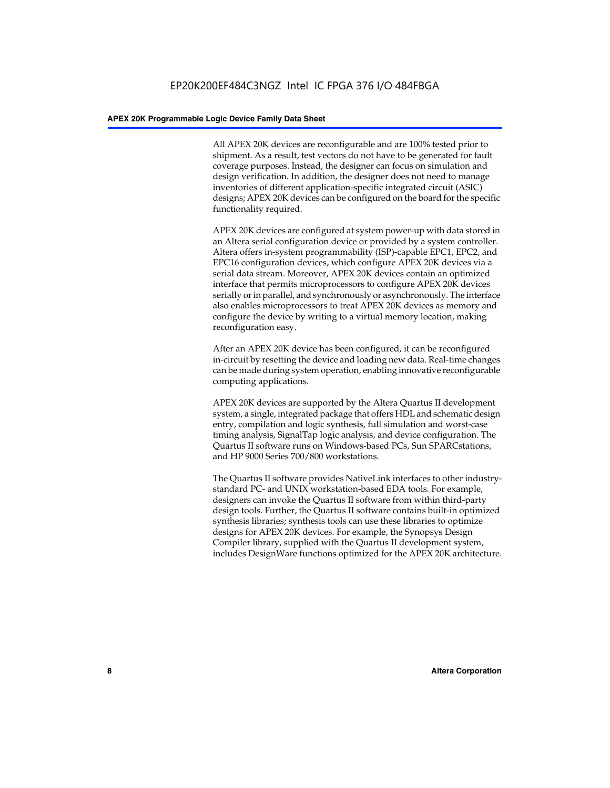All APEX 20K devices are reconfigurable and are 100% tested prior to shipment. As a result, test vectors do not have to be generated for fault coverage purposes. Instead, the designer can focus on simulation and design verification. In addition, the designer does not need to manage inventories of different application-specific integrated circuit (ASIC) designs; APEX 20K devices can be configured on the board for the specific functionality required.

APEX 20K devices are configured at system power-up with data stored in an Altera serial configuration device or provided by a system controller. Altera offers in-system programmability (ISP)-capable EPC1, EPC2, and EPC16 configuration devices, which configure APEX 20K devices via a serial data stream. Moreover, APEX 20K devices contain an optimized interface that permits microprocessors to configure APEX 20K devices serially or in parallel, and synchronously or asynchronously. The interface also enables microprocessors to treat APEX 20K devices as memory and configure the device by writing to a virtual memory location, making reconfiguration easy.

After an APEX 20K device has been configured, it can be reconfigured in-circuit by resetting the device and loading new data. Real-time changes can be made during system operation, enabling innovative reconfigurable computing applications.

APEX 20K devices are supported by the Altera Quartus II development system, a single, integrated package that offers HDL and schematic design entry, compilation and logic synthesis, full simulation and worst-case timing analysis, SignalTap logic analysis, and device configuration. The Quartus II software runs on Windows-based PCs, Sun SPARCstations, and HP 9000 Series 700/800 workstations.

The Quartus II software provides NativeLink interfaces to other industrystandard PC- and UNIX workstation-based EDA tools. For example, designers can invoke the Quartus II software from within third-party design tools. Further, the Quartus II software contains built-in optimized synthesis libraries; synthesis tools can use these libraries to optimize designs for APEX 20K devices. For example, the Synopsys Design Compiler library, supplied with the Quartus II development system, includes DesignWare functions optimized for the APEX 20K architecture.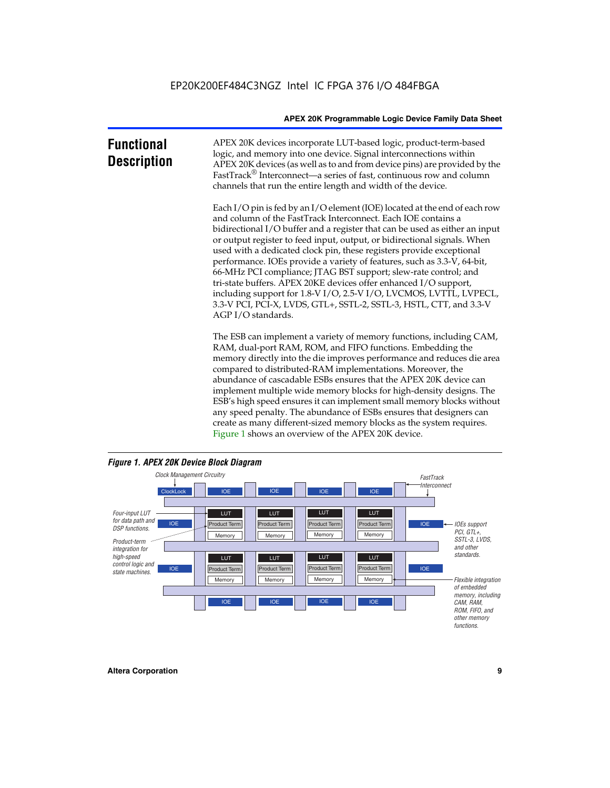| <b>Functional</b><br><b>Description</b> | APEX 20K devices incorporate LUT-based logic, product-term-based<br>logic, and memory into one device. Signal interconnections within<br>APEX 20K devices (as well as to and from device pins) are provided by the<br>FastTrack <sup>®</sup> Interconnect—a series of fast, continuous row and column<br>channels that run the entire length and width of the device.                                                                                                                                                                                                                                                                                                                                                                                              |
|-----------------------------------------|--------------------------------------------------------------------------------------------------------------------------------------------------------------------------------------------------------------------------------------------------------------------------------------------------------------------------------------------------------------------------------------------------------------------------------------------------------------------------------------------------------------------------------------------------------------------------------------------------------------------------------------------------------------------------------------------------------------------------------------------------------------------|
|                                         | Each I/O pin is fed by an I/O element (IOE) located at the end of each row<br>and column of the FastTrack Interconnect. Each IOE contains a<br>bidirectional I/O buffer and a register that can be used as either an input<br>or output register to feed input, output, or bidirectional signals. When<br>used with a dedicated clock pin, these registers provide exceptional<br>performance. IOEs provide a variety of features, such as 3.3-V, 64-bit,<br>66-MHz PCI compliance; JTAG BST support; slew-rate control; and<br>tri-state buffers. APEX 20KE devices offer enhanced I/O support,<br>including support for 1.8-V I/O, 2.5-V I/O, LVCMOS, LVTTL, LVPECL,<br>3.3-V PCI, PCI-X, LVDS, GTL+, SSTL-2, SSTL-3, HSTL, CTT, and 3.3-V<br>AGP I/O standards. |
|                                         | The ESB can implement a variety of memory functions, including CAM,<br>RAM, dual-port RAM, ROM, and FIFO functions. Embedding the<br>memory directly into the die improves performance and reduces die area<br>compared to distributed-RAM implementations. Moreover, the<br>abundance of cascadable ESBs ensures that the APEX 20K device can<br>implement multiple wide memory blocks for high-density designs. The                                                                                                                                                                                                                                                                                                                                              |

ESB's high speed ensures it can implement small memory blocks without any speed penalty. The abundance of ESBs ensures that designers can create as many different-sized memory blocks as the system requires. Figure 1 shows an overview of the APEX 20K device.



#### *Figure 1. APEX 20K Device Block Diagram*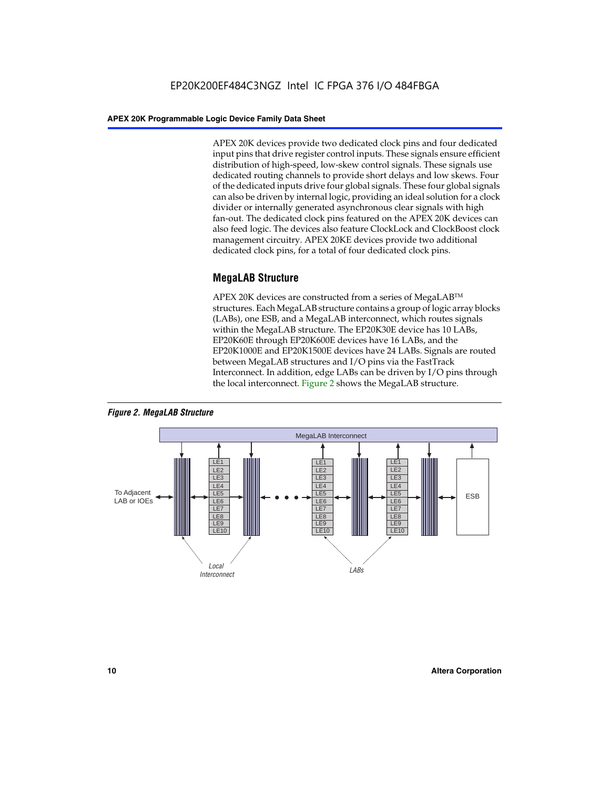APEX 20K devices provide two dedicated clock pins and four dedicated input pins that drive register control inputs. These signals ensure efficient distribution of high-speed, low-skew control signals. These signals use dedicated routing channels to provide short delays and low skews. Four of the dedicated inputs drive four global signals. These four global signals can also be driven by internal logic, providing an ideal solution for a clock divider or internally generated asynchronous clear signals with high fan-out. The dedicated clock pins featured on the APEX 20K devices can also feed logic. The devices also feature ClockLock and ClockBoost clock management circuitry. APEX 20KE devices provide two additional dedicated clock pins, for a total of four dedicated clock pins.

#### **MegaLAB Structure**

APEX 20K devices are constructed from a series of MegaLAB<sup>™</sup> structures. Each MegaLAB structure contains a group of logic array blocks (LABs), one ESB, and a MegaLAB interconnect, which routes signals within the MegaLAB structure. The EP20K30E device has 10 LABs, EP20K60E through EP20K600E devices have 16 LABs, and the EP20K1000E and EP20K1500E devices have 24 LABs. Signals are routed between MegaLAB structures and I/O pins via the FastTrack Interconnect. In addition, edge LABs can be driven by I/O pins through the local interconnect. Figure 2 shows the MegaLAB structure.



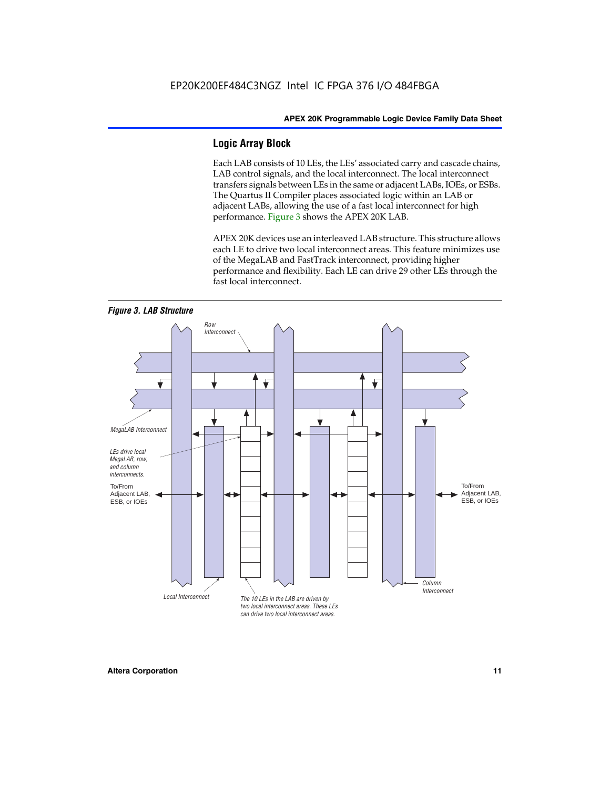#### **Logic Array Block**

Each LAB consists of 10 LEs, the LEs' associated carry and cascade chains, LAB control signals, and the local interconnect. The local interconnect transfers signals between LEs in the same or adjacent LABs, IOEs, or ESBs. The Quartus II Compiler places associated logic within an LAB or adjacent LABs, allowing the use of a fast local interconnect for high performance. Figure 3 shows the APEX 20K LAB.

APEX 20K devices use an interleaved LAB structure. This structure allows each LE to drive two local interconnect areas. This feature minimizes use of the MegaLAB and FastTrack interconnect, providing higher performance and flexibility. Each LE can drive 29 other LEs through the fast local interconnect.

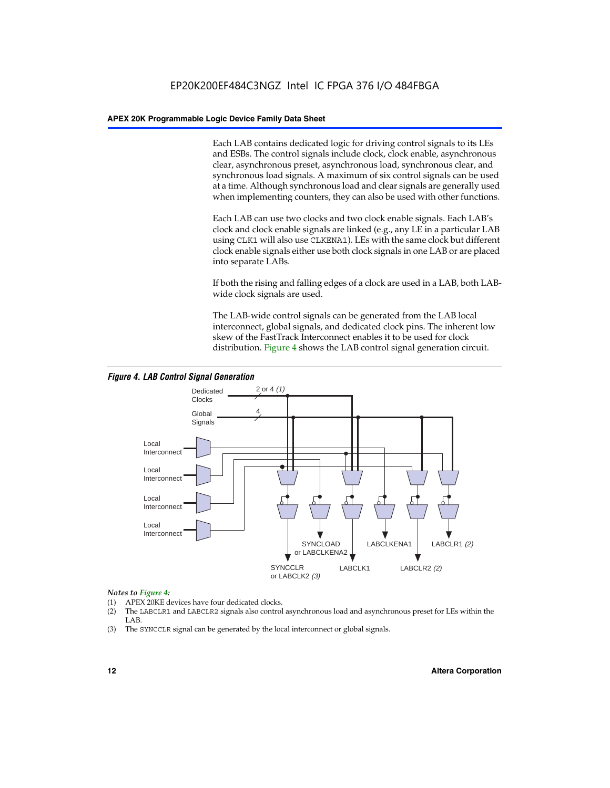Each LAB contains dedicated logic for driving control signals to its LEs and ESBs. The control signals include clock, clock enable, asynchronous clear, asynchronous preset, asynchronous load, synchronous clear, and synchronous load signals. A maximum of six control signals can be used at a time. Although synchronous load and clear signals are generally used when implementing counters, they can also be used with other functions.

Each LAB can use two clocks and two clock enable signals. Each LAB's clock and clock enable signals are linked (e.g., any LE in a particular LAB using CLK1 will also use CLKENA1). LEs with the same clock but different clock enable signals either use both clock signals in one LAB or are placed into separate LABs.

If both the rising and falling edges of a clock are used in a LAB, both LABwide clock signals are used.

The LAB-wide control signals can be generated from the LAB local interconnect, global signals, and dedicated clock pins. The inherent low skew of the FastTrack Interconnect enables it to be used for clock distribution. Figure 4 shows the LAB control signal generation circuit.



#### *Figure 4. LAB Control Signal Generation*

#### *Notes to Figure 4:*

- (1) APEX 20KE devices have four dedicated clocks.
- (2) The LABCLR1 and LABCLR2 signals also control asynchronous load and asynchronous preset for LEs within the LAB.
- (3) The SYNCCLR signal can be generated by the local interconnect or global signals.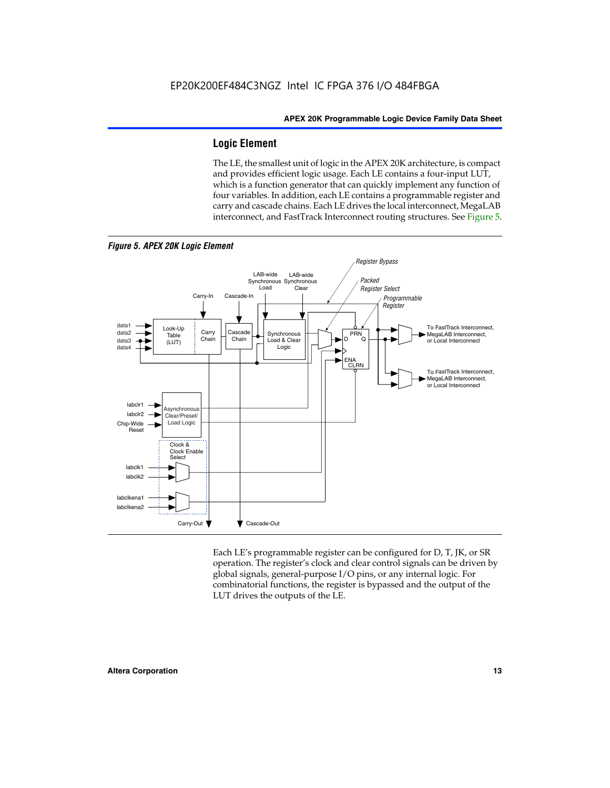#### **Logic Element**

The LE, the smallest unit of logic in the APEX 20K architecture, is compact and provides efficient logic usage. Each LE contains a four-input LUT, which is a function generator that can quickly implement any function of four variables. In addition, each LE contains a programmable register and carry and cascade chains. Each LE drives the local interconnect, MegaLAB interconnect, and FastTrack Interconnect routing structures. See Figure 5.



Each LE's programmable register can be configured for D, T, JK, or SR operation. The register's clock and clear control signals can be driven by global signals, general-purpose I/O pins, or any internal logic. For combinatorial functions, the register is bypassed and the output of the LUT drives the outputs of the LE.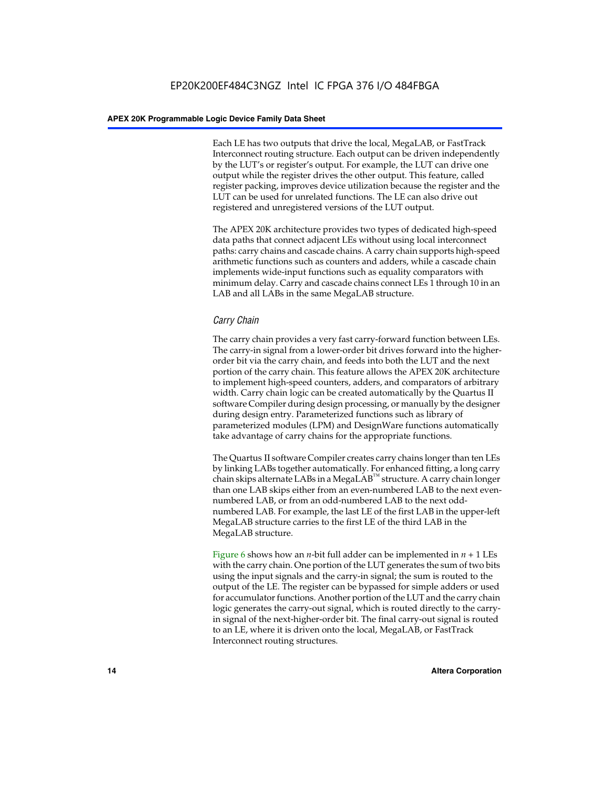Each LE has two outputs that drive the local, MegaLAB, or FastTrack Interconnect routing structure. Each output can be driven independently by the LUT's or register's output. For example, the LUT can drive one output while the register drives the other output. This feature, called register packing, improves device utilization because the register and the LUT can be used for unrelated functions. The LE can also drive out registered and unregistered versions of the LUT output.

The APEX 20K architecture provides two types of dedicated high-speed data paths that connect adjacent LEs without using local interconnect paths: carry chains and cascade chains. A carry chain supports high-speed arithmetic functions such as counters and adders, while a cascade chain implements wide-input functions such as equality comparators with minimum delay. Carry and cascade chains connect LEs 1 through 10 in an LAB and all LABs in the same MegaLAB structure.

#### *Carry Chain*

The carry chain provides a very fast carry-forward function between LEs. The carry-in signal from a lower-order bit drives forward into the higherorder bit via the carry chain, and feeds into both the LUT and the next portion of the carry chain. This feature allows the APEX 20K architecture to implement high-speed counters, adders, and comparators of arbitrary width. Carry chain logic can be created automatically by the Quartus II software Compiler during design processing, or manually by the designer during design entry. Parameterized functions such as library of parameterized modules (LPM) and DesignWare functions automatically take advantage of carry chains for the appropriate functions.

The Quartus II software Compiler creates carry chains longer than ten LEs by linking LABs together automatically. For enhanced fitting, a long carry chain skips alternate LABs in a MegaLAB<sup>™</sup> structure. A carry chain longer than one LAB skips either from an even-numbered LAB to the next evennumbered LAB, or from an odd-numbered LAB to the next oddnumbered LAB. For example, the last LE of the first LAB in the upper-left MegaLAB structure carries to the first LE of the third LAB in the MegaLAB structure.

Figure 6 shows how an *n*-bit full adder can be implemented in *n* + 1 LEs with the carry chain. One portion of the LUT generates the sum of two bits using the input signals and the carry-in signal; the sum is routed to the output of the LE. The register can be bypassed for simple adders or used for accumulator functions. Another portion of the LUT and the carry chain logic generates the carry-out signal, which is routed directly to the carryin signal of the next-higher-order bit. The final carry-out signal is routed to an LE, where it is driven onto the local, MegaLAB, or FastTrack Interconnect routing structures.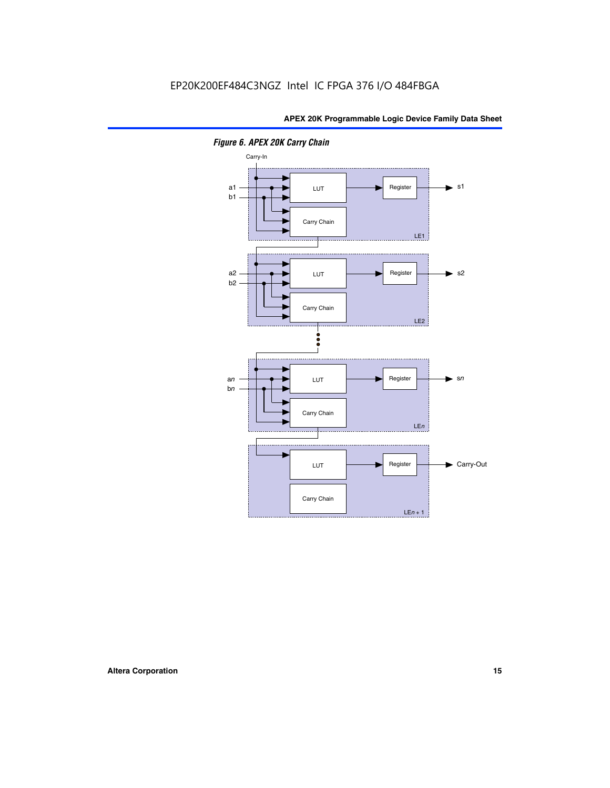

*Figure 6. APEX 20K Carry Chain*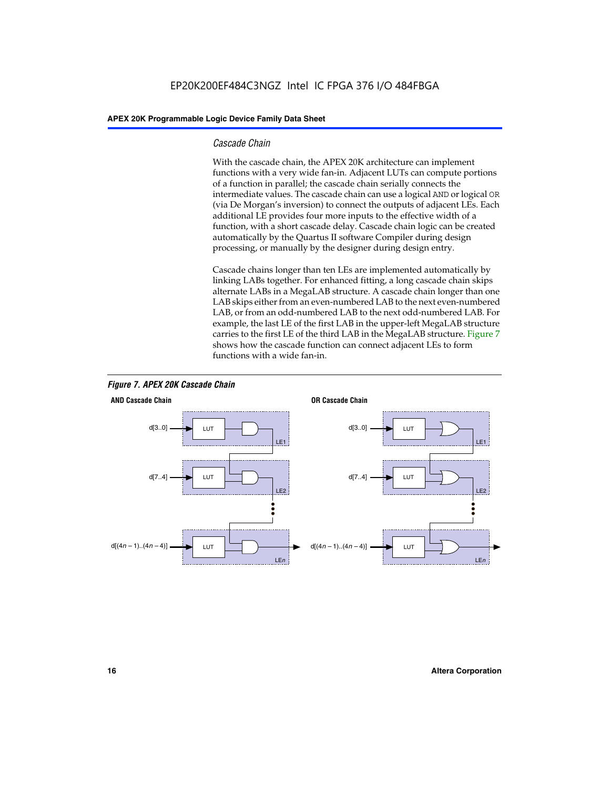#### *Cascade Chain*

With the cascade chain, the APEX 20K architecture can implement functions with a very wide fan-in. Adjacent LUTs can compute portions of a function in parallel; the cascade chain serially connects the intermediate values. The cascade chain can use a logical AND or logical OR (via De Morgan's inversion) to connect the outputs of adjacent LEs. Each additional LE provides four more inputs to the effective width of a function, with a short cascade delay. Cascade chain logic can be created automatically by the Quartus II software Compiler during design processing, or manually by the designer during design entry.

Cascade chains longer than ten LEs are implemented automatically by linking LABs together. For enhanced fitting, a long cascade chain skips alternate LABs in a MegaLAB structure. A cascade chain longer than one LAB skips either from an even-numbered LAB to the next even-numbered LAB, or from an odd-numbered LAB to the next odd-numbered LAB. For example, the last LE of the first LAB in the upper-left MegaLAB structure carries to the first LE of the third LAB in the MegaLAB structure. Figure 7 shows how the cascade function can connect adjacent LEs to form functions with a wide fan-in.



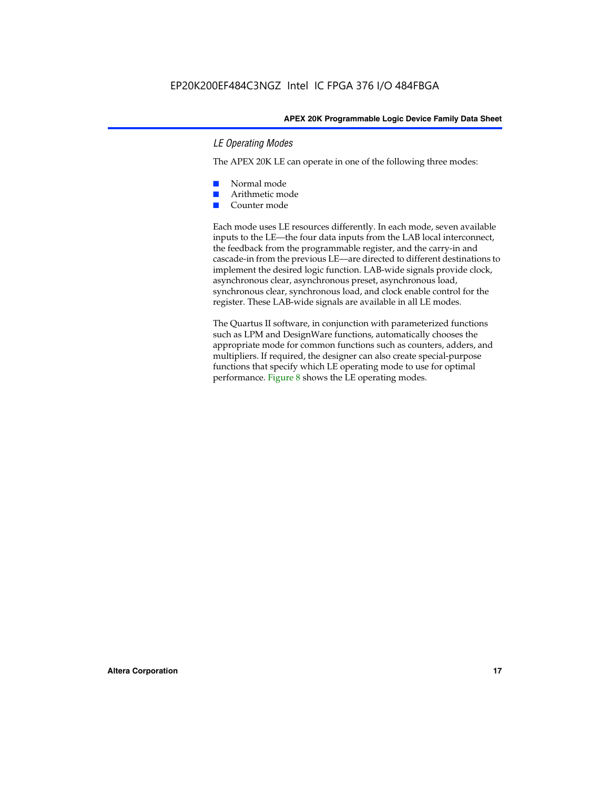#### *LE Operating Modes*

The APEX 20K LE can operate in one of the following three modes:

- Normal mode
- Arithmetic mode
- Counter mode

Each mode uses LE resources differently. In each mode, seven available inputs to the LE—the four data inputs from the LAB local interconnect, the feedback from the programmable register, and the carry-in and cascade-in from the previous LE—are directed to different destinations to implement the desired logic function. LAB-wide signals provide clock, asynchronous clear, asynchronous preset, asynchronous load, synchronous clear, synchronous load, and clock enable control for the register. These LAB-wide signals are available in all LE modes.

The Quartus II software, in conjunction with parameterized functions such as LPM and DesignWare functions, automatically chooses the appropriate mode for common functions such as counters, adders, and multipliers. If required, the designer can also create special-purpose functions that specify which LE operating mode to use for optimal performance. Figure 8 shows the LE operating modes.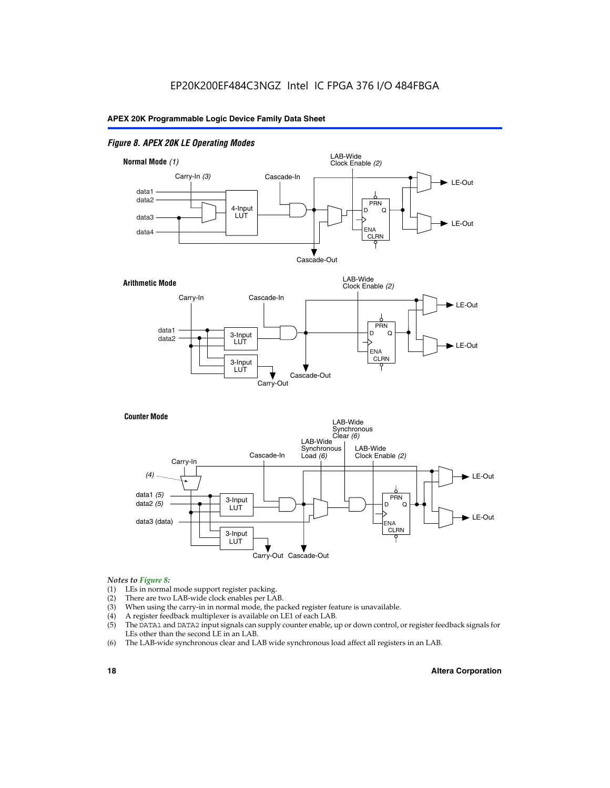#### *Figure 8. APEX 20K LE Operating Modes*



#### *Notes to Figure 8:*

- (1) LEs in normal mode support register packing.
- (2) There are two LAB-wide clock enables per LAB.
- (3) When using the carry-in in normal mode, the packed register feature is unavailable.
- (4) A register feedback multiplexer is available on LE1 of each LAB.
- (5) The DATA1 and DATA2 input signals can supply counter enable, up or down control, or register feedback signals for LEs other than the second LE in an LAB.
- (6) The LAB-wide synchronous clear and LAB wide synchronous load affect all registers in an LAB.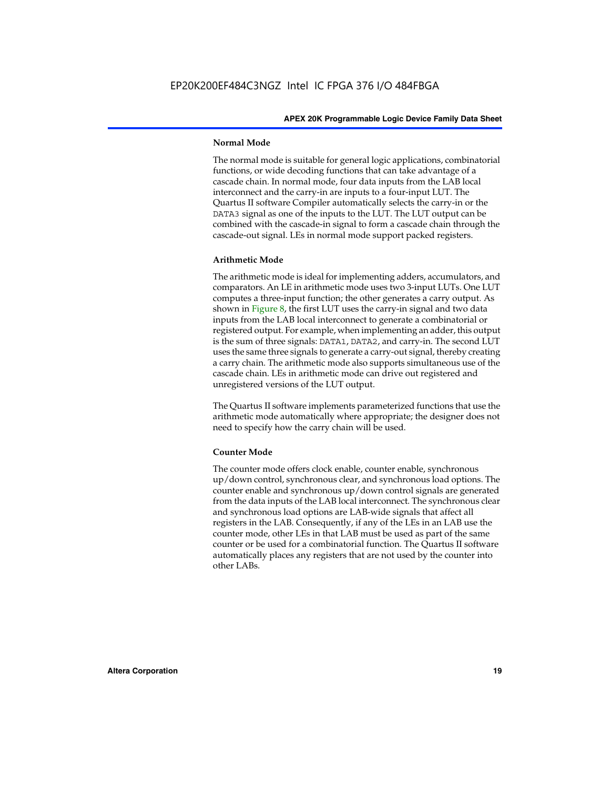#### **Normal Mode**

The normal mode is suitable for general logic applications, combinatorial functions, or wide decoding functions that can take advantage of a cascade chain. In normal mode, four data inputs from the LAB local interconnect and the carry-in are inputs to a four-input LUT. The Quartus II software Compiler automatically selects the carry-in or the DATA3 signal as one of the inputs to the LUT. The LUT output can be combined with the cascade-in signal to form a cascade chain through the cascade-out signal. LEs in normal mode support packed registers.

#### **Arithmetic Mode**

The arithmetic mode is ideal for implementing adders, accumulators, and comparators. An LE in arithmetic mode uses two 3-input LUTs. One LUT computes a three-input function; the other generates a carry output. As shown in Figure 8, the first LUT uses the carry-in signal and two data inputs from the LAB local interconnect to generate a combinatorial or registered output. For example, when implementing an adder, this output is the sum of three signals: DATA1, DATA2, and carry-in. The second LUT uses the same three signals to generate a carry-out signal, thereby creating a carry chain. The arithmetic mode also supports simultaneous use of the cascade chain. LEs in arithmetic mode can drive out registered and unregistered versions of the LUT output.

The Quartus II software implements parameterized functions that use the arithmetic mode automatically where appropriate; the designer does not need to specify how the carry chain will be used.

#### **Counter Mode**

The counter mode offers clock enable, counter enable, synchronous up/down control, synchronous clear, and synchronous load options. The counter enable and synchronous up/down control signals are generated from the data inputs of the LAB local interconnect. The synchronous clear and synchronous load options are LAB-wide signals that affect all registers in the LAB. Consequently, if any of the LEs in an LAB use the counter mode, other LEs in that LAB must be used as part of the same counter or be used for a combinatorial function. The Quartus II software automatically places any registers that are not used by the counter into other LABs.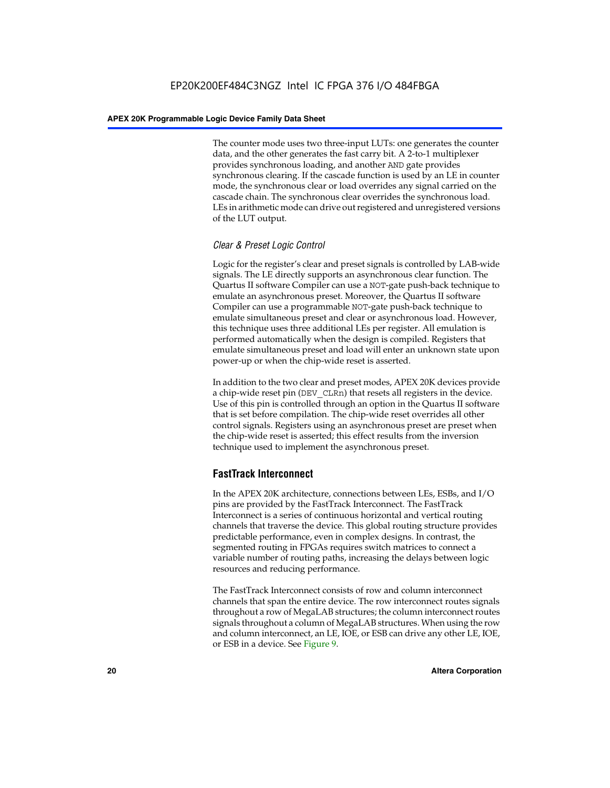The counter mode uses two three-input LUTs: one generates the counter data, and the other generates the fast carry bit. A 2-to-1 multiplexer provides synchronous loading, and another AND gate provides synchronous clearing. If the cascade function is used by an LE in counter mode, the synchronous clear or load overrides any signal carried on the cascade chain. The synchronous clear overrides the synchronous load. LEs in arithmetic mode can drive out registered and unregistered versions of the LUT output.

#### *Clear & Preset Logic Control*

Logic for the register's clear and preset signals is controlled by LAB-wide signals. The LE directly supports an asynchronous clear function. The Quartus II software Compiler can use a NOT-gate push-back technique to emulate an asynchronous preset. Moreover, the Quartus II software Compiler can use a programmable NOT-gate push-back technique to emulate simultaneous preset and clear or asynchronous load. However, this technique uses three additional LEs per register. All emulation is performed automatically when the design is compiled. Registers that emulate simultaneous preset and load will enter an unknown state upon power-up or when the chip-wide reset is asserted.

In addition to the two clear and preset modes, APEX 20K devices provide a chip-wide reset pin (DEV\_CLRn) that resets all registers in the device. Use of this pin is controlled through an option in the Quartus II software that is set before compilation. The chip-wide reset overrides all other control signals. Registers using an asynchronous preset are preset when the chip-wide reset is asserted; this effect results from the inversion technique used to implement the asynchronous preset.

#### **FastTrack Interconnect**

In the APEX 20K architecture, connections between LEs, ESBs, and I/O pins are provided by the FastTrack Interconnect. The FastTrack Interconnect is a series of continuous horizontal and vertical routing channels that traverse the device. This global routing structure provides predictable performance, even in complex designs. In contrast, the segmented routing in FPGAs requires switch matrices to connect a variable number of routing paths, increasing the delays between logic resources and reducing performance.

The FastTrack Interconnect consists of row and column interconnect channels that span the entire device. The row interconnect routes signals throughout a row of MegaLAB structures; the column interconnect routes signals throughout a column of MegaLAB structures. When using the row and column interconnect, an LE, IOE, or ESB can drive any other LE, IOE, or ESB in a device. See Figure 9.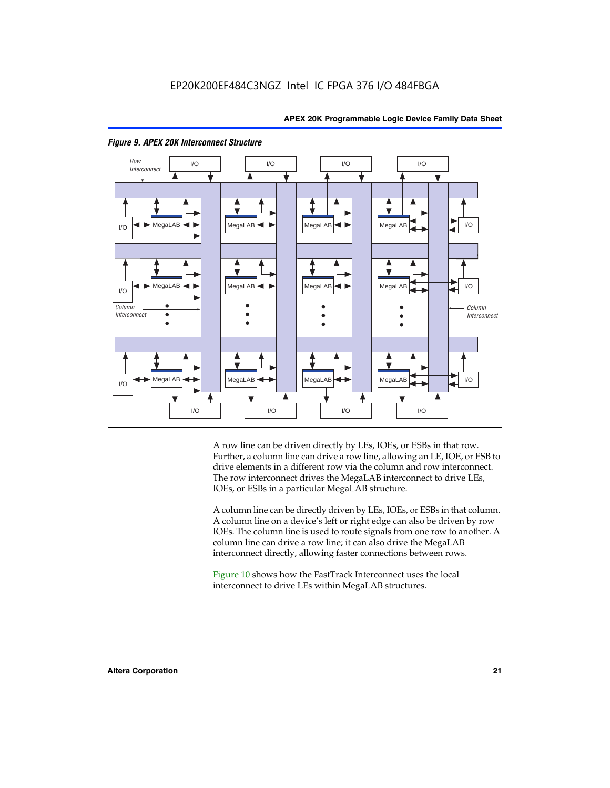



#### *Figure 9. APEX 20K Interconnect Structure*

A row line can be driven directly by LEs, IOEs, or ESBs in that row. Further, a column line can drive a row line, allowing an LE, IOE, or ESB to drive elements in a different row via the column and row interconnect. The row interconnect drives the MegaLAB interconnect to drive LEs, IOEs, or ESBs in a particular MegaLAB structure.

A column line can be directly driven by LEs, IOEs, or ESBs in that column. A column line on a device's left or right edge can also be driven by row IOEs. The column line is used to route signals from one row to another. A column line can drive a row line; it can also drive the MegaLAB interconnect directly, allowing faster connections between rows.

Figure 10 shows how the FastTrack Interconnect uses the local interconnect to drive LEs within MegaLAB structures.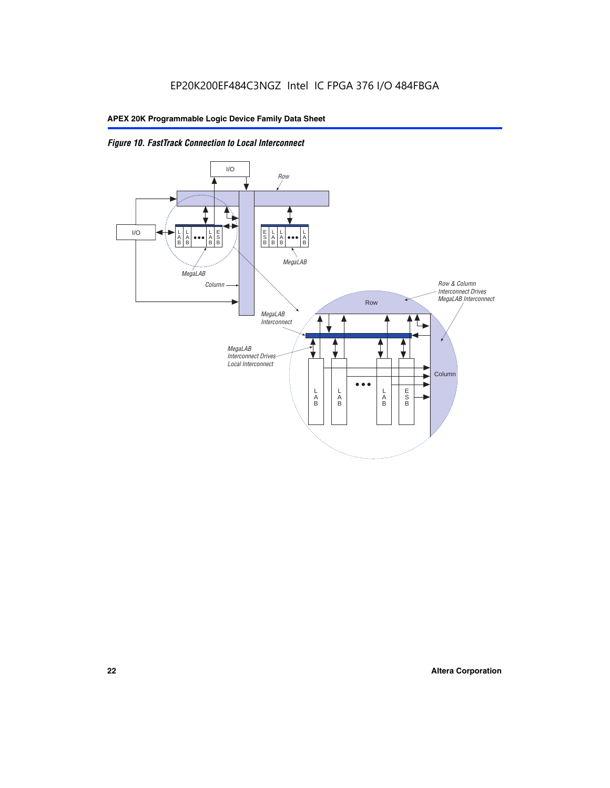

*Figure 10. FastTrack Connection to Local Interconnect*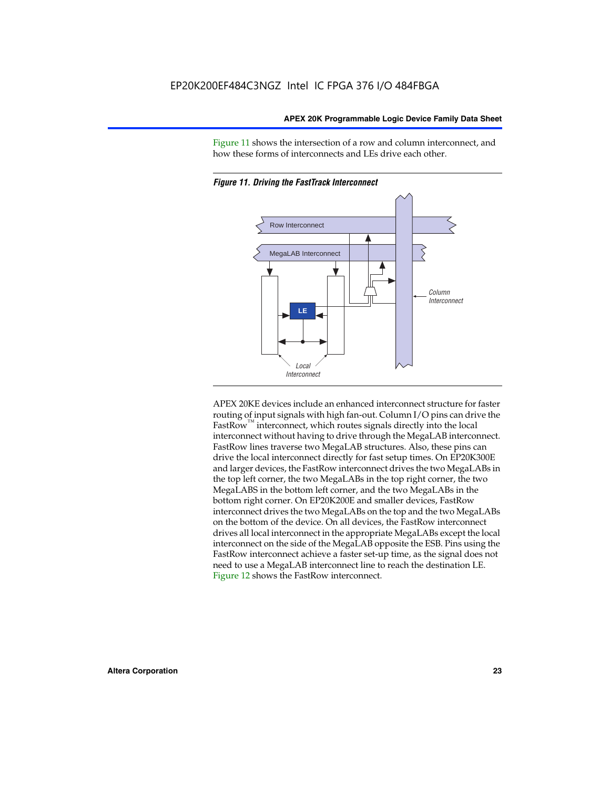Figure 11 shows the intersection of a row and column interconnect, and how these forms of interconnects and LEs drive each other.



*Figure 11. Driving the FastTrack Interconnect*

APEX 20KE devices include an enhanced interconnect structure for faster routing of input signals with high fan-out. Column I/O pins can drive the FastRow<sup>™</sup> interconnect, which routes signals directly into the local interconnect without having to drive through the MegaLAB interconnect. FastRow lines traverse two MegaLAB structures. Also, these pins can drive the local interconnect directly for fast setup times. On EP20K300E and larger devices, the FastRow interconnect drives the two MegaLABs in the top left corner, the two MegaLABs in the top right corner, the two MegaLABS in the bottom left corner, and the two MegaLABs in the bottom right corner. On EP20K200E and smaller devices, FastRow interconnect drives the two MegaLABs on the top and the two MegaLABs on the bottom of the device. On all devices, the FastRow interconnect drives all local interconnect in the appropriate MegaLABs except the local interconnect on the side of the MegaLAB opposite the ESB. Pins using the FastRow interconnect achieve a faster set-up time, as the signal does not need to use a MegaLAB interconnect line to reach the destination LE. Figure 12 shows the FastRow interconnect.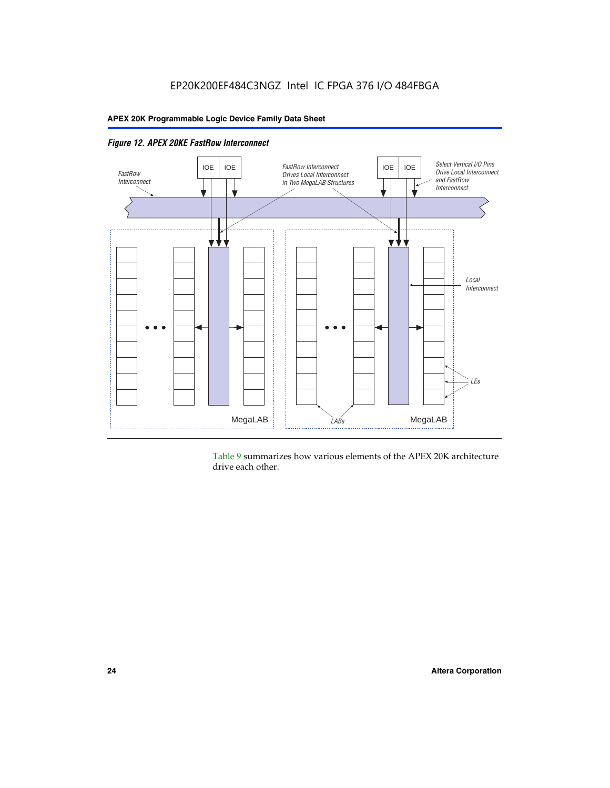

*Figure 12. APEX 20KE FastRow Interconnect*

Table 9 summarizes how various elements of the APEX 20K architecture drive each other.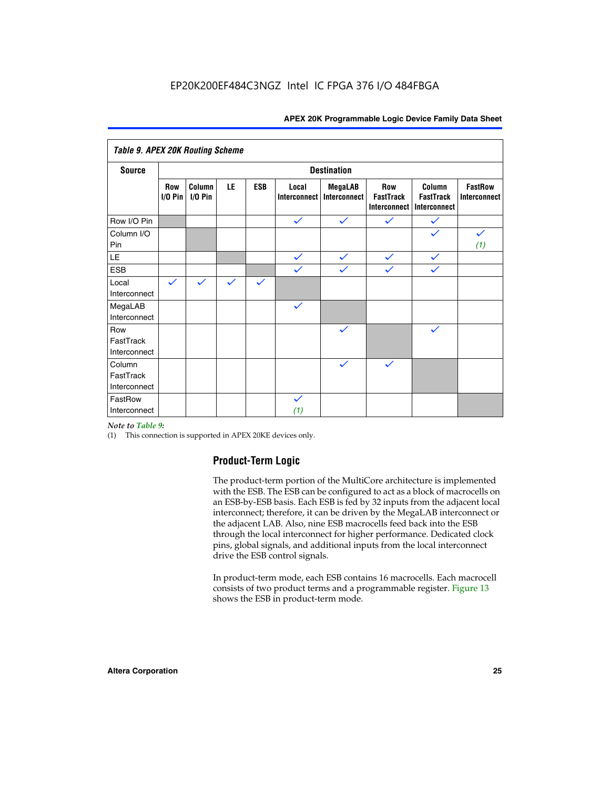| <b>Table 9. APEX 20K Routing Scheme</b> |                    |                      |              |              |                       |                                |                                                       |                                            |                                |
|-----------------------------------------|--------------------|----------------------|--------------|--------------|-----------------------|--------------------------------|-------------------------------------------------------|--------------------------------------------|--------------------------------|
| <b>Source</b>                           | <b>Destination</b> |                      |              |              |                       |                                |                                                       |                                            |                                |
|                                         | Row<br>$I/O P$ in  | Column<br>$I/O P$ in | LE           | <b>ESB</b>   | Local<br>Interconnect | <b>MegaLAB</b><br>Interconnect | <b>Row</b><br><b>FastTrack</b><br><b>Interconnect</b> | Column<br><b>FastTrack</b><br>Interconnect | <b>FastRow</b><br>Interconnect |
| Row I/O Pin                             |                    |                      |              |              | $\checkmark$          | $\checkmark$                   | $\checkmark$                                          | $\checkmark$                               |                                |
| Column I/O<br>Pin                       |                    |                      |              |              |                       |                                |                                                       |                                            | $\checkmark$<br>(1)            |
| LE                                      |                    |                      |              |              | $\checkmark$          | $\checkmark$                   | $\checkmark$                                          | $\checkmark$                               |                                |
| <b>ESB</b>                              |                    |                      |              |              | $\checkmark$          | $\checkmark$                   | $\checkmark$                                          | $\checkmark$                               |                                |
| Local<br>Interconnect                   | $\checkmark$       | $\checkmark$         | $\checkmark$ | $\checkmark$ |                       |                                |                                                       |                                            |                                |
| MegaLAB<br>Interconnect                 |                    |                      |              |              | $\checkmark$          |                                |                                                       |                                            |                                |
| Row<br>FastTrack<br>Interconnect        |                    |                      |              |              |                       | $\checkmark$                   |                                                       | $\checkmark$                               |                                |
| Column<br>FastTrack<br>Interconnect     |                    |                      |              |              |                       | $\checkmark$                   | $\checkmark$                                          |                                            |                                |
| FastRow<br>Interconnect                 |                    |                      |              |              | $\checkmark$<br>(1)   |                                |                                                       |                                            |                                |

#### *Note to Table 9:*

(1) This connection is supported in APEX 20KE devices only.

#### **Product-Term Logic**

The product-term portion of the MultiCore architecture is implemented with the ESB. The ESB can be configured to act as a block of macrocells on an ESB-by-ESB basis. Each ESB is fed by 32 inputs from the adjacent local interconnect; therefore, it can be driven by the MegaLAB interconnect or the adjacent LAB. Also, nine ESB macrocells feed back into the ESB through the local interconnect for higher performance. Dedicated clock pins, global signals, and additional inputs from the local interconnect drive the ESB control signals.

In product-term mode, each ESB contains 16 macrocells. Each macrocell consists of two product terms and a programmable register. Figure 13 shows the ESB in product-term mode.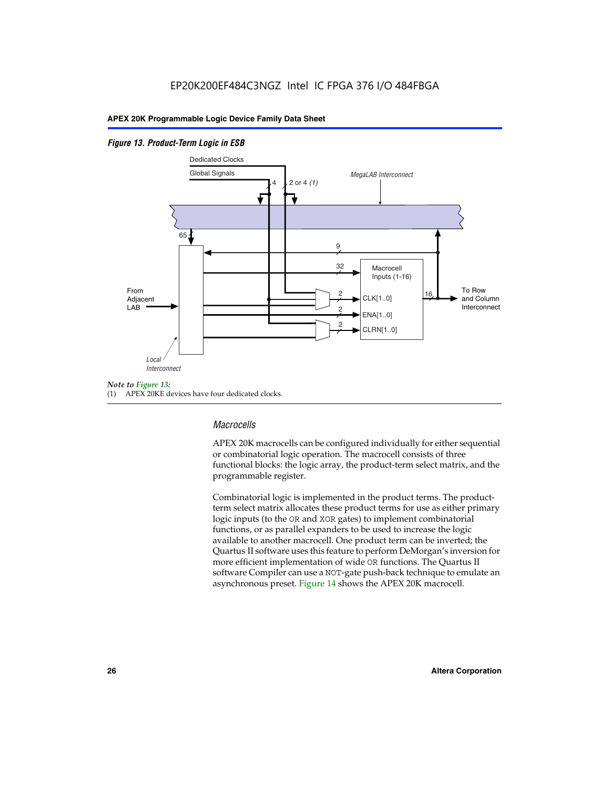#### *Figure 13. Product-Term Logic in ESB*



(1) APEX 20KE devices have four dedicated clocks.

#### *Macrocells*

APEX 20K macrocells can be configured individually for either sequential or combinatorial logic operation. The macrocell consists of three functional blocks: the logic array, the product-term select matrix, and the programmable register.

Combinatorial logic is implemented in the product terms. The productterm select matrix allocates these product terms for use as either primary logic inputs (to the OR and XOR gates) to implement combinatorial functions, or as parallel expanders to be used to increase the logic available to another macrocell. One product term can be inverted; the Quartus II software uses this feature to perform DeMorgan's inversion for more efficient implementation of wide OR functions. The Quartus II software Compiler can use a NOT-gate push-back technique to emulate an asynchronous preset. Figure 14 shows the APEX 20K macrocell.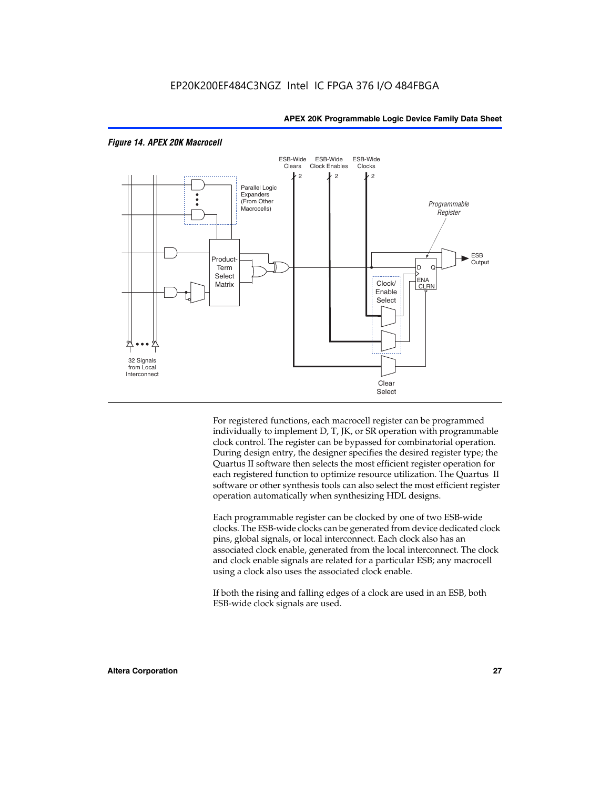

#### *Figure 14. APEX 20K Macrocell*

For registered functions, each macrocell register can be programmed individually to implement D, T, JK, or SR operation with programmable clock control. The register can be bypassed for combinatorial operation. During design entry, the designer specifies the desired register type; the Quartus II software then selects the most efficient register operation for each registered function to optimize resource utilization. The Quartus II software or other synthesis tools can also select the most efficient register operation automatically when synthesizing HDL designs.

Each programmable register can be clocked by one of two ESB-wide clocks. The ESB-wide clocks can be generated from device dedicated clock pins, global signals, or local interconnect. Each clock also has an associated clock enable, generated from the local interconnect. The clock and clock enable signals are related for a particular ESB; any macrocell using a clock also uses the associated clock enable.

If both the rising and falling edges of a clock are used in an ESB, both ESB-wide clock signals are used.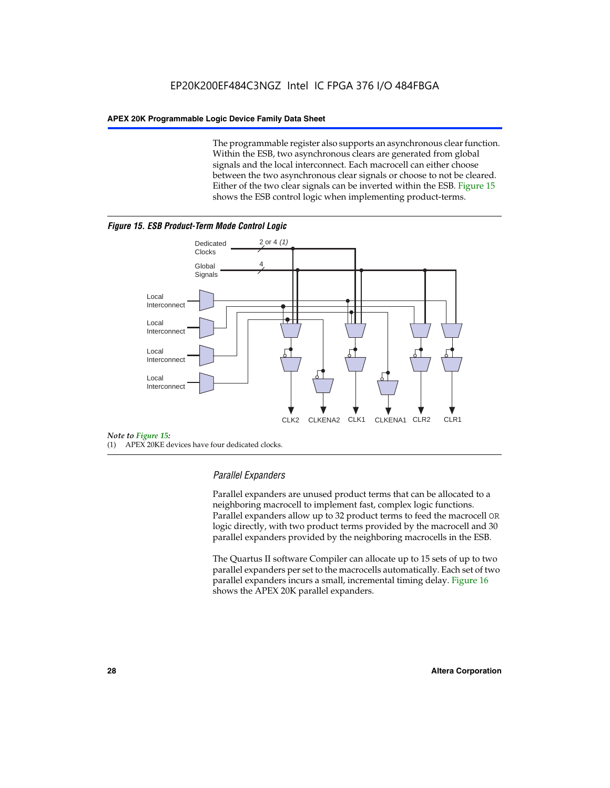The programmable register also supports an asynchronous clear function. Within the ESB, two asynchronous clears are generated from global signals and the local interconnect. Each macrocell can either choose between the two asynchronous clear signals or choose to not be cleared. Either of the two clear signals can be inverted within the ESB. Figure 15 shows the ESB control logic when implementing product-terms.





(1) APEX 20KE devices have four dedicated clocks.

#### *Parallel Expanders*

Parallel expanders are unused product terms that can be allocated to a neighboring macrocell to implement fast, complex logic functions. Parallel expanders allow up to 32 product terms to feed the macrocell OR logic directly, with two product terms provided by the macrocell and 30 parallel expanders provided by the neighboring macrocells in the ESB.

The Quartus II software Compiler can allocate up to 15 sets of up to two parallel expanders per set to the macrocells automatically. Each set of two parallel expanders incurs a small, incremental timing delay. Figure 16 shows the APEX 20K parallel expanders.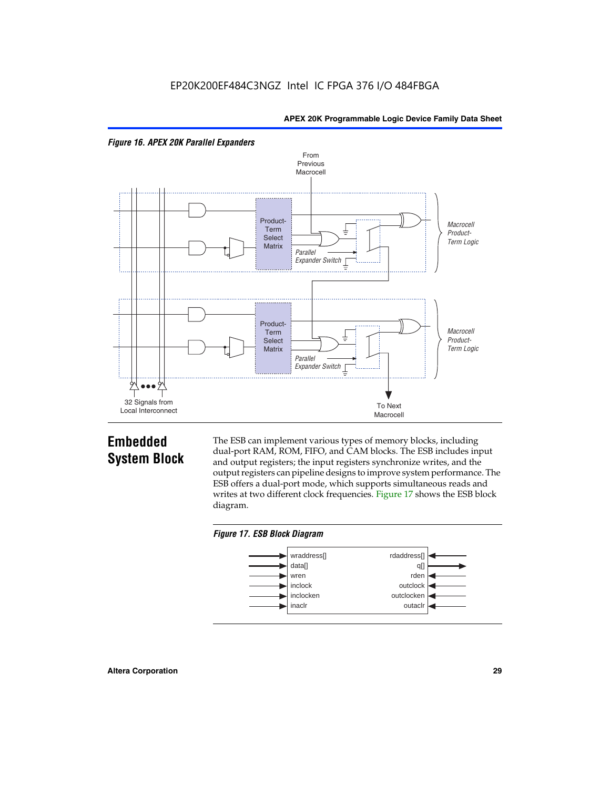



## **Embedded System Block**

The ESB can implement various types of memory blocks, including dual-port RAM, ROM, FIFO, and CAM blocks. The ESB includes input and output registers; the input registers synchronize writes, and the output registers can pipeline designs to improve system performance. The ESB offers a dual-port mode, which supports simultaneous reads and writes at two different clock frequencies. Figure 17 shows the ESB block diagram.



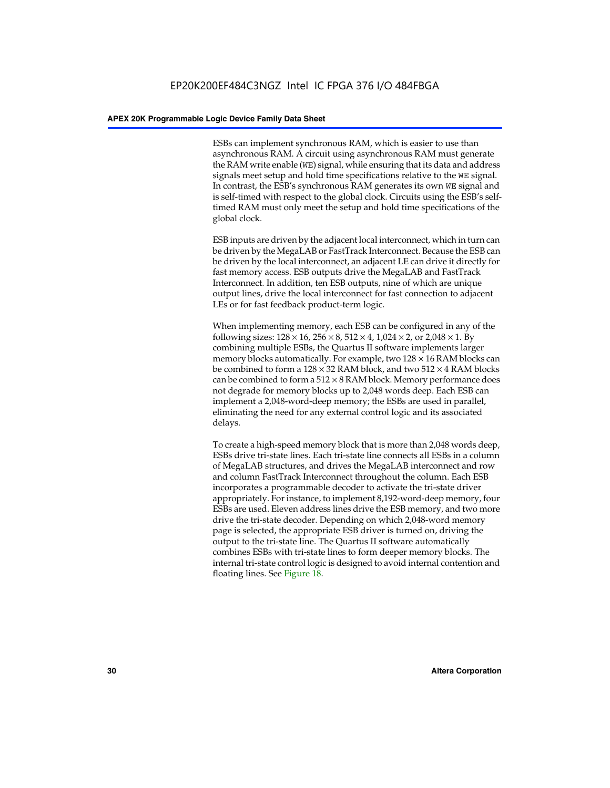ESBs can implement synchronous RAM, which is easier to use than asynchronous RAM. A circuit using asynchronous RAM must generate the RAM write enable (WE) signal, while ensuring that its data and address signals meet setup and hold time specifications relative to the WE signal. In contrast, the ESB's synchronous RAM generates its own WE signal and is self-timed with respect to the global clock. Circuits using the ESB's selftimed RAM must only meet the setup and hold time specifications of the global clock.

ESB inputs are driven by the adjacent local interconnect, which in turn can be driven by the MegaLAB or FastTrack Interconnect. Because the ESB can be driven by the local interconnect, an adjacent LE can drive it directly for fast memory access. ESB outputs drive the MegaLAB and FastTrack Interconnect. In addition, ten ESB outputs, nine of which are unique output lines, drive the local interconnect for fast connection to adjacent LEs or for fast feedback product-term logic.

When implementing memory, each ESB can be configured in any of the following sizes:  $128 \times 16$ ,  $256 \times 8$ ,  $512 \times 4$ ,  $1,024 \times 2$ , or  $2,048 \times 1$ . By combining multiple ESBs, the Quartus II software implements larger memory blocks automatically. For example, two  $128 \times 16$  RAM blocks can be combined to form a  $128 \times 32$  RAM block, and two  $512 \times 4$  RAM blocks can be combined to form a  $512 \times 8$  RAM block. Memory performance does not degrade for memory blocks up to 2,048 words deep. Each ESB can implement a 2,048-word-deep memory; the ESBs are used in parallel, eliminating the need for any external control logic and its associated delays.

To create a high-speed memory block that is more than 2,048 words deep, ESBs drive tri-state lines. Each tri-state line connects all ESBs in a column of MegaLAB structures, and drives the MegaLAB interconnect and row and column FastTrack Interconnect throughout the column. Each ESB incorporates a programmable decoder to activate the tri-state driver appropriately. For instance, to implement 8,192-word-deep memory, four ESBs are used. Eleven address lines drive the ESB memory, and two more drive the tri-state decoder. Depending on which 2,048-word memory page is selected, the appropriate ESB driver is turned on, driving the output to the tri-state line. The Quartus II software automatically combines ESBs with tri-state lines to form deeper memory blocks. The internal tri-state control logic is designed to avoid internal contention and floating lines. See Figure 18.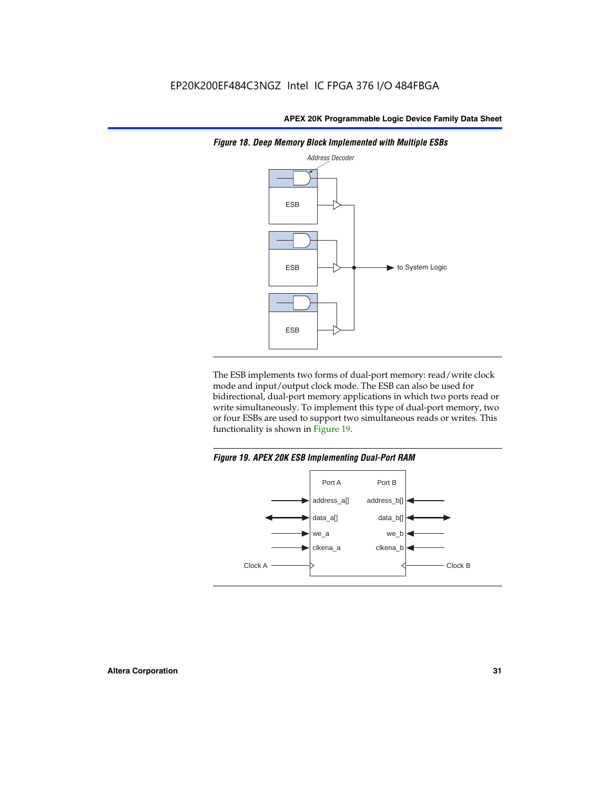

*Figure 18. Deep Memory Block Implemented with Multiple ESBs*

The ESB implements two forms of dual-port memory: read/write clock mode and input/output clock mode. The ESB can also be used for bidirectional, dual-port memory applications in which two ports read or write simultaneously. To implement this type of dual-port memory, two or four ESBs are used to support two simultaneous reads or writes. This functionality is shown in Figure 19.

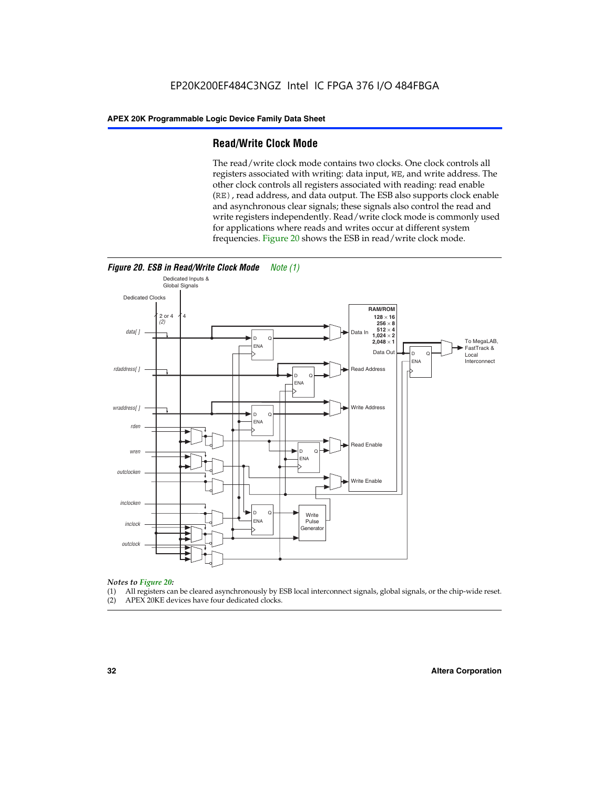#### **Read/Write Clock Mode**

The read/write clock mode contains two clocks. One clock controls all registers associated with writing: data input, WE, and write address. The other clock controls all registers associated with reading: read enable (RE), read address, and data output. The ESB also supports clock enable and asynchronous clear signals; these signals also control the read and write registers independently. Read/write clock mode is commonly used for applications where reads and writes occur at different system frequencies. Figure 20 shows the ESB in read/write clock mode.



### *Notes to Figure 20:*

- (1) All registers can be cleared asynchronously by ESB local interconnect signals, global signals, or the chip-wide reset.
- (2) APEX 20KE devices have four dedicated clocks.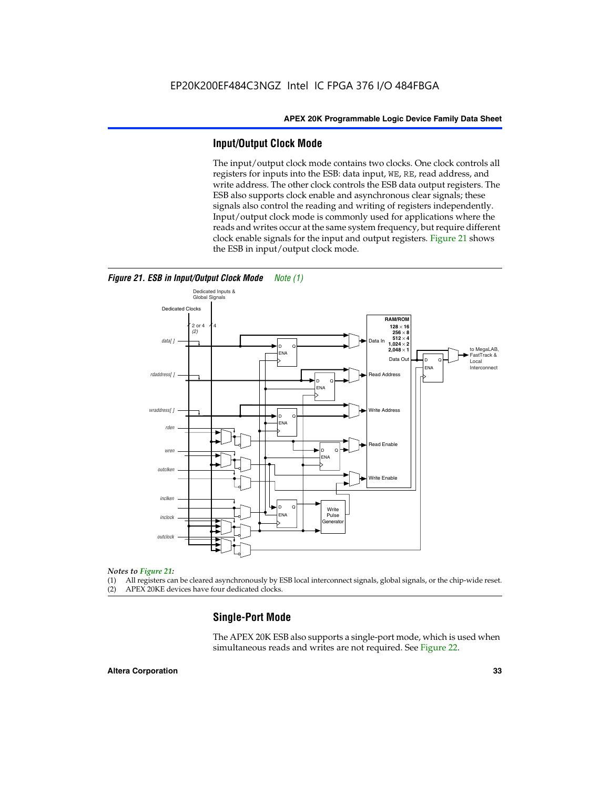#### **Input/Output Clock Mode**

The input/output clock mode contains two clocks. One clock controls all registers for inputs into the ESB: data input, WE, RE, read address, and write address. The other clock controls the ESB data output registers. The ESB also supports clock enable and asynchronous clear signals; these signals also control the reading and writing of registers independently. Input/output clock mode is commonly used for applications where the reads and writes occur at the same system frequency, but require different clock enable signals for the input and output registers. Figure 21 shows the ESB in input/output clock mode.



#### *Figure 21. ESB in Input/Output Clock Mode Note (1)*

#### *Notes to Figure 21:*

(1) All registers can be cleared asynchronously by ESB local interconnect signals, global signals, or the chip-wide reset. (2) APEX 20KE devices have four dedicated clocks.

### **Single-Port Mode**

The APEX 20K ESB also supports a single-port mode, which is used when simultaneous reads and writes are not required. See Figure 22.

#### **Altera Corporation 33**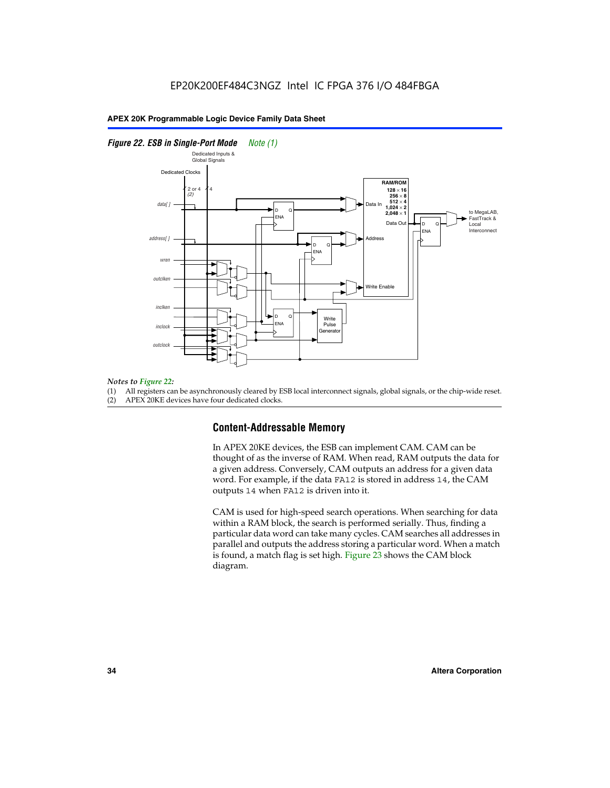#### *Figure 22. ESB in Single-Port Mode Note (1)*



#### *Notes to Figure 22:*

(1) All registers can be asynchronously cleared by ESB local interconnect signals, global signals, or the chip-wide reset.

(2) APEX 20KE devices have four dedicated clocks.

#### **Content-Addressable Memory**

In APEX 20KE devices, the ESB can implement CAM. CAM can be thought of as the inverse of RAM. When read, RAM outputs the data for a given address. Conversely, CAM outputs an address for a given data word. For example, if the data FA12 is stored in address 14, the CAM outputs 14 when FA12 is driven into it.

CAM is used for high-speed search operations. When searching for data within a RAM block, the search is performed serially. Thus, finding a particular data word can take many cycles. CAM searches all addresses in parallel and outputs the address storing a particular word. When a match is found, a match flag is set high. Figure 23 shows the CAM block diagram.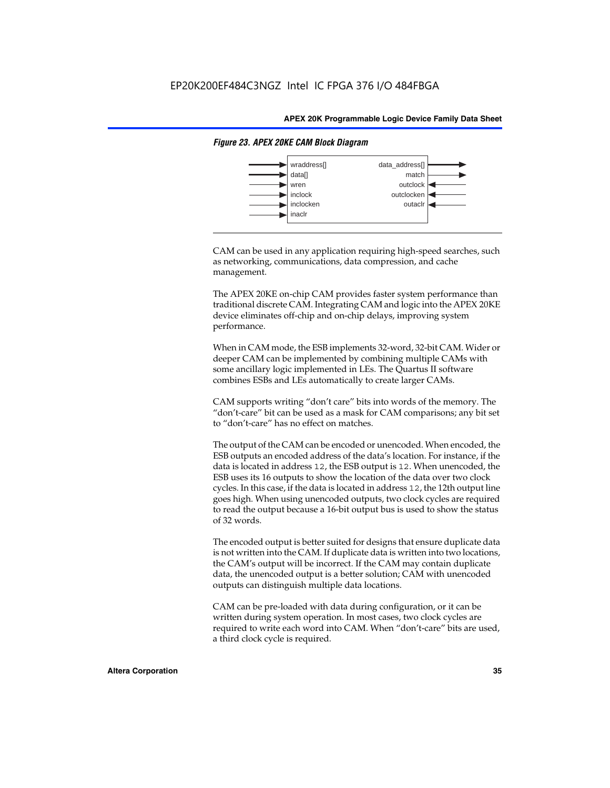

#### *Figure 23. APEX 20KE CAM Block Diagram*

CAM can be used in any application requiring high-speed searches, such as networking, communications, data compression, and cache management.

The APEX 20KE on-chip CAM provides faster system performance than traditional discrete CAM. Integrating CAM and logic into the APEX 20KE device eliminates off-chip and on-chip delays, improving system performance.

When in CAM mode, the ESB implements 32-word, 32-bit CAM. Wider or deeper CAM can be implemented by combining multiple CAMs with some ancillary logic implemented in LEs. The Quartus II software combines ESBs and LEs automatically to create larger CAMs.

CAM supports writing "don't care" bits into words of the memory. The "don't-care" bit can be used as a mask for CAM comparisons; any bit set to "don't-care" has no effect on matches.

The output of the CAM can be encoded or unencoded. When encoded, the ESB outputs an encoded address of the data's location. For instance, if the data is located in address 12, the ESB output is 12. When unencoded, the ESB uses its 16 outputs to show the location of the data over two clock cycles. In this case, if the data is located in address 12, the 12th output line goes high. When using unencoded outputs, two clock cycles are required to read the output because a 16-bit output bus is used to show the status of 32 words.

The encoded output is better suited for designs that ensure duplicate data is not written into the CAM. If duplicate data is written into two locations, the CAM's output will be incorrect. If the CAM may contain duplicate data, the unencoded output is a better solution; CAM with unencoded outputs can distinguish multiple data locations.

CAM can be pre-loaded with data during configuration, or it can be written during system operation. In most cases, two clock cycles are required to write each word into CAM. When "don't-care" bits are used, a third clock cycle is required.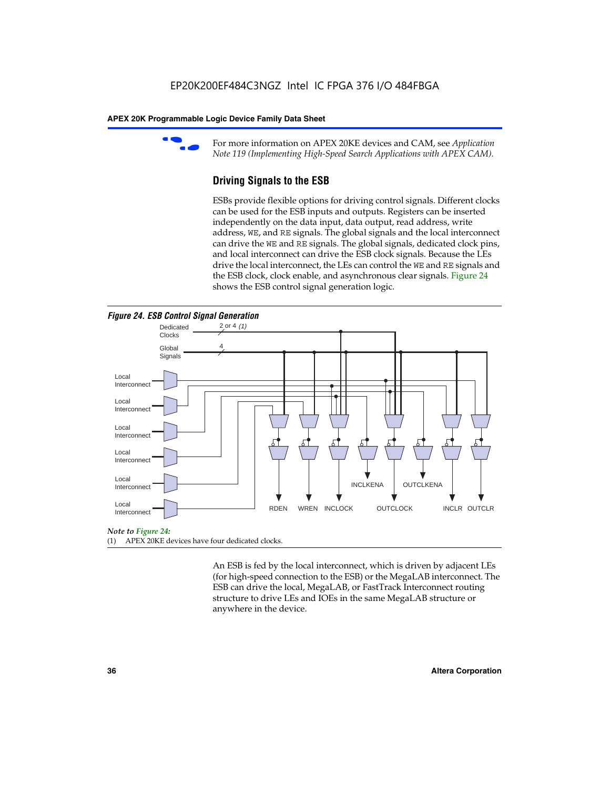

For more information on APEX 20KE devices and CAM, see *Application Note 119 (Implementing High-Speed Search Applications with APEX CAM).*

# **Driving Signals to the ESB**

ESBs provide flexible options for driving control signals. Different clocks can be used for the ESB inputs and outputs. Registers can be inserted independently on the data input, data output, read address, write address, WE, and RE signals. The global signals and the local interconnect can drive the WE and RE signals. The global signals, dedicated clock pins, and local interconnect can drive the ESB clock signals. Because the LEs drive the local interconnect, the LEs can control the WE and RE signals and the ESB clock, clock enable, and asynchronous clear signals. Figure 24 shows the ESB control signal generation logic.





#### *Note to Figure 24:*

(1) APEX 20KE devices have four dedicated clocks.

An ESB is fed by the local interconnect, which is driven by adjacent LEs (for high-speed connection to the ESB) or the MegaLAB interconnect. The ESB can drive the local, MegaLAB, or FastTrack Interconnect routing structure to drive LEs and IOEs in the same MegaLAB structure or anywhere in the device.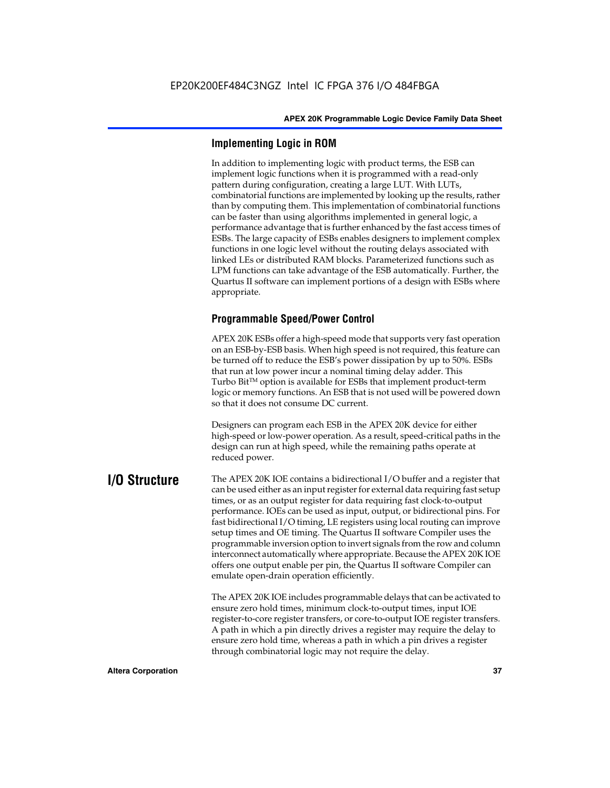# **Implementing Logic in ROM**

In addition to implementing logic with product terms, the ESB can implement logic functions when it is programmed with a read-only pattern during configuration, creating a large LUT. With LUTs, combinatorial functions are implemented by looking up the results, rather than by computing them. This implementation of combinatorial functions can be faster than using algorithms implemented in general logic, a performance advantage that is further enhanced by the fast access times of ESBs. The large capacity of ESBs enables designers to implement complex functions in one logic level without the routing delays associated with linked LEs or distributed RAM blocks. Parameterized functions such as LPM functions can take advantage of the ESB automatically. Further, the Quartus II software can implement portions of a design with ESBs where appropriate.

# **Programmable Speed/Power Control**

APEX 20K ESBs offer a high-speed mode that supports very fast operation on an ESB-by-ESB basis. When high speed is not required, this feature can be turned off to reduce the ESB's power dissipation by up to 50%. ESBs that run at low power incur a nominal timing delay adder. This Turbo  $Bit^{TM}$  option is available for ESBs that implement product-term logic or memory functions. An ESB that is not used will be powered down so that it does not consume DC current.

Designers can program each ESB in the APEX 20K device for either high-speed or low-power operation. As a result, speed-critical paths in the design can run at high speed, while the remaining paths operate at reduced power.

**I/O Structure** The APEX 20K IOE contains a bidirectional I/O buffer and a register that can be used either as an input register for external data requiring fast setup times, or as an output register for data requiring fast clock-to-output performance. IOEs can be used as input, output, or bidirectional pins. For fast bidirectional I/O timing, LE registers using local routing can improve setup times and OE timing. The Quartus II software Compiler uses the programmable inversion option to invert signals from the row and column interconnect automatically where appropriate. Because the APEX 20K IOE offers one output enable per pin, the Quartus II software Compiler can emulate open-drain operation efficiently.

> The APEX 20K IOE includes programmable delays that can be activated to ensure zero hold times, minimum clock-to-output times, input IOE register-to-core register transfers, or core-to-output IOE register transfers. A path in which a pin directly drives a register may require the delay to ensure zero hold time, whereas a path in which a pin drives a register through combinatorial logic may not require the delay.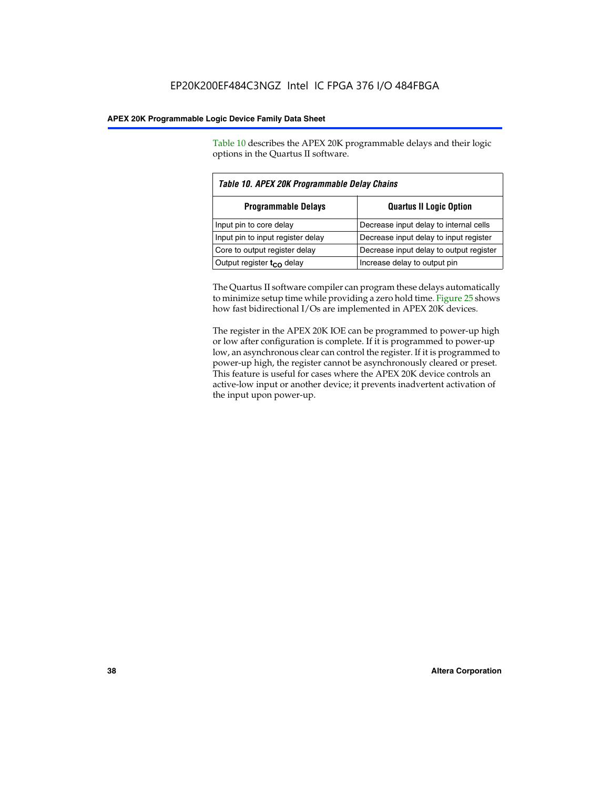Table 10 describes the APEX 20K programmable delays and their logic options in the Quartus II software.

| Table 10. APEX 20K Programmable Delay Chains |                                         |  |  |
|----------------------------------------------|-----------------------------------------|--|--|
| <b>Programmable Delays</b>                   | <b>Quartus II Logic Option</b>          |  |  |
| Input pin to core delay                      | Decrease input delay to internal cells  |  |  |
| Input pin to input register delay            | Decrease input delay to input register  |  |  |
| Core to output register delay                | Decrease input delay to output register |  |  |
| Output register t <sub>co</sub> delay        | Increase delay to output pin            |  |  |

The Quartus II software compiler can program these delays automatically to minimize setup time while providing a zero hold time. Figure 25 shows how fast bidirectional I/Os are implemented in APEX 20K devices.

The register in the APEX 20K IOE can be programmed to power-up high or low after configuration is complete. If it is programmed to power-up low, an asynchronous clear can control the register. If it is programmed to power-up high, the register cannot be asynchronously cleared or preset. This feature is useful for cases where the APEX 20K device controls an active-low input or another device; it prevents inadvertent activation of the input upon power-up.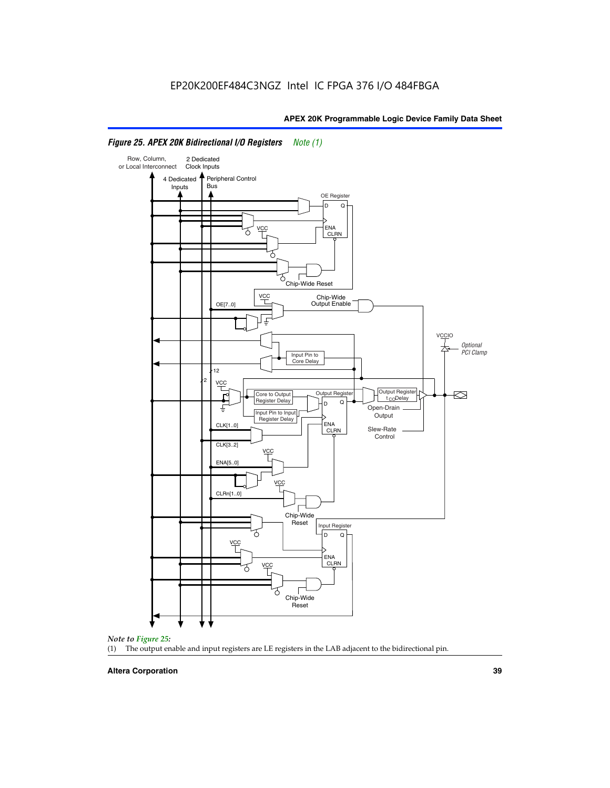

# *Figure 25. APEX 20K Bidirectional I/O Registers Note (1)*



#### **Altera Corporation 39**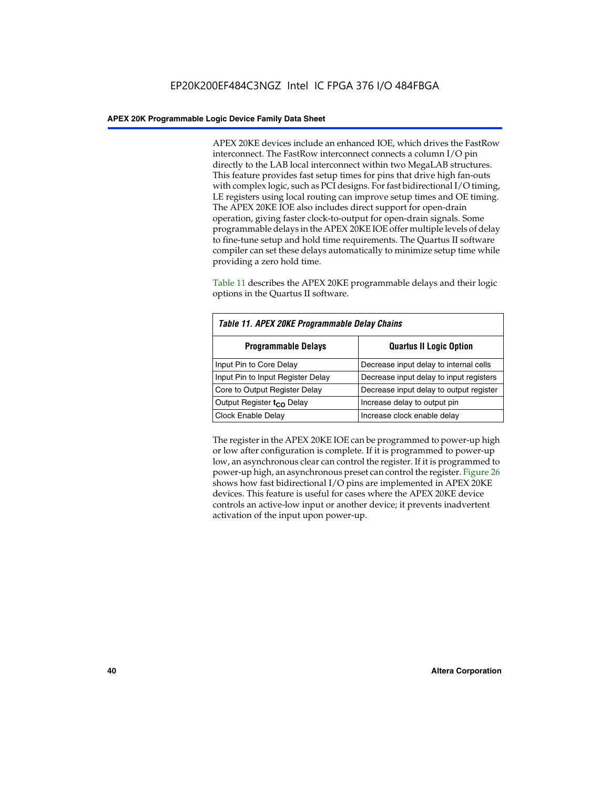APEX 20KE devices include an enhanced IOE, which drives the FastRow interconnect. The FastRow interconnect connects a column I/O pin directly to the LAB local interconnect within two MegaLAB structures. This feature provides fast setup times for pins that drive high fan-outs with complex logic, such as PCI designs. For fast bidirectional I/O timing, LE registers using local routing can improve setup times and OE timing. The APEX 20KE IOE also includes direct support for open-drain operation, giving faster clock-to-output for open-drain signals. Some programmable delays in the APEX 20KE IOE offer multiple levels of delay to fine-tune setup and hold time requirements. The Quartus II software compiler can set these delays automatically to minimize setup time while providing a zero hold time.

Table 11 describes the APEX 20KE programmable delays and their logic options in the Quartus II software.

| Table 11. APEX 20KE Programmable Delay Chains |                                         |  |  |  |
|-----------------------------------------------|-----------------------------------------|--|--|--|
| <b>Programmable Delays</b>                    | <b>Quartus II Logic Option</b>          |  |  |  |
| Input Pin to Core Delay                       | Decrease input delay to internal cells  |  |  |  |
| Input Pin to Input Register Delay             | Decrease input delay to input registers |  |  |  |
| Core to Output Register Delay                 | Decrease input delay to output register |  |  |  |
| Output Register t <sub>CO</sub> Delay         | Increase delay to output pin            |  |  |  |
| <b>Clock Enable Delay</b>                     | Increase clock enable delay             |  |  |  |

The register in the APEX 20KE IOE can be programmed to power-up high or low after configuration is complete. If it is programmed to power-up low, an asynchronous clear can control the register. If it is programmed to power-up high, an asynchronous preset can control the register. Figure 26 shows how fast bidirectional I/O pins are implemented in APEX 20KE devices. This feature is useful for cases where the APEX 20KE device controls an active-low input or another device; it prevents inadvertent activation of the input upon power-up.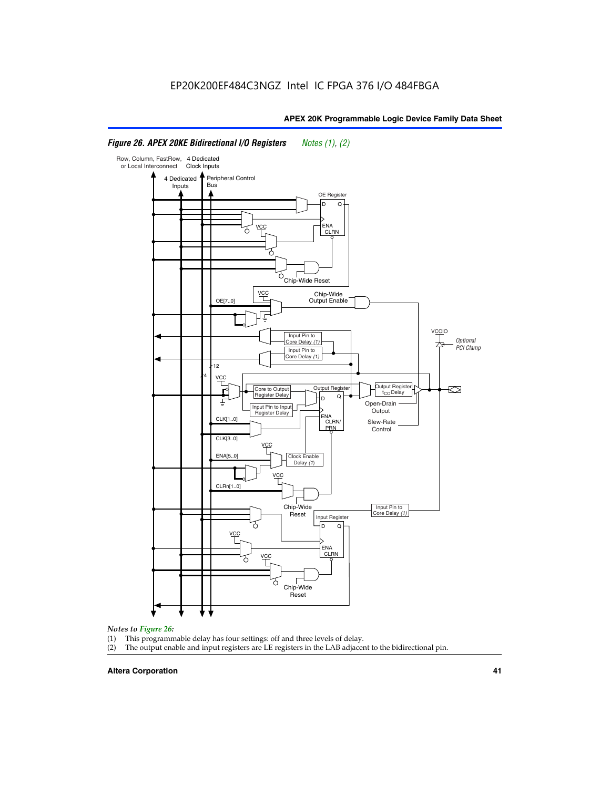#### Row, Column, FastRow, 4 Dedicated or Local Interconnect Clock Inputs Peripheral Control 4 Dedicated **Bus** Inputs OE Register D Q ENA VCC CLRN 7 Chip-Wide Reset YCC Chip-Wide Output Enable OE[7..0] VC Input Pin to **Optional** Core Delay (1) PCI Clamp Input Pin to Core Delay (1) 12 4 **VCC** Output Register **Output Registe**  $\approx$ Core to Output | Output Hegister | Durbut Tropieding | Contput Tropieding | Durbut Tropieding | Output Tropied<br>Register Delay | Durbut Tropieding | Contput Tropieding | Contput Tropieding | O t<sub>CO</sub>Delay  $D$  Q ŧ Open-Drain Input Pin to Input **Output** Register Delay ENA CLK[1..0] CLRN/ Slew-Rate PR<sub>N</sub> Control CLK[3..0] VCC ENA[5..0] Clock Enable Delay (1) VCC CLRn[1..0] Chip-Wide Input Pin to Core Delay (1) Reset Input Register D Q <u>vcc</u> .<br>ENA CLRN **VCC** Chip-Wide Reset

# *Figure 26. APEX 20KE Bidirectional I/O Registers Notes (1), (2)*

#### *Notes to Figure 26:*

- 
- (1) This programmable delay has four settings: off and three levels of delay.<br>(2) The output enable and input registers are LE registers in the LAB adjacer The output enable and input registers are LE registers in the LAB adjacent to the bidirectional pin.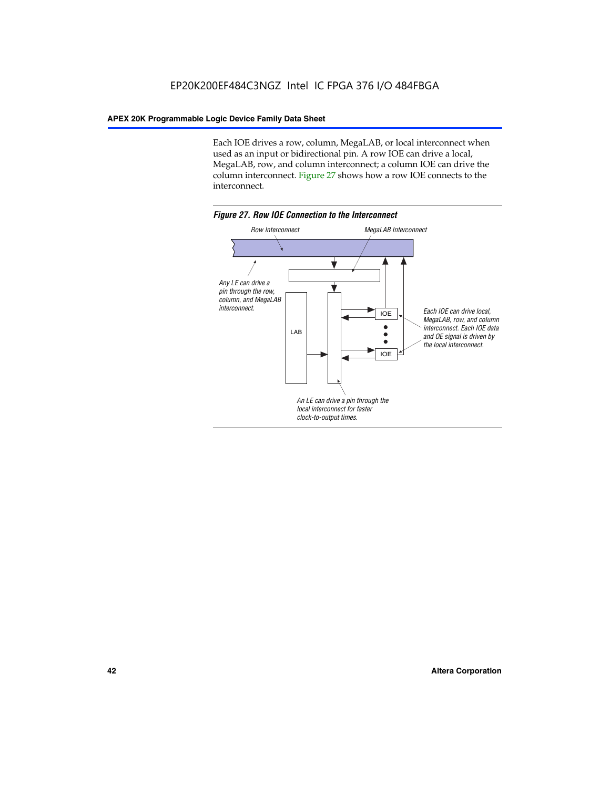Each IOE drives a row, column, MegaLAB, or local interconnect when used as an input or bidirectional pin. A row IOE can drive a local, MegaLAB, row, and column interconnect; a column IOE can drive the column interconnect. Figure 27 shows how a row IOE connects to the interconnect.

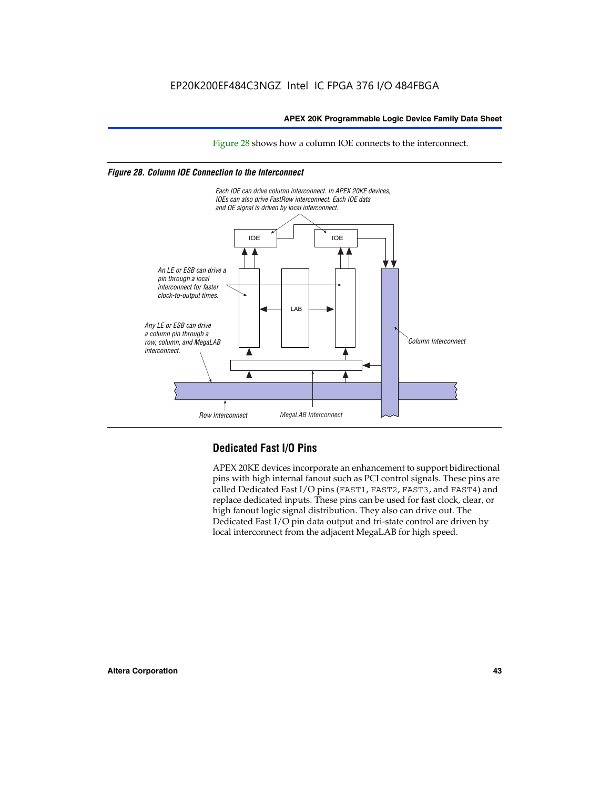Figure 28 shows how a column IOE connects to the interconnect.

# *Figure 28. Column IOE Connection to the Interconnect*



# **Dedicated Fast I/O Pins**

APEX 20KE devices incorporate an enhancement to support bidirectional pins with high internal fanout such as PCI control signals. These pins are called Dedicated Fast I/O pins (FAST1, FAST2, FAST3, and FAST4) and replace dedicated inputs. These pins can be used for fast clock, clear, or high fanout logic signal distribution. They also can drive out. The Dedicated Fast I/O pin data output and tri-state control are driven by local interconnect from the adjacent MegaLAB for high speed.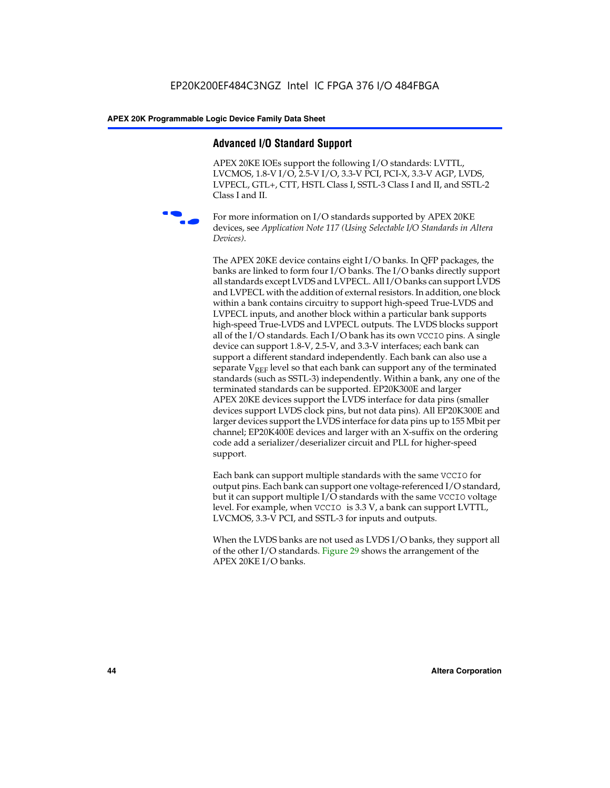# **Advanced I/O Standard Support**

APEX 20KE IOEs support the following I/O standards: LVTTL, LVCMOS, 1.8-V I/O, 2.5-V I/O, 3.3-V PCI, PCI-X, 3.3-V AGP, LVDS, LVPECL, GTL+, CTT, HSTL Class I, SSTL-3 Class I and II, and SSTL-2 Class I and II.



For more information on I/O standards supported by APEX 20KE devices, see *Application Note 117 (Using Selectable I/O Standards in Altera Devices)*.

The APEX 20KE device contains eight I/O banks. In QFP packages, the banks are linked to form four I/O banks. The I/O banks directly support all standards except LVDS and LVPECL. All I/O banks can support LVDS and LVPECL with the addition of external resistors. In addition, one block within a bank contains circuitry to support high-speed True-LVDS and LVPECL inputs, and another block within a particular bank supports high-speed True-LVDS and LVPECL outputs. The LVDS blocks support all of the I/O standards. Each I/O bank has its own VCCIO pins. A single device can support 1.8-V, 2.5-V, and 3.3-V interfaces; each bank can support a different standard independently. Each bank can also use a separate  $V_{\text{REF}}$  level so that each bank can support any of the terminated standards (such as SSTL-3) independently. Within a bank, any one of the terminated standards can be supported. EP20K300E and larger APEX 20KE devices support the LVDS interface for data pins (smaller devices support LVDS clock pins, but not data pins). All EP20K300E and larger devices support the LVDS interface for data pins up to 155 Mbit per channel; EP20K400E devices and larger with an X-suffix on the ordering code add a serializer/deserializer circuit and PLL for higher-speed support.

Each bank can support multiple standards with the same VCCIO for output pins. Each bank can support one voltage-referenced I/O standard, but it can support multiple I/O standards with the same VCCIO voltage level. For example, when VCCIO is 3.3 V, a bank can support LVTTL, LVCMOS, 3.3-V PCI, and SSTL-3 for inputs and outputs.

When the LVDS banks are not used as LVDS I/O banks, they support all of the other I/O standards. Figure 29 shows the arrangement of the APEX 20KE I/O banks.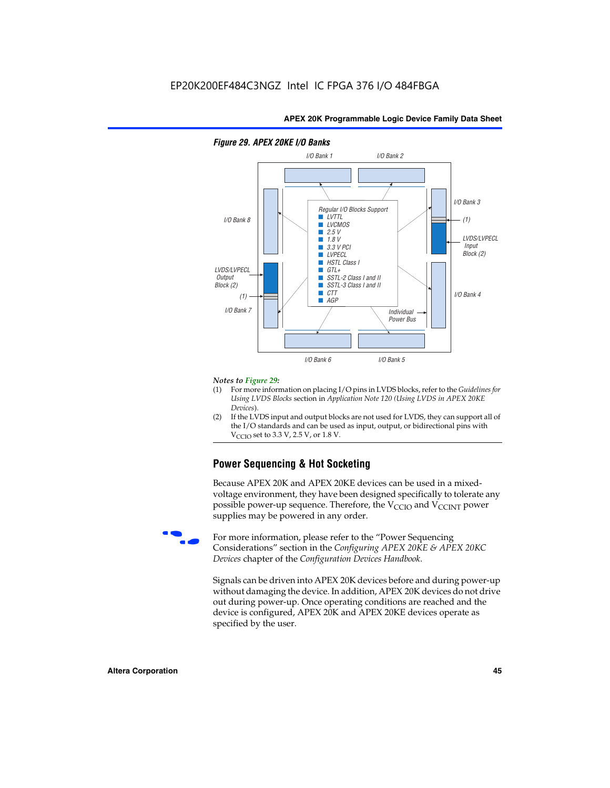

# *Figure 29. APEX 20KE I/O Banks*

#### *Notes to Figure 29:*

- (1) For more information on placing I/O pins in LVDS blocks, refer to the *Guidelines for Using LVDS Blocks* section in *Application Note 120 (Using LVDS in APEX 20KE Devices*).
- (2) If the LVDS input and output blocks are not used for LVDS, they can support all of the I/O standards and can be used as input, output, or bidirectional pins with  $V_{\text{C} \cap \text{O}}$  set to 3.3 V, 2.5 V, or 1.8 V.

# **Power Sequencing & Hot Socketing**

Because APEX 20K and APEX 20KE devices can be used in a mixedvoltage environment, they have been designed specifically to tolerate any possible power-up sequence. Therefore, the  $V_{\text{CCIO}}$  and  $V_{\text{CCINT}}$  power supplies may be powered in any order.

For more information, please refer to the "Power Sequencing Considerations" section in the *Configuring APEX 20KE & APEX 20KC Devices* chapter of the *Configuration Devices Handbook*.

Signals can be driven into APEX 20K devices before and during power-up without damaging the device. In addition, APEX 20K devices do not drive out during power-up. Once operating conditions are reached and the device is configured, APEX 20K and APEX 20KE devices operate as specified by the user.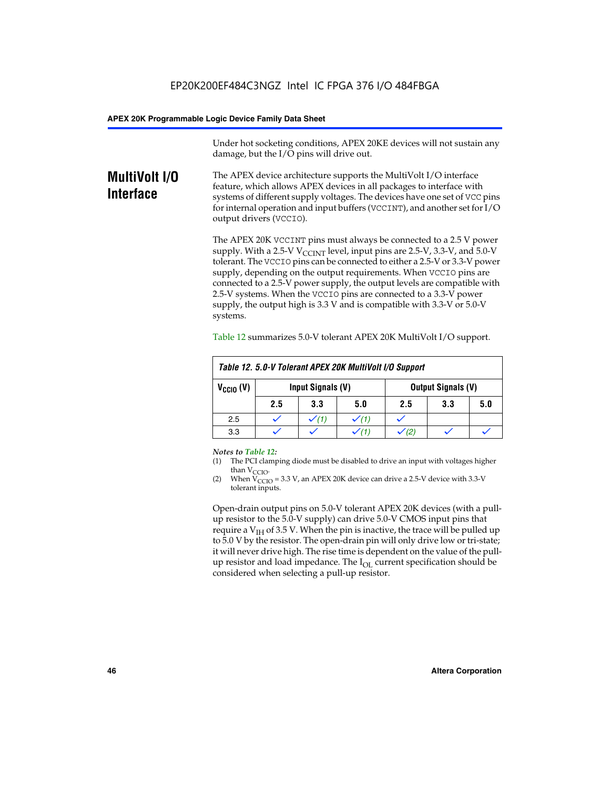Under hot socketing conditions, APEX 20KE devices will not sustain any damage, but the I/O pins will drive out.

# **MultiVolt I/O Interface**

The APEX device architecture supports the MultiVolt I/O interface feature, which allows APEX devices in all packages to interface with systems of different supply voltages. The devices have one set of VCC pins for internal operation and input buffers (VCCINT), and another set for I/O output drivers (VCCIO).

The APEX 20K VCCINT pins must always be connected to a 2.5 V power supply. With a 2.5-V  $V_{\text{CCMT}}$  level, input pins are 2.5-V, 3.3-V, and 5.0-V tolerant. The VCCIO pins can be connected to either a 2.5-V or 3.3-V power supply, depending on the output requirements. When VCCIO pins are connected to a 2.5-V power supply, the output levels are compatible with 2.5-V systems. When the VCCIO pins are connected to a 3.3-V power supply, the output high is 3.3 V and is compatible with 3.3-V or 5.0-V systems.

|                      | Table 12. 5.0-V Tolerant APEX 20K MultiVolt I/O Support |                  |     |     |     |     |
|----------------------|---------------------------------------------------------|------------------|-----|-----|-----|-----|
| $V_{\text{CCIO}}(V)$ | Input Signals (V)<br><b>Output Signals (V)</b>          |                  |     |     |     |     |
|                      | 2.5                                                     | 3.3              | 5.0 | 2.5 | 3.3 | 5.0 |
| 2.5                  |                                                         | $\checkmark$ (1) |     |     |     |     |
| 3.3                  |                                                         |                  |     |     |     |     |

Table 12 summarizes 5.0-V tolerant APEX 20K MultiVolt I/O support.

#### *Notes to Table 12:*

- (1) The PCI clamping diode must be disabled to drive an input with voltages higher than  $V_{CCIO}$ .
- (2) When  $V_{CCIO} = 3.3 V$ , an APEX 20K device can drive a 2.5-V device with 3.3-V tolerant inputs.

Open-drain output pins on 5.0-V tolerant APEX 20K devices (with a pullup resistor to the 5.0-V supply) can drive 5.0-V CMOS input pins that require a  $V_{IH}$  of 3.5 V. When the pin is inactive, the trace will be pulled up to 5.0 V by the resistor. The open-drain pin will only drive low or tri-state; it will never drive high. The rise time is dependent on the value of the pullup resistor and load impedance. The  $I_{OI}$  current specification should be considered when selecting a pull-up resistor.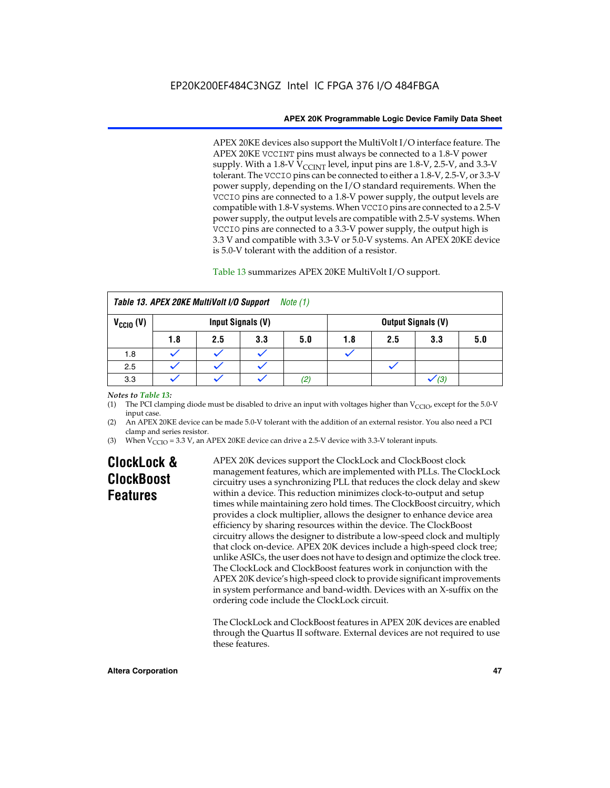APEX 20KE devices also support the MultiVolt I/O interface feature. The APEX 20KE VCCINT pins must always be connected to a 1.8-V power supply. With a 1.8-V  $V_{\text{CCINT}}$  level, input pins are 1.8-V, 2.5-V, and 3.3-V tolerant. The VCCIO pins can be connected to either a 1.8-V, 2.5-V, or 3.3-V power supply, depending on the I/O standard requirements. When the VCCIO pins are connected to a 1.8-V power supply, the output levels are compatible with 1.8-V systems. When VCCIO pins are connected to a 2.5-V power supply, the output levels are compatible with 2.5-V systems. When VCCIO pins are connected to a 3.3-V power supply, the output high is 3.3 V and compatible with 3.3-V or 5.0-V systems. An APEX 20KE device is 5.0-V tolerant with the addition of a resistor.

# Table 13 summarizes APEX 20KE MultiVolt I/O support.

|                      | Table 13. APEX 20KE MultiVolt I/O Support<br>Note (1) |     |                   |     |     |     |                           |     |
|----------------------|-------------------------------------------------------|-----|-------------------|-----|-----|-----|---------------------------|-----|
| $V_{\text{CCIO}}(V)$ |                                                       |     | Input Signals (V) |     |     |     | <b>Output Signals (V)</b> |     |
|                      | 1.8                                                   | 2.5 | 3.3               | 5.0 | 1.8 | 2.5 | 3.3                       | 5.0 |
| 1.8                  |                                                       |     |                   |     |     |     |                           |     |
| 2.5                  |                                                       |     |                   |     |     |     |                           |     |
| 3.3                  |                                                       |     |                   | (2) |     |     | (3)                       |     |

# *Notes to Table 13:*

(1) The PCI clamping diode must be disabled to drive an input with voltages higher than  $V_{CCIO}$ , except for the 5.0-V input case.

(2) An APEX 20KE device can be made 5.0-V tolerant with the addition of an external resistor. You also need a PCI clamp and series resistor.

(3) When  $V_{\text{CCIO}} = 3.3$  V, an APEX 20KE device can drive a 2.5-V device with 3.3-V tolerant inputs.

# **ClockLock & ClockBoost Features**

APEX 20K devices support the ClockLock and ClockBoost clock management features, which are implemented with PLLs. The ClockLock circuitry uses a synchronizing PLL that reduces the clock delay and skew within a device. This reduction minimizes clock-to-output and setup times while maintaining zero hold times. The ClockBoost circuitry, which provides a clock multiplier, allows the designer to enhance device area efficiency by sharing resources within the device. The ClockBoost circuitry allows the designer to distribute a low-speed clock and multiply that clock on-device. APEX 20K devices include a high-speed clock tree; unlike ASICs, the user does not have to design and optimize the clock tree. The ClockLock and ClockBoost features work in conjunction with the APEX 20K device's high-speed clock to provide significant improvements in system performance and band-width. Devices with an X-suffix on the ordering code include the ClockLock circuit.

The ClockLock and ClockBoost features in APEX 20K devices are enabled through the Quartus II software. External devices are not required to use these features.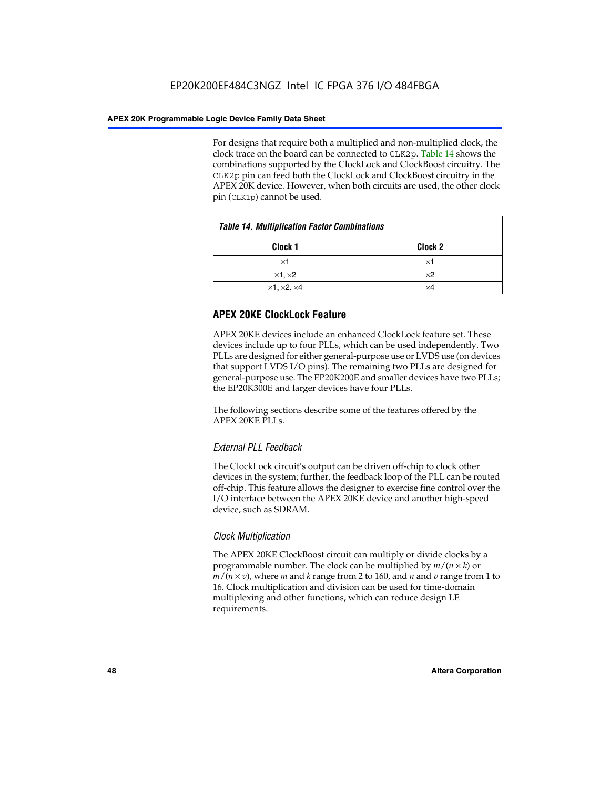For designs that require both a multiplied and non-multiplied clock, the clock trace on the board can be connected to CLK2p. Table 14 shows the combinations supported by the ClockLock and ClockBoost circuitry. The CLK2p pin can feed both the ClockLock and ClockBoost circuitry in the APEX 20K device. However, when both circuits are used, the other clock pin (CLK1p) cannot be used.

| <b>Table 14. Multiplication Factor Combinations</b> |                    |  |
|-----------------------------------------------------|--------------------|--|
| Clock <sub>1</sub>                                  | Clock <sub>2</sub> |  |
| $\times$ 1                                          | ×1                 |  |
| $\times$ 1, $\times$ 2                              | $\times 2$         |  |
| $\times$ 1, $\times$ 2, $\times$ 4                  | ×4                 |  |

# **APEX 20KE ClockLock Feature**

APEX 20KE devices include an enhanced ClockLock feature set. These devices include up to four PLLs, which can be used independently. Two PLLs are designed for either general-purpose use or LVDS use (on devices that support LVDS I/O pins). The remaining two PLLs are designed for general-purpose use. The EP20K200E and smaller devices have two PLLs; the EP20K300E and larger devices have four PLLs.

The following sections describe some of the features offered by the APEX 20KE PLLs.

# *External PLL Feedback*

The ClockLock circuit's output can be driven off-chip to clock other devices in the system; further, the feedback loop of the PLL can be routed off-chip. This feature allows the designer to exercise fine control over the I/O interface between the APEX 20KE device and another high-speed device, such as SDRAM.

# *Clock Multiplication*

The APEX 20KE ClockBoost circuit can multiply or divide clocks by a programmable number. The clock can be multiplied by *m*/(*n* × *k*) or  $m/(n \times v)$ , where *m* and *k* range from 2 to 160, and *n* and *v* range from 1 to 16. Clock multiplication and division can be used for time-domain multiplexing and other functions, which can reduce design LE requirements.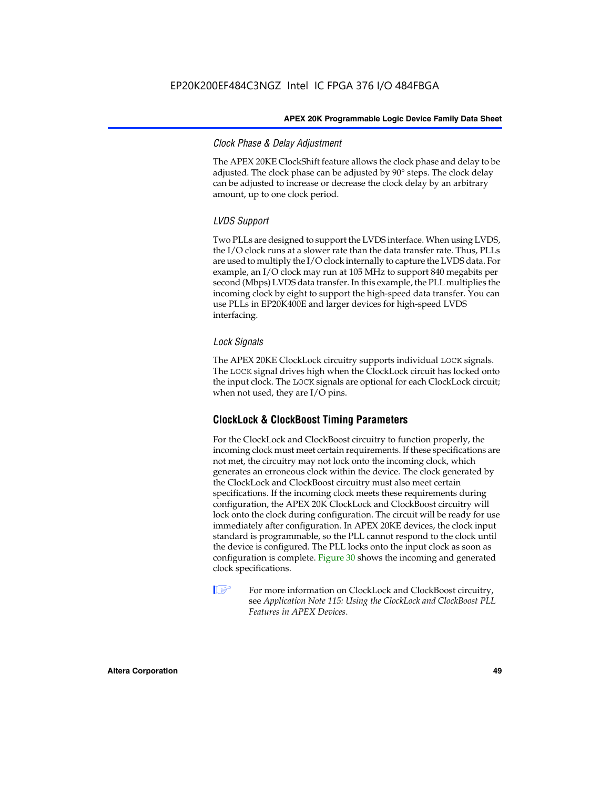# *Clock Phase & Delay Adjustment*

The APEX 20KE ClockShift feature allows the clock phase and delay to be adjusted. The clock phase can be adjusted by 90° steps. The clock delay can be adjusted to increase or decrease the clock delay by an arbitrary amount, up to one clock period.

# *LVDS Support*

Two PLLs are designed to support the LVDS interface. When using LVDS, the I/O clock runs at a slower rate than the data transfer rate. Thus, PLLs are used to multiply the I/O clock internally to capture the LVDS data. For example, an I/O clock may run at 105 MHz to support 840 megabits per second (Mbps) LVDS data transfer. In this example, the PLL multiplies the incoming clock by eight to support the high-speed data transfer. You can use PLLs in EP20K400E and larger devices for high-speed LVDS interfacing.

# *Lock Signals*

The APEX 20KE ClockLock circuitry supports individual LOCK signals. The LOCK signal drives high when the ClockLock circuit has locked onto the input clock. The LOCK signals are optional for each ClockLock circuit; when not used, they are I/O pins.

# **ClockLock & ClockBoost Timing Parameters**

For the ClockLock and ClockBoost circuitry to function properly, the incoming clock must meet certain requirements. If these specifications are not met, the circuitry may not lock onto the incoming clock, which generates an erroneous clock within the device. The clock generated by the ClockLock and ClockBoost circuitry must also meet certain specifications. If the incoming clock meets these requirements during configuration, the APEX 20K ClockLock and ClockBoost circuitry will lock onto the clock during configuration. The circuit will be ready for use immediately after configuration. In APEX 20KE devices, the clock input standard is programmable, so the PLL cannot respond to the clock until the device is configured. The PLL locks onto the input clock as soon as configuration is complete. Figure 30 shows the incoming and generated clock specifications.

 $\mathbb{I} \mathcal{F}$  For more information on ClockLock and ClockBoost circuitry, see *Application Note 115: Using the ClockLock and ClockBoost PLL Features in APEX Devices*.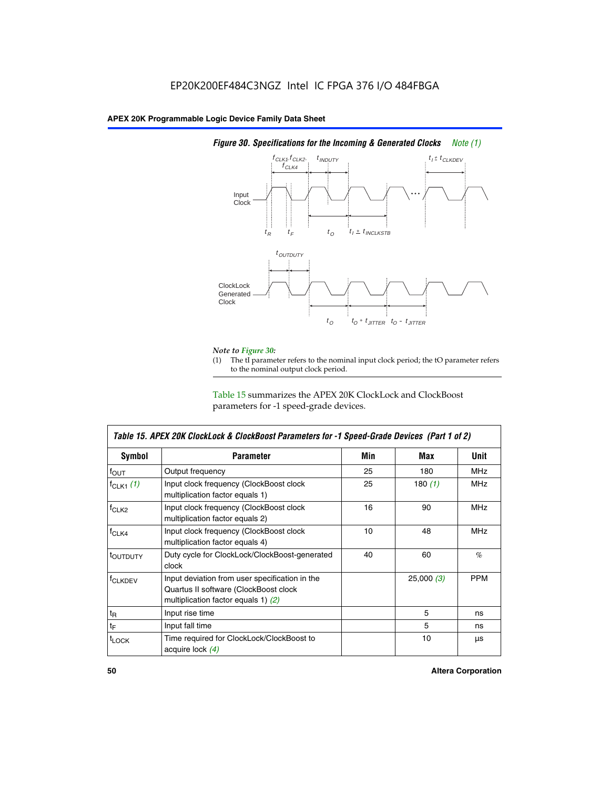

# *Figure 30. Specifications for the Incoming & Generated Clocks Note (1)*

# *Note to Figure 30:*

The tI parameter refers to the nominal input clock period; the tO parameter refers to the nominal output clock period.

Table 15 summarizes the APEX 20K ClockLock and ClockBoost parameters for -1 speed-grade devices.

| <b>Symbol</b>                                                                                                                                       | <b>Parameter</b>                                                           | Min | Max       | <b>Unit</b> |
|-----------------------------------------------------------------------------------------------------------------------------------------------------|----------------------------------------------------------------------------|-----|-----------|-------------|
| $f_{OUT}$                                                                                                                                           | Output frequency                                                           | 25  | 180       | MHz         |
| $f_{CLK1}$ $(1)$                                                                                                                                    | Input clock frequency (ClockBoost clock<br>multiplication factor equals 1) | 25  | 180 $(1)$ | <b>MHz</b>  |
| $f_{CLK2}$                                                                                                                                          | Input clock frequency (ClockBoost clock<br>multiplication factor equals 2) | 16  | 90        | <b>MHz</b>  |
| $f_{CLK4}$                                                                                                                                          | Input clock frequency (ClockBoost clock<br>multiplication factor equals 4) | 10  | 48        | <b>MHz</b>  |
| toutputy                                                                                                                                            | Duty cycle for ClockLock/ClockBoost-generated<br>clock                     | 40  | 60        | %           |
| Input deviation from user specification in the<br><b>f</b> CLKDEV<br>Quartus II software (ClockBoost clock<br>multiplication factor equals 1) $(2)$ |                                                                            |     | 25,000(3) | <b>PPM</b>  |
| $t_{\mathsf{R}}$                                                                                                                                    | Input rise time                                                            |     | 5         | ns          |
| $t_{\mathsf{F}}$                                                                                                                                    | Input fall time                                                            |     | 5         | ns          |
| <sup>t</sup> LOCK                                                                                                                                   | Time required for ClockLock/ClockBoost to<br>acquire lock (4)              |     | 10        | μs          |

 $\mathsf I$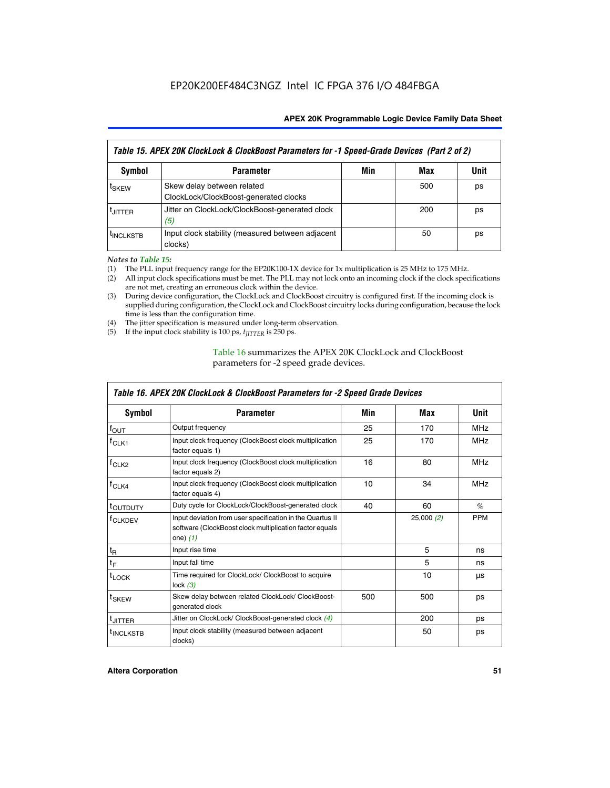| Table 15. APEX 20K ClockLock & ClockBoost Parameters for -1 Speed-Grade Devices (Part 2 of 2) |                                                                     |     |     |      |
|-----------------------------------------------------------------------------------------------|---------------------------------------------------------------------|-----|-----|------|
| <b>Symbol</b>                                                                                 | <b>Parameter</b>                                                    | Min | Max | Unit |
| t <sub>SKEW</sub>                                                                             | Skew delay between related<br>ClockLock/ClockBoost-generated clocks |     | 500 | ps   |
| <b>UITTER</b>                                                                                 | Jitter on ClockLock/ClockBoost-generated clock<br>(5)               |     | 200 | ps   |
| <b>INCLKSTB</b>                                                                               | Input clock stability (measured between adjacent<br>clocks)         |     | 50  | ps   |

*Notes to Table 15:*

- (1) The PLL input frequency range for the EP20K100-1X device for 1x multiplication is 25 MHz to 175 MHz.
- (2) All input clock specifications must be met. The PLL may not lock onto an incoming clock if the clock specifications are not met, creating an erroneous clock within the device.
- (3) During device configuration, the ClockLock and ClockBoost circuitry is configured first. If the incoming clock is supplied during configuration, the ClockLock and ClockBoost circuitry locks during configuration, because the lock time is less than the configuration time.
- (4) The jitter specification is measured under long-term observation.
- (5) If the input clock stability is 100 ps,  $t_{\text{JITTER}}$  is 250 ps.

# Table 16 summarizes the APEX 20K ClockLock and ClockBoost parameters for -2 speed grade devices.

| Symbol                                                                                                                                                    | <b>Parameter</b>                                                           | Min | Max       | Unit       |
|-----------------------------------------------------------------------------------------------------------------------------------------------------------|----------------------------------------------------------------------------|-----|-----------|------------|
| $f_{\text{OUT}}$                                                                                                                                          | Output frequency                                                           | 25  | 170       | <b>MHz</b> |
| Input clock frequency (ClockBoost clock multiplication<br>$r$ CLK1<br>factor equals 1)                                                                    |                                                                            | 25  | 170       | <b>MHz</b> |
| f <sub>CLK2</sub>                                                                                                                                         | Input clock frequency (ClockBoost clock multiplication<br>factor equals 2) |     | 80        | <b>MHz</b> |
| $f_{CLK4}$<br>Input clock frequency (ClockBoost clock multiplication<br>factor equals 4)                                                                  |                                                                            | 10  | 34        | <b>MHz</b> |
| <sup>t</sup> OUTDUTY                                                                                                                                      | Duty cycle for ClockLock/ClockBoost-generated clock                        | 40  | 60        | $\%$       |
| Input deviation from user specification in the Quartus II<br><sup>T</sup> CLKDEV<br>software (ClockBoost clock multiplication factor equals<br>one) $(1)$ |                                                                            |     | 25,000(2) | <b>PPM</b> |
| $t_{\mathsf{R}}$                                                                                                                                          | Input rise time                                                            |     | 5         | ns         |
| $t_F$                                                                                                                                                     | Input fall time                                                            |     | 5         | ns         |
| $t_{\text{LOCK}}$                                                                                                                                         | Time required for ClockLock/ ClockBoost to acquire<br>lock $(3)$           |     | 10        | μs         |
| t <sub>SKEW</sub>                                                                                                                                         | Skew delay between related ClockLock/ ClockBoost-<br>generated clock       | 500 | 500       | ps         |
| <sup>t</sup> JITTER                                                                                                                                       | Jitter on ClockLock/ ClockBoost-generated clock (4)                        |     | 200       | ps         |
| <sup>I</sup> INCLKSTB                                                                                                                                     | Input clock stability (measured between adjacent<br>clocks)                |     | 50        | ps         |

# *Table 16. APEX 20K ClockLock & ClockBoost Parameters for -2 Speed Grade Devices*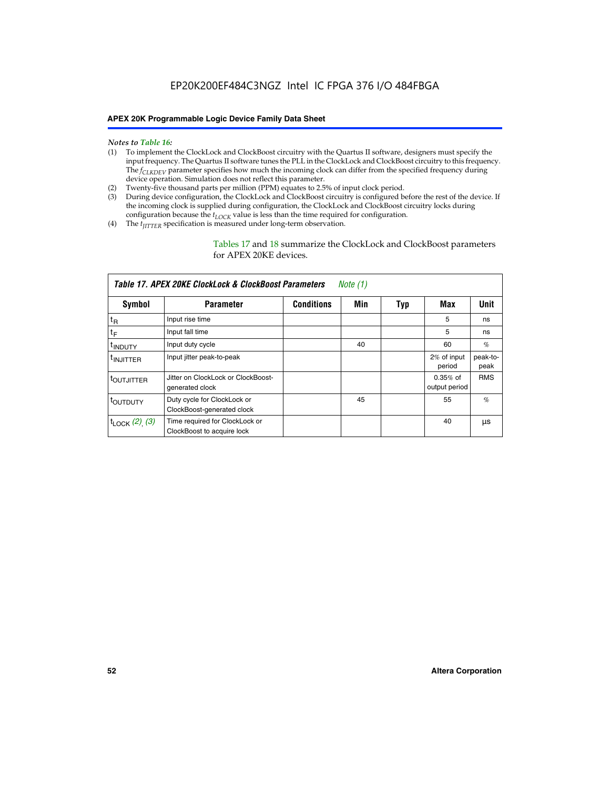- *Notes to Table 16:* (1) To implement the ClockLock and ClockBoost circuitry with the Quartus II software, designers must specify the input frequency. The Quartus II software tunes the PLL in the ClockLock and ClockBoost circuitry to this frequency. The *f<sub>CLKDEV</sub>* parameter specifies how much the incoming clock can differ from the specified frequency during device operation. Simulation does not reflect this parameter.
- (2) Twenty-five thousand parts per million (PPM) equates to 2.5% of input clock period.
- (3) During device configuration, the ClockLock and ClockBoost circuitry is configured before the rest of the device. If the incoming clock is supplied during configuration, the ClockLock and ClockBoost circuitry locks during configuration because the  $t_{LOCK}$  value is less than the time required for configuration.
- (4) The  $t_{\text{ITTTER}}$  specification is measured under long-term observation.

Tables 17 and 18 summarize the ClockLock and ClockBoost parameters for APEX 20KE devices.

|                            | Table 17. APEX 20KE ClockLock & ClockBoost Parameters        |                   | Note (1) |     |                             |                  |
|----------------------------|--------------------------------------------------------------|-------------------|----------|-----|-----------------------------|------------------|
| Symbol                     | <b>Parameter</b>                                             | <b>Conditions</b> | Min      | Typ | Max                         | <b>Unit</b>      |
| $t_{R}$                    | Input rise time                                              |                   |          |     | 5                           | ns               |
| tF                         | Input fall time                                              |                   |          |     | 5                           | ns               |
| <sup>t</sup> INDUTY        | Input duty cycle                                             |                   | 40       |     | 60                          | %                |
| <sup>t</sup> INJITTER      | Input jitter peak-to-peak                                    |                   |          |     | 2% of input<br>period       | peak-to-<br>peak |
| <sup>t</sup> OUTJITTER     | Jitter on ClockLock or ClockBoost-<br>generated clock        |                   |          |     | $0.35%$ of<br>output period | <b>RMS</b>       |
| t <sub>outputy</sub>       | Duty cycle for ClockLock or<br>ClockBoost-generated clock    |                   | 45       |     | 55                          | $\%$             |
| $t_{\text{LOCK}}$ (2), (3) | Time required for ClockLock or<br>ClockBoost to acquire lock |                   |          |     | 40                          | μs               |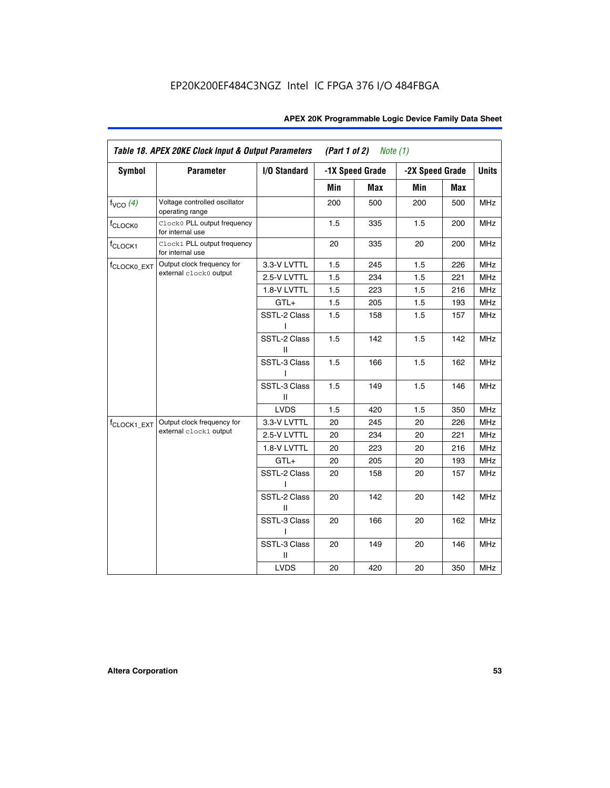| <b>Symbol</b>           | <b>Parameter</b>                                 | I/O Standard      |     | -1X Speed Grade | -2X Speed Grade |     | <b>Units</b> |
|-------------------------|--------------------------------------------------|-------------------|-----|-----------------|-----------------|-----|--------------|
|                         |                                                  |                   |     |                 |                 |     |              |
|                         |                                                  |                   | Min | Max             | Min             | Max |              |
| $f_{VCO}$ $(4)$         | Voltage controlled oscillator<br>operating range |                   | 200 | 500             | 200             | 500 | <b>MHz</b>   |
| f <sub>CLOCK0</sub>     | Clock0 PLL output frequency<br>for internal use  |                   | 1.5 | 335             | 1.5             | 200 | MHz          |
| f <sub>CLOCK1</sub>     | Clock1 PLL output frequency<br>for internal use  |                   | 20  | 335             | 20              | 200 | MHz          |
| f <sub>CLOCK0_EXT</sub> | Output clock frequency for                       | 3.3-V LVTTL       | 1.5 | 245             | 1.5             | 226 | <b>MHz</b>   |
|                         | external clock0 output                           | 2.5-V LVTTL       | 1.5 | 234             | 1.5             | 221 | <b>MHz</b>   |
|                         |                                                  | 1.8-V LVTTL       | 1.5 | 223             | 1.5             | 216 | <b>MHz</b>   |
|                         |                                                  | $GTL+$            | 1.5 | 205             | 1.5             | 193 | <b>MHz</b>   |
|                         |                                                  | SSTL-2 Class<br>L | 1.5 | 158             | 1.5             | 157 | <b>MHz</b>   |
|                         |                                                  | SSTL-2 Class<br>Ш | 1.5 | 142             | 1.5             | 142 | <b>MHz</b>   |
|                         |                                                  | SSTL-3 Class<br>I | 1.5 | 166             | 1.5             | 162 | <b>MHz</b>   |
|                         |                                                  | SSTL-3 Class<br>Ш | 1.5 | 149             | 1.5             | 146 | <b>MHz</b>   |
|                         |                                                  | <b>LVDS</b>       | 1.5 | 420             | 1.5             | 350 | <b>MHz</b>   |
| f <sub>CLOCK1_EXT</sub> | Output clock frequency for                       | 3.3-V LVTTL       | 20  | 245             | 20              | 226 | <b>MHz</b>   |
|                         | external clock1 output                           | 2.5-V LVTTL       | 20  | 234             | 20              | 221 | <b>MHz</b>   |
|                         |                                                  | 1.8-V LVTTL       | 20  | 223             | 20              | 216 | <b>MHz</b>   |
|                         |                                                  | $GTL+$            | 20  | 205             | 20              | 193 | MHz          |
|                         |                                                  | SSTL-2 Class      | 20  | 158             | 20              | 157 | <b>MHz</b>   |
|                         |                                                  | SSTL-2 Class<br>Ш | 20  | 142             | 20              | 142 | <b>MHz</b>   |
|                         |                                                  | SSTL-3 Class      | 20  | 166             | 20              | 162 | <b>MHz</b>   |
|                         |                                                  | SSTL-3 Class<br>Ш | 20  | 149             | 20              | 146 | <b>MHz</b>   |
|                         |                                                  | <b>LVDS</b>       | 20  | 420             | 20              | 350 | MHz          |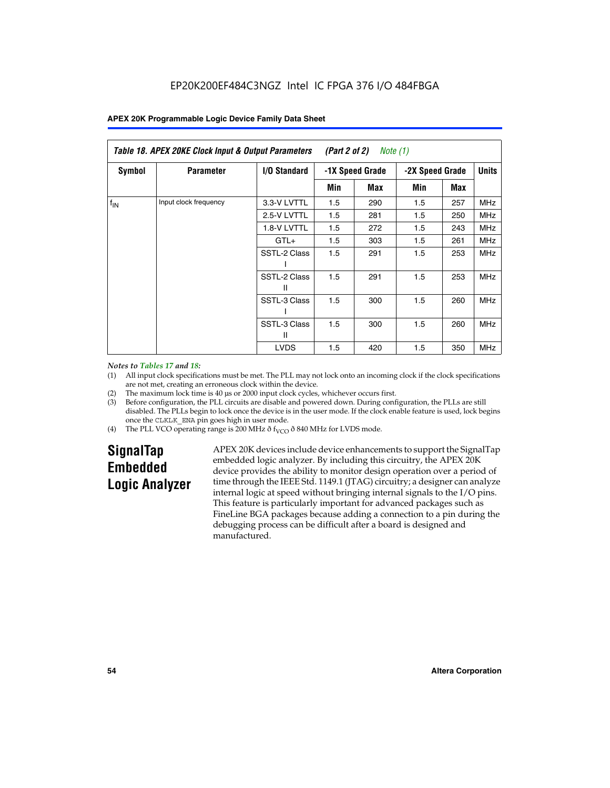|               | Table 18. APEX 20KE Clock Input & Output Parameters<br>(Part 2 of 2)<br>Note $(1)$ |                   |     |                 |     |                 |              |
|---------------|------------------------------------------------------------------------------------|-------------------|-----|-----------------|-----|-----------------|--------------|
| <b>Symbol</b> | <b>Parameter</b>                                                                   | I/O Standard      |     | -1X Speed Grade |     | -2X Speed Grade | <b>Units</b> |
|               |                                                                                    |                   | Min | Max             | Min | Max             |              |
| $f_{IN}$      | Input clock frequency                                                              | 3.3-V LVTTL       | 1.5 | 290             | 1.5 | 257             | <b>MHz</b>   |
|               |                                                                                    | 2.5-V LVTTL       | 1.5 | 281             | 1.5 | 250             | <b>MHz</b>   |
|               |                                                                                    | 1.8-V LVTTL       | 1.5 | 272             | 1.5 | 243             | <b>MHz</b>   |
|               |                                                                                    | $GTL+$            | 1.5 | 303             | 1.5 | 261             | <b>MHz</b>   |
|               |                                                                                    | SSTL-2 Class      | 1.5 | 291             | 1.5 | 253             | <b>MHz</b>   |
|               |                                                                                    | SSTL-2 Class<br>Ш | 1.5 | 291             | 1.5 | 253             | <b>MHz</b>   |
|               |                                                                                    | SSTL-3 Class      | 1.5 | 300             | 1.5 | 260             | <b>MHz</b>   |
|               |                                                                                    | SSTL-3 Class<br>Ш | 1.5 | 300             | 1.5 | 260             | <b>MHz</b>   |
|               |                                                                                    | <b>LVDS</b>       | 1.5 | 420             | 1.5 | 350             | <b>MHz</b>   |

### *Notes to Tables 17 and 18:*

(1) All input clock specifications must be met. The PLL may not lock onto an incoming clock if the clock specifications are not met, creating an erroneous clock within the device.

- (2) The maximum lock time is 40 µs or 2000 input clock cycles, whichever occurs first.
- (3) Before configuration, the PLL circuits are disable and powered down. During configuration, the PLLs are still disabled. The PLLs begin to lock once the device is in the user mode. If the clock enable feature is used, lock begins once the CLKLK\_ENA pin goes high in user mode.
- (4) The PLL VCO operating range is 200 MHz  $\eth$  f<sub>VCO</sub>  $\eth$  840 MHz for LVDS mode.

# **SignalTap Embedded Logic Analyzer**

APEX 20K devices include device enhancements to support the SignalTap embedded logic analyzer. By including this circuitry, the APEX 20K device provides the ability to monitor design operation over a period of time through the IEEE Std. 1149.1 (JTAG) circuitry; a designer can analyze internal logic at speed without bringing internal signals to the I/O pins. This feature is particularly important for advanced packages such as FineLine BGA packages because adding a connection to a pin during the debugging process can be difficult after a board is designed and manufactured.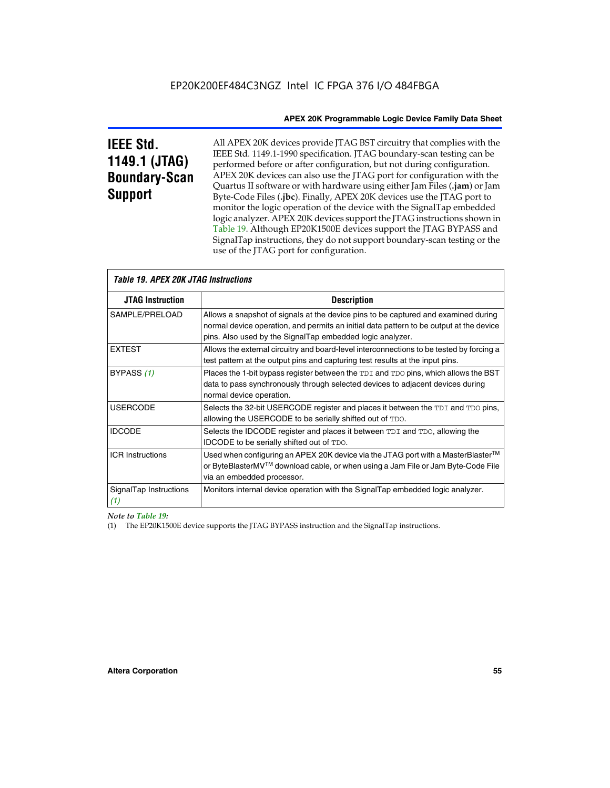# **IEEE Std. 1149.1 (JTAG) Boundary-Scan Support**

Г

All APEX 20K devices provide JTAG BST circuitry that complies with the IEEE Std. 1149.1-1990 specification. JTAG boundary-scan testing can be performed before or after configuration, but not during configuration. APEX 20K devices can also use the JTAG port for configuration with the Quartus II software or with hardware using either Jam Files (**.jam**) or Jam Byte-Code Files (**.jbc**). Finally, APEX 20K devices use the JTAG port to monitor the logic operation of the device with the SignalTap embedded logic analyzer. APEX 20K devices support the JTAG instructions shown in Table 19. Although EP20K1500E devices support the JTAG BYPASS and SignalTap instructions, they do not support boundary-scan testing or the use of the JTAG port for configuration.

| <i><b>Table 19. APEX 20K JTAG Instructions</b></i> |                                                                                                                                                                                                                                            |
|----------------------------------------------------|--------------------------------------------------------------------------------------------------------------------------------------------------------------------------------------------------------------------------------------------|
| <b>JTAG Instruction</b>                            | <b>Description</b>                                                                                                                                                                                                                         |
| SAMPLE/PRELOAD                                     | Allows a snapshot of signals at the device pins to be captured and examined during<br>normal device operation, and permits an initial data pattern to be output at the device<br>pins. Also used by the SignalTap embedded logic analyzer. |
| <b>EXTEST</b>                                      | Allows the external circuitry and board-level interconnections to be tested by forcing a<br>test pattern at the output pins and capturing test results at the input pins.                                                                  |
| BYPASS (1)                                         | Places the 1-bit bypass register between the TDI and TDO pins, which allows the BST<br>data to pass synchronously through selected devices to adjacent devices during<br>normal device operation.                                          |
| <b>USERCODE</b>                                    | Selects the 32-bit USERCODE register and places it between the TDI and TDO pins,<br>allowing the USERCODE to be serially shifted out of TDO.                                                                                               |
| <b>IDCODE</b>                                      | Selects the IDCODE register and places it between TDI and TDO, allowing the<br>IDCODE to be serially shifted out of TDO.                                                                                                                   |
| <b>ICR Instructions</b>                            | Used when configuring an APEX 20K device via the JTAG port with a MasterBlaster™<br>or ByteBlasterMV™ download cable, or when using a Jam File or Jam Byte-Code File<br>via an embedded processor.                                         |
| SignalTap Instructions<br>(1)                      | Monitors internal device operation with the SignalTap embedded logic analyzer.                                                                                                                                                             |

# *Note to Table 19:*

(1) The EP20K1500E device supports the JTAG BYPASS instruction and the SignalTap instructions.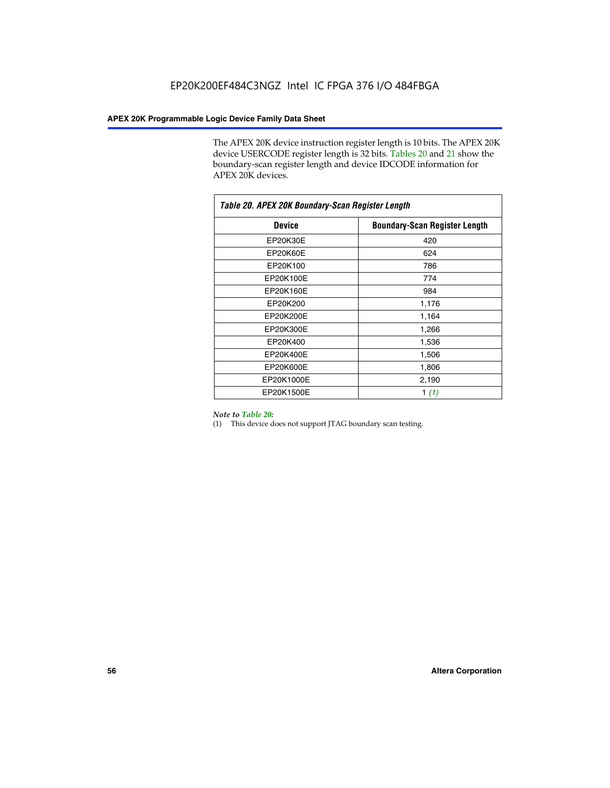The APEX 20K device instruction register length is 10 bits. The APEX 20K device USERCODE register length is 32 bits. Tables 20 and 21 show the boundary-scan register length and device IDCODE information for APEX 20K devices.

| Table 20. APEX 20K Boundary-Scan Register Length |                                      |  |  |  |
|--------------------------------------------------|--------------------------------------|--|--|--|
| <b>Device</b>                                    | <b>Boundary-Scan Register Length</b> |  |  |  |
| EP20K30E                                         | 420                                  |  |  |  |
| EP20K60E                                         | 624                                  |  |  |  |
| EP20K100                                         | 786                                  |  |  |  |
| EP20K100E                                        | 774                                  |  |  |  |
| EP20K160E                                        | 984                                  |  |  |  |
| EP20K200                                         | 1,176                                |  |  |  |
| EP20K200E                                        | 1,164                                |  |  |  |
| EP20K300E                                        | 1,266                                |  |  |  |
| EP20K400                                         | 1,536                                |  |  |  |
| EP20K400E                                        | 1,506                                |  |  |  |
| EP20K600E                                        | 1,806                                |  |  |  |
| EP20K1000E                                       | 2,190                                |  |  |  |
| EP20K1500E                                       | 1 $(1)$                              |  |  |  |

#### *Note to Table 20:*

(1) This device does not support JTAG boundary scan testing.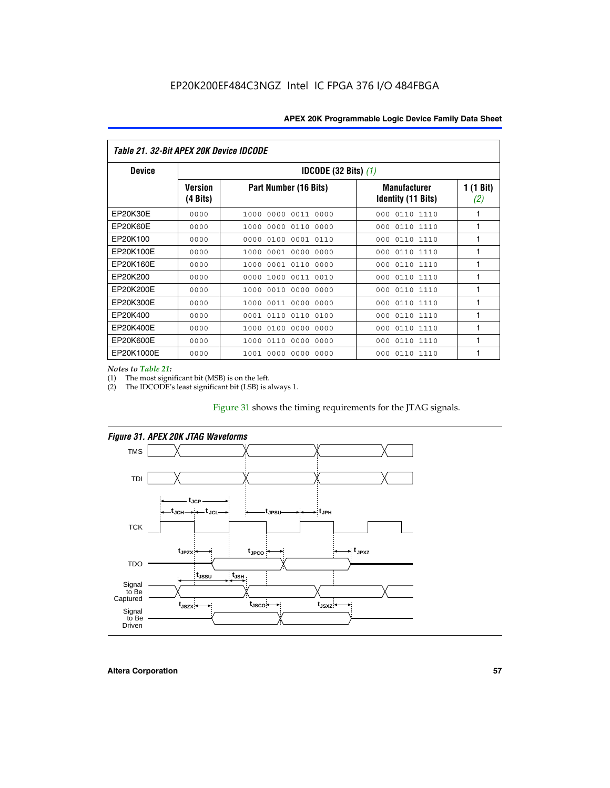| Table 21. 32-Bit APEX 20K Device IDCODE |                            |                                          |                                           |                  |  |  |
|-----------------------------------------|----------------------------|------------------------------------------|-------------------------------------------|------------------|--|--|
| <b>Device</b>                           |                            | <b>IDCODE (32 Bits) <math>(1)</math></b> |                                           |                  |  |  |
|                                         | <b>Version</b><br>(4 Bits) | Part Number (16 Bits)                    | <b>Manufacturer</b><br>Identity (11 Bits) | 1 (1 Bit)<br>(2) |  |  |
| EP20K30E                                | 0000                       | 0000 0011 0000<br>1000                   | 0110 1110<br>000                          | 1                |  |  |
| EP20K60E                                | 0000                       | 0000<br>0110<br>0000<br>1000             | 0110 1110<br>000                          | 1                |  |  |
| EP20K100                                | 0000                       | 0000<br>0100<br>0001 0110                | 000<br>0110 1110                          | 1                |  |  |
| EP20K100E                               | 0000                       | 0001 0000<br>0000<br>1000                | 0110 1110<br>000                          | 1                |  |  |
| EP20K160E                               | 0000                       | 0001 0110<br>0000<br>1000                | 0110 1110<br>000                          | 1                |  |  |
| EP20K200                                | 0000                       | 0000<br>1000<br>0011 0010                | 0110 1110<br>000                          | 1                |  |  |
| EP20K200E                               | 0000                       | 0010<br>0000<br>0000<br>1000             | 0110 1110<br>000                          | 1                |  |  |
| EP20K300E                               | 0000                       | 0011 0000 0000<br>1000                   | 0110 1110<br>000                          | 1                |  |  |
| EP20K400                                | 0000                       | 0110<br>0110<br>0100<br>0001             | 0110 1110<br>000                          | 1                |  |  |
| EP20K400E                               | 0000                       | 0100<br>0000<br>0000<br>1000             | 0110 1110<br>000                          | 1                |  |  |
| EP20K600E                               | 0000                       | 0110<br>0000<br>0000<br>1000             | 0110 1110<br>000                          | 1                |  |  |
| EP20K1000E                              | 0000                       | 0000<br>0000<br>0000<br>1001             | 000<br>0110 1110                          | 1                |  |  |

*Notes to Table 21:*

The most significant bit (MSB) is on the left.

(2) The IDCODE's least significant bit (LSB) is always 1.

# Figure 31 shows the timing requirements for the JTAG signals.



*Figure 31. APEX 20K JTAG Waveforms*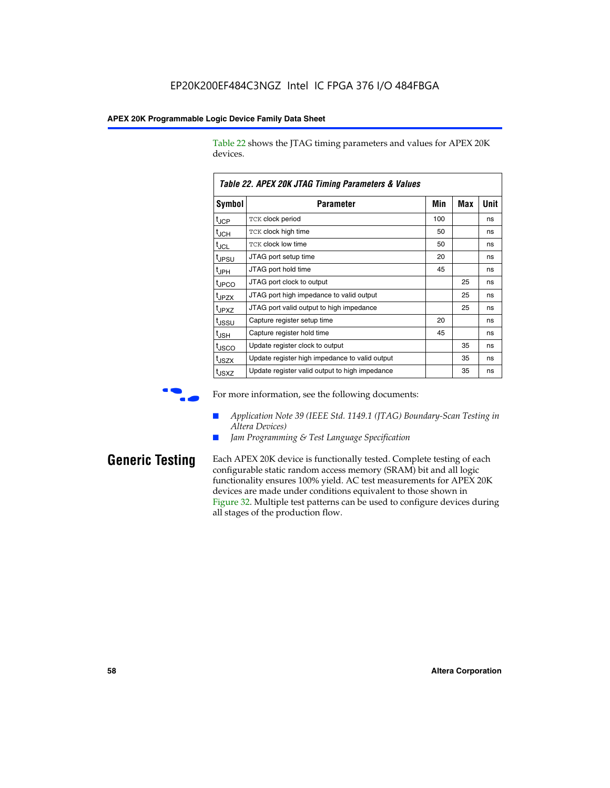Table 22 shows the JTAG timing parameters and values for APEX 20K devices.

|                   | TADIG LL. AF LA LUN JTAU THIIHIY FAIAHIGIGIS & VAIUGS |     |     |      |
|-------------------|-------------------------------------------------------|-----|-----|------|
| Symbol            | Parameter                                             | Min | Max | Unit |
| $t_{JCP}$         | <b>TCK clock period</b>                               | 100 |     | ns   |
| $t_{\text{JCH}}$  | TCK clock high time                                   | 50  |     | ns   |
| $t_{JCL}$         | TCK clock low time                                    | 50  |     | ns   |
| t <sub>JPSU</sub> | JTAG port setup time                                  | 20  |     | ns   |
| $t_{\rm JPH}$     | JTAG port hold time                                   | 45  |     | ns   |
| <sup>t</sup> JPCO | JTAG port clock to output                             |     | 25  | ns   |
| t <sub>JPZX</sub> | JTAG port high impedance to valid output              |     | 25  | ns   |
| t <sub>JPXZ</sub> | JTAG port valid output to high impedance              |     | 25  | ns   |
| tussu             | Capture register setup time                           | 20  |     | ns   |
| $t_{\rm JSH}$     | Capture register hold time                            | 45  |     | ns   |
| t <sub>JSCO</sub> | Update register clock to output                       |     | 35  | ns   |
| t <sub>JSZX</sub> | Update register high impedance to valid output        |     | 35  | ns   |
| t <sub>JSXZ</sub> | Update register valid output to high impedance        |     | 35  | ns   |

*Table 22. APEX 20K JTAG Timing Parameters & Values*

For more information, see the following documents:

- *Application Note 39 (IEEE Std. 1149.1 (JTAG) Boundary-Scan Testing in Altera Devices)*
- Jam Programming & Test Language Specification

**Generic Testing** Each APEX 20K device is functionally tested. Complete testing of each configurable static random access memory (SRAM) bit and all logic functionality ensures 100% yield. AC test measurements for APEX 20K devices are made under conditions equivalent to those shown in Figure 32. Multiple test patterns can be used to configure devices during all stages of the production flow.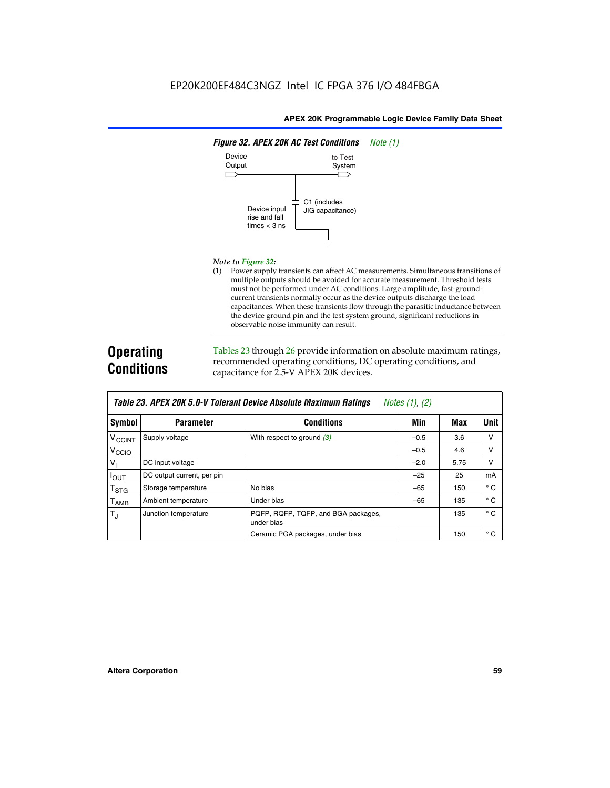

#### *Note to Figure 32:*

(1) Power supply transients can affect AC measurements. Simultaneous transitions of multiple outputs should be avoided for accurate measurement. Threshold tests must not be performed under AC conditions. Large-amplitude, fast-groundcurrent transients normally occur as the device outputs discharge the load capacitances. When these transients flow through the parasitic inductance between the device ground pin and the test system ground, significant reductions in observable noise immunity can result.

# **Operating Conditions**

Tables 23 through 26 provide information on absolute maximum ratings, recommended operating conditions, DC operating conditions, and capacitance for 2.5-V APEX 20K devices.

|                            |                            | TADIG LU. MI LA LUN J.U-V TUIGIAIN DGVILG MUSUNUG MAANNUNI HAUNUS | $100103$ (1), (2) |      |              |
|----------------------------|----------------------------|-------------------------------------------------------------------|-------------------|------|--------------|
| Symbol                     | <b>Parameter</b>           | <b>Conditions</b>                                                 | Min               | Max  | <b>Unit</b>  |
| V <sub>CCINT</sub>         | Supply voltage             | With respect to ground $(3)$                                      | $-0.5$            | 3.6  | v            |
| V <sub>CCIO</sub>          |                            |                                                                   | $-0.5$            | 4.6  | v            |
| $V_{\parallel}$            | DC input voltage           |                                                                   | $-2.0$            | 5.75 | v            |
| $I_{\text{OUT}}$           | DC output current, per pin |                                                                   | $-25$             | 25   | mA           |
| $\intercal_{\texttt{STG}}$ | Storage temperature        | No bias                                                           | $-65$             | 150  | $^{\circ}$ C |
| Т <sub>АМВ</sub>           | Ambient temperature        | Under bias                                                        | $-65$             | 135  | $^{\circ}$ C |
| $T_{\rm J}$                | Junction temperature       | PQFP, RQFP, TQFP, and BGA packages,<br>under bias                 |                   | 135  | $^{\circ}$ C |
|                            |                            | Ceramic PGA packages, under bias                                  |                   | 150  | $^{\circ}$ C |

| <b>Table 23. APEX 20K 5.0-V Tolerant Device Absolute Maximum Ratings</b> Notes (1), (2) |  |
|-----------------------------------------------------------------------------------------|--|
|-----------------------------------------------------------------------------------------|--|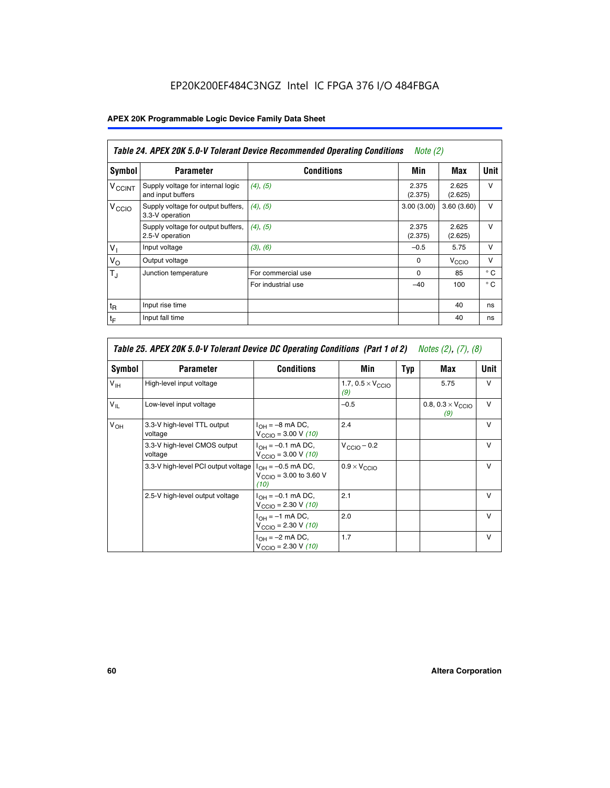# EP20K200EF484C3NGZ Intel IC FPGA 376 I/O 484FBGA

# **APEX 20K Programmable Logic Device Family Data Sheet**

|                          | Table 24. APEX 20K 5.0-V Tolerant Device Recommended Operating Conditions<br>Note $(2)$ |                    |                  |                   |              |
|--------------------------|-----------------------------------------------------------------------------------------|--------------------|------------------|-------------------|--------------|
| <b>Symbol</b>            | <b>Parameter</b>                                                                        | <b>Conditions</b>  | Min              | Max               | <b>Unit</b>  |
| <b>V<sub>CCINT</sub></b> | Supply voltage for internal logic<br>and input buffers                                  | (4), (5)           | 2.375<br>(2.375) | 2.625<br>(2.625)  | $\vee$       |
| V <sub>CCIO</sub>        | Supply voltage for output buffers,<br>3.3-V operation                                   | (4), (5)           | 3.00(3.00)       | 3.60(3.60)        | $\vee$       |
|                          | Supply voltage for output buffers,<br>2.5-V operation                                   | (4), (5)           | 2.375<br>(2.375) | 2.625<br>(2.625)  | $\vee$       |
| $V_1$                    | Input voltage                                                                           | (3), (6)           | $-0.5$           | 5.75              | $\vee$       |
| $V_{\rm O}$              | Output voltage                                                                          |                    | $\Omega$         | V <sub>CCIO</sub> | $\vee$       |
| $T_{\rm J}$              | Junction temperature                                                                    | For commercial use | $\Omega$         | 85                | $^{\circ}$ C |
|                          |                                                                                         | For industrial use | $-40$            | 100               | $^{\circ}$ C |
| $t_{R}$                  | Input rise time                                                                         |                    |                  | 40                | ns           |
| $t_F$                    | Input fall time                                                                         |                    |                  | 40                | ns           |

|                 | Table 25. APEX 20K 5.0-V Tolerant Device DC Operating Conditions (Part 1 of 2) Notes (2), (7), (8) |                                                                                  |                                          |     |                                          |              |  |
|-----------------|----------------------------------------------------------------------------------------------------|----------------------------------------------------------------------------------|------------------------------------------|-----|------------------------------------------|--------------|--|
| Symbol          | <b>Parameter</b>                                                                                   | <b>Conditions</b>                                                                | Min                                      | Typ | Max                                      | Unit         |  |
| $V_{\text{IH}}$ | High-level input voltage                                                                           |                                                                                  | 1.7, $0.5 \times V_{\text{CCIO}}$<br>(9) |     | 5.75                                     | $\vee$       |  |
| $V_{\parallel}$ | Low-level input voltage                                                                            |                                                                                  | $-0.5$                                   |     | 0.8, $0.3 \times V_{\text{CCIO}}$<br>(9) | v            |  |
| $V_{OH}$        | 3.3-V high-level TTL output<br>voltage                                                             | $I_{OH} = -8$ mA DC,<br>$V_{\text{CCIO}} = 3.00 \text{ V} (10)$                  | 2.4                                      |     |                                          | $\vee$       |  |
|                 | 3.3-V high-level CMOS output<br>voltage                                                            | $I_{\text{OH}} = -0.1 \text{ mA DC},$<br>$V_{\text{CCIO}} = 3.00 \text{ V} (10)$ | $V_{\text{CCIO}} - 0.2$                  |     |                                          | $\mathsf{V}$ |  |
|                 | 3.3-V high-level PCI output voltage                                                                | $I_{OH} = -0.5$ mA DC,<br>$V_{\text{CGIO}} = 3.00$ to 3.60 V<br>(10)             | $0.9 \times V_{\text{CCIO}}$             |     |                                          | $\vee$       |  |
|                 | 2.5-V high-level output voltage                                                                    | $I_{\text{OH}} = -0.1 \text{ mA DC},$<br>$V_{\text{CCIO}} = 2.30 V (10)$         | 2.1                                      |     |                                          | $\mathsf{V}$ |  |
|                 |                                                                                                    | $I_{\text{OH}} = -1 \text{ mA DC},$<br>$V_{\text{CCIO}}$ = 2.30 V (10)           | 2.0                                      |     |                                          | $\vee$       |  |
|                 |                                                                                                    | $I_{OH} = -2$ mA DC,<br>$V_{\text{CCIO}} = 2.30 V (10)$                          | 1.7                                      |     |                                          | v            |  |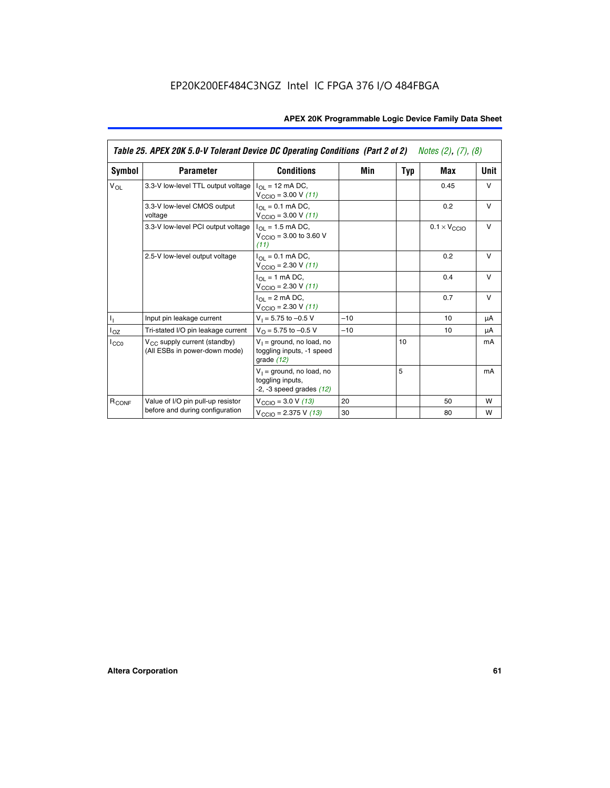|                   | Table 25. APEX 20K 5.0-V Tolerant Device DC Operating Conditions (Part 2 of 2) Notes (2), (7), (8) |                                                                                    |       |     |                              |        |
|-------------------|----------------------------------------------------------------------------------------------------|------------------------------------------------------------------------------------|-------|-----|------------------------------|--------|
| Symbol            | <b>Parameter</b>                                                                                   | <b>Conditions</b>                                                                  | Min   | Typ | Max                          | Unit   |
| $V_{OL}$          | 3.3-V low-level TTL output voltage                                                                 | $I_{\Omega}$ = 12 mA DC,<br>$V_{\text{CCIO}} = 3.00 V (11)$                        |       |     | 0.45                         | $\vee$ |
|                   | 3.3-V low-level CMOS output<br>voltage                                                             | $I_{\Omega} = 0.1$ mA DC,<br>$V_{\text{CCIO}} = 3.00 V (11)$                       |       |     | 0.2                          | $\vee$ |
|                   | 3.3-V low-level PCI output voltage                                                                 | $I_{\Omega I}$ = 1.5 mA DC,<br>$V_{CClO}$ = 3.00 to 3.60 V<br>(11)                 |       |     | $0.1 \times V_{\text{CCLO}}$ | $\vee$ |
|                   | 2.5-V low-level output voltage                                                                     | $I_{\Omega} = 0.1$ mA DC,<br>$V_{\text{CCIO}} = 2.30 V (11)$                       |       |     | 0.2                          | $\vee$ |
|                   |                                                                                                    | $I_{\Omega}$ = 1 mA DC,<br>$V_{\text{CCIO}} = 2.30 V (11)$                         |       |     | 0.4                          | $\vee$ |
|                   |                                                                                                    | $I_{\Omega}$ = 2 mA DC,<br>$V_{\text{CCIO}} = 2.30 V (11)$                         |       |     | 0.7                          | $\vee$ |
| ı,                | Input pin leakage current                                                                          | $V_1 = 5.75$ to $-0.5$ V                                                           | $-10$ |     | 10                           | μA     |
| $I_{OZ}$          | Tri-stated I/O pin leakage current                                                                 | $V_O = 5.75$ to $-0.5$ V                                                           | $-10$ |     | 10                           | μA     |
| $I_{CC0}$         | $V_{CC}$ supply current (standby)<br>(All ESBs in power-down mode)                                 | $V_1$ = ground, no load, no<br>toggling inputs, -1 speed<br>grade $(12)$           |       | 10  |                              | mA     |
|                   |                                                                                                    | $V_1$ = ground, no load, no<br>toggling inputs,<br>$-2$ , $-3$ speed grades $(12)$ |       | 5   |                              | mA     |
| R <sub>CONF</sub> | Value of I/O pin pull-up resistor                                                                  | $V_{\text{CCIO}} = 3.0 V (13)$                                                     | 20    |     | 50                           | W      |
|                   | before and during configuration                                                                    | $V_{\text{CCIO}} = 2.375 V (13)$                                                   | 30    |     | 80                           | W      |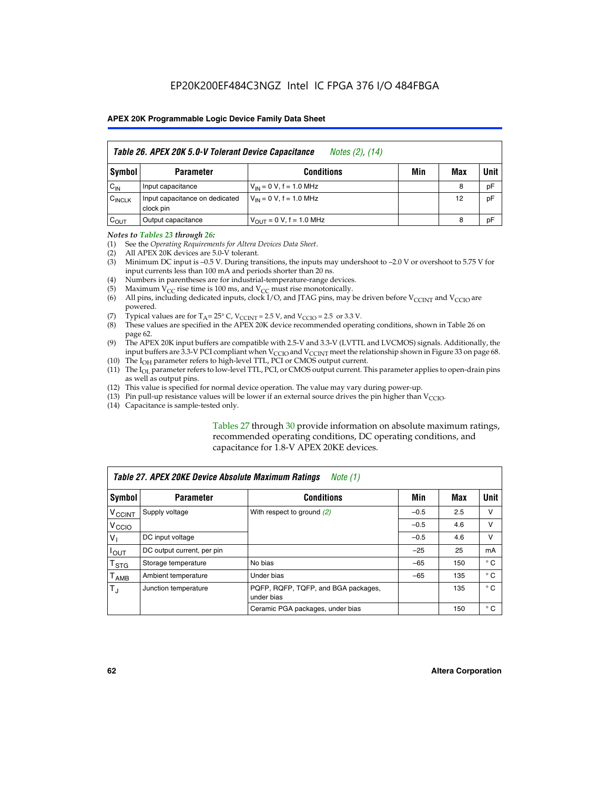| Table 26. APEX 20K 5.0-V Tolerant Device Capacitance<br>Notes (2), (14) |                                             |                                     |     |     |      |
|-------------------------------------------------------------------------|---------------------------------------------|-------------------------------------|-----|-----|------|
| Symbol                                                                  | <b>Parameter</b>                            | <b>Conditions</b>                   | Min | Max | Unit |
| $C_{IN}$                                                                | Input capacitance                           | $V_{1N} = 0 V$ , f = 1.0 MHz        |     | 8   | pF   |
| $C_{\text{INCLK}}$                                                      | Input capacitance on dedicated<br>clock pin | $V_{IN} = 0 V$ , f = 1.0 MHz        |     | 12  | pF   |
| $C_{OUT}$                                                               | Output capacitance                          | $V_{\text{OUT}} = 0 V, f = 1.0 MHz$ |     | 8   | pF   |

#### *Notes to Tables 23 through 26:*

- (1) See the *Operating Requirements for Altera Devices Data Sheet*.
- (2) All APEX 20K devices are 5.0-V tolerant.
- (3) Minimum DC input is –0.5 V. During transitions, the inputs may undershoot to –2.0 V or overshoot to 5.75 V for input currents less than 100 mA and periods shorter than 20 ns.
- (4) Numbers in parentheses are for industrial-temperature-range devices.
- (5) Maximum  $V_{CC}$  rise time is 100 ms, and  $V_{CC}$  must rise monotonically.<br>(6) All pins, including dedicated inputs, clock I/O, and JTAG pins, may b
- All pins, including dedicated inputs, clock I/O, and JTAG pins, may be driven before  $V_{\text{CCINT}}$  and  $V_{\text{CCIO}}$  are powered.
- (7) Typical values are for  $T_A = 25^\circ$  C, V<sub>CCINT</sub> = 2.5 V, and V<sub>CCIO</sub> = 2.5 or 3.3 V.<br>(8) These values are specified in the APEX 20K device recommended operat
- These values are specified in the APEX 20K device recommended operating conditions, shown in Table 26 on page 62.
- (9) The APEX 20K input buffers are compatible with 2.5-V and 3.3-V (LVTTL and LVCMOS) signals. Additionally, the input buffers are 3.3-V PCI compliant when  $V_{\text{CCIO}}$  and  $V_{\text{CCINI}}$  meet the relationship shown in Figure 33 on page 68.
- (10) The  $I<sub>OH</sub>$  parameter refers to high-level TTL, PCI or CMOS output current.
- (11) The I<sub>OL</sub> parameter refers to low-level TTL, PCI, or CMOS output current. This parameter applies to open-drain pins as well as output pins.
- (12) This value is specified for normal device operation. The value may vary during power-up.
- (13) Pin pull-up resistance values will be lower if an external source drives the pin higher than  $V_{\text{CCIO}}$ .
- (14) Capacitance is sample-tested only.

Tables 27 through 30 provide information on absolute maximum ratings, recommended operating conditions, DC operating conditions, and capacitance for 1.8-V APEX 20KE devices.

|                           | Table 27. APEX 20KE Device Absolute Maximum Ratings<br>Note (1) |                                                   |        |     |              |  |
|---------------------------|-----------------------------------------------------------------|---------------------------------------------------|--------|-----|--------------|--|
| Symbol                    | <b>Parameter</b>                                                | <b>Conditions</b>                                 | Min    | Max | Unit I       |  |
| $V_{\text{CCINT}}$        | Supply voltage                                                  | With respect to ground $(2)$                      | $-0.5$ | 2.5 | v            |  |
| V <sub>CCIO</sub>         |                                                                 |                                                   | $-0.5$ | 4.6 | v            |  |
| $V_{1}$                   | DC input voltage                                                |                                                   | $-0.5$ | 4.6 | v            |  |
| $I_{\text{OUT}}$          | DC output current, per pin                                      |                                                   | $-25$  | 25  | mA           |  |
| $\mathsf{T}_{\text{STG}}$ | Storage temperature                                             | No bias                                           | $-65$  | 150 | $^{\circ}$ C |  |
| Т <sub>АМВ</sub>          | Ambient temperature                                             | Under bias                                        | $-65$  | 135 | $^{\circ}$ C |  |
| $\mathsf{T}_{\text{d}}$   | Junction temperature                                            | PQFP, RQFP, TQFP, and BGA packages,<br>under bias |        | 135 | $^{\circ}$ C |  |
|                           |                                                                 | Ceramic PGA packages, under bias                  |        | 150 | $^{\circ}$ C |  |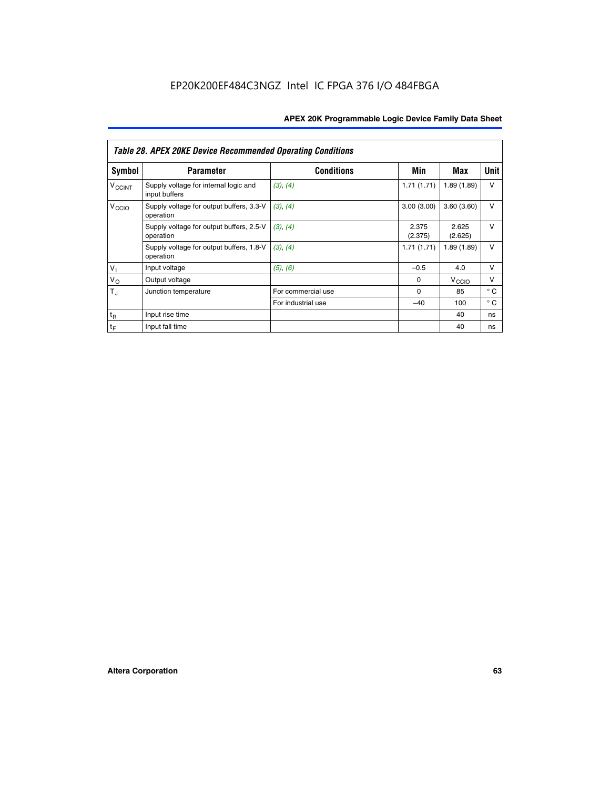|                          | <b>Table 28. APEX 20KE Device Recommended Operating Conditions</b> |                    |                  |                   |              |
|--------------------------|--------------------------------------------------------------------|--------------------|------------------|-------------------|--------------|
| <b>Symbol</b>            | <b>Parameter</b>                                                   | <b>Conditions</b>  | Min              | Max               | <b>Unit</b>  |
| <b>V<sub>CCINT</sub></b> | Supply voltage for internal logic and<br>input buffers             | (3), (4)           | 1.71(1.71)       | 1.89(1.89)        | $\vee$       |
| V <sub>CCIO</sub>        | Supply voltage for output buffers, 3.3-V<br>operation              | (3), (4)           | 3.00(3.00)       | 3.60(3.60)        | V            |
|                          | Supply voltage for output buffers, 2.5-V<br>operation              | (3), (4)           | 2.375<br>(2.375) | 2.625<br>(2.625)  | $\vee$       |
|                          | Supply voltage for output buffers, 1.8-V<br>operation              | (3), (4)           | 1.71(1.71)       | 1.89(1.89)        | V            |
| $V_1$                    | Input voltage                                                      | (5), (6)           | $-0.5$           | 4.0               | $\vee$       |
| $V_{\rm O}$              | Output voltage                                                     |                    | $\Omega$         | V <sub>CCIO</sub> | v            |
| $T_{\rm J}$              | Junction temperature                                               | For commercial use | $\Omega$         | 85                | $^{\circ}$ C |
|                          |                                                                    | For industrial use | $-40$            | 100               | $^{\circ}$ C |
| $t_{R}$                  | Input rise time                                                    |                    |                  | 40                | ns           |
| $t_{\mathsf{F}}$         | Input fall time                                                    |                    |                  | 40                | ns           |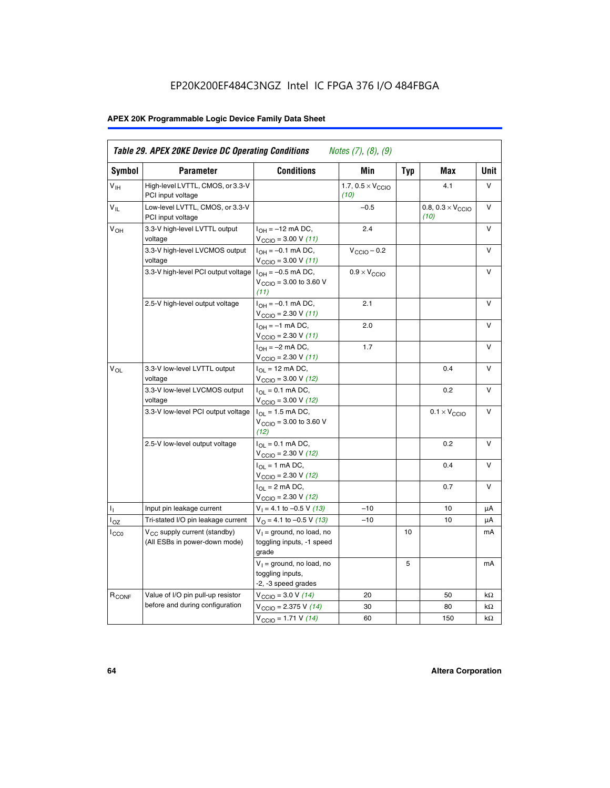# EP20K200EF484C3NGZ Intel IC FPGA 376 I/O 484FBGA

# **APEX 20K Programmable Logic Device Family Data Sheet**

| Symbol                     | <b>Parameter</b>                                                   | <b>Conditions</b>                                                                        | Min                                       | <b>Typ</b> | Max                                       | Unit      |
|----------------------------|--------------------------------------------------------------------|------------------------------------------------------------------------------------------|-------------------------------------------|------------|-------------------------------------------|-----------|
| $V_{\text{IH}}$            | High-level LVTTL, CMOS, or 3.3-V<br>PCI input voltage              |                                                                                          | 1.7, $0.5 \times V_{\text{CCIO}}$<br>(10) |            | 4.1                                       | V         |
| $\mathsf{V}_{\mathsf{IL}}$ | Low-level LVTTL, CMOS, or 3.3-V<br>PCI input voltage               |                                                                                          | $-0.5$                                    |            | 0.8, $0.3 \times V_{\text{CCIO}}$<br>(10) | $\vee$    |
| $V_{OH}$                   | 3.3-V high-level LVTTL output<br>voltage                           | $I_{OH} = -12$ mA DC,<br>$V_{\text{CCIO}} = 3.00 V (11)$                                 | 2.4                                       |            |                                           | v         |
|                            | 3.3-V high-level LVCMOS output<br>voltage                          | $I_{OH} = -0.1$ mA DC,<br>$V_{\text{CCIO}} = 3.00 V (11)$                                | $V_{\text{CCIO}} - 0.2$                   |            |                                           | V         |
|                            | 3.3-V high-level PCI output voltage $ I_{OH} = -0.5$ mA DC,        | $V_{\text{CCIO}} = 3.00$ to 3.60 V<br>(11)                                               | $0.9 \times V_{\text{CCIO}}$              |            |                                           | $\vee$    |
|                            | 2.5-V high-level output voltage                                    | $I_{OH} = -0.1$ mA DC,<br>$V_{\text{CCIO}} = 2.30 V (11)$                                | 2.1                                       |            |                                           | v         |
|                            |                                                                    | $I_{OH} = -1$ mA DC,<br>$V_{\text{CCIO}} = 2.30 V (11)$                                  | 2.0                                       |            |                                           | v         |
|                            |                                                                    | $I_{OH} = -2$ mA DC,<br>$V_{\text{CCIO}}$ = 2.30 V (11)                                  | 1.7                                       |            |                                           | V         |
| $V_{OL}$                   | 3.3-V low-level LVTTL output<br>voltage                            | $I_{\Omega}$ = 12 mA DC,<br>$V_{\text{CCIO}}$ = 3.00 V (12)                              |                                           |            | 0.4                                       | ν         |
|                            | 3.3-V low-level LVCMOS output<br>voltage                           | $I_{\Omega} = 0.1$ mA DC,<br>$V_{\text{CCIO}} = 3.00 V (12)$                             |                                           |            | 0.2                                       | $\vee$    |
|                            | 3.3-V low-level PCI output voltage                                 | $I_{\Omega}$ = 1.5 mA DC,<br>$V_{\text{CGIQ}} = 3.00 \text{ to } 3.60 \text{ V}$<br>(12) |                                           |            | $0.1 \times V_{\text{CCIO}}$              | v         |
|                            | 2.5-V low-level output voltage                                     | $I_{OL} = 0.1$ mA DC,<br>$V_{\text{CCIO}}$ = 2.30 V (12)                                 |                                           |            | 0.2                                       | v         |
|                            |                                                                    | $I_{\Omega}$ = 1 mA DC,<br>$V_{\text{CCIO}} = 2.30 V (12)$                               |                                           |            | 0.4                                       | ν         |
|                            |                                                                    | $I_{OL}$ = 2 mA DC,<br>$V_{\text{CCIO}} = 2.30 V (12)$                                   |                                           |            | 0.7                                       | v         |
| т,                         | Input pin leakage current                                          | $V_1 = 4.1$ to -0.5 V (13)                                                               | $-10$                                     |            | 10                                        | μA        |
| $I_{OZ}$                   | Tri-stated I/O pin leakage current                                 | $V_{\Omega}$ = 4.1 to -0.5 V (13)                                                        | $-10$                                     |            | 10                                        | μA        |
| $I_{CC0}$                  | $V_{CC}$ supply current (standby)<br>(All ESBs in power-down mode) | $V_1$ = ground, no load, no<br>toggling inputs, -1 speed<br>grade                        |                                           | 10         |                                           | mA        |
|                            |                                                                    | $V_1$ = ground, no load, no<br>toggling inputs,<br>-2, -3 speed grades                   |                                           | 5          |                                           | mA        |
| R <sub>CONF</sub>          | Value of I/O pin pull-up resistor                                  | $V_{\text{CCIO}} = 3.0 V (14)$                                                           | 20                                        |            | 50                                        | $k\Omega$ |
|                            | before and during configuration                                    | $V_{\text{CCIO}} = 2.375 V (14)$                                                         | 30                                        |            | 80                                        | kΩ        |
|                            |                                                                    | $V_{\text{CCIO}} = 1.71 V (14)$                                                          | 60                                        |            | 150                                       | kΩ        |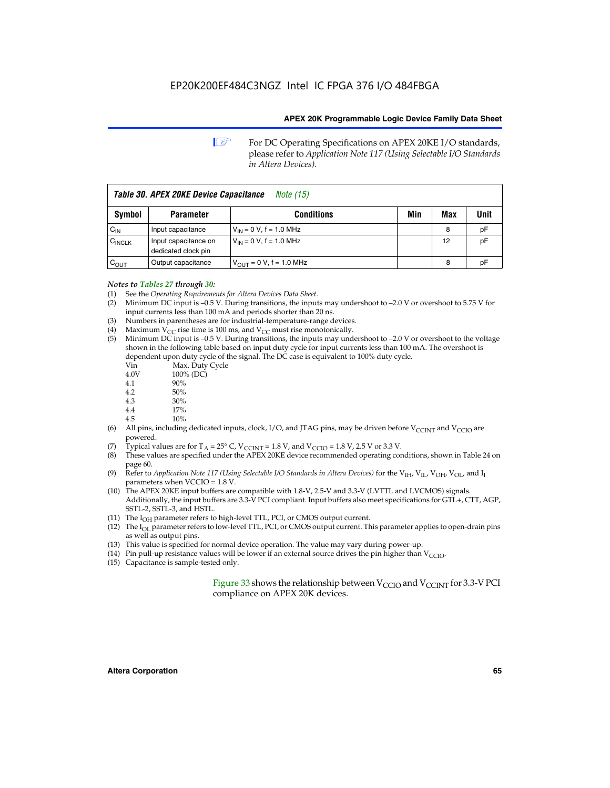**1 For DC Operating Specifications on APEX 20KE I/O standards,** please refer to *Application Note 117 (Using Selectable I/O Standards in Altera Devices).*

| Table 30. APEX 20KE Device Capacitance<br><i>Note</i> (15) |                                             |                                |     |     |      |  |
|------------------------------------------------------------|---------------------------------------------|--------------------------------|-----|-----|------|--|
| Symbol                                                     | <b>Parameter</b>                            | <b>Conditions</b>              | Min | Max | Unit |  |
| $C_{IN}$                                                   | Input capacitance                           | $V_{IN} = 0 V$ , f = 1.0 MHz   |     | 8   | рF   |  |
| $C_{\text{INCLK}}$                                         | Input capacitance on<br>dedicated clock pin | $V_{IN} = 0 V$ , f = 1.0 MHz   |     | 12  | pF   |  |
| $C_{\text{OUT}}$                                           | Output capacitance                          | $V_{OUIT} = 0 V$ , f = 1.0 MHz |     | 8   | рF   |  |

- *Notes to Tables 27 through 30:* (1) See the *Operating Requirements for Altera Devices Data Sheet*.
- (2) Minimum DC input is –0.5 V. During transitions, the inputs may undershoot to –2.0 V or overshoot to 5.75 V for input currents less than 100 mA and periods shorter than 20 ns.
- (3) Numbers in parentheses are for industrial-temperature-range devices.
- (4) Maximum  $V_{CC}$  rise time is 100 ms, and  $V_{CC}$  must rise monotonically.<br>(5) Minimum DC input is -0.5 V. During transitions, the inputs may und
- Minimum DC input is  $-0.5$  V. During transitions, the inputs may undershoot to  $-2.0$  V or overshoot to the voltage shown in the following table based on input duty cycle for input currents less than 100 mA. The overshoot is dependent upon duty cycle of the signal. The DC case is equivalent to 100% duty cycle.

| Vin  | Max. Duty Cycle |
|------|-----------------|
| 4.0V | 100% (DC)       |
| 4.1  | 90%             |
| 4.2  | 50%             |
| 4.3  | 30%             |
| . .  |                 |

- 4.4  $17\%$ <br>4.5  $10\%$
- 10%
- (6) All pins, including dedicated inputs, clock, I/O, and JTAG pins, may be driven before  $V_{\text{CCINT}}$  and  $V_{\text{CCIO}}$  are powered.
- (7) Typical values are for  $T_A = 25^\circ$  C, V<sub>CCINT</sub> = 1.8 V, and V<sub>CCIO</sub> = 1.8 V, 2.5 V or 3.3 V.
- (8) These values are specified under the APEX 20KE device recommended operating conditions, shown in Table 24 on page 60.
- (9) Refer to *Application Note 117 (Using Selectable I/O Standards in Altera Devices)* for the V<sub>IH</sub>, V<sub>IL</sub>, V<sub>OH</sub>, V<sub>OL</sub>, and I<sub>I</sub> parameters when VCCIO = 1.8 V.
- (10) The APEX 20KE input buffers are compatible with 1.8-V, 2.5-V and 3.3-V (LVTTL and LVCMOS) signals. Additionally, the input buffers are 3.3-V PCI compliant. Input buffers also meet specifications for GTL+, CTT, AGP, SSTL-2, SSTL-3, and HSTL.
- (11) The  $I_{OH}$  parameter refers to high-level TTL, PCI, or CMOS output current.
- (12) The I<sub>OL</sub> parameter refers to low-level TTL, PCI, or CMOS output current. This parameter applies to open-drain pins as well as output pins.
- (13) This value is specified for normal device operation. The value may vary during power-up.
- (14) Pin pull-up resistance values will be lower if an external source drives the pin higher than  $V_{CCIO}$ .
- (15) Capacitance is sample-tested only.

Figure 33 shows the relationship between  $V_{\text{CCIO}}$  and  $V_{\text{CCINT}}$  for 3.3-V PCI compliance on APEX 20K devices.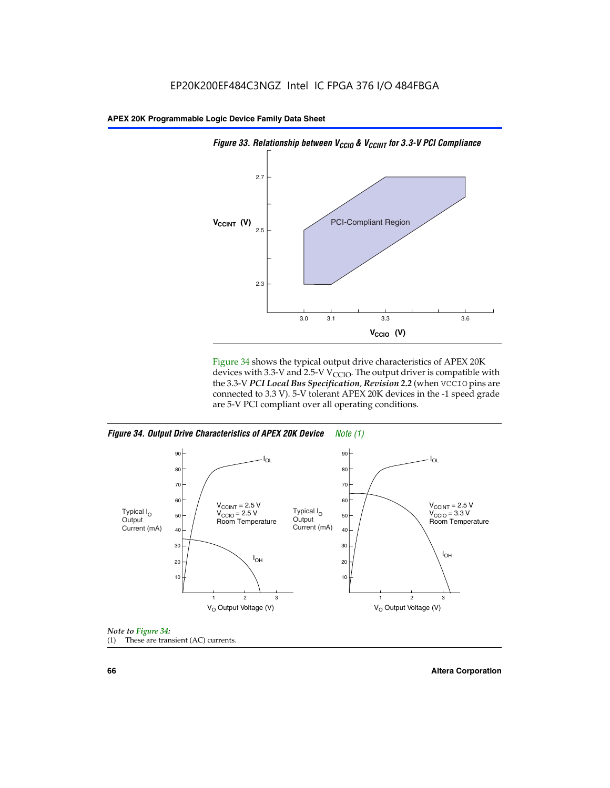

Figure 34 shows the typical output drive characteristics of APEX 20K devices with 3.3-V and 2.5-V V<sub>CCIO</sub>. The output driver is compatible with the 3.3-V *PCI Local Bus Specification, Revision 2.2* (when VCCIO pins are connected to 3.3 V). 5-V tolerant APEX 20K devices in the -1 speed grade are 5-V PCI compliant over all operating conditions.

*Figure 34. Output Drive Characteristics of APEX 20K Device Note (1)*





**66 Altera Corporation**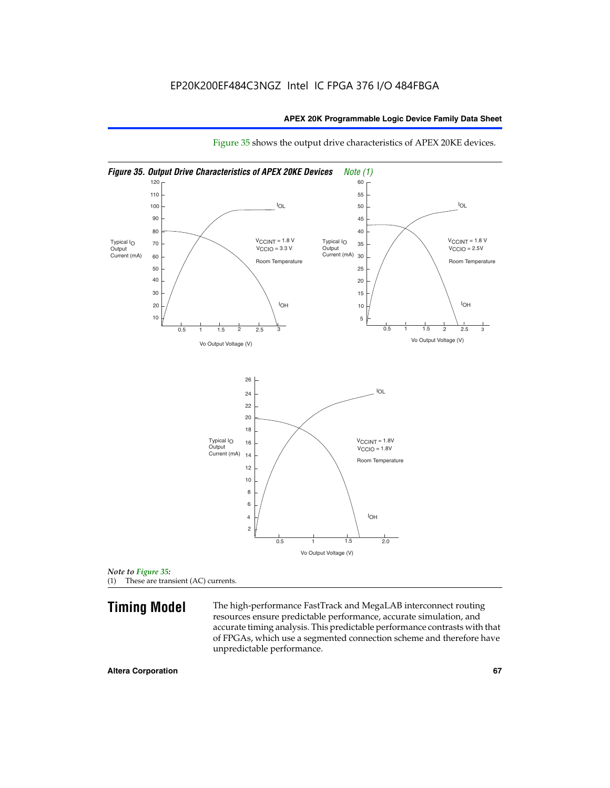

Figure 35 shows the output drive characteristics of APEX 20KE devices.

**Timing Model** The high-performance FastTrack and MegaLAB interconnect routing resources ensure predictable performance, accurate simulation, and accurate timing analysis. This predictable performance contrasts with that of FPGAs, which use a segmented connection scheme and therefore have unpredictable performance.

*Note to Figure 35:* (1) These are transient (AC) currents.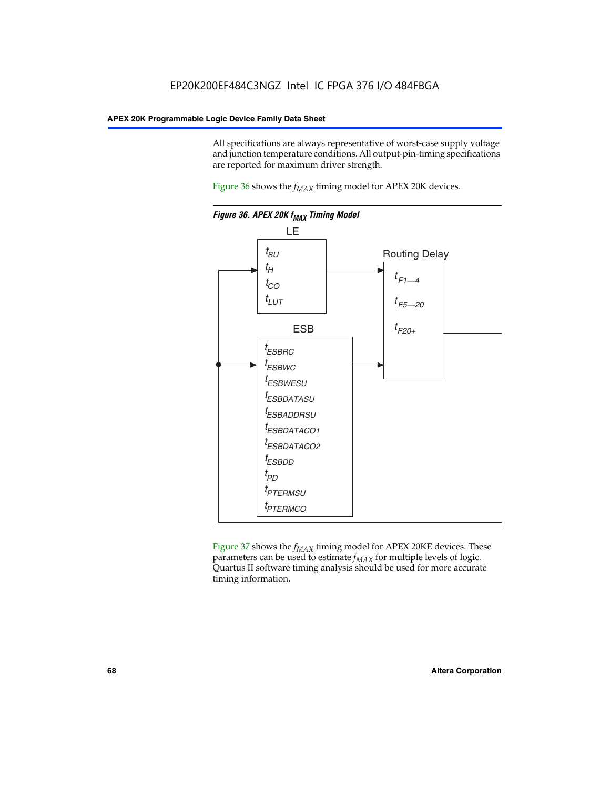All specifications are always representative of worst-case supply voltage and junction temperature conditions. All output-pin-timing specifications are reported for maximum driver strength.

Figure  $36$  shows the  $f_{MAX}$  timing model for APEX 20K devices.



Figure 37 shows the  $f_{MAX}$  timing model for APEX 20KE devices. These parameters can be used to estimate  $f_{MAX}$  for multiple levels of logic. Quartus II software timing analysis should be used for more accurate timing information.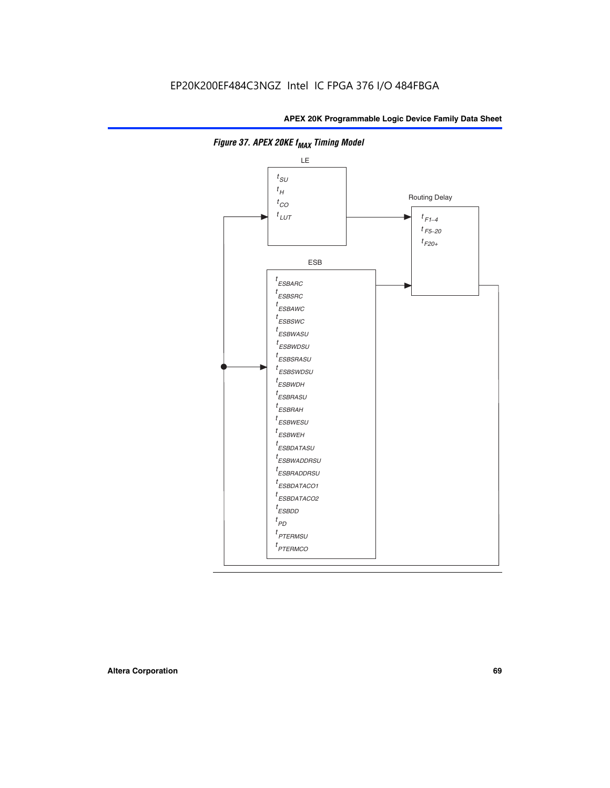

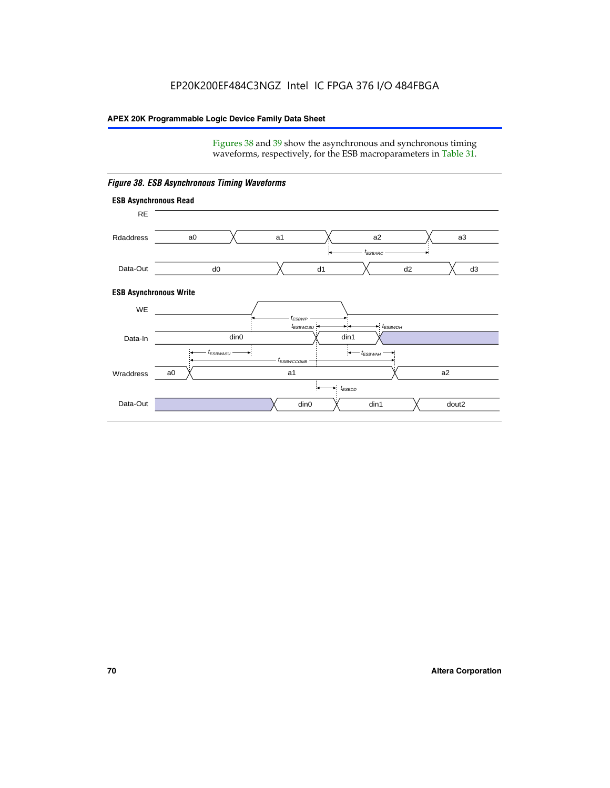Figures 38 and 39 show the asynchronous and synchronous timing waveforms, respectively, for the ESB macroparameters in Table 31.



*Figure 38. ESB Asynchronous Timing Waveforms*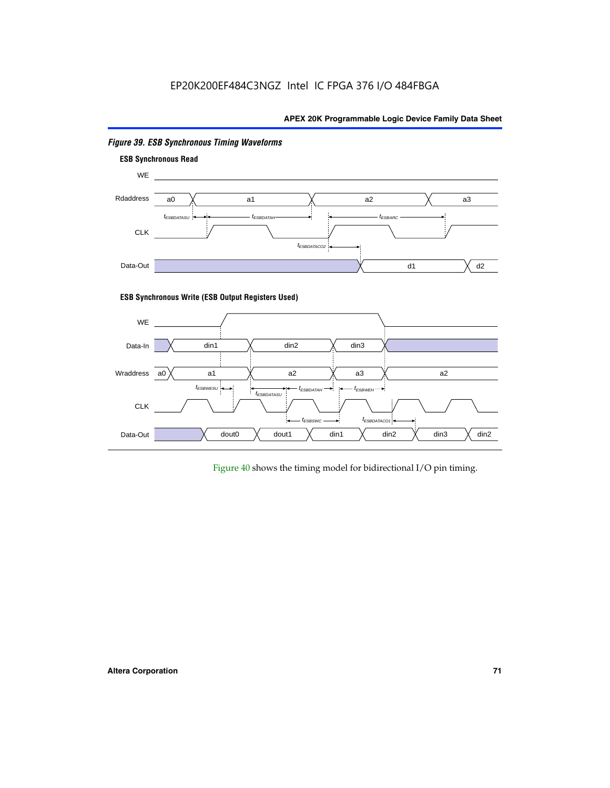# EP20K200EF484C3NGZ Intel IC FPGA 376 I/O 484FBGA

# **APEX 20K Programmable Logic Device Family Data Sheet**



# *Figure 39. ESB Synchronous Timing Waveforms*

# **ESB Synchronous Write (ESB Output Registers Used)**



Figure 40 shows the timing model for bidirectional I/O pin timing.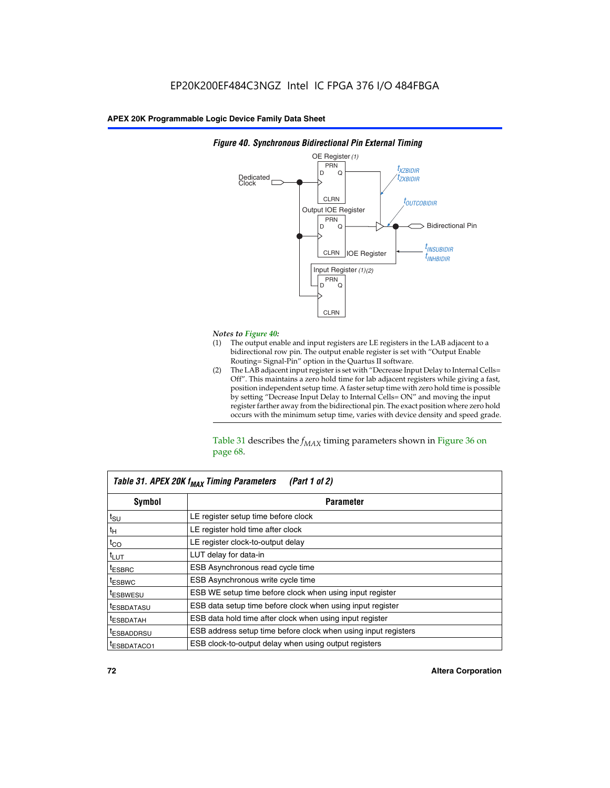

### *Figure 40. Synchronous Bidirectional Pin External Timing*

# *Notes to Figure 40:*

- The output enable and input registers are LE registers in the LAB adjacent to a bidirectional row pin. The output enable register is set with "Output Enable Routing= Signal-Pin" option in the Quartus II software.
- (2) The LAB adjacent input register is set with "Decrease Input Delay to Internal Cells= Off". This maintains a zero hold time for lab adjacent registers while giving a fast, position independent setup time. A faster setup time with zero hold time is possible by setting "Decrease Input Delay to Internal Cells= ON" and moving the input register farther away from the bidirectional pin. The exact position where zero hold occurs with the minimum setup time, varies with device density and speed grade.

Table 31 describes the  $f_{MAX}$  timing parameters shown in Figure 36 on page 68.

| Table 31. APEX 20K f <sub>MAX</sub> Timing Parameters<br>(Part 1 of 2) |                                                                |  |  |  |  |
|------------------------------------------------------------------------|----------------------------------------------------------------|--|--|--|--|
| Symbol                                                                 | <b>Parameter</b>                                               |  |  |  |  |
| $t_{\text{SU}}$                                                        | LE register setup time before clock                            |  |  |  |  |
| $t_H$                                                                  | LE register hold time after clock                              |  |  |  |  |
| $t_{CO}$                                                               | LE register clock-to-output delay                              |  |  |  |  |
| t <sub>LUT</sub>                                                       | LUT delay for data-in                                          |  |  |  |  |
| <sup>t</sup> ESBRC                                                     | ESB Asynchronous read cycle time                               |  |  |  |  |
| <sup>t</sup> ESBWC                                                     | ESB Asynchronous write cycle time                              |  |  |  |  |
| <sup>t</sup> ESBWESU                                                   | ESB WE setup time before clock when using input register       |  |  |  |  |
| <sup>t</sup> ESBDATASU                                                 | ESB data setup time before clock when using input register     |  |  |  |  |
| <sup>t</sup> ESBDATAH                                                  | ESB data hold time after clock when using input register       |  |  |  |  |
| <sup>t</sup> ESBADDRSU                                                 | ESB address setup time before clock when using input registers |  |  |  |  |
| ESBDATACO1                                                             | ESB clock-to-output delay when using output registers          |  |  |  |  |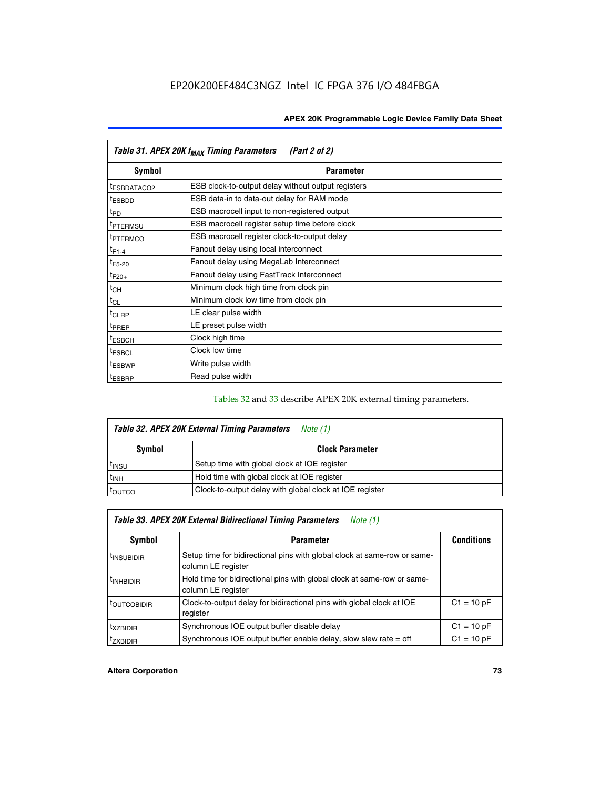| Table 31. APEX 20K f <sub>MAX</sub> Timing Parameters<br>(Part 2 of 2) |                                                    |  |  |  |  |
|------------------------------------------------------------------------|----------------------------------------------------|--|--|--|--|
| Symbol                                                                 | <b>Parameter</b>                                   |  |  |  |  |
| <sup>t</sup> ESBDATACO2                                                | ESB clock-to-output delay without output registers |  |  |  |  |
| <sup>t</sup> ESBDD                                                     | ESB data-in to data-out delay for RAM mode         |  |  |  |  |
| t <sub>PD</sub>                                                        | ESB macrocell input to non-registered output       |  |  |  |  |
| <sup>t</sup> PTERMSU                                                   | ESB macrocell register setup time before clock     |  |  |  |  |
| <sup>t</sup> PTERMCO                                                   | ESB macrocell register clock-to-output delay       |  |  |  |  |
| $t_{F1-4}$                                                             | Fanout delay using local interconnect              |  |  |  |  |
| $t_{F5-20}$                                                            | Fanout delay using MegaLab Interconnect            |  |  |  |  |
| $t_{F20+}$                                                             | Fanout delay using FastTrack Interconnect          |  |  |  |  |
| $t_{CH}$                                                               | Minimum clock high time from clock pin             |  |  |  |  |
| $t_{CL}$                                                               | Minimum clock low time from clock pin              |  |  |  |  |
| $t_{CLRP}$                                                             | LE clear pulse width                               |  |  |  |  |
| t <sub>PREP</sub>                                                      | LE preset pulse width                              |  |  |  |  |
| <sup>t</sup> ESBCH                                                     | Clock high time                                    |  |  |  |  |
| <sup>t</sup> ESBCL                                                     | Clock low time                                     |  |  |  |  |
| <sup>t</sup> ESBWP                                                     | Write pulse width                                  |  |  |  |  |
| <sup>t</sup> ESBRP                                                     | Read pulse width                                   |  |  |  |  |

## Tables 32 and 33 describe APEX 20K external timing parameters.

| Table 32. APEX 20K External Timing Parameters<br>Note (1) |                                                         |  |  |  |  |
|-----------------------------------------------------------|---------------------------------------------------------|--|--|--|--|
| Symbol                                                    | <b>Clock Parameter</b>                                  |  |  |  |  |
| <sup>t</sup> insu                                         | Setup time with global clock at IOE register            |  |  |  |  |
| $t_{\mathsf{INH}}$                                        | Hold time with global clock at IOE register             |  |  |  |  |
| toutco                                                    | Clock-to-output delay with global clock at IOE register |  |  |  |  |

| Table 33. APEX 20K External Bidirectional Timing Parameters<br>Note (1) |                                                                                                |              |  |  |  |
|-------------------------------------------------------------------------|------------------------------------------------------------------------------------------------|--------------|--|--|--|
| Symbol<br><b>Conditions</b><br><b>Parameter</b>                         |                                                                                                |              |  |  |  |
| <sup>I</sup> INSUBIDIR                                                  | Setup time for bidirectional pins with global clock at same-row or same-<br>column LE register |              |  |  |  |
| <sup>t</sup> INHBIDIR                                                   | Hold time for bidirectional pins with global clock at same-row or same-<br>column LE register  |              |  |  |  |
| <sup>t</sup> OUTCOBIDIR                                                 | Clock-to-output delay for bidirectional pins with global clock at IOE<br>register              | $C1 = 10 pF$ |  |  |  |
| <sup>T</sup> XZBIDIR                                                    | Synchronous IOE output buffer disable delay                                                    | $C1 = 10 pF$ |  |  |  |
| <sup>I</sup> ZXBIDIR                                                    | Synchronous IOE output buffer enable delay, slow slew rate $=$ off                             | $C1 = 10 pF$ |  |  |  |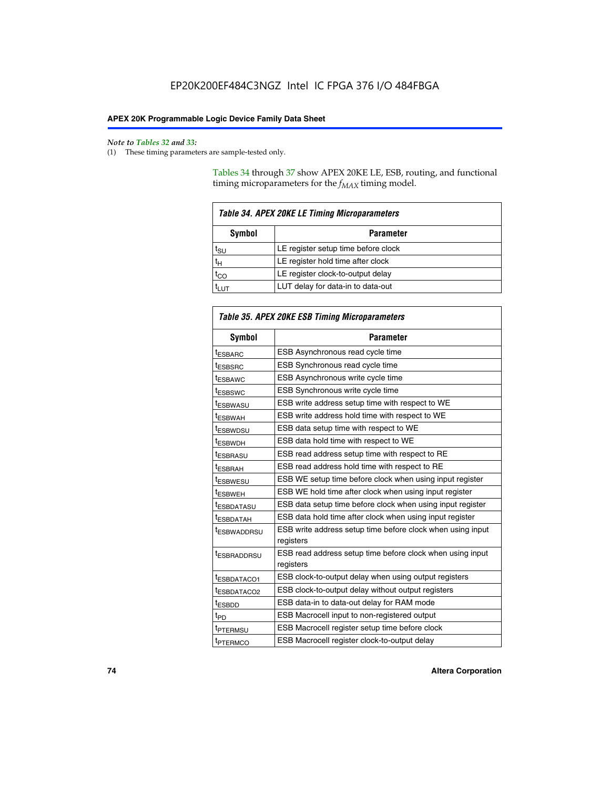$\mathbf{r}$ 

#### *Note to Tables 32 and 33:*

(1) These timing parameters are sample-tested only.

Tables 34 through 37 show APEX 20KE LE, ESB, routing, and functional timing microparameters for the  $f_{MAX}$  timing model.

| <b>Table 34. APEX 20KE LE Timing Microparameters</b> |                                     |  |  |  |
|------------------------------------------------------|-------------------------------------|--|--|--|
| Symbol<br><b>Parameter</b>                           |                                     |  |  |  |
| t <sub>SU</sub>                                      | LE register setup time before clock |  |  |  |
| $t_H$                                                | LE register hold time after clock   |  |  |  |
| $t_{CO}$                                             | LE register clock-to-output delay   |  |  |  |
|                                                      | LUT delay for data-in to data-out   |  |  |  |

| Table 35. APEX 20KE ESB Timing Microparameters |                                                                        |  |  |  |
|------------------------------------------------|------------------------------------------------------------------------|--|--|--|
| Symbol                                         | <b>Parameter</b>                                                       |  |  |  |
| t <sub>ESBARC</sub>                            | ESB Asynchronous read cycle time                                       |  |  |  |
| <sup>t</sup> ESBSRC                            | <b>ESB Synchronous read cycle time</b>                                 |  |  |  |
| t <sub>ESBAWC</sub>                            | ESB Asynchronous write cycle time                                      |  |  |  |
| t <sub>ESBSWC</sub>                            | ESB Synchronous write cycle time                                       |  |  |  |
| tESBWASU                                       | ESB write address setup time with respect to WE                        |  |  |  |
| <sup>t</sup> ESBWAH                            | ESB write address hold time with respect to WE                         |  |  |  |
| t <sub>ESBWDSU</sub>                           | ESB data setup time with respect to WE                                 |  |  |  |
| <sup>t</sup> ESBWDH                            | ESB data hold time with respect to WE                                  |  |  |  |
| tESBRASU                                       | ESB read address setup time with respect to RE                         |  |  |  |
| t <sub>ESBRAH</sub>                            | ESB read address hold time with respect to RE                          |  |  |  |
| <sup>t</sup> ESBWESU                           | ESB WE setup time before clock when using input register               |  |  |  |
| <sup>t</sup> ESBWEH                            | ESB WE hold time after clock when using input register                 |  |  |  |
| <sup>t</sup> ESBDATASU                         | ESB data setup time before clock when using input register             |  |  |  |
| t <sub>ESBDATAH</sub>                          | ESB data hold time after clock when using input register               |  |  |  |
| <sup>t</sup> ESBWADDRSU                        | ESB write address setup time before clock when using input             |  |  |  |
|                                                | registers                                                              |  |  |  |
| tESBRADDRSU                                    | ESB read address setup time before clock when using input<br>registers |  |  |  |
| t <sub>ESBDATACO1</sub>                        | ESB clock-to-output delay when using output registers                  |  |  |  |
| t <sub>ESBDATACO2</sub>                        | ESB clock-to-output delay without output registers                     |  |  |  |
| $t_{ESBDD}$                                    | ESB data-in to data-out delay for RAM mode                             |  |  |  |
| $t_{PD}$                                       | ESB Macrocell input to non-registered output                           |  |  |  |
| t <sub>PTERMSU</sub>                           | ESB Macrocell register setup time before clock                         |  |  |  |
| t <sub>PTERMCO</sub>                           | ESB Macrocell register clock-to-output delay                           |  |  |  |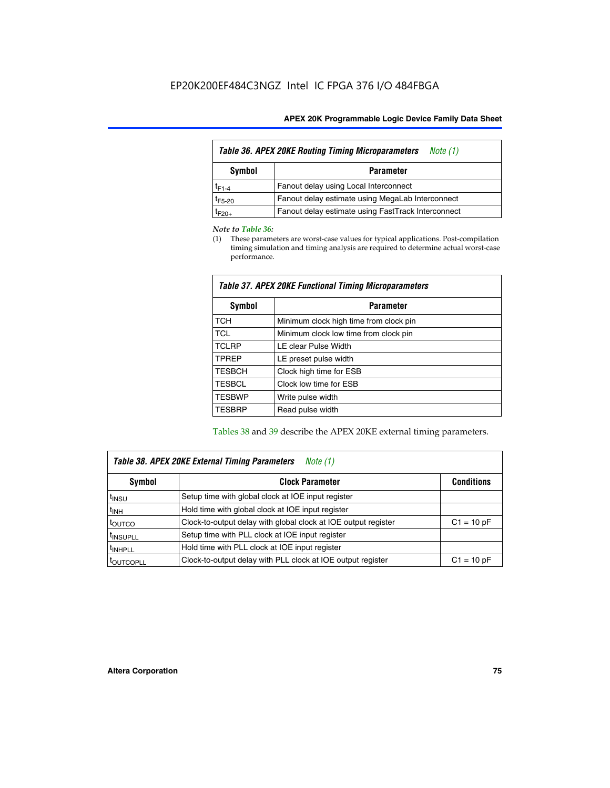| Table 36. APEX 20KE Routing Timing Microparameters<br>Note (1) |                                                    |  |  |  |
|----------------------------------------------------------------|----------------------------------------------------|--|--|--|
| Symbol<br><b>Parameter</b>                                     |                                                    |  |  |  |
| $t_{F1-4}$                                                     | Fanout delay using Local Interconnect              |  |  |  |
| $t_{F5-20}$                                                    | Fanout delay estimate using MegaLab Interconnect   |  |  |  |
| t <sub>F20+</sub>                                              | Fanout delay estimate using FastTrack Interconnect |  |  |  |

#### *Note to Table 36:*

(1) These parameters are worst-case values for typical applications. Post-compilation timing simulation and timing analysis are required to determine actual worst-case performance.

| Symbol        | <b>Parameter</b>                       |  |  |  |  |  |
|---------------|----------------------------------------|--|--|--|--|--|
| <b>TCH</b>    | Minimum clock high time from clock pin |  |  |  |  |  |
| <b>TCL</b>    | Minimum clock low time from clock pin  |  |  |  |  |  |
| <b>TCLRP</b>  | LE clear Pulse Width                   |  |  |  |  |  |
| <b>TPREP</b>  | LE preset pulse width                  |  |  |  |  |  |
| <b>TESBCH</b> | Clock high time for ESB                |  |  |  |  |  |
| <b>TESBCL</b> | Clock low time for ESB                 |  |  |  |  |  |
| <b>TESBWP</b> | Write pulse width                      |  |  |  |  |  |
| <b>TESBRP</b> | Read pulse width                       |  |  |  |  |  |

### *Table 37. APEX 20KE Functional Timing Microparameters*

Tables 38 and 39 describe the APEX 20KE external timing parameters.

| Table 38. APEX 20KE External Timing Parameters<br><i>Note</i> $(1)$ |                                                                                |              |  |  |  |  |
|---------------------------------------------------------------------|--------------------------------------------------------------------------------|--------------|--|--|--|--|
| <b>Clock Parameter</b><br><b>Conditions</b><br>Symbol               |                                                                                |              |  |  |  |  |
| <sup>t</sup> insu                                                   | Setup time with global clock at IOE input register                             |              |  |  |  |  |
| $t_{\text{INH}}$                                                    | Hold time with global clock at IOE input register                              |              |  |  |  |  |
| t <sub>outco</sub>                                                  | Clock-to-output delay with global clock at IOE output register<br>$C1 = 10 pF$ |              |  |  |  |  |
| <sup>t</sup> INSUPLL                                                | Setup time with PLL clock at IOE input register                                |              |  |  |  |  |
| <sup>t</sup> INHPLL                                                 | Hold time with PLL clock at IOE input register                                 |              |  |  |  |  |
| <b><i>LOUTCOPLL</i></b>                                             | Clock-to-output delay with PLL clock at IOE output register                    | $C1 = 10 pF$ |  |  |  |  |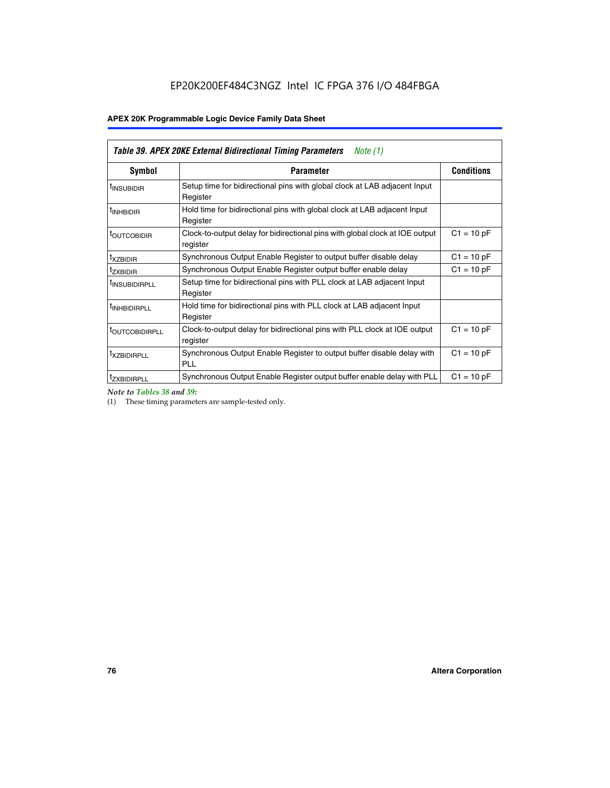| <b>Table 39. APEX 20KE External Bidirectional Timing Parameters</b><br>Note (1) |                                                                                                          |                   |  |  |  |  |
|---------------------------------------------------------------------------------|----------------------------------------------------------------------------------------------------------|-------------------|--|--|--|--|
| Symbol                                                                          | <b>Parameter</b>                                                                                         | <b>Conditions</b> |  |  |  |  |
| <sup>t</sup> INSUBIDIR                                                          | Setup time for bidirectional pins with global clock at LAB adjacent Input<br>Register                    |                   |  |  |  |  |
| <sup>t</sup> INHBIDIR                                                           | Hold time for bidirectional pins with global clock at LAB adjacent Input<br>Register                     |                   |  |  |  |  |
| <sup>t</sup> OUTCOBIDIR                                                         | $C1 = 10 pF$<br>Clock-to-output delay for bidirectional pins with global clock at IOE output<br>register |                   |  |  |  |  |
| <sup>t</sup> xzbidir                                                            | $C1 = 10 pF$<br>Synchronous Output Enable Register to output buffer disable delay                        |                   |  |  |  |  |
| <sup>t</sup> zxbidir                                                            | Synchronous Output Enable Register output buffer enable delay<br>$C1 = 10 pF$                            |                   |  |  |  |  |
| <sup>I</sup> INSUBIDIRPLL                                                       | Setup time for bidirectional pins with PLL clock at LAB adjacent Input<br>Register                       |                   |  |  |  |  |
| <sup>t</sup> INHBIDIRPLL                                                        | Hold time for bidirectional pins with PLL clock at LAB adjacent Input<br>Register                        |                   |  |  |  |  |
| <sup>t</sup> OUTCOBIDIRPLL                                                      | Clock-to-output delay for bidirectional pins with PLL clock at IOE output<br>register                    | $C1 = 10 pF$      |  |  |  |  |
| <sup>t</sup> XZBIDIRPLL                                                         | Synchronous Output Enable Register to output buffer disable delay with<br><b>PLL</b>                     | $C1 = 10 pF$      |  |  |  |  |
| <sup>I</sup> ZXBIDIRPLL                                                         | Synchronous Output Enable Register output buffer enable delay with PLL                                   | $C1 = 10 pF$      |  |  |  |  |

*Note to Tables 38 and 39:*

(1) These timing parameters are sample-tested only.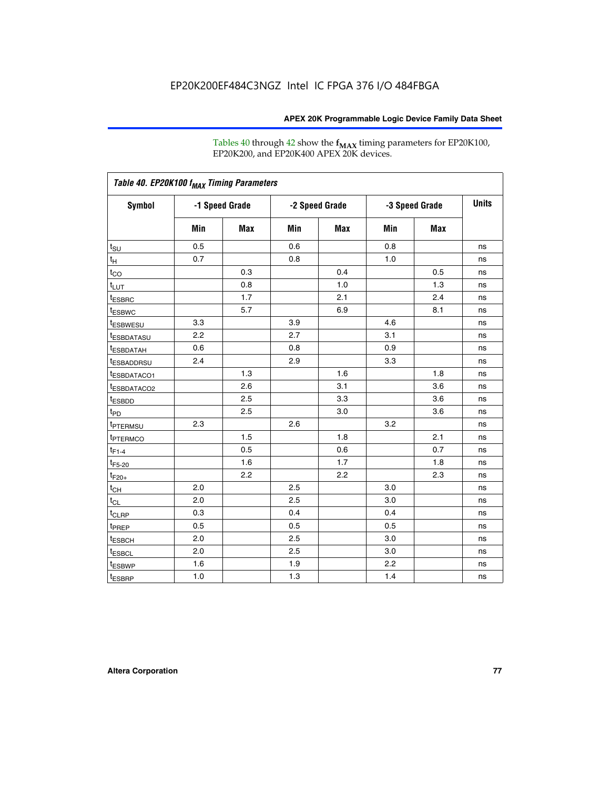Tables 40 through 42 show the **f<sub>MAX</sub>** timing parameters for EP20K100, EP20K200, and EP20K400 APEX 20K devices.

| Table 40. EP20K100 f <sub>MAX</sub> Timing Parameters |                |     |                |     |                |     |              |
|-------------------------------------------------------|----------------|-----|----------------|-----|----------------|-----|--------------|
| <b>Symbol</b>                                         | -1 Speed Grade |     | -2 Speed Grade |     | -3 Speed Grade |     | <b>Units</b> |
|                                                       | Min            | Max | Min            | Max | Min            | Max |              |
| t <sub>su</sub>                                       | 0.5            |     | 0.6            |     | 0.8            |     | ns           |
| $t_H$                                                 | 0.7            |     | 0.8            |     | 1.0            |     | ns           |
| $t_{CO}$                                              |                | 0.3 |                | 0.4 |                | 0.5 | ns           |
| $t_{LUT}$                                             |                | 0.8 |                | 1.0 |                | 1.3 | ns           |
| t <sub>ESBRC</sub>                                    |                | 1.7 |                | 2.1 |                | 2.4 | ns           |
| <sup>t</sup> ESBWC                                    |                | 5.7 |                | 6.9 |                | 8.1 | ns           |
| <sup>t</sup> ESBWESU                                  | 3.3            |     | 3.9            |     | 4.6            |     | ns           |
| <sup>t</sup> ESBDATASU                                | 2.2            |     | 2.7            |     | 3.1            |     | ns           |
| <sup>t</sup> ESBDATAH                                 | 0.6            |     | 0.8            |     | 0.9            |     | ns           |
| t <sub>ESBADDRSU</sub>                                | 2.4            |     | 2.9            |     | 3.3            |     | ns           |
| <sup>t</sup> ESBDATACO1                               |                | 1.3 |                | 1.6 |                | 1.8 | ns           |
| t <sub>ESBDATACO2</sub>                               |                | 2.6 |                | 3.1 |                | 3.6 | ns           |
| t <sub>ESBDD</sub>                                    |                | 2.5 |                | 3.3 |                | 3.6 | ns           |
| t <sub>PD</sub>                                       |                | 2.5 |                | 3.0 |                | 3.6 | ns           |
| <sup>t</sup> PTERMSU                                  | 2.3            |     | 2.6            |     | 3.2            |     | ns           |
| t <sub>PTERMCO</sub>                                  |                | 1.5 |                | 1.8 |                | 2.1 | ns           |
| $t_{F1-4}$                                            |                | 0.5 |                | 0.6 |                | 0.7 | ns           |
| $t_{F5-20}$                                           |                | 1.6 |                | 1.7 |                | 1.8 | ns           |
| $t_{F20+}$                                            |                | 2.2 |                | 2.2 |                | 2.3 | ns           |
| $t_{\mathsf{CH}}$                                     | 2.0            |     | 2.5            |     | 3.0            |     | ns           |
| $t_{CL}$                                              | 2.0            |     | 2.5            |     | 3.0            |     | ns           |
| t <sub>CLRP</sub>                                     | 0.3            |     | 0.4            |     | 0.4            |     | ns           |
| t <sub>PREP</sub>                                     | 0.5            |     | 0.5            |     | 0.5            |     | ns           |
| <sup>t</sup> ESBCH                                    | 2.0            |     | 2.5            |     | 3.0            |     | ns           |
| <b><i>LESBCL</i></b>                                  | 2.0            |     | 2.5            |     | 3.0            |     | ns           |
| t <sub>ESBWP</sub>                                    | 1.6            |     | 1.9            |     | 2.2            |     | ns           |
| t <sub>ESBRP</sub>                                    | 1.0            |     | 1.3            |     | 1.4            |     | ns           |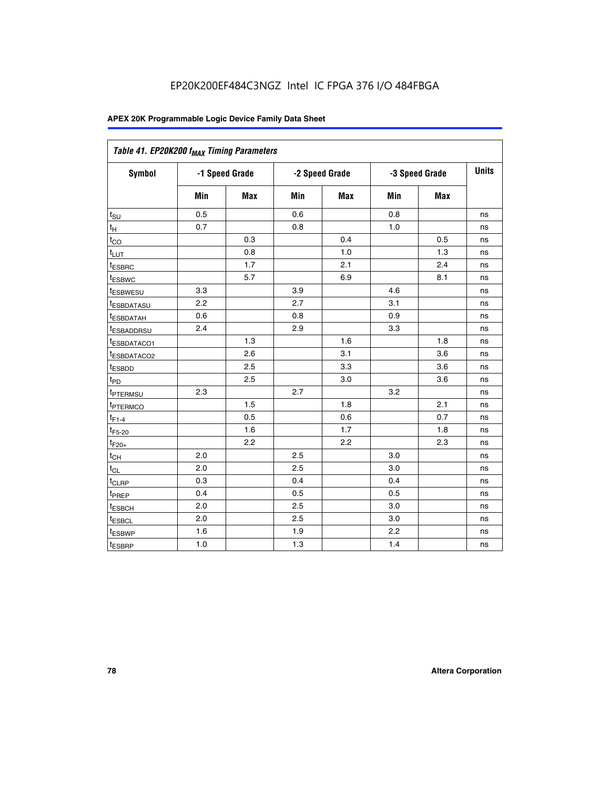| Table 41. EP20K200 f <sub>MAX</sub> Timing Parameters |                |     |                |            |                |     |              |
|-------------------------------------------------------|----------------|-----|----------------|------------|----------------|-----|--------------|
| <b>Symbol</b>                                         | -1 Speed Grade |     | -2 Speed Grade |            | -3 Speed Grade |     | <b>Units</b> |
|                                                       | Min            | Max | Min            | <b>Max</b> | Min            | Max |              |
| $t_{\text{SU}}$                                       | 0.5            |     | 0.6            |            | 0.8            |     | ns           |
| $t_H$                                                 | 0.7            |     | 0.8            |            | 1.0            |     | ns           |
| $t_{CO}$                                              |                | 0.3 |                | 0.4        |                | 0.5 | ns           |
| $t_{LUT}$                                             |                | 0.8 |                | 1.0        |                | 1.3 | ns           |
| t <sub>ESBRC</sub>                                    |                | 1.7 |                | 2.1        |                | 2.4 | ns           |
| t <sub>ESBWC</sub>                                    |                | 5.7 |                | 6.9        |                | 8.1 | ns           |
| t <sub>ESBWESU</sub>                                  | 3.3            |     | 3.9            |            | 4.6            |     | ns           |
| t <sub>esbdatasu</sub>                                | 2.2            |     | 2.7            |            | 3.1            |     | ns           |
| t <sub>ESBDATAH</sub>                                 | 0.6            |     | 0.8            |            | 0.9            |     | ns           |
| t <sub>ESBADDRSU</sub>                                | 2.4            |     | 2.9            |            | 3.3            |     | ns           |
| <u>t<sub>ESBDATACO1</sub></u>                         |                | 1.3 |                | 1.6        |                | 1.8 | ns           |
| <sup>t</sup> ESBDATACO2                               |                | 2.6 |                | 3.1        |                | 3.6 | ns           |
| t <sub>ESBDD</sub>                                    |                | 2.5 |                | 3.3        |                | 3.6 | ns           |
| t <sub>PD</sub>                                       |                | 2.5 |                | 3.0        |                | 3.6 | ns           |
| t <sub>PTERMSU</sub>                                  | 2.3            |     | 2.7            |            | 3.2            |     | ns           |
| t <sub>PTERMCO</sub>                                  |                | 1.5 |                | 1.8        |                | 2.1 | ns           |
| $t_{F1-4}$                                            |                | 0.5 |                | 0.6        |                | 0.7 | ns           |
| $t_{F5-20}$                                           |                | 1.6 |                | 1.7        |                | 1.8 | ns           |
| $t_{F20+}$                                            |                | 2.2 |                | 2.2        |                | 2.3 | ns           |
| $\textnormal{t}_{\textnormal{CH}}$                    | 2.0            |     | 2.5            |            | 3.0            |     | ns           |
| $t_{CL}$                                              | 2.0            |     | 2.5            |            | 3.0            |     | ns           |
| t <sub>CLRP</sub>                                     | 0.3            |     | 0.4            |            | 0.4            |     | ns           |
| t <sub>PREP</sub>                                     | 0.4            |     | 0.5            |            | 0.5            |     | ns           |
| t <sub>ESBCH</sub>                                    | 2.0            |     | 2.5            |            | 3.0            |     | ns           |
| t <sub>ESBCL</sub>                                    | 2.0            |     | 2.5            |            | 3.0            |     | ns           |
| t <sub>ESBWP</sub>                                    | 1.6            |     | 1.9            |            | 2.2            |     | ns           |
| t <sub>ESBRP</sub>                                    | 1.0            |     | 1.3            |            | 1.4            |     | ns           |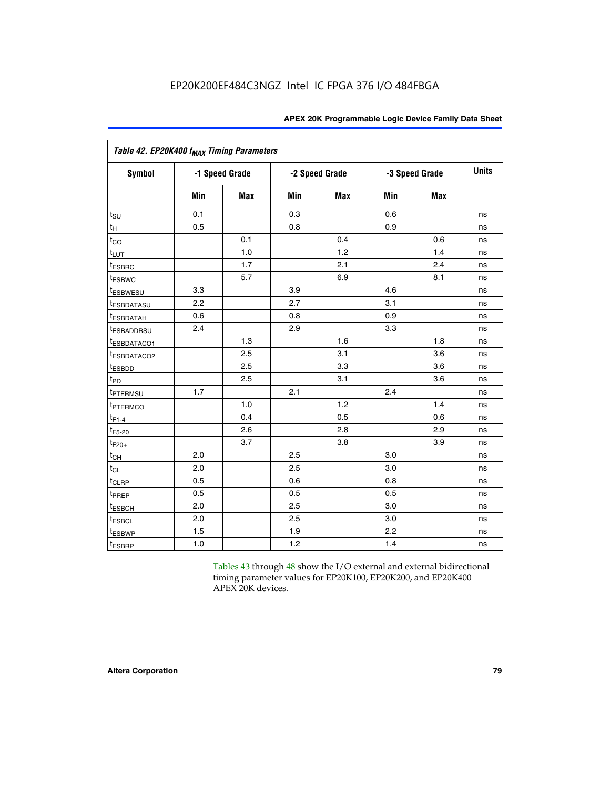|                         | Table 42. EP20K400 f <sub>MAX</sub> Timing Parameters |                |     |                |     |                |              |  |  |  |  |
|-------------------------|-------------------------------------------------------|----------------|-----|----------------|-----|----------------|--------------|--|--|--|--|
| <b>Symbol</b>           |                                                       | -1 Speed Grade |     | -2 Speed Grade |     | -3 Speed Grade | <b>Units</b> |  |  |  |  |
|                         | Min                                                   | <b>Max</b>     | Min | Max            | Min | <b>Max</b>     |              |  |  |  |  |
| $t_{\text{SU}}$         | 0.1                                                   |                | 0.3 |                | 0.6 |                | ns           |  |  |  |  |
| $t_{\mathsf{H}}$        | 0.5                                                   |                | 0.8 |                | 0.9 |                | ns           |  |  |  |  |
| $t_{CO}$                |                                                       | 0.1            |     | 0.4            |     | 0.6            | ns           |  |  |  |  |
| t <sub>LUT</sub>        |                                                       | 1.0            |     | 1.2            |     | 1.4            | ns           |  |  |  |  |
| <sup>t</sup> ESBRC      |                                                       | 1.7            |     | 2.1            |     | 2.4            | ns           |  |  |  |  |
| t <sub>ESBWC</sub>      |                                                       | 5.7            |     | 6.9            |     | 8.1            | ns           |  |  |  |  |
| t <sub>ESBWESU</sub>    | 3.3                                                   |                | 3.9 |                | 4.6 |                | ns           |  |  |  |  |
| <sup>t</sup> ESBDATASU  | 2.2                                                   |                | 2.7 |                | 3.1 |                | ns           |  |  |  |  |
| <sup>t</sup> ESBDATAH   | 0.6                                                   |                | 0.8 |                | 0.9 |                | ns           |  |  |  |  |
| <sup>t</sup> ESBADDRSU  | 2.4                                                   |                | 2.9 |                | 3.3 |                | ns           |  |  |  |  |
| IESBDATACO1             |                                                       | 1.3            |     | 1.6            |     | 1.8            | ns           |  |  |  |  |
| <sup>t</sup> ESBDATACO2 |                                                       | 2.5            |     | 3.1            |     | 3.6            | ns           |  |  |  |  |
| t <sub>ESBDD</sub>      |                                                       | 2.5            |     | 3.3            |     | 3.6            | ns           |  |  |  |  |
| $t_{PD}$                |                                                       | 2.5            |     | 3.1            |     | 3.6            | ns           |  |  |  |  |
| t <sub>PTERMSU</sub>    | 1.7                                                   |                | 2.1 |                | 2.4 |                | ns           |  |  |  |  |
| t <sub>PTERMCO</sub>    |                                                       | 1.0            |     | 1.2            |     | 1.4            | ns           |  |  |  |  |
| $t_{F1-4}$              |                                                       | 0.4            |     | 0.5            |     | 0.6            | ns           |  |  |  |  |
| $t_{F5-20}$             |                                                       | 2.6            |     | 2.8            |     | 2.9            | ns           |  |  |  |  |
| $t_{F20+}$              |                                                       | 3.7            |     | 3.8            |     | 3.9            | ns           |  |  |  |  |
| $t_{CH}$                | 2.0                                                   |                | 2.5 |                | 3.0 |                | ns           |  |  |  |  |
| $t_{CL}$                | 2.0                                                   |                | 2.5 |                | 3.0 |                | ns           |  |  |  |  |
| t <sub>CLRP</sub>       | 0.5                                                   |                | 0.6 |                | 0.8 |                | ns           |  |  |  |  |
| t <sub>PREP</sub>       | 0.5                                                   |                | 0.5 |                | 0.5 |                | ns           |  |  |  |  |
| t <sub>ESBCH</sub>      | 2.0                                                   |                | 2.5 |                | 3.0 |                | ns           |  |  |  |  |
| t <sub>ESBCL</sub>      | 2.0                                                   |                | 2.5 |                | 3.0 |                | ns           |  |  |  |  |
| t <sub>ESBWP</sub>      | 1.5                                                   |                | 1.9 |                | 2.2 |                | ns           |  |  |  |  |
| t <sub>ESBRP</sub>      | 1.0                                                   |                | 1.2 |                | 1.4 |                | ns           |  |  |  |  |

Tables 43 through 48 show the I/O external and external bidirectional timing parameter values for EP20K100, EP20K200, and EP20K400 APEX 20K devices.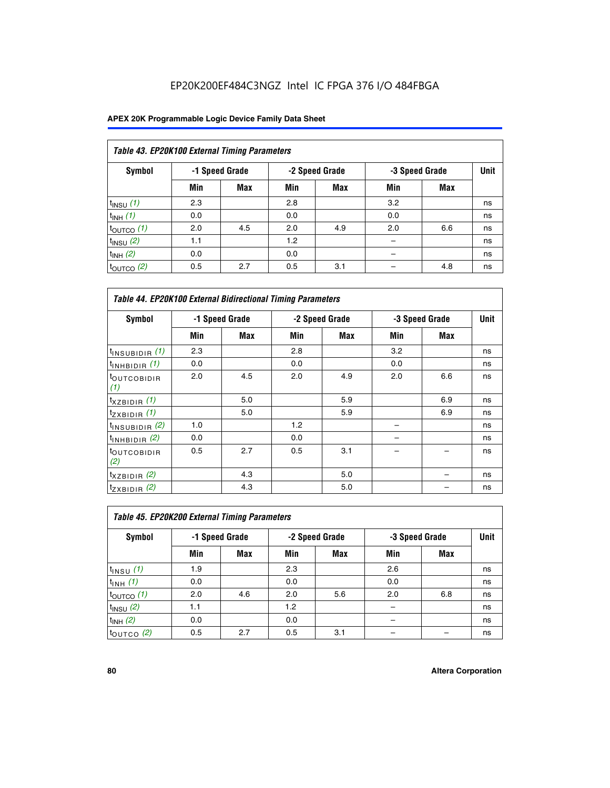| Table 43. EP20K100 External Timing Parameters |     |                |     |                |     |                |    |  |  |  |  |
|-----------------------------------------------|-----|----------------|-----|----------------|-----|----------------|----|--|--|--|--|
| Symbol                                        |     | -1 Speed Grade |     | -2 Speed Grade |     | -3 Speed Grade |    |  |  |  |  |
|                                               | Min | <b>Max</b>     | Min | <b>Max</b>     | Min | <b>Max</b>     |    |  |  |  |  |
| $t_{INSU}$ (1)                                | 2.3 |                | 2.8 |                | 3.2 |                | ns |  |  |  |  |
| $t_{INH}$ (1)                                 | 0.0 |                | 0.0 |                | 0.0 |                | ns |  |  |  |  |
| $t_{\text{OUTCO}}(1)$                         | 2.0 | 4.5            | 2.0 | 4.9            | 2.0 | 6.6            | ns |  |  |  |  |
| $t_{INSU}$ (2)                                | 1.1 |                | 1.2 |                |     |                | ns |  |  |  |  |
| $t_{INH}$ (2)                                 | 0.0 |                | 0.0 |                |     |                | ns |  |  |  |  |
| $t_{\text{OUTCO}}(2)$                         | 0.5 | 2.7            | 0.5 | 3.1            |     | 4.8            | ns |  |  |  |  |

| <b>Table 44. EP20K100 External Bidirectional Timing Parameters</b> |     |                |     |                |     |                |    |
|--------------------------------------------------------------------|-----|----------------|-----|----------------|-----|----------------|----|
| Symbol                                                             |     | -1 Speed Grade |     | -2 Speed Grade |     | -3 Speed Grade |    |
|                                                                    | Min | Max            | Min | Max            | Min | Max            |    |
| $t_{\text{INSUBIDIR}}(1)$                                          | 2.3 |                | 2.8 |                | 3.2 |                | ns |
| $t_{INHBIDIR}$ (1)                                                 | 0.0 |                | 0.0 |                | 0.0 |                | ns |
| <sup>t</sup> OUTCOBIDIR<br>(1)                                     | 2.0 | 4.5            | 2.0 | 4.9            | 2.0 | 6.6            | ns |
| $t_{XZBIDIR}$ (1)                                                  |     | 5.0            |     | 5.9            |     | 6.9            | ns |
| $t_{ZXBIDIR}$ (1)                                                  |     | 5.0            |     | 5.9            |     | 6.9            | ns |
| $t_{INSUBIDIR}$ (2)                                                | 1.0 |                | 1.2 |                |     |                | ns |
| $t_{INHBIDIR}$ (2)                                                 | 0.0 |                | 0.0 |                |     |                | ns |
| <sup>t</sup> OUTCOBIDIR<br>(2)                                     | 0.5 | 2.7            | 0.5 | 3.1            |     |                | ns |
| $t_{XZBIDIR}$ (2)                                                  |     | 4.3            |     | 5.0            |     |                | ns |
| $t_{ZXBIDIR}$ (2)                                                  |     | 4.3            |     | 5.0            |     |                | ns |

| Table 45. EP20K200 External Timing Parameters |     |                |     |                |     |                |    |  |  |  |  |
|-----------------------------------------------|-----|----------------|-----|----------------|-----|----------------|----|--|--|--|--|
| Symbol                                        |     | -1 Speed Grade |     | -2 Speed Grade |     | -3 Speed Grade |    |  |  |  |  |
|                                               | Min | Max            | Min | <b>Max</b>     | Min | <b>Max</b>     |    |  |  |  |  |
| $t_{INSU}$ (1)                                | 1.9 |                | 2.3 |                | 2.6 |                | ns |  |  |  |  |
| $t_{INH}$ (1)                                 | 0.0 |                | 0.0 |                | 0.0 |                | ns |  |  |  |  |
| $t_{\text{OUTCO}}(1)$                         | 2.0 | 4.6            | 2.0 | 5.6            | 2.0 | 6.8            | ns |  |  |  |  |
| $t_{INSU}$ (2)                                | 1.1 |                | 1.2 |                |     |                | ns |  |  |  |  |
| $t_{INH}$ (2)                                 | 0.0 |                | 0.0 |                |     |                | ns |  |  |  |  |
| $t_{\text{OUTCO}}$ (2)                        | 0.5 | 2.7            | 0.5 | 3.1            |     |                | ns |  |  |  |  |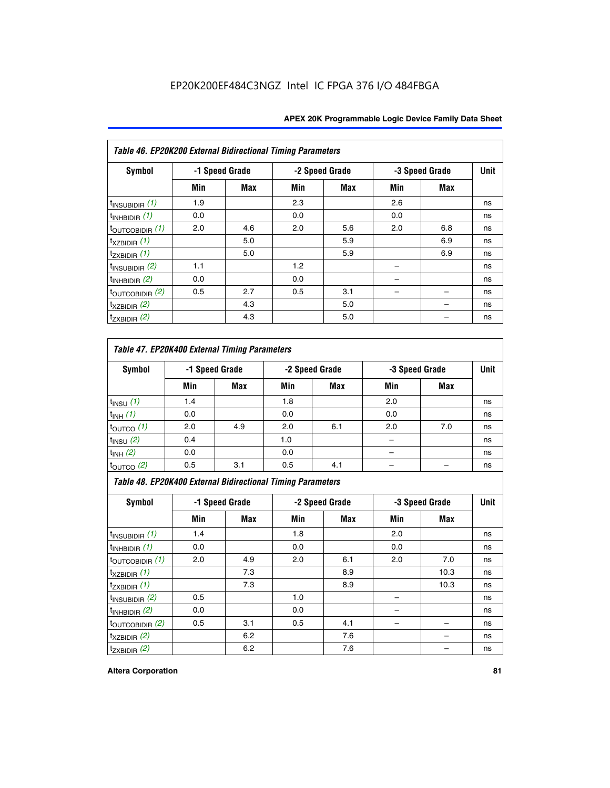| Table 46. EP20K200 External Bidirectional Timing Parameters |     |                |     |                |     |                |             |
|-------------------------------------------------------------|-----|----------------|-----|----------------|-----|----------------|-------------|
| Symbol                                                      |     | -1 Speed Grade |     | -2 Speed Grade |     | -3 Speed Grade | <b>Unit</b> |
|                                                             | Min | Max            | Min | <b>Max</b>     | Min | <b>Max</b>     |             |
| $t_{INSUBIDIR}$ (1)                                         | 1.9 |                | 2.3 |                | 2.6 |                | ns          |
| $t_{INHBIDIR}$ (1)                                          | 0.0 |                | 0.0 |                | 0.0 |                | ns          |
| $t_{\text{OUTCOBIDIR}}(1)$                                  | 2.0 | 4.6            | 2.0 | 5.6            | 2.0 | 6.8            | ns          |
| $t_{XZBIDIR}$ (1)                                           |     | 5.0            |     | 5.9            |     | 6.9            | ns          |
| $t_{ZXBIDIR}$ (1)                                           |     | 5.0            |     | 5.9            |     | 6.9            | ns          |
| $t_{INSUBIDIR}$ (2)                                         | 1.1 |                | 1.2 |                |     |                | ns          |
| $t_{INHBIDIR}$ (2)                                          | 0.0 |                | 0.0 |                |     |                | ns          |
| $t_{\text{OUTCOBIDIR}}$ (2)                                 | 0.5 | 2.7            | 0.5 | 3.1            |     |                | ns          |
| $t_{XZBIDIR}$ (2)                                           |     | 4.3            |     | 5.0            |     |                | ns          |
| $t_{ZXBIDIR}$ (2)                                           |     | 4.3            |     | 5.0            |     |                | ns          |

## *Table 47. EP20K400 External Timing Parameters*

| Symbol                |     | -1 Speed Grade |     | -2 Speed Grade |     | -3 Speed Grade |    |
|-----------------------|-----|----------------|-----|----------------|-----|----------------|----|
|                       | Min | <b>Max</b>     | Min | <b>Max</b>     | Min | <b>Max</b>     |    |
| $t_{INSU}$ (1)        | 1.4 |                | 1.8 |                | 2.0 |                | ns |
| $t_{INH}$ (1)         | 0.0 |                | 0.0 |                | 0.0 |                | ns |
| $t_{\text{OUTCO}}(1)$ | 2.0 | 4.9            | 2.0 | 6.1            | 2.0 | 7.0            | ns |
| $t_{INSU}$ (2)        | 0.4 |                | 1.0 |                |     |                | ns |
| $t_{INH}$ (2)         | 0.0 |                | 0.0 |                | -   |                | ns |
| $t_{\text{OUTCO}}(2)$ | 0.5 | 3.1            | 0.5 | 4.1            |     |                | ns |

*Table 48. EP20K400 External Bidirectional Timing Parameters*

| Symbol                      | -1 Speed Grade |     | -2 Speed Grade |     |     | -3 Speed Grade | <b>Unit</b> |
|-----------------------------|----------------|-----|----------------|-----|-----|----------------|-------------|
|                             | Min            | Max | Min            | Max | Min | Max            |             |
| $t_{\text{INSUBIDIR}}(1)$   | 1.4            |     | 1.8            |     | 2.0 |                | ns          |
| $t_{INHBIDIR}$ (1)          | 0.0            |     | 0.0            |     | 0.0 |                | ns          |
| $t_{\text{OUTCOBIDIR}}(1)$  | 2.0            | 4.9 | 2.0            | 6.1 | 2.0 | 7.0            | ns          |
| $t_{XZBIDIR}$ (1)           |                | 7.3 |                | 8.9 |     | 10.3           | ns          |
| $t_{ZXBIDIR}$ (1)           |                | 7.3 |                | 8.9 |     | 10.3           | ns          |
| $t_{\text{INSUBIDIR}}(2)$   | 0.5            |     | 1.0            |     |     |                | ns          |
| $t_{INHBIDIR}$ (2)          | 0.0            |     | 0.0            |     |     |                | ns          |
| $t_{\text{OUTCOBIDIR}}$ (2) | 0.5            | 3.1 | 0.5            | 4.1 |     |                | ns          |
| $t_{XZBIDIR}$ (2)           |                | 6.2 |                | 7.6 |     |                | ns          |
| $t_{ZXBIDIR}$ (2)           |                | 6.2 |                | 7.6 |     |                | ns          |

#### **Altera Corporation 81**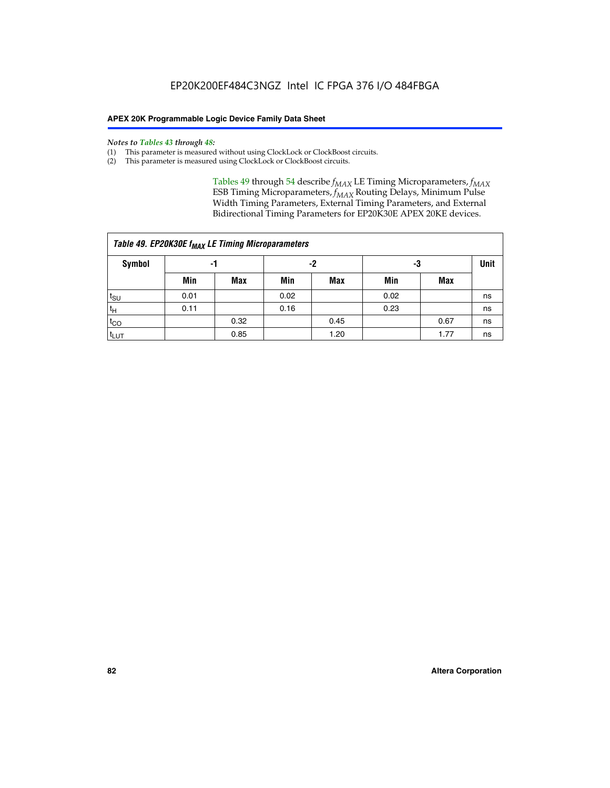#### *Notes to Tables 43 through 48:*

- (1) This parameter is measured without using ClockLock or ClockBoost circuits.
- (2) This parameter is measured using ClockLock or ClockBoost circuits.

Tables 49 through 54 describe  $f_{MAX}$  LE Timing Microparameters,  $f_{MAX}$ ESB Timing Microparameters, *f<sub>MAX</sub>* Routing Delays, Minimum Pulse Width Timing Parameters, External Timing Parameters, and External Bidirectional Timing Parameters for EP20K30E APEX 20KE devices.

| Table 49. EP20K30E f <sub>MAX</sub> LE Timing Microparameters |      |      |      |      |      |      |    |  |  |  |  |
|---------------------------------------------------------------|------|------|------|------|------|------|----|--|--|--|--|
| Symbol                                                        |      | -1   |      | -2   |      | -3   |    |  |  |  |  |
|                                                               | Min  | Max  | Min  | Max  | Min  | Max  |    |  |  |  |  |
| $t_{\text{SU}}$                                               | 0.01 |      | 0.02 |      | 0.02 |      | ns |  |  |  |  |
| $t_H$                                                         | 0.11 |      | 0.16 |      | 0.23 |      | ns |  |  |  |  |
| $t_{CO}$                                                      |      | 0.32 |      | 0.45 |      | 0.67 | ns |  |  |  |  |
| $t_{LUT}$                                                     |      | 0.85 |      | 1.20 |      | 1.77 | ns |  |  |  |  |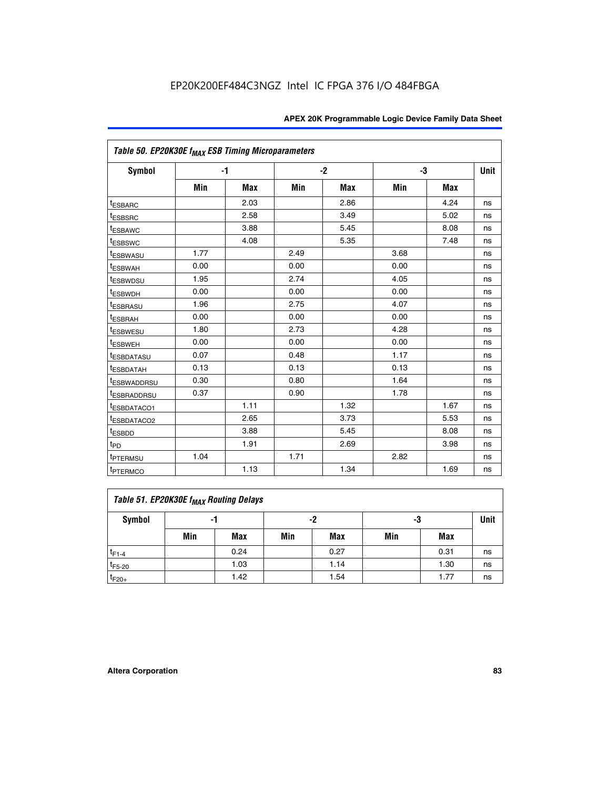| Table 50. EP20K30E f <sub>MAX</sub> ESB Timing Microparameters |      |            |      |            |      |            |             |
|----------------------------------------------------------------|------|------------|------|------------|------|------------|-------------|
| Symbol                                                         |      | -1         |      | $-2$       |      | -3         | <b>Unit</b> |
|                                                                | Min  | <b>Max</b> | Min  | <b>Max</b> | Min  | <b>Max</b> |             |
| <sup>t</sup> ESBARC                                            |      | 2.03       |      | 2.86       |      | 4.24       | ns          |
| <sup>t</sup> ESBSRC                                            |      | 2.58       |      | 3.49       |      | 5.02       | ns          |
| <sup>t</sup> ESBAWC                                            |      | 3.88       |      | 5.45       |      | 8.08       | ns          |
| t <sub>ESBSWC</sub>                                            |      | 4.08       |      | 5.35       |      | 7.48       | ns          |
| <sup>t</sup> ESBWASU                                           | 1.77 |            | 2.49 |            | 3.68 |            | ns          |
| <sup>t</sup> ESBWAH                                            | 0.00 |            | 0.00 |            | 0.00 |            | ns          |
| <sup>t</sup> ESBWDSU                                           | 1.95 |            | 2.74 |            | 4.05 |            | ns          |
| <sup>t</sup> ESBWDH                                            | 0.00 |            | 0.00 |            | 0.00 |            | ns          |
| <sup>t</sup> ESBRASU                                           | 1.96 |            | 2.75 |            | 4.07 |            | ns          |
| <sup>t</sup> ESBRAH                                            | 0.00 |            | 0.00 |            | 0.00 |            | ns          |
| <i>t</i> <sub>ESBWESU</sub>                                    | 1.80 |            | 2.73 |            | 4.28 |            | ns          |
| <sup>I</sup> ESBWEH                                            | 0.00 |            | 0.00 |            | 0.00 |            | ns          |
| t <sub>ESBDATASU</sub>                                         | 0.07 |            | 0.48 |            | 1.17 |            | ns          |
| <b>ESBDATAH</b>                                                | 0.13 |            | 0.13 |            | 0.13 |            | ns          |
| <sup>t</sup> ESBWADDRSU                                        | 0.30 |            | 0.80 |            | 1.64 |            | ns          |
| <sup>I</sup> ESBRADDRSU                                        | 0.37 |            | 0.90 |            | 1.78 |            | ns          |
| ESBDATACO1                                                     |      | 1.11       |      | 1.32       |      | 1.67       | ns          |
| <sup>t</sup> ESBDATACO2                                        |      | 2.65       |      | 3.73       |      | 5.53       | ns          |
| <sup>t</sup> ESBDD                                             |      | 3.88       |      | 5.45       |      | 8.08       | ns          |
| $t_{\text{PD}}$                                                |      | 1.91       |      | 2.69       |      | 3.98       | ns          |
| <sup>t</sup> PTERMSU                                           | 1.04 |            | 1.71 |            | 2.82 |            | ns          |
| t <sub>PTERMCO</sub>                                           |      | 1.13       |      | 1.34       |      | 1.69       | ns          |

## **Table 51. EP20K30E f<sub>MAX</sub> Routing Delays**

| Symbol      | - 1 |            | -2  |            | -3  |            | Unit |
|-------------|-----|------------|-----|------------|-----|------------|------|
|             | Min | <b>Max</b> | Min | <b>Max</b> | Min | <b>Max</b> |      |
| $t_{F1-4}$  |     | 0.24       |     | 0.27       |     | 0.31       | ns   |
| $t_{F5-20}$ |     | 1.03       |     | 1.14       |     | 1.30       | ns   |
| $t_{F20+}$  |     | 1.42       |     | 1.54       |     | 1.77       | ns   |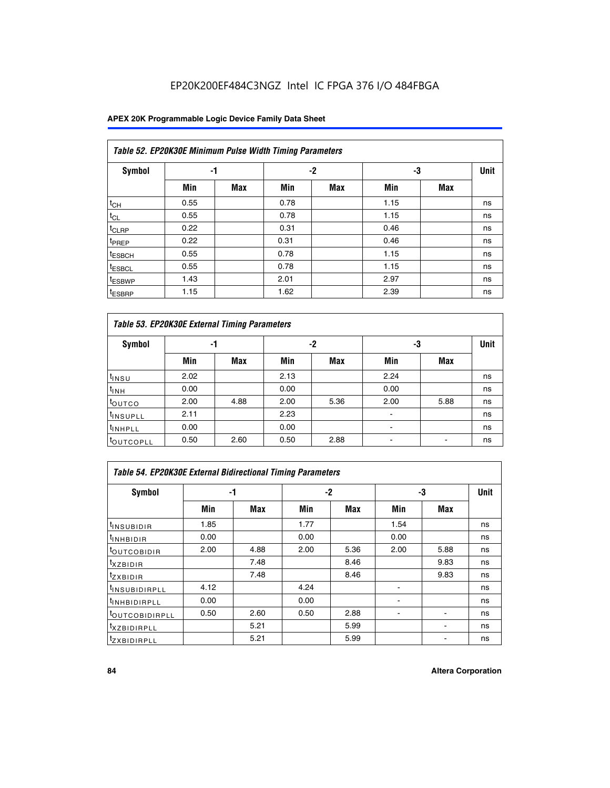### **APEX 20K Programmable Logic Device Family Data Sheet**

|                    | Table 52. EP20K30E Minimum Pulse Width Timing Parameters |            |      |            |      |            |    |  |  |  |  |  |
|--------------------|----------------------------------------------------------|------------|------|------------|------|------------|----|--|--|--|--|--|
| <b>Symbol</b>      | -1                                                       |            |      | $-2$       | -3   |            |    |  |  |  |  |  |
|                    | Min                                                      | <b>Max</b> | Min  | <b>Max</b> | Min  | <b>Max</b> |    |  |  |  |  |  |
| $t_{CH}$           | 0.55                                                     |            | 0.78 |            | 1.15 |            | ns |  |  |  |  |  |
| $t_{CL}$           | 0.55                                                     |            | 0.78 |            | 1.15 |            | ns |  |  |  |  |  |
| $t_{CLRP}$         | 0.22                                                     |            | 0.31 |            | 0.46 |            | ns |  |  |  |  |  |
| <sup>t</sup> PREP  | 0.22                                                     |            | 0.31 |            | 0.46 |            | ns |  |  |  |  |  |
| <sup>t</sup> ESBCH | 0.55                                                     |            | 0.78 |            | 1.15 |            | ns |  |  |  |  |  |
| <sup>t</sup> ESBCL | 0.55                                                     |            | 0.78 |            | 1.15 |            | ns |  |  |  |  |  |
| <sup>t</sup> ESBWP | 1.43                                                     |            | 2.01 |            | 2.97 |            | ns |  |  |  |  |  |
| <sup>t</sup> ESBRP | 1.15                                                     |            | 1.62 |            | 2.39 |            | ns |  |  |  |  |  |

| Table 53. EP20K30E External Timing Parameters |      |            |      |            |                |            |             |  |  |  |  |
|-----------------------------------------------|------|------------|------|------------|----------------|------------|-------------|--|--|--|--|
| <b>Symbol</b>                                 | -1   |            |      | -2         | -3             |            | <b>Unit</b> |  |  |  |  |
|                                               | Min  | <b>Max</b> | Min  | <b>Max</b> | Min            | <b>Max</b> |             |  |  |  |  |
| $t_{INSU}$                                    | 2.02 |            | 2.13 |            | 2.24           |            | ns          |  |  |  |  |
| $t_{\rm INH}$                                 | 0.00 |            | 0.00 |            | 0.00           |            | ns          |  |  |  |  |
| toutco                                        | 2.00 | 4.88       | 2.00 | 5.36       | 2.00           | 5.88       | ns          |  |  |  |  |
| <sup>t</sup> INSUPLL                          | 2.11 |            | 2.23 |            |                |            | ns          |  |  |  |  |
| <sup>t</sup> INHPLL                           | 0.00 |            | 0.00 |            | $\blacksquare$ |            | ns          |  |  |  |  |
| <b>LOUTCOPLL</b>                              | 0.50 | 2.60       | 0.50 | 2.88       | -              |            | ns          |  |  |  |  |

| Table 54. EP20K30E External Bidirectional Timing Parameters |      |      |      |            |      |            |             |  |  |  |  |
|-------------------------------------------------------------|------|------|------|------------|------|------------|-------------|--|--|--|--|
| Symbol                                                      |      | -1   |      | $-2$       |      | -3         | <b>Unit</b> |  |  |  |  |
|                                                             | Min  | Max  | Min  | <b>Max</b> | Min  | <b>Max</b> |             |  |  |  |  |
| <sup>t</sup> INSUBIDIR                                      | 1.85 |      | 1.77 |            | 1.54 |            | ns          |  |  |  |  |
| <b>INHBIDIR</b>                                             | 0.00 |      | 0.00 |            | 0.00 |            | ns          |  |  |  |  |
| <b>LOUTCOBIDIR</b>                                          | 2.00 | 4.88 | 2.00 | 5.36       | 2.00 | 5.88       | ns          |  |  |  |  |
| <sup>T</sup> XZBIDIR                                        |      | 7.48 |      | 8.46       |      | 9.83       | ns          |  |  |  |  |
| <sup>I</sup> ZXBIDIR                                        |      | 7.48 |      | 8.46       |      | 9.83       | ns          |  |  |  |  |
| <sup>t</sup> INSUBIDIRPLL                                   | 4.12 |      | 4.24 |            |      |            | ns          |  |  |  |  |
| <sup>I</sup> INHBIDIRPLL                                    | 0.00 |      | 0.00 |            |      |            | ns          |  |  |  |  |
| <b>LOUTCOBIDIRPLL</b>                                       | 0.50 | 2.60 | 0.50 | 2.88       |      |            | ns          |  |  |  |  |
| <sup>I</sup> XZBIDIRPLL                                     |      | 5.21 |      | 5.99       |      |            | ns          |  |  |  |  |
| <sup>T</sup> ZXBIDIRPLL                                     |      | 5.21 |      | 5.99       |      |            | ns          |  |  |  |  |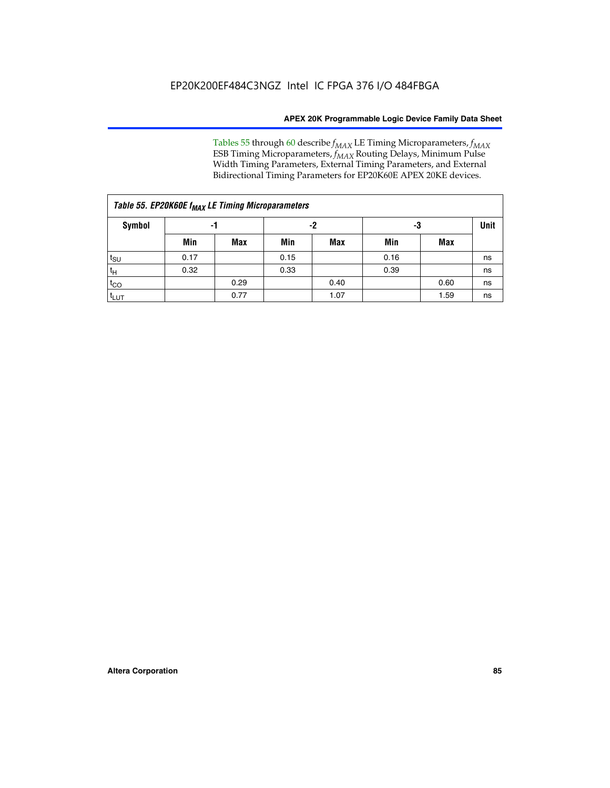Tables 55 through 60 describe *f<sub>MAX</sub>* LE Timing Microparameters, *f<sub>MAX</sub>* ESB Timing Microparameters, *f<sub>MAX</sub>* Routing Delays, Minimum Pulse Width Timing Parameters, External Timing Parameters, and External Bidirectional Timing Parameters for EP20K60E APEX 20KE devices.

| Table 55. EP20K60E f <sub>MAX</sub> LE Timing Microparameters |      |      |      |      |      |      |    |  |  |  |  |
|---------------------------------------------------------------|------|------|------|------|------|------|----|--|--|--|--|
| <b>Symbol</b>                                                 |      | -1   |      | -2   |      | -3   |    |  |  |  |  |
|                                                               | Min  | Max  | Min  | Max  | Min  | Max  |    |  |  |  |  |
| $t_{\text{SU}}$                                               | 0.17 |      | 0.15 |      | 0.16 |      | ns |  |  |  |  |
| $t_H$                                                         | 0.32 |      | 0.33 |      | 0.39 |      | ns |  |  |  |  |
| $t_{CO}$                                                      |      | 0.29 |      | 0.40 |      | 0.60 | ns |  |  |  |  |
| t <sub>lut</sub>                                              |      | 0.77 |      | 1.07 |      | 1.59 | ns |  |  |  |  |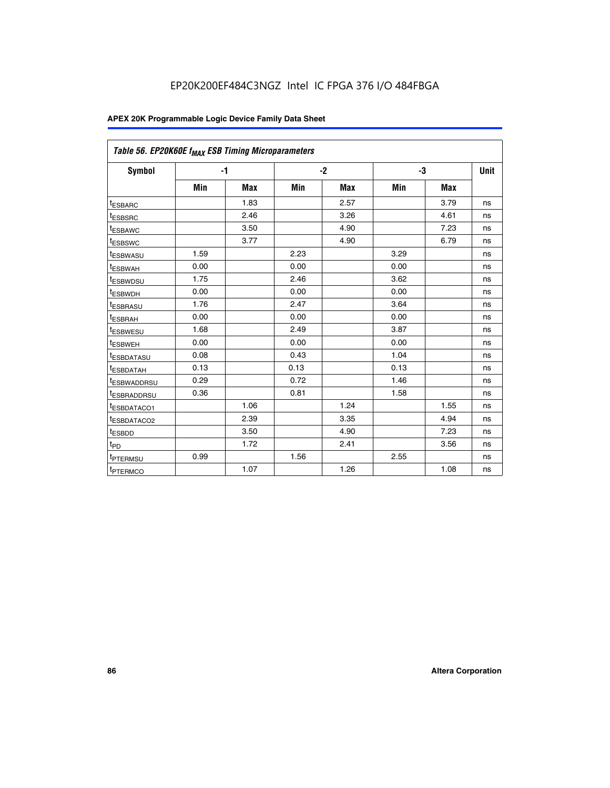| Table 56. EP20K60E f <sub>MAX</sub> ESB Timing Microparameters |      |            |      |            |      |            |      |
|----------------------------------------------------------------|------|------------|------|------------|------|------------|------|
| <b>Symbol</b>                                                  |      | $-1$       |      | $-2$       |      | -3         | Unit |
|                                                                | Min  | <b>Max</b> | Min  | <b>Max</b> | Min  | <b>Max</b> |      |
| <sup>t</sup> ESBARC                                            |      | 1.83       |      | 2.57       |      | 3.79       | ns   |
| t <sub>ESBSRC</sub>                                            |      | 2.46       |      | 3.26       |      | 4.61       | ns   |
| <sup>t</sup> ESBAWC                                            |      | 3.50       |      | 4.90       |      | 7.23       | ns   |
| t <sub>ESBSWC</sub>                                            |      | 3.77       |      | 4.90       |      | 6.79       | ns   |
| <sup>t</sup> ESBWASU                                           | 1.59 |            | 2.23 |            | 3.29 |            | ns   |
| <sup>t</sup> ESBWAH                                            | 0.00 |            | 0.00 |            | 0.00 |            | ns   |
| t <sub>ESBWDSU</sub>                                           | 1.75 |            | 2.46 |            | 3.62 |            | ns   |
| t <sub>ESBWDH</sub>                                            | 0.00 |            | 0.00 |            | 0.00 |            | ns   |
| t <sub>ESBRASU</sub>                                           | 1.76 |            | 2.47 |            | 3.64 |            | ns   |
| <sup>t</sup> ESBRAH                                            | 0.00 |            | 0.00 |            | 0.00 |            | ns   |
| t <sub>ESBWESU</sub>                                           | 1.68 |            | 2.49 |            | 3.87 |            | ns   |
| <sup>t</sup> ESBWEH                                            | 0.00 |            | 0.00 |            | 0.00 |            | ns   |
| <sup>t</sup> ESBDATASU                                         | 0.08 |            | 0.43 |            | 1.04 |            | ns   |
| <sup>t</sup> ESBDATAH                                          | 0.13 |            | 0.13 |            | 0.13 |            | ns   |
| <sup>t</sup> ESBWADDRSU                                        | 0.29 |            | 0.72 |            | 1.46 |            | ns   |
| <sup>t</sup> ESBRADDRSU                                        | 0.36 |            | 0.81 |            | 1.58 |            | ns   |
| <sup>I</sup> ESBDATACO1                                        |      | 1.06       |      | 1.24       |      | 1.55       | ns   |
| t <sub>ESBDATACO2</sub>                                        |      | 2.39       |      | 3.35       |      | 4.94       | ns   |
| <sup>t</sup> ESBDD                                             |      | 3.50       |      | 4.90       |      | 7.23       | ns   |
| t <sub>PD</sub>                                                |      | 1.72       |      | 2.41       |      | 3.56       | ns   |
| t <sub>PTERMSU</sub>                                           | 0.99 |            | 1.56 |            | 2.55 |            | ns   |
| t <sub>PTERMCO</sub>                                           |      | 1.07       |      | 1.26       |      | 1.08       | ns   |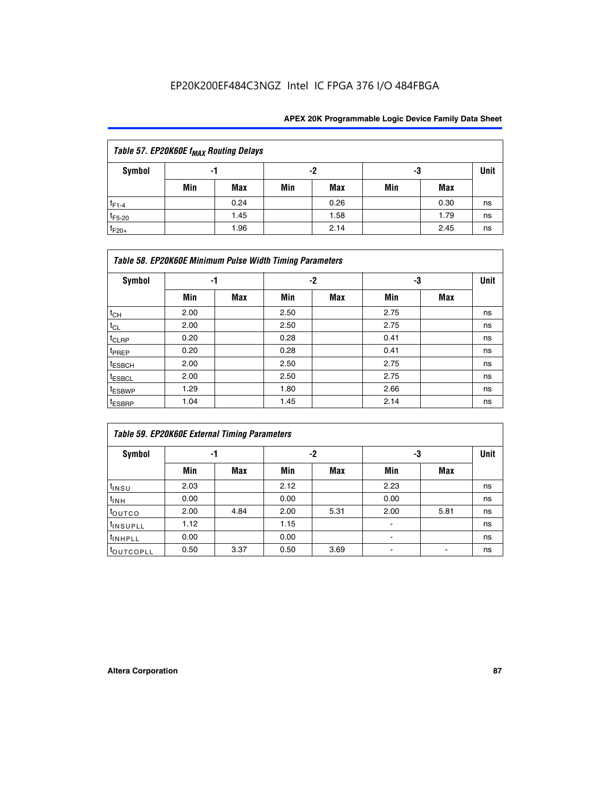| Table 57. EP20K60E f <sub>MAX</sub> Routing Delays |     |      |     |            |     |      |             |  |  |  |
|----------------------------------------------------|-----|------|-----|------------|-----|------|-------------|--|--|--|
| Symbol                                             |     | -1   |     | -2         | -3  |      | <b>Unit</b> |  |  |  |
|                                                    | Min | Max  | Min | <b>Max</b> | Min | Max  |             |  |  |  |
| $t_{F1-4}$                                         |     | 0.24 |     | 0.26       |     | 0.30 | ns          |  |  |  |
| $t_{F5-20}$                                        |     | 1.45 |     | 1.58       |     | 1.79 | ns          |  |  |  |
| $t_{F20+}$                                         |     | 1.96 |     | 2.14       |     | 2.45 | ns          |  |  |  |

|                    | Table 58. EP20K60E Minimum Pulse Width Timing Parameters |            |      |     |      |     |             |
|--------------------|----------------------------------------------------------|------------|------|-----|------|-----|-------------|
| Symbol             |                                                          | -1         |      | -2  |      | -3  | <b>Unit</b> |
|                    | Min                                                      | <b>Max</b> | Min  | Max | Min  | Max |             |
| $t_{CH}$           | 2.00                                                     |            | 2.50 |     | 2.75 |     | ns          |
| $t_{CL}$           | 2.00                                                     |            | 2.50 |     | 2.75 |     | ns          |
| $t_{CLRP}$         | 0.20                                                     |            | 0.28 |     | 0.41 |     | ns          |
| t <sub>PREP</sub>  | 0.20                                                     |            | 0.28 |     | 0.41 |     | ns          |
| <sup>t</sup> ESBCH | 2.00                                                     |            | 2.50 |     | 2.75 |     | ns          |
| <sup>t</sup> ESBCL | 2.00                                                     |            | 2.50 |     | 2.75 |     | ns          |
| <sup>t</sup> ESBWP | 1.29                                                     |            | 1.80 |     | 2.66 |     | ns          |
| <sup>t</sup> ESBRP | 1.04                                                     |            | 1.45 |     | 2.14 |     | ns          |

|                      | <b>Table 59. EP20K60E External Timing Parameters</b> |      |      |      |      |      |    |  |  |  |  |  |
|----------------------|------------------------------------------------------|------|------|------|------|------|----|--|--|--|--|--|
| Symbol               | -2<br>-3<br>-1                                       |      |      | Unit |      |      |    |  |  |  |  |  |
|                      | Min                                                  | Max  | Min  | Max  | Min  | Max  |    |  |  |  |  |  |
| $t_{INSU}$           | 2.03                                                 |      | 2.12 |      | 2.23 |      | ns |  |  |  |  |  |
| $t_{INH}$            | 0.00                                                 |      | 0.00 |      | 0.00 |      | ns |  |  |  |  |  |
| toutco               | 2.00                                                 | 4.84 | 2.00 | 5.31 | 2.00 | 5.81 | ns |  |  |  |  |  |
| <sup>t</sup> INSUPLL | 1.12                                                 |      | 1.15 |      | ۰    |      | ns |  |  |  |  |  |
| <sup>t</sup> INHPLL  | 0.00                                                 |      | 0.00 |      | ۰    |      | ns |  |  |  |  |  |
| <b>COUTCOPLL</b>     | 0.50                                                 | 3.37 | 0.50 | 3.69 |      |      | ns |  |  |  |  |  |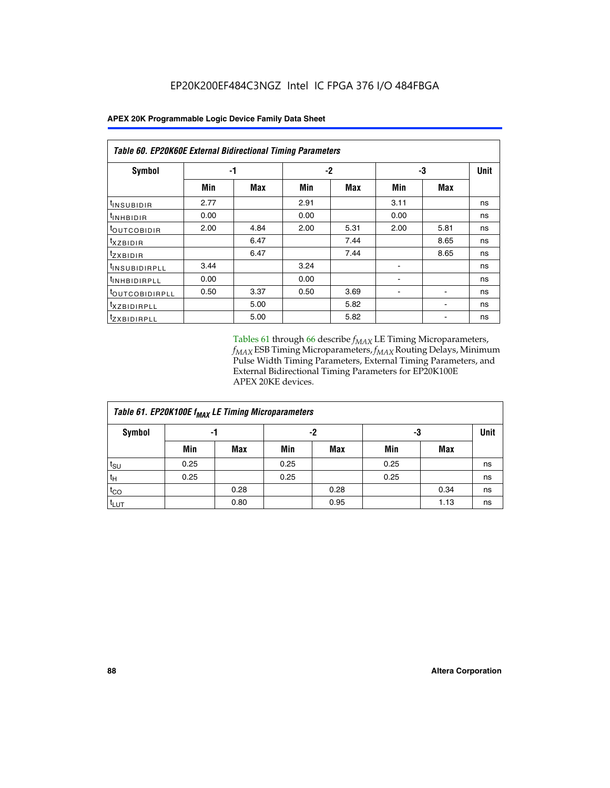| Table 60. EP20K60E External Bidirectional Timing Parameters |      |      |      |      |      |      |             |
|-------------------------------------------------------------|------|------|------|------|------|------|-------------|
| Symbol                                                      | -1   |      |      | $-2$ |      | -3   | <b>Unit</b> |
|                                                             | Min  | Max  | Min  | Max  | Min  | Max  |             |
| t <sub>INSUBIDIR</sub>                                      | 2.77 |      | 2.91 |      | 3.11 |      | ns          |
| $t_{\rm INHBIDIR}$                                          | 0.00 |      | 0.00 |      | 0.00 |      | ns          |
| <sup>t</sup> OUTCOBIDIR                                     | 2.00 | 4.84 | 2.00 | 5.31 | 2.00 | 5.81 | ns          |
| $t_{XZBIDIR}$                                               |      | 6.47 |      | 7.44 |      | 8.65 | ns          |
| <sup>t</sup> zxbidir                                        |      | 6.47 |      | 7.44 |      | 8.65 | ns          |
| <sup>t</sup> INSUBIDIRPLL                                   | 3.44 |      | 3.24 |      |      |      | ns          |
| <sup>t</sup> INHBIDIRPLL                                    | 0.00 |      | 0.00 |      |      |      | ns          |
| <b><i>LOUTCOBIDIRPLL</i></b>                                | 0.50 | 3.37 | 0.50 | 3.69 |      |      | ns          |
| <sup>t</sup> XZBIDIRPLL                                     |      | 5.00 |      | 5.82 |      |      | ns          |
| <sup>I</sup> ZXBIDIRPLL                                     |      | 5.00 |      | 5.82 |      |      | ns          |

Tables 61 through 66 describe  $f_{MAX}$  LE Timing Microparameters, *fMAX* ESB Timing Microparameters, *fMAX* Routing Delays, Minimum Pulse Width Timing Parameters, External Timing Parameters, and External Bidirectional Timing Parameters for EP20K100E APEX 20KE devices.

| Table 61. EP20K100E f <sub>MAX</sub> LE Timing Microparameters |      |      |      |            |      |            |             |  |  |  |  |
|----------------------------------------------------------------|------|------|------|------------|------|------------|-------------|--|--|--|--|
| <b>Symbol</b>                                                  |      | -1   |      | -2         |      | -3         | <b>Unit</b> |  |  |  |  |
|                                                                | Min  | Max  | Min  | <b>Max</b> | Min  | <b>Max</b> |             |  |  |  |  |
| $t_{\text{SU}}$                                                | 0.25 |      | 0.25 |            | 0.25 |            | ns          |  |  |  |  |
| tμ                                                             | 0.25 |      | 0.25 |            | 0.25 |            | ns          |  |  |  |  |
| $t_{CO}$                                                       |      | 0.28 |      | 0.28       |      | 0.34       | ns          |  |  |  |  |
| t <sub>LUT</sub>                                               |      | 0.80 |      | 0.95       |      | 1.13       | ns          |  |  |  |  |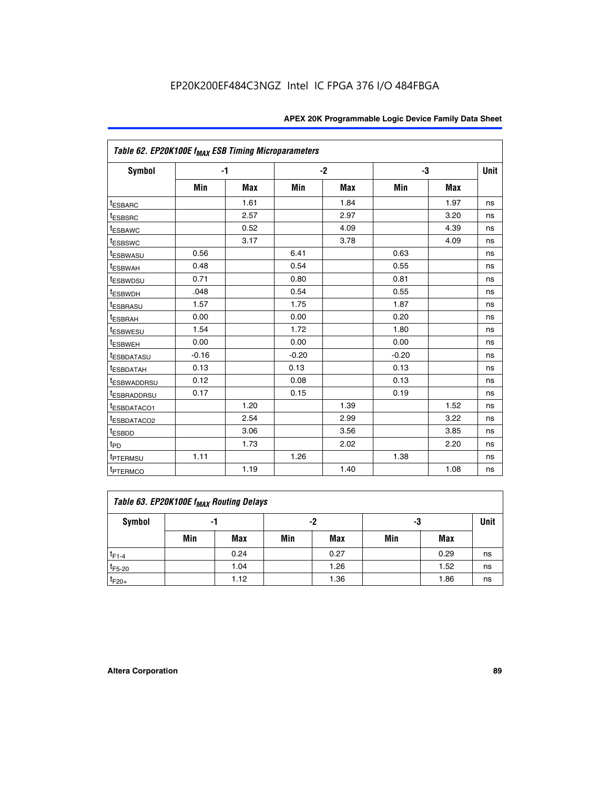| Table 62. EP20K100E f <sub>MAX</sub> ESB Timing Microparameters |         |            |         |      |         |            |             |
|-----------------------------------------------------------------|---------|------------|---------|------|---------|------------|-------------|
| <b>Symbol</b>                                                   |         | $-1$       |         | $-2$ |         | -3         | <b>Unit</b> |
|                                                                 | Min     | <b>Max</b> | Min     | Max  | Min     | <b>Max</b> |             |
| <sup>t</sup> ESBARC                                             |         | 1.61       |         | 1.84 |         | 1.97       | ns          |
| <sup>t</sup> ESBSRC                                             |         | 2.57       |         | 2.97 |         | 3.20       | ns          |
| <sup>t</sup> ESBAWC                                             |         | 0.52       |         | 4.09 |         | 4.39       | ns          |
| <sup>t</sup> ESBSWC                                             |         | 3.17       |         | 3.78 |         | 4.09       | ns          |
| <sup>t</sup> ESBWASU                                            | 0.56    |            | 6.41    |      | 0.63    |            | ns          |
| <sup>t</sup> ESBWAH                                             | 0.48    |            | 0.54    |      | 0.55    |            | ns          |
| <sup>t</sup> ESBWDSU                                            | 0.71    |            | 0.80    |      | 0.81    |            | ns          |
| t <sub>ESBWDH</sub>                                             | .048    |            | 0.54    |      | 0.55    |            | ns          |
| <sup>t</sup> ESBRASU                                            | 1.57    |            | 1.75    |      | 1.87    |            | ns          |
| t <sub>ESBRAH</sub>                                             | 0.00    |            | 0.00    |      | 0.20    |            | ns          |
| <b>ESBWESU</b>                                                  | 1.54    |            | 1.72    |      | 1.80    |            | ns          |
| t <sub>ESBWEH</sub>                                             | 0.00    |            | 0.00    |      | 0.00    |            | ns          |
| <sup>t</sup> ESBDATASU                                          | $-0.16$ |            | $-0.20$ |      | $-0.20$ |            | ns          |
| <sup>t</sup> ESBDATAH                                           | 0.13    |            | 0.13    |      | 0.13    |            | ns          |
| <sup>t</sup> ESBWADDRSU                                         | 0.12    |            | 0.08    |      | 0.13    |            | ns          |
| <sup>t</sup> ESBRADDRSU                                         | 0.17    |            | 0.15    |      | 0.19    |            | ns          |
| ESBDATACO1                                                      |         | 1.20       |         | 1.39 |         | 1.52       | ns          |
| <sup>t</sup> ESBDATACO2                                         |         | 2.54       |         | 2.99 |         | 3.22       | ns          |
| <sup>t</sup> ESBDD                                              |         | 3.06       |         | 3.56 |         | 3.85       | ns          |
| $t_{\mathsf{PD}}$                                               |         | 1.73       |         | 2.02 |         | 2.20       | ns          |
| t <sub>PTERMSU</sub>                                            | 1.11    |            | 1.26    |      | 1.38    |            | ns          |
| <sup>t</sup> PTERMCO                                            |         | 1.19       |         | 1.40 |         | 1.08       | ns          |

| Table 63. EP20K100E f <sub>MAX</sub> Routing Delays |     |      |     |            |     |      |    |  |  |  |
|-----------------------------------------------------|-----|------|-----|------------|-----|------|----|--|--|--|
| Symbol                                              |     | -1   |     | -2         |     | -3   |    |  |  |  |
|                                                     | Min | Max  | Min | <b>Max</b> | Min | Max  |    |  |  |  |
| $t_{F1-4}$                                          |     | 0.24 |     | 0.27       |     | 0.29 | ns |  |  |  |
| $t_{F5-20}$                                         |     | 1.04 |     | 1.26       |     | 1.52 | ns |  |  |  |
| $t_{F20+}$                                          |     | 1.12 |     | 1.36       |     | 1.86 | ns |  |  |  |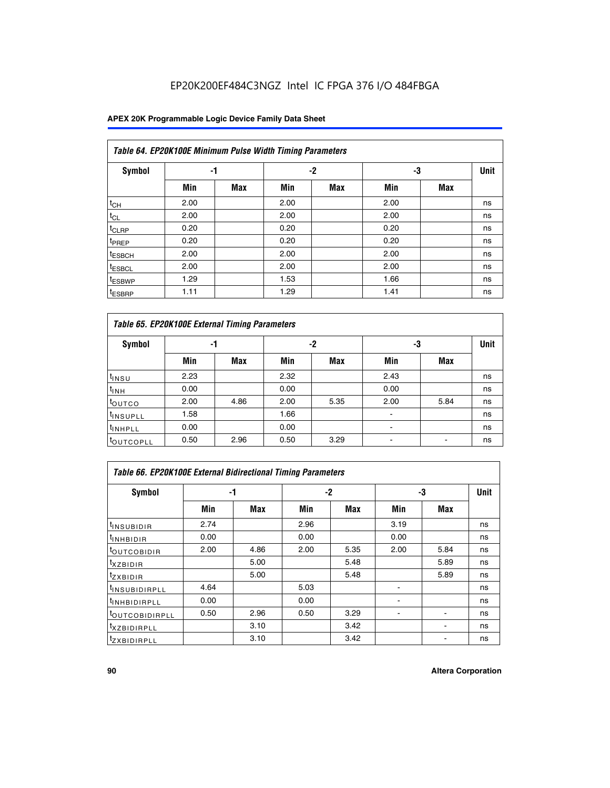### **APEX 20K Programmable Logic Device Family Data Sheet**

|                    | Table 64. EP20K100E Minimum Pulse Width Timing Parameters |            |      |            |      |            |             |  |  |  |  |  |
|--------------------|-----------------------------------------------------------|------------|------|------------|------|------------|-------------|--|--|--|--|--|
| <b>Symbol</b>      | -1                                                        |            |      | -2         | -3   |            | <b>Unit</b> |  |  |  |  |  |
|                    | Min                                                       | <b>Max</b> | Min  | <b>Max</b> | Min  | <b>Max</b> |             |  |  |  |  |  |
| $t_{CH}$           | 2.00                                                      |            | 2.00 |            | 2.00 |            | ns          |  |  |  |  |  |
| $t_{CL}$           | 2.00                                                      |            | 2.00 |            | 2.00 |            | ns          |  |  |  |  |  |
| $t_{CLRP}$         | 0.20                                                      |            | 0.20 |            | 0.20 |            | ns          |  |  |  |  |  |
| <sup>t</sup> PREP  | 0.20                                                      |            | 0.20 |            | 0.20 |            | ns          |  |  |  |  |  |
| <sup>t</sup> ESBCH | 2.00                                                      |            | 2.00 |            | 2.00 |            | ns          |  |  |  |  |  |
| <sup>t</sup> ESBCL | 2.00                                                      |            | 2.00 |            | 2.00 |            | ns          |  |  |  |  |  |
| <sup>t</sup> ESBWP | 1.29                                                      |            | 1.53 |            | 1.66 |            | ns          |  |  |  |  |  |
| <sup>t</sup> ESBRP | 1.11                                                      |            | 1.29 |            | 1.41 |            | ns          |  |  |  |  |  |

|                      | Table 65. EP20K100E External Timing Parameters |            |      |            |                          |            |             |  |  |  |  |  |
|----------------------|------------------------------------------------|------------|------|------------|--------------------------|------------|-------------|--|--|--|--|--|
| <b>Symbol</b>        | -1                                             |            |      | -2         | -3                       |            | <b>Unit</b> |  |  |  |  |  |
|                      | Min                                            | <b>Max</b> | Min  | <b>Max</b> | Min                      | <b>Max</b> |             |  |  |  |  |  |
| t <sub>INSU</sub>    | 2.23                                           |            | 2.32 |            | 2.43                     |            | ns          |  |  |  |  |  |
| $t_{\rm INH}$        | 0.00                                           |            | 0.00 |            | 0.00                     |            | ns          |  |  |  |  |  |
| toutco               | 2.00                                           | 4.86       | 2.00 | 5.35       | 2.00                     | 5.84       | ns          |  |  |  |  |  |
| <sup>t</sup> INSUPLL | 1.58                                           |            | 1.66 |            |                          |            | ns          |  |  |  |  |  |
| <sup>t</sup> INHPLL  | 0.00                                           |            | 0.00 |            | $\overline{\phantom{a}}$ |            | ns          |  |  |  |  |  |
| <b>LOUTCOPLL</b>     | 0.50                                           | 2.96       | 0.50 | 3.29       | -                        |            | ns          |  |  |  |  |  |

| Table 66. EP20K100E External Bidirectional Timing Parameters |      |      |      |      |      |            |      |  |  |  |  |
|--------------------------------------------------------------|------|------|------|------|------|------------|------|--|--|--|--|
| Symbol                                                       |      | -1   |      | $-2$ |      | -3         | Unit |  |  |  |  |
|                                                              | Min  | Max  | Min  | Max  | Min  | <b>Max</b> |      |  |  |  |  |
| <sup>t</sup> INSUBIDIR                                       | 2.74 |      | 2.96 |      | 3.19 |            | ns   |  |  |  |  |
| <b>TINHBIDIR</b>                                             | 0.00 |      | 0.00 |      | 0.00 |            | ns   |  |  |  |  |
| <b>LOUTCOBIDIR</b>                                           | 2.00 | 4.86 | 2.00 | 5.35 | 2.00 | 5.84       | ns   |  |  |  |  |
| <sup>T</sup> XZBIDIR                                         |      | 5.00 |      | 5.48 |      | 5.89       | ns   |  |  |  |  |
| $I_{Z}$ XBIDIR                                               |      | 5.00 |      | 5.48 |      | 5.89       | ns   |  |  |  |  |
| <sup>t</sup> INSUBIDIRPLL                                    | 4.64 |      | 5.03 |      |      |            | ns   |  |  |  |  |
| <sup>I</sup> INHBIDIRPLL                                     | 0.00 |      | 0.00 |      |      |            | ns   |  |  |  |  |
| <b><i>COUTCOBIDIRPLL</i></b>                                 | 0.50 | 2.96 | 0.50 | 3.29 |      |            | ns   |  |  |  |  |
| <sup>I</sup> XZBIDIRPLL                                      |      | 3.10 |      | 3.42 |      |            | ns   |  |  |  |  |
| <sup>I</sup> ZXBIDIRPLL                                      |      | 3.10 |      | 3.42 |      |            | ns   |  |  |  |  |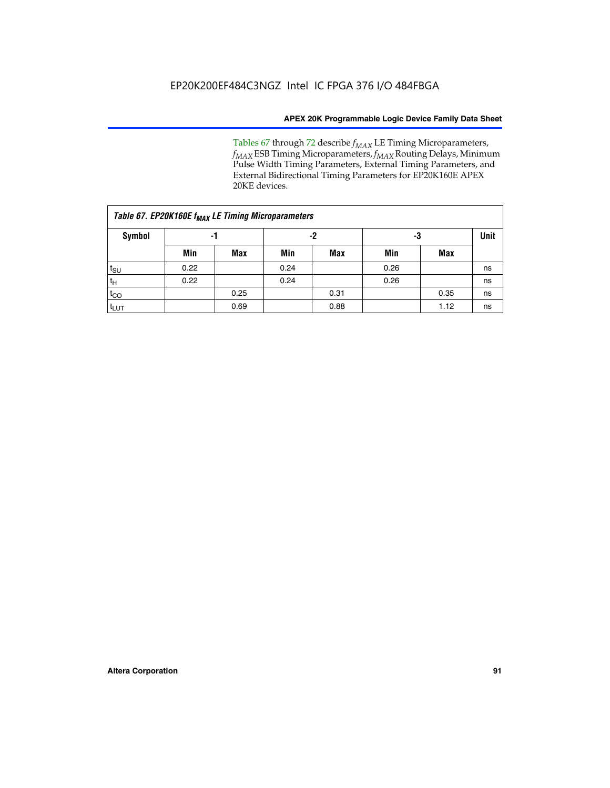Tables 67 through 72 describe *f<sub>MAX</sub>* LE Timing Microparameters, *f<sub>MAX</sub>* ESB Timing Microparameters, *f<sub>MAX</sub>* Routing Delays, Minimum Pulse Width Timing Parameters, External Timing Parameters, and External Bidirectional Timing Parameters for EP20K160E APEX 20KE devices.

| Table 67. EP20K160E f <sub>MAX</sub> LE Timing Microparameters |      |            |      |            |      |      |    |  |  |  |  |
|----------------------------------------------------------------|------|------------|------|------------|------|------|----|--|--|--|--|
| Symbol                                                         |      | -1         |      | -2         |      | -3   |    |  |  |  |  |
|                                                                | Min  | <b>Max</b> | Min  | <b>Max</b> | Min  | Max  |    |  |  |  |  |
| $t_{\text{SU}}$                                                | 0.22 |            | 0.24 |            | 0.26 |      | ns |  |  |  |  |
| $t_H$                                                          | 0.22 |            | 0.24 |            | 0.26 |      | ns |  |  |  |  |
| $t_{CO}$                                                       |      | 0.25       |      | 0.31       |      | 0.35 | ns |  |  |  |  |
| t <sub>lut</sub>                                               |      | 0.69       |      | 0.88       |      | 1.12 | ns |  |  |  |  |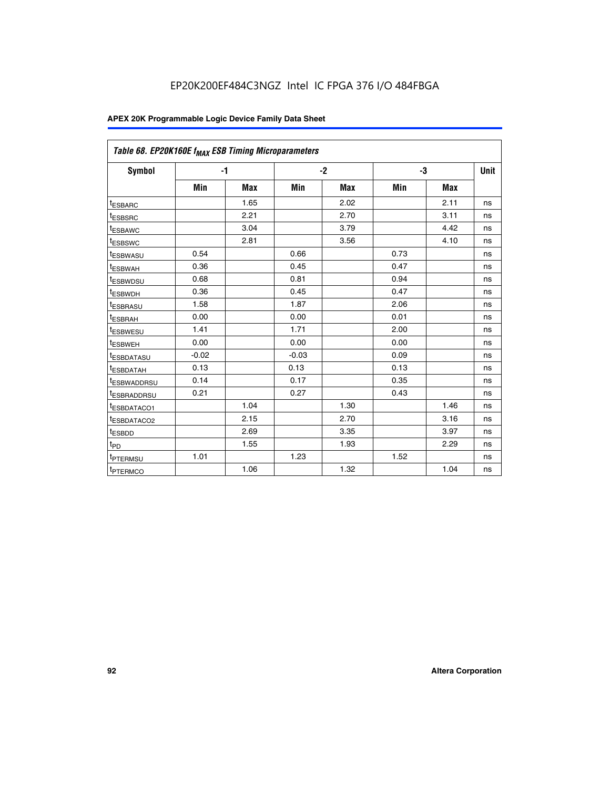| Table 68. EP20K160E f <sub>MAX</sub> ESB Timing Microparameters |         |            |         |            |      |            |      |
|-----------------------------------------------------------------|---------|------------|---------|------------|------|------------|------|
| <b>Symbol</b>                                                   | $-1$    |            |         | $-2$       |      | -3         | Unit |
|                                                                 | Min     | <b>Max</b> | Min     | <b>Max</b> | Min  | <b>Max</b> |      |
| <sup>I</sup> ESBARC                                             |         | 1.65       |         | 2.02       |      | 2.11       | ns   |
| <sup>t</sup> ESBSRC                                             |         | 2.21       |         | 2.70       |      | 3.11       | ns   |
| <sup>t</sup> ESBAWC                                             |         | 3.04       |         | 3.79       |      | 4.42       | ns   |
| <sup>I</sup> ESBSWC                                             |         | 2.81       |         | 3.56       |      | 4.10       | ns   |
| <sup>t</sup> ESBWASU                                            | 0.54    |            | 0.66    |            | 0.73 |            | ns   |
| <sup>t</sup> ESBWAH                                             | 0.36    |            | 0.45    |            | 0.47 |            | ns   |
| <sup>I</sup> ESBWDSU                                            | 0.68    |            | 0.81    |            | 0.94 |            | ns   |
| <sup>t</sup> ESBWDH                                             | 0.36    |            | 0.45    |            | 0.47 |            | ns   |
| <sup>t</sup> ESBRASU                                            | 1.58    |            | 1.87    |            | 2.06 |            | ns   |
| <sup>t</sup> ESBRAH                                             | 0.00    |            | 0.00    |            | 0.01 |            | ns   |
| <sup>t</sup> ESBWESU                                            | 1.41    |            | 1.71    |            | 2.00 |            | ns   |
| t <sub>ESBWEH</sub>                                             | 0.00    |            | 0.00    |            | 0.00 |            | ns   |
| <sup>t</sup> ESBDATASU                                          | $-0.02$ |            | $-0.03$ |            | 0.09 |            | ns   |
| <sup>t</sup> ESBDATAH                                           | 0.13    |            | 0.13    |            | 0.13 |            | ns   |
| <sup>t</sup> ESBWADDRSU                                         | 0.14    |            | 0.17    |            | 0.35 |            | ns   |
| <sup>t</sup> ESBRADDRSU                                         | 0.21    |            | 0.27    |            | 0.43 |            | ns   |
| IESBDATACO1                                                     |         | 1.04       |         | 1.30       |      | 1.46       | ns   |
| <sup>t</sup> ESBDATACO2                                         |         | 2.15       |         | 2.70       |      | 3.16       | ns   |
| <sup>t</sup> ESBDD                                              |         | 2.69       |         | 3.35       |      | 3.97       | ns   |
| t <sub>PD</sub>                                                 |         | 1.55       |         | 1.93       |      | 2.29       | ns   |
| t <sub>PTERMSU</sub>                                            | 1.01    |            | 1.23    |            | 1.52 |            | ns   |
| <sup>t</sup> PTERMCO                                            |         | 1.06       |         | 1.32       |      | 1.04       | ns   |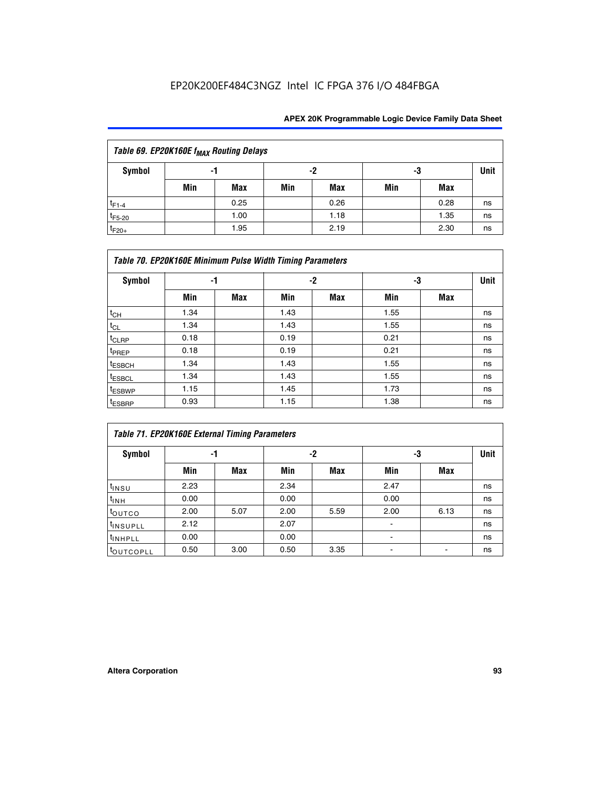| Table 69. EP20K160E f <sub>MAX</sub> Routing Delays |                |      |     |            |     |      |    |  |  |  |
|-----------------------------------------------------|----------------|------|-----|------------|-----|------|----|--|--|--|
| Symbol                                              | -2<br>-3<br>-1 |      |     |            |     |      |    |  |  |  |
|                                                     | Min            | Max  | Min | <b>Max</b> | Min | Max  |    |  |  |  |
| $t_{F1-4}$                                          |                | 0.25 |     | 0.26       |     | 0.28 | ns |  |  |  |
| $t_{F5-20}$                                         |                | 1.00 |     | 1.18       |     | 1.35 | ns |  |  |  |
| $t_{F20+}$                                          |                | 1.95 |     | 2.19       |     | 2.30 | ns |  |  |  |

|                    | Table 70. EP20K160E Minimum Pulse Width Timing Parameters |            |      |            |      |     |             |  |  |  |  |  |
|--------------------|-----------------------------------------------------------|------------|------|------------|------|-----|-------------|--|--|--|--|--|
| <b>Symbol</b>      |                                                           | -1         |      | -2         |      | -3  | <b>Unit</b> |  |  |  |  |  |
|                    | Min                                                       | <b>Max</b> | Min  | <b>Max</b> | Min  | Max |             |  |  |  |  |  |
| $t_{CH}$           | 1.34                                                      |            | 1.43 |            | 1.55 |     | ns          |  |  |  |  |  |
| $t_{CL}$           | 1.34                                                      |            | 1.43 |            | 1.55 |     | ns          |  |  |  |  |  |
| $t_{CLRP}$         | 0.18                                                      |            | 0.19 |            | 0.21 |     | ns          |  |  |  |  |  |
| t <sub>PREP</sub>  | 0.18                                                      |            | 0.19 |            | 0.21 |     | ns          |  |  |  |  |  |
| <sup>t</sup> ESBCH | 1.34                                                      |            | 1.43 |            | 1.55 |     | ns          |  |  |  |  |  |
| <sup>t</sup> ESBCL | 1.34                                                      |            | 1.43 |            | 1.55 |     | ns          |  |  |  |  |  |
| <sup>t</sup> ESBWP | 1.15                                                      |            | 1.45 |            | 1.73 |     | ns          |  |  |  |  |  |
| <sup>t</sup> ESBRP | 0.93                                                      |            | 1.15 |            | 1.38 |     | ns          |  |  |  |  |  |

| Table 71. EP20K160E External Timing Parameters |      |      |      |      |                          |      |             |  |  |  |  |
|------------------------------------------------|------|------|------|------|--------------------------|------|-------------|--|--|--|--|
| Symbol                                         |      | -1   |      | -2   |                          | -3   | <b>Unit</b> |  |  |  |  |
|                                                | Min  | Max  | Min  | Max  | Min                      | Max  |             |  |  |  |  |
| t <sub>INSU</sub>                              | 2.23 |      | 2.34 |      | 2.47                     |      | ns          |  |  |  |  |
| $t_{\text{INH}}$                               | 0.00 |      | 0.00 |      | 0.00                     |      | ns          |  |  |  |  |
| toutco                                         | 2.00 | 5.07 | 2.00 | 5.59 | 2.00                     | 6.13 | ns          |  |  |  |  |
| tinsupLL                                       | 2.12 |      | 2.07 |      | $\overline{\phantom{a}}$ |      | ns          |  |  |  |  |
| <sup>t</sup> INHPLL                            | 0.00 |      | 0.00 |      | ۰                        |      | ns          |  |  |  |  |
| <b>COUTCOPLL</b>                               | 0.50 | 3.00 | 0.50 | 3.35 |                          |      | ns          |  |  |  |  |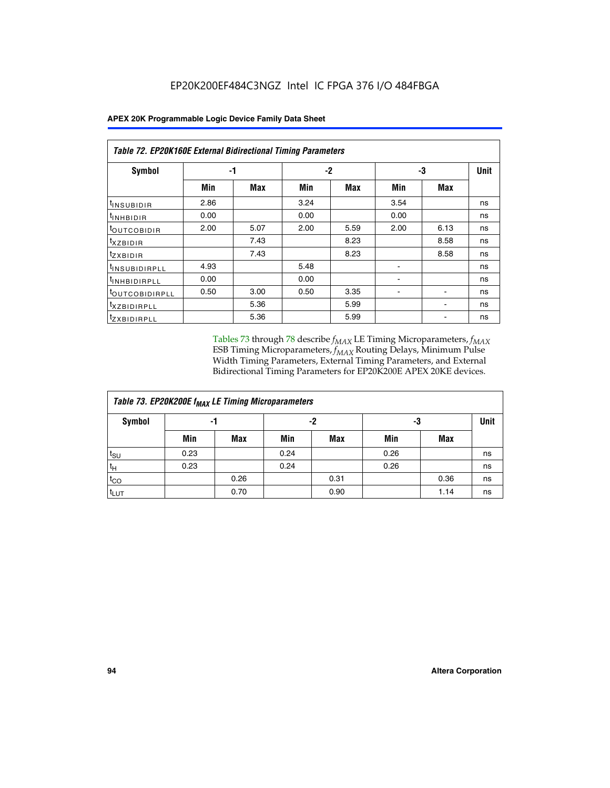| <b>Table 72. EP20K160E External Bidirectional Timing Parameters</b> |      |      |      |      |      |      |      |  |  |  |  |
|---------------------------------------------------------------------|------|------|------|------|------|------|------|--|--|--|--|
| Symbol                                                              |      | -1   | $-2$ |      | -3   |      | Unit |  |  |  |  |
|                                                                     | Min  | Max  | Min  | Max  | Min  | Max  |      |  |  |  |  |
| t <sub>insubidir</sub>                                              | 2.86 |      | 3.24 |      | 3.54 |      | ns   |  |  |  |  |
| $t_{\text{INHBIDIR}}$                                               | 0.00 |      | 0.00 |      | 0.00 |      | ns   |  |  |  |  |
| <sup>t</sup> OUTCOBIDIR                                             | 2.00 | 5.07 | 2.00 | 5.59 | 2.00 | 6.13 | ns   |  |  |  |  |
| $t_{XZBIDIR}$                                                       |      | 7.43 |      | 8.23 |      | 8.58 | ns   |  |  |  |  |
| <sup>t</sup> zxbidir                                                |      | 7.43 |      | 8.23 |      | 8.58 | ns   |  |  |  |  |
| <sup>t</sup> INSUBIDIRPLL                                           | 4.93 |      | 5.48 |      |      |      | ns   |  |  |  |  |
| <sup>t</sup> INHBIDIRPLL                                            | 0.00 |      | 0.00 |      | ۰    |      | ns   |  |  |  |  |
| <b><i>LOUTCOBIDIRPLL</i></b>                                        | 0.50 | 3.00 | 0.50 | 3.35 |      |      | ns   |  |  |  |  |
| <sup>T</sup> XZBIDIRPLL                                             |      | 5.36 |      | 5.99 |      |      | ns   |  |  |  |  |
| <sup>t</sup> ZXBIDIRPLL                                             |      | 5.36 |      | 5.99 |      |      | ns   |  |  |  |  |

Tables 73 through 78 describe  $f_{MAX}$  LE Timing Microparameters,  $f_{MAX}$ ESB Timing Microparameters, *f<sub>MAX</sub>* Routing Delays, Minimum Pulse Width Timing Parameters, External Timing Parameters, and External Bidirectional Timing Parameters for EP20K200E APEX 20KE devices.

| Table 73. EP20K200E f <sub>MAX</sub> LE Timing Microparameters |      |            |      |      |      |             |    |  |  |  |  |
|----------------------------------------------------------------|------|------------|------|------|------|-------------|----|--|--|--|--|
| <b>Symbol</b>                                                  |      | -1         |      | -2   | -3   | <b>Unit</b> |    |  |  |  |  |
|                                                                | Min  | <b>Max</b> | Min  | Max  | Min  | <b>Max</b>  |    |  |  |  |  |
| $t_{\text{SU}}$                                                | 0.23 |            | 0.24 |      | 0.26 |             | ns |  |  |  |  |
| tμ                                                             | 0.23 |            | 0.24 |      | 0.26 |             | ns |  |  |  |  |
| $t_{CO}$                                                       |      | 0.26       |      | 0.31 |      | 0.36        | ns |  |  |  |  |
| t <sub>LUT</sub>                                               |      | 0.70       |      | 0.90 |      | 1.14        | ns |  |  |  |  |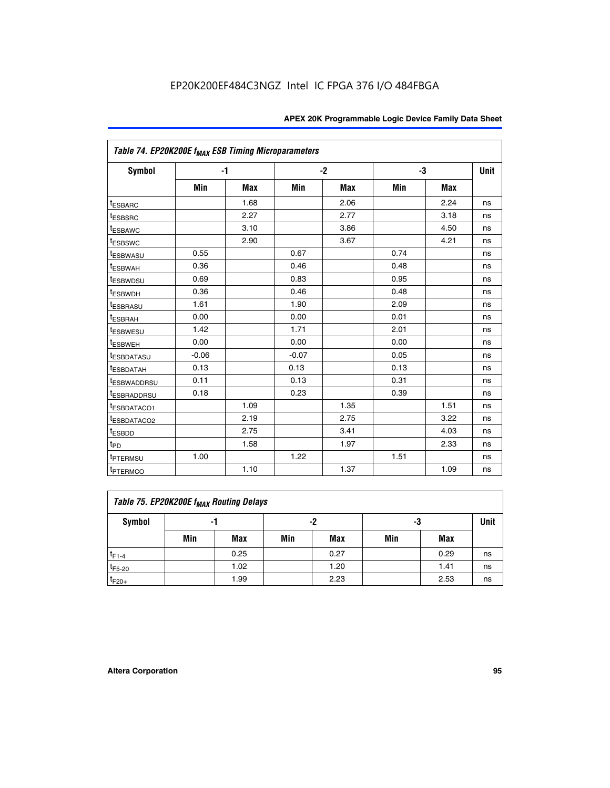| Table 74. EP20K200E f <sub>MAX</sub> ESB Timing Microparameters |         |            |         |            |      |            |      |
|-----------------------------------------------------------------|---------|------------|---------|------------|------|------------|------|
| Symbol                                                          | $-1$    |            |         | $-2$       |      | -3         | Unit |
|                                                                 | Min     | <b>Max</b> | Min     | <b>Max</b> | Min  | <b>Max</b> |      |
| <sup>t</sup> ESBARC                                             |         | 1.68       |         | 2.06       |      | 2.24       | ns   |
| <sup>t</sup> ESBSRC                                             |         | 2.27       |         | 2.77       |      | 3.18       | ns   |
| t <sub>ESBAWC</sub>                                             |         | 3.10       |         | 3.86       |      | 4.50       | ns   |
| <sup>t</sup> ESBSWC                                             |         | 2.90       |         | 3.67       |      | 4.21       | ns   |
| t <sub>ESBWASU</sub>                                            | 0.55    |            | 0.67    |            | 0.74 |            | ns   |
| <sup>t</sup> ESBWAH                                             | 0.36    |            | 0.46    |            | 0.48 |            | ns   |
| <sup>t</sup> ESBWDSU                                            | 0.69    |            | 0.83    |            | 0.95 |            | ns   |
| t <sub>ESBWDH</sub>                                             | 0.36    |            | 0.46    |            | 0.48 |            | ns   |
| <sup>t</sup> ESBRASU                                            | 1.61    |            | 1.90    |            | 2.09 |            | ns   |
| <sup>t</sup> ESBRAH                                             | 0.00    |            | 0.00    |            | 0.01 |            | ns   |
| <i>t</i> ESBWESU                                                | 1.42    |            | 1.71    |            | 2.01 |            | ns   |
| <sup>t</sup> ESBWEH                                             | 0.00    |            | 0.00    |            | 0.00 |            | ns   |
| <sup>t</sup> ESBDATASU                                          | $-0.06$ |            | $-0.07$ |            | 0.05 |            | ns   |
| <sup>I</sup> ESBDATAH                                           | 0.13    |            | 0.13    |            | 0.13 |            | ns   |
| <sup>t</sup> ESBWADDRSU                                         | 0.11    |            | 0.13    |            | 0.31 |            | ns   |
| <sup>t</sup> ESBRADDRSU                                         | 0.18    |            | 0.23    |            | 0.39 |            | ns   |
| <sup>t</sup> ESBDATACO1                                         |         | 1.09       |         | 1.35       |      | 1.51       | ns   |
| <sup>t</sup> ESBDATACO <sub>2</sub>                             |         | 2.19       |         | 2.75       |      | 3.22       | ns   |
| t <sub>ESBDD</sub>                                              |         | 2.75       |         | 3.41       |      | 4.03       | ns   |
| $t_{\text{PD}}$                                                 |         | 1.58       |         | 1.97       |      | 2.33       | ns   |
| <sup>t</sup> PTERMSU                                            | 1.00    |            | 1.22    |            | 1.51 |            | ns   |
| t <sub>PTERMCO</sub>                                            |         | 1.10       |         | 1.37       |      | 1.09       | ns   |

| Table 75. EP20K200E f <sub>MAX</sub> Routing Delays |     |                |     |      |     |      |    |  |  |  |
|-----------------------------------------------------|-----|----------------|-----|------|-----|------|----|--|--|--|
| <b>Symbol</b>                                       |     | -2<br>-3<br>-1 |     |      |     |      |    |  |  |  |
|                                                     | Min | Max            | Min | Max  | Min | Max  |    |  |  |  |
| $t_{F1-4}$                                          |     | 0.25           |     | 0.27 |     | 0.29 | ns |  |  |  |
| $t_{F5-20}$                                         |     | 1.02           |     | 1.20 |     | 1.41 | ns |  |  |  |
| $t_{F20+}$                                          |     | 1.99           |     | 2.23 |     | 2.53 | ns |  |  |  |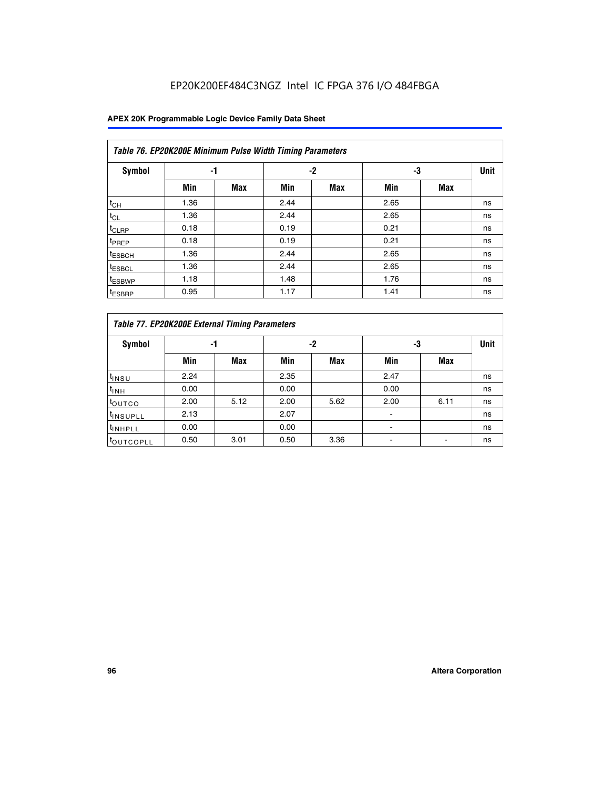| Table 76. EP20K200E Minimum Pulse Width Timing Parameters |      |            |      |            |      |            |             |  |  |  |  |
|-----------------------------------------------------------|------|------------|------|------------|------|------------|-------------|--|--|--|--|
| <b>Symbol</b>                                             | -1   |            |      | $-2$       | -3   |            | <b>Unit</b> |  |  |  |  |
|                                                           | Min  | <b>Max</b> | Min  | <b>Max</b> | Min  | <b>Max</b> |             |  |  |  |  |
| $t_{CH}$                                                  | 1.36 |            | 2.44 |            | 2.65 |            | ns          |  |  |  |  |
| $t_{CL}$                                                  | 1.36 |            | 2.44 |            | 2.65 |            | ns          |  |  |  |  |
| $t_{CLRP}$                                                | 0.18 |            | 0.19 |            | 0.21 |            | ns          |  |  |  |  |
| t <sub>PREP</sub>                                         | 0.18 |            | 0.19 |            | 0.21 |            | ns          |  |  |  |  |
| <sup>t</sup> ESBCH                                        | 1.36 |            | 2.44 |            | 2.65 |            | ns          |  |  |  |  |
| t <sub>ESBCL</sub>                                        | 1.36 |            | 2.44 |            | 2.65 |            | ns          |  |  |  |  |
| <sup>t</sup> ESBWP                                        | 1.18 |            | 1.48 |            | 1.76 |            | ns          |  |  |  |  |
| <sup>t</sup> ESBRP                                        | 0.95 |            | 1.17 |            | 1.41 |            | ns          |  |  |  |  |

|                       | Table 77. EP20K200E External Timing Parameters |            |      |            |      |      |             |  |  |  |  |  |
|-----------------------|------------------------------------------------|------------|------|------------|------|------|-------------|--|--|--|--|--|
| <b>Symbol</b>         |                                                | -1         |      | -2         |      | -3   | <b>Unit</b> |  |  |  |  |  |
|                       | Min                                            | <b>Max</b> | Min  | <b>Max</b> | Min  | Max  |             |  |  |  |  |  |
| t <sub>INSU</sub>     | 2.24                                           |            | 2.35 |            | 2.47 |      | ns          |  |  |  |  |  |
| $t_{\text{INH}}$      | 0.00                                           |            | 0.00 |            | 0.00 |      | ns          |  |  |  |  |  |
| toutco                | 2.00                                           | 5.12       | 2.00 | 5.62       | 2.00 | 6.11 | ns          |  |  |  |  |  |
| <sup>t</sup> INSUPLL  | 2.13                                           |            | 2.07 |            |      |      | ns          |  |  |  |  |  |
| <sup>t</sup> INHPLL   | 0.00                                           |            | 0.00 |            |      |      | ns          |  |  |  |  |  |
| <sup>I</sup> OUTCOPLL | 0.50                                           | 3.01       | 0.50 | 3.36       |      |      | ns          |  |  |  |  |  |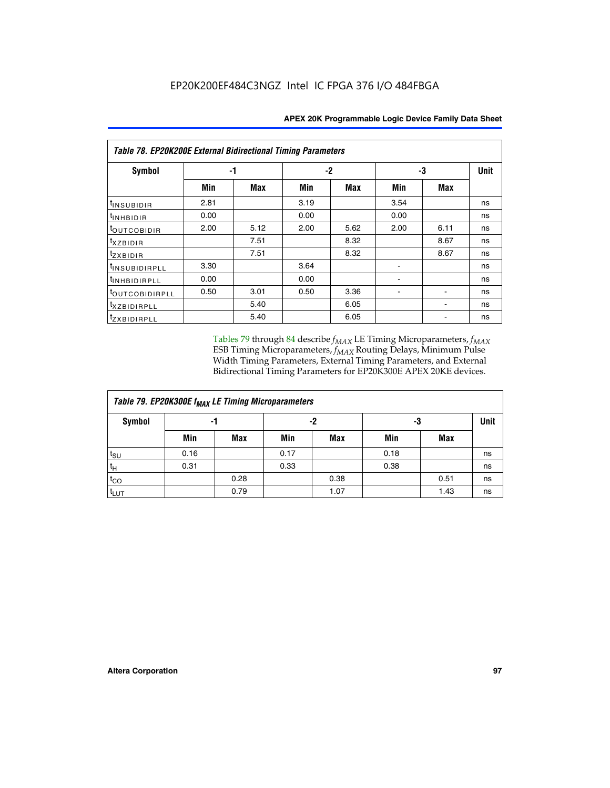| <b>Table 78. EP20K200E External Bidirectional Timing Parameters</b> |      |      |      |      |      |      |    |  |  |  |  |
|---------------------------------------------------------------------|------|------|------|------|------|------|----|--|--|--|--|
| Symbol                                                              |      | -1   |      | -2   |      | -3   |    |  |  |  |  |
|                                                                     | Min  | Max  | Min  | Max  | Min  | Max  |    |  |  |  |  |
| $t_{INSUBIDIR}$                                                     | 2.81 |      | 3.19 |      | 3.54 |      | ns |  |  |  |  |
| t <sub>INHBIDIR</sub>                                               | 0.00 |      | 0.00 |      | 0.00 |      | ns |  |  |  |  |
| toutcobidir                                                         | 2.00 | 5.12 | 2.00 | 5.62 | 2.00 | 6.11 | ns |  |  |  |  |
| <i>txzbidir</i>                                                     |      | 7.51 |      | 8.32 |      | 8.67 | ns |  |  |  |  |
| tzxbidir                                                            |      | 7.51 |      | 8.32 |      | 8.67 | ns |  |  |  |  |
| t <sub>INSUBIDIRPLL</sub>                                           | 3.30 |      | 3.64 |      |      |      | ns |  |  |  |  |
| tINHBIDIRPLL                                                        | 0.00 |      | 0.00 |      |      |      | ns |  |  |  |  |
| toutco <u>bidirpll</u>                                              | 0.50 | 3.01 | 0.50 | 3.36 |      |      | ns |  |  |  |  |
| txzBIDIRPLL                                                         |      | 5.40 |      | 6.05 |      |      | ns |  |  |  |  |
| tzxBIDIRPLL                                                         |      | 5.40 |      | 6.05 |      |      | ns |  |  |  |  |

Tables 79 through 84 describe  $f_{MAX}$  LE Timing Microparameters,  $f_{MAX}$ ESB Timing Microparameters, *f<sub>MAX</sub>* Routing Delays, Minimum Pulse Width Timing Parameters, External Timing Parameters, and External Bidirectional Timing Parameters for EP20K300E APEX 20KE devices.

| Table 79. EP20K300E f <sub>MAX</sub> LE Timing Microparameters |      |            |      |            |      |            |    |  |  |  |  |
|----------------------------------------------------------------|------|------------|------|------------|------|------------|----|--|--|--|--|
| <b>Symbol</b>                                                  |      | -1         |      | -2         |      | -3         |    |  |  |  |  |
|                                                                | Min  | <b>Max</b> | Min  | <b>Max</b> | Min  | <b>Max</b> |    |  |  |  |  |
| $t_{\text{SU}}$                                                | 0.16 |            | 0.17 |            | 0.18 |            | ns |  |  |  |  |
| $t_H$                                                          | 0.31 |            | 0.33 |            | 0.38 |            | ns |  |  |  |  |
| $t_{CO}$                                                       |      | 0.28       |      | 0.38       |      | 0.51       | ns |  |  |  |  |
| t <sub>LUT</sub>                                               |      | 0.79       |      | 1.07       |      | 1.43       | ns |  |  |  |  |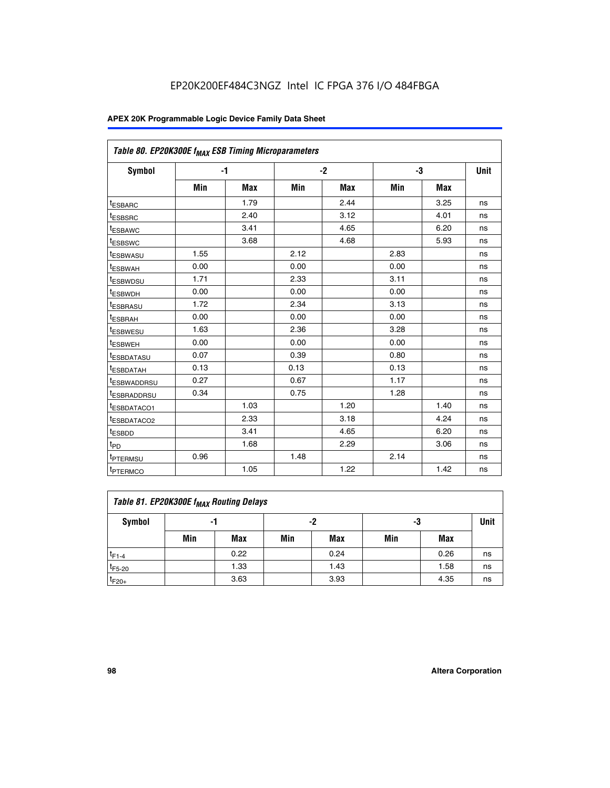| Table 80. EP20K300E f <sub>MAX</sub> ESB Timing Microparameters |      |            |      |            |      |            |      |
|-----------------------------------------------------------------|------|------------|------|------------|------|------------|------|
| Symbol                                                          | -1   |            |      | $-2$       |      | -3         | Unit |
|                                                                 | Min  | <b>Max</b> | Min  | <b>Max</b> | Min  | <b>Max</b> |      |
| t <sub>ESBARC</sub>                                             |      | 1.79       |      | 2.44       |      | 3.25       | ns   |
| t <sub>ESBSRC</sub>                                             |      | 2.40       |      | 3.12       |      | 4.01       | ns   |
| t <sub>ESBAWC</sub>                                             |      | 3.41       |      | 4.65       |      | 6.20       | ns   |
| t <sub>ESBSWC</sub>                                             |      | 3.68       |      | 4.68       |      | 5.93       | ns   |
| <sup>I</sup> ESBWASU                                            | 1.55 |            | 2.12 |            | 2.83 |            | ns   |
| <sup>t</sup> ESBWAH                                             | 0.00 |            | 0.00 |            | 0.00 |            | ns   |
| <sup>I</sup> ESBWDSU                                            | 1.71 |            | 2.33 |            | 3.11 |            | ns   |
| <sup>t</sup> ESBWDH                                             | 0.00 |            | 0.00 |            | 0.00 |            | ns   |
| <sup>t</sup> ESBRASU                                            | 1.72 |            | 2.34 |            | 3.13 |            | ns   |
| t <sub>ESBRAH</sub>                                             | 0.00 |            | 0.00 |            | 0.00 |            | ns   |
| <sup>t</sup> ESBWESU                                            | 1.63 |            | 2.36 |            | 3.28 |            | ns   |
| <sup>t</sup> ESBWEH                                             | 0.00 |            | 0.00 |            | 0.00 |            | ns   |
| t <sub>ESBDATASU</sub>                                          | 0.07 |            | 0.39 |            | 0.80 |            | ns   |
| <sup>t</sup> ESBDATAH                                           | 0.13 |            | 0.13 |            | 0.13 |            | ns   |
| <sup>t</sup> ESBWADDRSU                                         | 0.27 |            | 0.67 |            | 1.17 |            | ns   |
| <sup>t</sup> ESBRADDRSU                                         | 0.34 |            | 0.75 |            | 1.28 |            | ns   |
| <sup>I</sup> ESBDATACO1                                         |      | 1.03       |      | 1.20       |      | 1.40       | ns   |
| <sup>t</sup> ESBDATACO2                                         |      | 2.33       |      | 3.18       |      | 4.24       | ns   |
| <sup>t</sup> ESBDD                                              |      | 3.41       |      | 4.65       |      | 6.20       | ns   |
| t <sub>PD</sub>                                                 |      | 1.68       |      | 2.29       |      | 3.06       | ns   |
| t <sub>PTERMSU</sub>                                            | 0.96 |            | 1.48 |            | 2.14 |            | ns   |
| t <sub>PTERMCO</sub>                                            |      | 1.05       |      | 1.22       |      | 1.42       | ns   |

| Table 81. EP20K300E f <sub>MAX</sub> Routing Delays |                |      |     |      |     |      |    |  |  |  |
|-----------------------------------------------------|----------------|------|-----|------|-----|------|----|--|--|--|
| Symbol                                              | -2<br>-3<br>-1 |      |     |      |     |      |    |  |  |  |
|                                                     | Min            | Max  | Min | Max  | Min | Max  |    |  |  |  |
| $t_{F1-4}$                                          |                | 0.22 |     | 0.24 |     | 0.26 | ns |  |  |  |
| $t_{F5-20}$                                         |                | 1.33 |     | 1.43 |     | 1.58 | ns |  |  |  |
| $t_{F20+}$                                          |                | 3.63 |     | 3.93 |     | 4.35 | ns |  |  |  |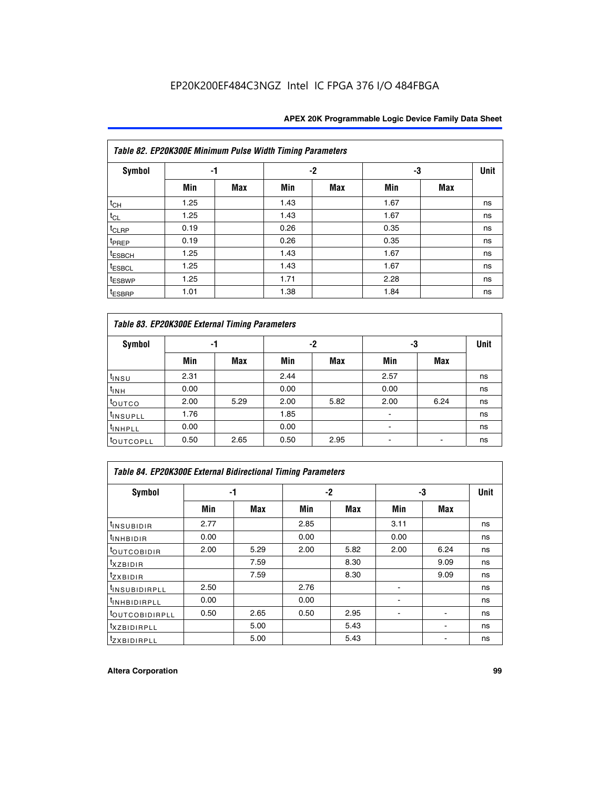|                    | Table 82. EP20K300E Minimum Pulse Width Timing Parameters |            |      |            |      |            |             |  |  |  |  |  |
|--------------------|-----------------------------------------------------------|------------|------|------------|------|------------|-------------|--|--|--|--|--|
| <b>Symbol</b>      | -1                                                        |            |      | $-2$       | -3   |            | <b>Unit</b> |  |  |  |  |  |
|                    | Min                                                       | <b>Max</b> | Min  | <b>Max</b> | Min  | <b>Max</b> |             |  |  |  |  |  |
| $t_{CH}$           | 1.25                                                      |            | 1.43 |            | 1.67 |            | ns          |  |  |  |  |  |
| $t_{CL}$           | 1.25                                                      |            | 1.43 |            | 1.67 |            | ns          |  |  |  |  |  |
| $t_{CLRP}$         | 0.19                                                      |            | 0.26 |            | 0.35 |            | ns          |  |  |  |  |  |
| t <sub>PREP</sub>  | 0.19                                                      |            | 0.26 |            | 0.35 |            | ns          |  |  |  |  |  |
| <sup>t</sup> ESBCH | 1.25                                                      |            | 1.43 |            | 1.67 |            | ns          |  |  |  |  |  |
| <sup>t</sup> ESBCL | 1.25                                                      |            | 1.43 |            | 1.67 |            | ns          |  |  |  |  |  |
| t <sub>ESBWP</sub> | 1.25                                                      |            | 1.71 |            | 2.28 |            | ns          |  |  |  |  |  |
| <sup>t</sup> ESBRP | 1.01                                                      |            | 1.38 |            | 1.84 |            | ns          |  |  |  |  |  |

| Table 83. EP20K300E External Timing Parameters |      |      |      |      |      |            |             |  |  |  |  |
|------------------------------------------------|------|------|------|------|------|------------|-------------|--|--|--|--|
| Symbol                                         |      | -1   |      | -2   | -3   |            | <b>Unit</b> |  |  |  |  |
|                                                | Min  | Max  | Min  | Max  | Min  | <b>Max</b> |             |  |  |  |  |
| t <sub>INSU</sub>                              | 2.31 |      | 2.44 |      | 2.57 |            | ns          |  |  |  |  |
| $t_{INH}$                                      | 0.00 |      | 0.00 |      | 0.00 |            | ns          |  |  |  |  |
| toutco                                         | 2.00 | 5.29 | 2.00 | 5.82 | 2.00 | 6.24       | ns          |  |  |  |  |
| <sup>t</sup> INSUPLL                           | 1.76 |      | 1.85 |      |      |            | ns          |  |  |  |  |
| <sup>t</sup> INHPLL                            | 0.00 |      | 0.00 |      | -    |            | ns          |  |  |  |  |
| <sup>t</sup> OUTCOPLL                          | 0.50 | 2.65 | 0.50 | 2.95 |      |            | ns          |  |  |  |  |

| Table 84. EP20K300E External Bidirectional Timing Parameters |      |      |      |      |      |            |             |  |  |  |  |
|--------------------------------------------------------------|------|------|------|------|------|------------|-------------|--|--|--|--|
| Symbol                                                       |      | -1   |      | $-2$ |      | -3         | <b>Unit</b> |  |  |  |  |
|                                                              | Min  | Max  | Min  | Max  | Min  | <b>Max</b> |             |  |  |  |  |
| <sup>t</sup> INSUBIDIR                                       | 2.77 |      | 2.85 |      | 3.11 |            | ns          |  |  |  |  |
| <b>TINHBIDIR</b>                                             | 0.00 |      | 0.00 |      | 0.00 |            | ns          |  |  |  |  |
| <sup>t</sup> OUTCOBIDIR                                      | 2.00 | 5.29 | 2.00 | 5.82 | 2.00 | 6.24       | ns          |  |  |  |  |
| KZBIDIR                                                      |      | 7.59 |      | 8.30 |      | 9.09       | ns          |  |  |  |  |
| $t_{Z}$ <i>x</i> BIDIR                                       |      | 7.59 |      | 8.30 |      | 9.09       | ns          |  |  |  |  |
| <b>INSUBIDIRPLL</b>                                          | 2.50 |      | 2.76 |      |      |            | ns          |  |  |  |  |
| <sup>t</sup> INHBIDIRPLL                                     | 0.00 |      | 0.00 |      |      |            | ns          |  |  |  |  |
| <sup>t</sup> OUTCOBIDIRPLL                                   | 0.50 | 2.65 | 0.50 | 2.95 |      |            | ns          |  |  |  |  |
| <sup>t</sup> XZBIDIRPLL                                      |      | 5.00 |      | 5.43 |      |            | ns          |  |  |  |  |
| <sup>t</sup> ZXBIDIRPLL                                      |      | 5.00 |      | 5.43 |      |            | ns          |  |  |  |  |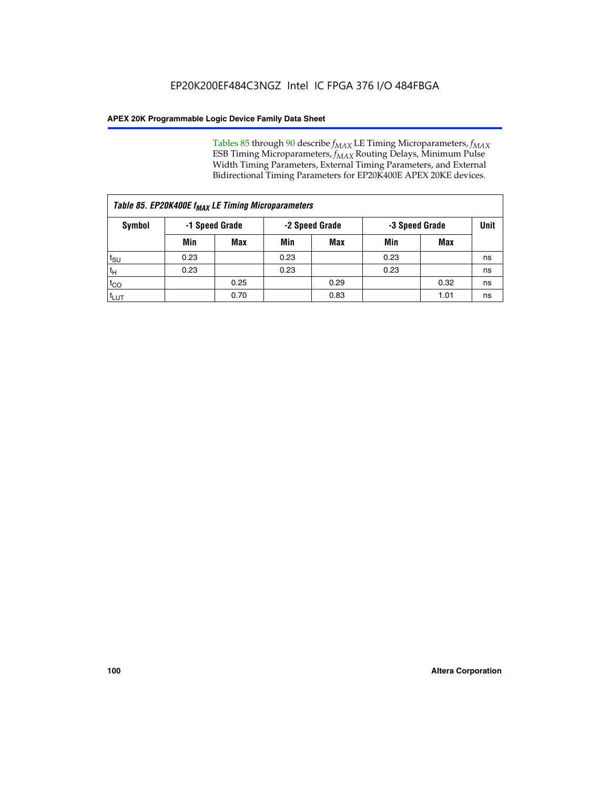Tables 85 through 90 describe  $f_{MAX}$  LE Timing Microparameters,  $f_{MAX}$ ESB Timing Microparameters, *f<sub>MAX</sub>* Routing Delays, Minimum Pulse Width Timing Parameters, External Timing Parameters, and External Bidirectional Timing Parameters for EP20K400E APEX 20KE devices.

| Table 85. EP20K400E f <sub>MAX</sub> LE Timing Microparameters |      |                |      |            |                                  |      |      |  |  |  |  |
|----------------------------------------------------------------|------|----------------|------|------------|----------------------------------|------|------|--|--|--|--|
| Symbol                                                         |      | -1 Speed Grade |      |            | -2 Speed Grade<br>-3 Speed Grade |      | Unit |  |  |  |  |
|                                                                | Min  | <b>Max</b>     | Min  | <b>Max</b> | Min                              | Max  |      |  |  |  |  |
| $t_{\text{SU}}$                                                | 0.23 |                | 0.23 |            | 0.23                             |      | ns   |  |  |  |  |
| $t_H$                                                          | 0.23 |                | 0.23 |            | 0.23                             |      | ns   |  |  |  |  |
| $t_{CO}$                                                       |      | 0.25           |      | 0.29       |                                  | 0.32 | ns   |  |  |  |  |
| ι <sup>t</sup> ιυτ                                             |      | 0.70           |      | 0.83       |                                  | 1.01 | ns   |  |  |  |  |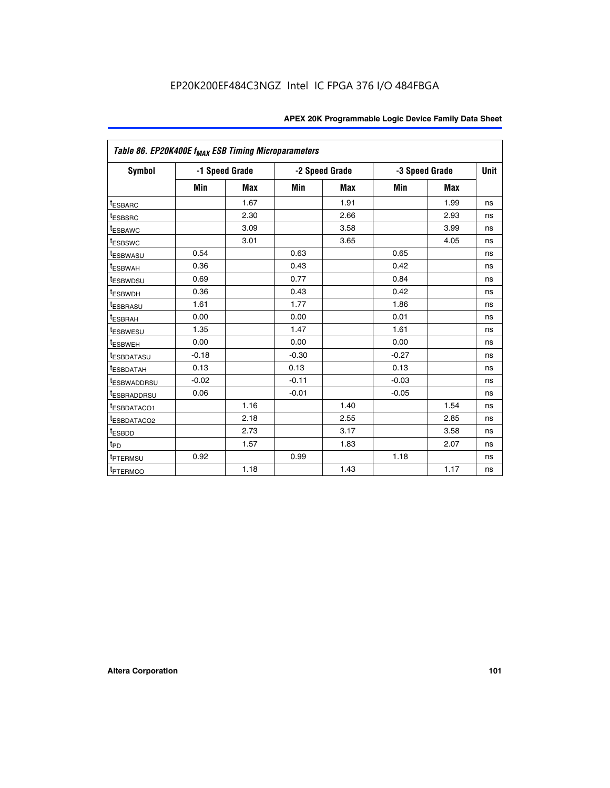| Table 86. EP20K400E f <sub>MAX</sub> ESB Timing Microparameters |                |            |         |                |         |                |             |
|-----------------------------------------------------------------|----------------|------------|---------|----------------|---------|----------------|-------------|
| Symbol                                                          | -1 Speed Grade |            |         | -2 Speed Grade |         | -3 Speed Grade | <b>Unit</b> |
|                                                                 | Min            | <b>Max</b> | Min     | <b>Max</b>     | Min     | <b>Max</b>     |             |
| <sup>t</sup> ESBARC                                             |                | 1.67       |         | 1.91           |         | 1.99           | ns          |
| <sup>t</sup> ESBSRC                                             |                | 2.30       |         | 2.66           |         | 2.93           | ns          |
| <sup>t</sup> ESBAWC                                             |                | 3.09       |         | 3.58           |         | 3.99           | ns          |
| <sup>t</sup> ESBSWC                                             |                | 3.01       |         | 3.65           |         | 4.05           | ns          |
| <sup>t</sup> ESBWASU                                            | 0.54           |            | 0.63    |                | 0.65    |                | ns          |
| <sup>t</sup> ESBWAH                                             | 0.36           |            | 0.43    |                | 0.42    |                | ns          |
| <sup>t</sup> ESBWDSU                                            | 0.69           |            | 0.77    |                | 0.84    |                | ns          |
| <sup>t</sup> ESBWDH                                             | 0.36           |            | 0.43    |                | 0.42    |                | ns          |
| <sup>t</sup> ESBRASU                                            | 1.61           |            | 1.77    |                | 1.86    |                | ns          |
| <sup>t</sup> ESBRAH                                             | 0.00           |            | 0.00    |                | 0.01    |                | ns          |
| t <sub>ESBWESU</sub>                                            | 1.35           |            | 1.47    |                | 1.61    |                | ns          |
| <sup>t</sup> ESBWEH                                             | 0.00           |            | 0.00    |                | 0.00    |                | ns          |
| <sup>t</sup> ESBDATASU                                          | $-0.18$        |            | $-0.30$ |                | $-0.27$ |                | ns          |
| <sup>t</sup> ESBDATAH                                           | 0.13           |            | 0.13    |                | 0.13    |                | ns          |
| <sup>t</sup> ESBWADDRSU                                         | $-0.02$        |            | $-0.11$ |                | $-0.03$ |                | ns          |
| <sup>t</sup> ESBRADDRSU                                         | 0.06           |            | $-0.01$ |                | $-0.05$ |                | ns          |
| <sup>t</sup> ESBDATACO1                                         |                | 1.16       |         | 1.40           |         | 1.54           | ns          |
| <sup>I</sup> ESBDATACO2                                         |                | 2.18       |         | 2.55           |         | 2.85           | ns          |
| <sup>t</sup> ESBDD                                              |                | 2.73       |         | 3.17           |         | 3.58           | ns          |
| $t_{\mathsf{PD}}$                                               |                | 1.57       |         | 1.83           |         | 2.07           | ns          |
| t <sub>PTERMSU</sub>                                            | 0.92           |            | 0.99    |                | 1.18    |                | ns          |
| <sup>t</sup> PTERMCO                                            |                | 1.18       |         | 1.43           |         | 1.17           | ns          |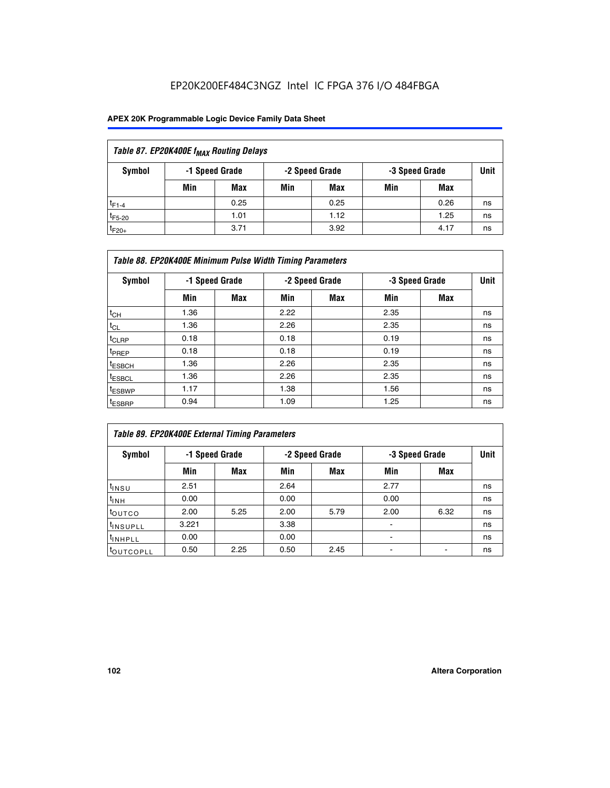| Table 87. EP20K400E f <sub>MAX</sub> Routing Delays |                                                    |            |     |      |     |      |    |  |  |  |
|-----------------------------------------------------|----------------------------------------------------|------------|-----|------|-----|------|----|--|--|--|
| Symbol                                              | -1 Speed Grade<br>-2 Speed Grade<br>-3 Speed Grade |            |     |      |     |      |    |  |  |  |
|                                                     | Min                                                | <b>Max</b> | Min | Max  | Min | Max  |    |  |  |  |
| $t_{F1-4}$                                          |                                                    | 0.25       |     | 0.25 |     | 0.26 | ns |  |  |  |
| $t_{F5-20}$                                         |                                                    | 1.01       |     | 1.12 |     | 1.25 | ns |  |  |  |
| $t_{F20+}$                                          |                                                    | 3.71       |     | 3.92 |     | 4.17 | ns |  |  |  |

|                    | Table 88. EP20K400E Minimum Pulse Width Timing Parameters |                |      |                |      |                |             |  |  |  |  |  |
|--------------------|-----------------------------------------------------------|----------------|------|----------------|------|----------------|-------------|--|--|--|--|--|
| Symbol             |                                                           | -1 Speed Grade |      | -2 Speed Grade |      | -3 Speed Grade | <b>Unit</b> |  |  |  |  |  |
|                    | Min                                                       | <b>Max</b>     | Min  | Max            | Min  | Max            |             |  |  |  |  |  |
| $t_{CH}$           | 1.36                                                      |                | 2.22 |                | 2.35 |                | ns          |  |  |  |  |  |
| $t_{CL}$           | 1.36                                                      |                | 2.26 |                | 2.35 |                | ns          |  |  |  |  |  |
| $t_{CLRP}$         | 0.18                                                      |                | 0.18 |                | 0.19 |                | ns          |  |  |  |  |  |
| <sup>t</sup> PREP  | 0.18                                                      |                | 0.18 |                | 0.19 |                | ns          |  |  |  |  |  |
| <sup>t</sup> ESBCH | 1.36                                                      |                | 2.26 |                | 2.35 |                | ns          |  |  |  |  |  |
| <sup>t</sup> ESBCL | 1.36                                                      |                | 2.26 |                | 2.35 |                | ns          |  |  |  |  |  |
| <sup>t</sup> ESBWP | 1.17                                                      |                | 1.38 |                | 1.56 |                | ns          |  |  |  |  |  |
| <sup>t</sup> ESBRP | 0.94                                                      |                | 1.09 |                | 1.25 |                | ns          |  |  |  |  |  |

| Table 89. EP20K400E External Timing Parameters |                |      |      |                |                          |                |             |  |  |  |  |
|------------------------------------------------|----------------|------|------|----------------|--------------------------|----------------|-------------|--|--|--|--|
| Symbol                                         | -1 Speed Grade |      |      | -2 Speed Grade |                          | -3 Speed Grade | <b>Unit</b> |  |  |  |  |
|                                                | Min            | Max  | Min  | <b>Max</b>     | Min                      | Max            |             |  |  |  |  |
| t <sub>INSU</sub>                              | 2.51           |      | 2.64 |                | 2.77                     |                | ns          |  |  |  |  |
| $t_{INH}$                                      | 0.00           |      | 0.00 |                | 0.00                     |                | ns          |  |  |  |  |
| toutco                                         | 2.00           | 5.25 | 2.00 | 5.79           | 2.00                     | 6.32           | ns          |  |  |  |  |
| <sup>t</sup> INSUPLL                           | 3.221          |      | 3.38 |                |                          |                | ns          |  |  |  |  |
| I <sup>t</sup> INHPLL                          | 0.00           |      | 0.00 |                | $\overline{\phantom{0}}$ |                | ns          |  |  |  |  |
| toutcopll                                      | 0.50           | 2.25 | 0.50 | 2.45           |                          |                | ns          |  |  |  |  |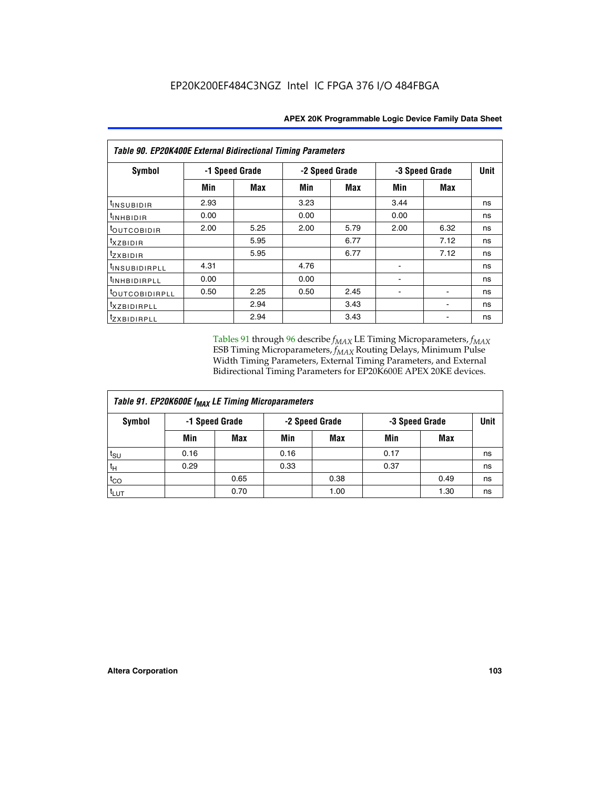| <b>Table 90. EP20K400E External Bidirectional Timing Parameters</b> |                |      |                |            |      |                |      |  |  |  |  |
|---------------------------------------------------------------------|----------------|------|----------------|------------|------|----------------|------|--|--|--|--|
| Symbol                                                              | -1 Speed Grade |      | -2 Speed Grade |            |      | -3 Speed Grade | Unit |  |  |  |  |
|                                                                     | Min            | Max  | Min            | <b>Max</b> | Min  | Max            |      |  |  |  |  |
| t <sub>INSUBIDIR</sub>                                              | 2.93           |      | 3.23           |            | 3.44 |                | ns   |  |  |  |  |
| t <sub>INHBIDIR</sub>                                               | 0.00           |      | 0.00           |            | 0.00 |                | ns   |  |  |  |  |
| t <sub>outcobidir</sub>                                             | 2.00           | 5.25 | 2.00           | 5.79       | 2.00 | 6.32           | ns   |  |  |  |  |
| <i>txzbidir</i>                                                     |                | 5.95 |                | 6.77       |      | 7.12           | ns   |  |  |  |  |
| tzxbidir                                                            |                | 5.95 |                | 6.77       |      | 7.12           | ns   |  |  |  |  |
| <sup>t</sup> INSUBIDIRPLL                                           | 4.31           |      | 4.76           |            |      |                | ns   |  |  |  |  |
| tINHBIDIRPLL                                                        | 0.00           |      | 0.00           |            |      |                | ns   |  |  |  |  |
| <sup>t</sup> OUTCOBIDIRPLL                                          | 0.50           | 2.25 | 0.50           | 2.45       |      |                | ns   |  |  |  |  |
| <sup>t</sup> xzbidirpll                                             |                | 2.94 |                | 3.43       |      |                | ns   |  |  |  |  |
| tzxBIDIRPLL                                                         |                | 2.94 |                | 3.43       |      |                | ns   |  |  |  |  |

Tables 91 through 96 describe  $f_{MAX}$  LE Timing Microparameters,  $f_{MAX}$ ESB Timing Microparameters, *f<sub>MAX</sub>* Routing Delays, Minimum Pulse Width Timing Parameters, External Timing Parameters, and External Bidirectional Timing Parameters for EP20K600E APEX 20KE devices.

| Table 91. EP20K600E f <sub>MAX</sub> LE Timing Microparameters |                |            |                |            |                |      |             |  |  |  |  |  |
|----------------------------------------------------------------|----------------|------------|----------------|------------|----------------|------|-------------|--|--|--|--|--|
| Symbol                                                         | -1 Speed Grade |            | -2 Speed Grade |            | -3 Speed Grade |      | <b>Unit</b> |  |  |  |  |  |
|                                                                | Min            | <b>Max</b> | Min            | <b>Max</b> | Min            | Max  |             |  |  |  |  |  |
| t <sub>SU</sub>                                                | 0.16           |            | 0.16           |            | 0.17           |      | ns          |  |  |  |  |  |
| $t_H$                                                          | 0.29           |            | 0.33           |            | 0.37           |      | ns          |  |  |  |  |  |
| $t_{CO}$                                                       |                | 0.65       |                | 0.38       |                | 0.49 | ns          |  |  |  |  |  |
| t <sub>LUT</sub>                                               |                | 0.70       |                | 1.00       |                | 1.30 | ns          |  |  |  |  |  |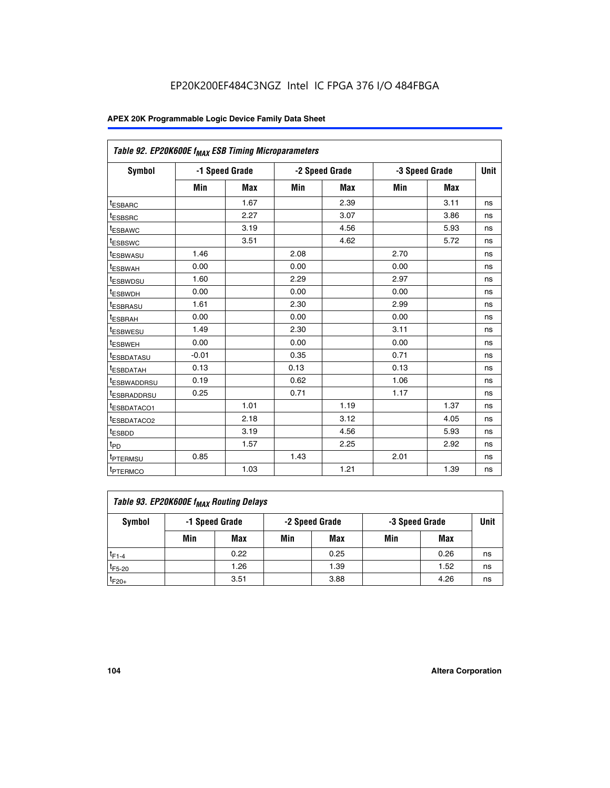| Table 92. EP20K600E f <sub>MAX</sub> ESB Timing Microparameters |         |                |      |                |      |                |             |
|-----------------------------------------------------------------|---------|----------------|------|----------------|------|----------------|-------------|
| <b>Symbol</b>                                                   |         | -1 Speed Grade |      | -2 Speed Grade |      | -3 Speed Grade | <b>Unit</b> |
|                                                                 | Min     | <b>Max</b>     | Min  | <b>Max</b>     | Min  | <b>Max</b>     |             |
| t <sub>ESBARC</sub>                                             |         | 1.67           |      | 2.39           |      | 3.11           | ns          |
| t <sub>ESBSRC</sub>                                             |         | 2.27           |      | 3.07           |      | 3.86           | ns          |
| <sup>t</sup> ESBAWC                                             |         | 3.19           |      | 4.56           |      | 5.93           | ns          |
| t <sub>ESBSWC</sub>                                             |         | 3.51           |      | 4.62           |      | 5.72           | ns          |
| <sup>t</sup> ESBWASU                                            | 1.46    |                | 2.08 |                | 2.70 |                | ns          |
| t <sub>ESBWAH</sub>                                             | 0.00    |                | 0.00 |                | 0.00 |                | ns          |
| t <sub>ESBWDSU</sub>                                            | 1.60    |                | 2.29 |                | 2.97 |                | ns          |
| <sup>t</sup> ESBWDH                                             | 0.00    |                | 0.00 |                | 0.00 |                | ns          |
| <sup>t</sup> ESBRASU                                            | 1.61    |                | 2.30 |                | 2.99 |                | ns          |
| t <sub>ESBRAH</sub>                                             | 0.00    |                | 0.00 |                | 0.00 |                | ns          |
| t <sub>ESBWESU</sub>                                            | 1.49    |                | 2.30 |                | 3.11 |                | ns          |
| <sup>t</sup> ESBWEH                                             | 0.00    |                | 0.00 |                | 0.00 |                | ns          |
| <sup>t</sup> ESBDATASU                                          | $-0.01$ |                | 0.35 |                | 0.71 |                | ns          |
| <sup>t</sup> ESBDATAH                                           | 0.13    |                | 0.13 |                | 0.13 |                | ns          |
| <sup>t</sup> ESBWADDRSU                                         | 0.19    |                | 0.62 |                | 1.06 |                | ns          |
| <sup>t</sup> ESBRADDRSU                                         | 0.25    |                | 0.71 |                | 1.17 |                | ns          |
| <sup>I</sup> ESBDATACO1                                         |         | 1.01           |      | 1.19           |      | 1.37           | ns          |
| <sup>t</sup> ESBDATACO2                                         |         | 2.18           |      | 3.12           |      | 4.05           | ns          |
| <sup>t</sup> ESBDD                                              |         | 3.19           |      | 4.56           |      | 5.93           | ns          |
| t <sub>PD</sub>                                                 |         | 1.57           |      | 2.25           |      | 2.92           | ns          |
| <b>TPTERMSU</b>                                                 | 0.85    |                | 1.43 |                | 2.01 |                | ns          |
| t <sub>PTERMCO</sub>                                            |         | 1.03           |      | 1.21           |      | 1.39           | ns          |

| Table 93. EP20K600E f <sub>MAX</sub> Routing Delays |                |      |                |      |                |      |             |  |  |  |  |  |
|-----------------------------------------------------|----------------|------|----------------|------|----------------|------|-------------|--|--|--|--|--|
| Symbol                                              | -1 Speed Grade |      | -2 Speed Grade |      | -3 Speed Grade |      | <b>Unit</b> |  |  |  |  |  |
|                                                     | Min            | Max  | Min            | Max  | Min            | Max  |             |  |  |  |  |  |
| $t_{F1-4}$                                          |                | 0.22 |                | 0.25 |                | 0.26 | ns          |  |  |  |  |  |
| $t_{F5-20}$                                         |                | 1.26 |                | 1.39 |                | 1.52 | ns          |  |  |  |  |  |
| $t_{F20+}$                                          |                | 3.51 |                | 3.88 |                | 4.26 | ns          |  |  |  |  |  |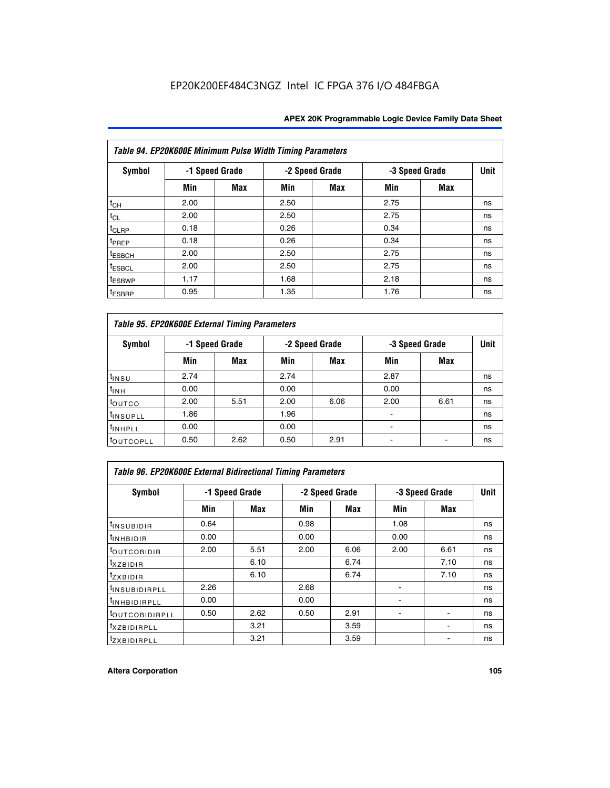| Table 94. EP20K600E Minimum Pulse Width Timing Parameters |      |                |      |                |                |            |             |  |  |  |  |
|-----------------------------------------------------------|------|----------------|------|----------------|----------------|------------|-------------|--|--|--|--|
| Symbol                                                    |      | -1 Speed Grade |      | -2 Speed Grade | -3 Speed Grade |            | <b>Unit</b> |  |  |  |  |
|                                                           | Min  | Max            | Min  | Max            | Min            | <b>Max</b> |             |  |  |  |  |
| $t_{CH}$                                                  | 2.00 |                | 2.50 |                | 2.75           |            | ns          |  |  |  |  |
| $t_{CL}$                                                  | 2.00 |                | 2.50 |                | 2.75           |            | ns          |  |  |  |  |
| $t_{CLRP}$                                                | 0.18 |                | 0.26 |                | 0.34           |            | ns          |  |  |  |  |
| t <sub>PREP</sub>                                         | 0.18 |                | 0.26 |                | 0.34           |            | ns          |  |  |  |  |
| <sup>t</sup> ESBCH                                        | 2.00 |                | 2.50 |                | 2.75           |            | ns          |  |  |  |  |
| <sup>t</sup> ESBCL                                        | 2.00 |                | 2.50 |                | 2.75           |            | ns          |  |  |  |  |
| <sup>t</sup> ESBWP                                        | 1.17 |                | 1.68 |                | 2.18           |            | ns          |  |  |  |  |
| <sup>t</sup> ESBRP                                        | 0.95 |                | 1.35 |                | 1.76           |            | ns          |  |  |  |  |

| Table 95. EP20K600E External Timing Parameters |      |                |      |                |                          |                |    |  |  |  |  |  |
|------------------------------------------------|------|----------------|------|----------------|--------------------------|----------------|----|--|--|--|--|--|
| Symbol                                         |      | -1 Speed Grade |      | -2 Speed Grade |                          | -3 Speed Grade |    |  |  |  |  |  |
|                                                | Min  | Max            | Min  | <b>Max</b>     | Min                      | <b>Max</b>     |    |  |  |  |  |  |
| t <sub>insu</sub>                              | 2.74 |                | 2.74 |                | 2.87                     |                | ns |  |  |  |  |  |
| $t_{INH}$                                      | 0.00 |                | 0.00 |                | 0.00                     |                | ns |  |  |  |  |  |
| toutco                                         | 2.00 | 5.51           | 2.00 | 6.06           | 2.00                     | 6.61           | ns |  |  |  |  |  |
| <sup>t</sup> INSUPLL                           | 1.86 |                | 1.96 |                |                          |                | ns |  |  |  |  |  |
| <sup>t</sup> INHPLL                            | 0.00 |                | 0.00 |                | $\overline{\phantom{a}}$ |                | ns |  |  |  |  |  |
| <b>LOUTCOPLL</b>                               | 0.50 | 2.62           | 0.50 | 2.91           |                          |                | ns |  |  |  |  |  |

| <b>Table 96. EP20K600E External Bidirectional Timing Parameters</b> |      |                |      |                |                |             |    |  |  |  |  |
|---------------------------------------------------------------------|------|----------------|------|----------------|----------------|-------------|----|--|--|--|--|
| Symbol                                                              |      | -1 Speed Grade |      | -2 Speed Grade | -3 Speed Grade | <b>Unit</b> |    |  |  |  |  |
|                                                                     | Min  | <b>Max</b>     | Min  | <b>Max</b>     | Min            | <b>Max</b>  |    |  |  |  |  |
| t <sub>insubidir</sub>                                              | 0.64 |                | 0.98 |                | 1.08           |             | ns |  |  |  |  |
| $t_{\rm INHBIDIR}$                                                  | 0.00 |                | 0.00 |                | 0.00           |             | ns |  |  |  |  |
| <sup>t</sup> OUTCOBIDIR                                             | 2.00 | 5.51           | 2.00 | 6.06           | 2.00           | 6.61        | ns |  |  |  |  |
| <sup>t</sup> xzbidir                                                |      | 6.10           |      | 6.74           |                | 7.10        | ns |  |  |  |  |
| $t_{Z}$ <i>x</i> BIDIR                                              |      | 6.10           |      | 6.74           |                | 7.10        | ns |  |  |  |  |
| <sup>t</sup> INSUBIDIRPLL                                           | 2.26 |                | 2.68 |                |                |             | ns |  |  |  |  |
| <sup>t</sup> INHBIDIRPLL                                            | 0.00 |                | 0.00 |                |                |             | ns |  |  |  |  |
| <b><i>LOUTCOBIDIRPLL</i></b>                                        | 0.50 | 2.62           | 0.50 | 2.91           |                |             | ns |  |  |  |  |
| <sup>t</sup> xzbidirpll                                             |      | 3.21           |      | 3.59           |                |             | ns |  |  |  |  |
| <i>t</i> zxbidirpll                                                 |      | 3.21           |      | 3.59           |                |             | ns |  |  |  |  |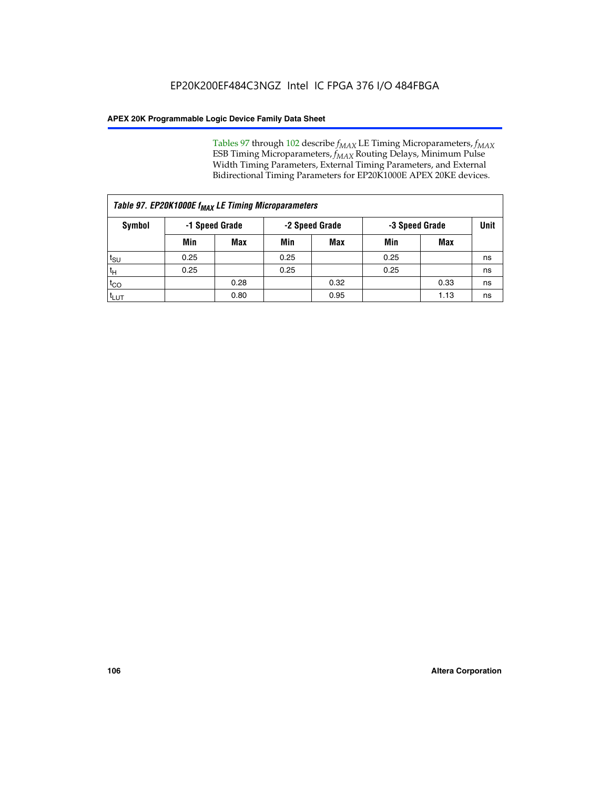Tables 97 through 102 describe  $f_{MAX}$  LE Timing Microparameters,  $f_{MAX}$ ESB Timing Microparameters, *f<sub>MAX</sub>* Routing Delays, Minimum Pulse Width Timing Parameters, External Timing Parameters, and External Bidirectional Timing Parameters for EP20K1000E APEX 20KE devices.

| Table 97. EP20K1000E f <sub>MAX</sub> LE Timing Microparameters |                |      |                |            |                |      |             |  |  |  |  |
|-----------------------------------------------------------------|----------------|------|----------------|------------|----------------|------|-------------|--|--|--|--|
| Symbol                                                          | -1 Speed Grade |      | -2 Speed Grade |            | -3 Speed Grade |      | <b>Unit</b> |  |  |  |  |
|                                                                 | Min            | Max  | Min            | <b>Max</b> | Min            | Max  |             |  |  |  |  |
| $t_{\text{SU}}$                                                 | 0.25           |      | 0.25           |            | 0.25           |      | ns          |  |  |  |  |
| $t_H$                                                           | 0.25           |      | 0.25           |            | 0.25           |      | ns          |  |  |  |  |
| $t_{CO}$                                                        |                | 0.28 |                | 0.32       |                | 0.33 | ns          |  |  |  |  |
| t <sub>LUT</sub>                                                |                | 0.80 |                | 0.95       |                | 1.13 | ns          |  |  |  |  |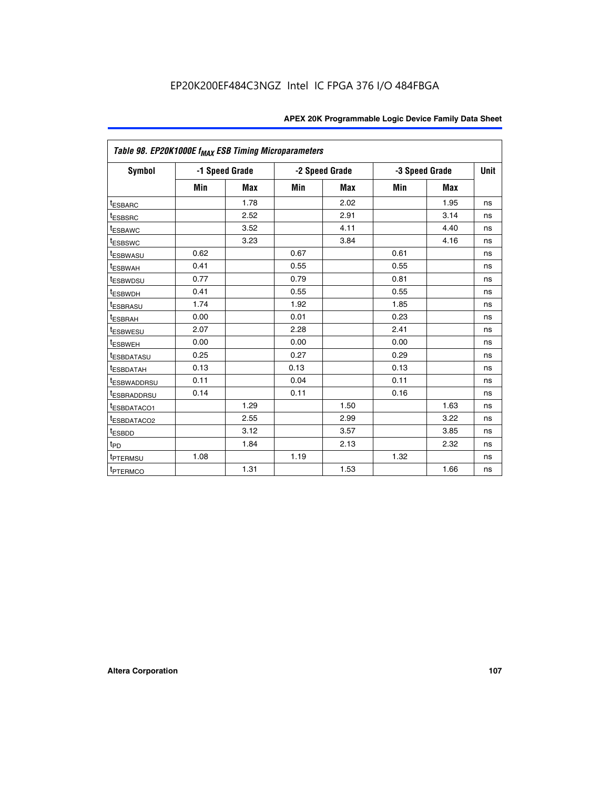| Table 98. EP20K1000E f <sub>MAX</sub> ESB Timing Microparameters |                |            |      |                                  |      |            |             |
|------------------------------------------------------------------|----------------|------------|------|----------------------------------|------|------------|-------------|
| <b>Symbol</b>                                                    | -1 Speed Grade |            |      | -2 Speed Grade<br>-3 Speed Grade |      |            | <b>Unit</b> |
|                                                                  | Min            | <b>Max</b> | Min  | Max                              | Min  | <b>Max</b> |             |
| <b>tESBARC</b>                                                   |                | 1.78       |      | 2.02                             |      | 1.95       | ns          |
| <sup>t</sup> ESBSRC                                              |                | 2.52       |      | 2.91                             |      | 3.14       | ns          |
| <sup>t</sup> ESBAWC                                              |                | 3.52       |      | 4.11                             |      | 4.40       | ns          |
| <sup>t</sup> ESBSWC                                              |                | 3.23       |      | 3.84                             |      | 4.16       | ns          |
| <b>ESBWASU</b>                                                   | 0.62           |            | 0.67 |                                  | 0.61 |            | ns          |
| t <sub>ESBWAH</sub>                                              | 0.41           |            | 0.55 |                                  | 0.55 |            | ns          |
| <sup>t</sup> ESBWDSU                                             | 0.77           |            | 0.79 |                                  | 0.81 |            | ns          |
| <sup>T</sup> ESBWDH                                              | 0.41           |            | 0.55 |                                  | 0.55 |            | ns          |
| t <sub>ESBRASU</sub>                                             | 1.74           |            | 1.92 |                                  | 1.85 |            | ns          |
| t <sub>ESBRAH</sub>                                              | 0.00           |            | 0.01 |                                  | 0.23 |            | ns          |
| t <sub>ESBWESU</sub>                                             | 2.07           |            | 2.28 |                                  | 2.41 |            | ns          |
| t <sub>ESBWEH</sub>                                              | 0.00           |            | 0.00 |                                  | 0.00 |            | ns          |
| <sup>I</sup> ESBDATASU                                           | 0.25           |            | 0.27 |                                  | 0.29 |            | ns          |
| <sup>t</sup> ESBDATAH                                            | 0.13           |            | 0.13 |                                  | 0.13 |            | ns          |
| <b><i>ESBWADDRSU</i></b>                                         | 0.11           |            | 0.04 |                                  | 0.11 |            | ns          |
| <sup>I</sup> ESBRADDRSU                                          | 0.14           |            | 0.11 |                                  | 0.16 |            | ns          |
| <b><i>ESBDATACO1</i></b>                                         |                | 1.29       |      | 1.50                             |      | 1.63       | ns          |
| <sup>t</sup> ESBDATACO2                                          |                | 2.55       |      | 2.99                             |      | 3.22       | ns          |
| t <sub>ESBDD</sub>                                               |                | 3.12       |      | 3.57                             |      | 3.85       | ns          |
| $t_{\mathsf{PD}}$                                                |                | 1.84       |      | 2.13                             |      | 2.32       | ns          |
| t <sub>PTERMSU</sub>                                             | 1.08           |            | 1.19 |                                  | 1.32 |            | ns          |
| <sup>t</sup> PTERMCO                                             |                | 1.31       |      | 1.53                             |      | 1.66       | ns          |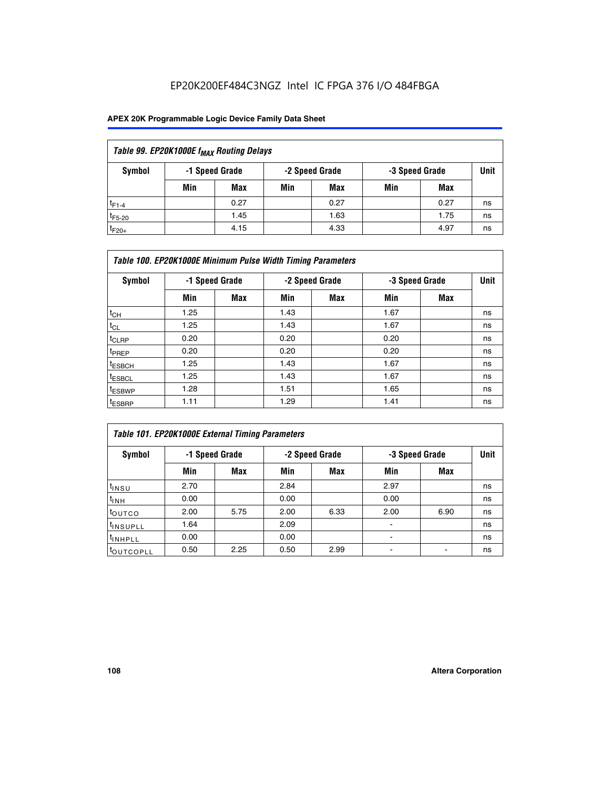## EP20K200EF484C3NGZ Intel IC FPGA 376 I/O 484FBGA

### **APEX 20K Programmable Logic Device Family Data Sheet**

| Table 99. EP20K1000E f <sub>MAX</sub> Routing Delays |                |                |      |      |     |      |    |  |  |  |  |
|------------------------------------------------------|----------------|----------------|------|------|-----|------|----|--|--|--|--|
| Symbol                                               | -1 Speed Grade | -3 Speed Grade | Unit |      |     |      |    |  |  |  |  |
|                                                      | Min            | <b>Max</b>     | Min  | Max  | Min | Max  |    |  |  |  |  |
| $t_{F1-4}$                                           |                | 0.27           |      | 0.27 |     | 0.27 | ns |  |  |  |  |
| $t_{F5-20}$                                          |                | 1.45           |      | 1.63 |     | 1.75 | ns |  |  |  |  |
| $t_{F20+}$                                           |                | 4.15           |      | 4.33 |     | 4.97 | ns |  |  |  |  |

|                    | Table 100. EP20K1000E Minimum Pulse Width Timing Parameters |            |      |                |      |                |             |  |  |  |  |  |
|--------------------|-------------------------------------------------------------|------------|------|----------------|------|----------------|-------------|--|--|--|--|--|
| Symbol             | -1 Speed Grade                                              |            |      | -2 Speed Grade |      | -3 Speed Grade | <b>Unit</b> |  |  |  |  |  |
|                    | Min                                                         | <b>Max</b> | Min  | Max            | Min  | Max            |             |  |  |  |  |  |
| $t_{CH}$           | 1.25                                                        |            | 1.43 |                | 1.67 |                | ns          |  |  |  |  |  |
| $t_{CL}$           | 1.25                                                        |            | 1.43 |                | 1.67 |                | ns          |  |  |  |  |  |
| t <sub>CLRP</sub>  | 0.20                                                        |            | 0.20 |                | 0.20 |                | ns          |  |  |  |  |  |
| <sup>t</sup> PREP  | 0.20                                                        |            | 0.20 |                | 0.20 |                | ns          |  |  |  |  |  |
| <sup>t</sup> ESBCH | 1.25                                                        |            | 1.43 |                | 1.67 |                | ns          |  |  |  |  |  |
| <sup>t</sup> ESBCL | 1.25                                                        |            | 1.43 |                | 1.67 |                | ns          |  |  |  |  |  |
| <sup>t</sup> ESBWP | 1.28                                                        |            | 1.51 |                | 1.65 |                | ns          |  |  |  |  |  |
| <sup>t</sup> ESBRP | 1.11                                                        |            | 1.29 |                | 1.41 |                | ns          |  |  |  |  |  |

| Table 101. EP20K1000E External Timing Parameters |                |      |      |                |                          |      |             |  |  |  |  |  |
|--------------------------------------------------|----------------|------|------|----------------|--------------------------|------|-------------|--|--|--|--|--|
| Symbol                                           | -1 Speed Grade |      |      | -2 Speed Grade | -3 Speed Grade           |      | <b>Unit</b> |  |  |  |  |  |
|                                                  | Min            | Max  | Min  | <b>Max</b>     | Min                      | Max  |             |  |  |  |  |  |
| t <sub>INSU</sub>                                | 2.70           |      | 2.84 |                | 2.97                     |      | ns          |  |  |  |  |  |
| $t_{INH}$                                        | 0.00           |      | 0.00 |                | 0.00                     |      | ns          |  |  |  |  |  |
| toutco                                           | 2.00           | 5.75 | 2.00 | 6.33           | 2.00                     | 6.90 | ns          |  |  |  |  |  |
| <sup>t</sup> INSUPLL                             | 1.64           |      | 2.09 |                | ٠                        |      | ns          |  |  |  |  |  |
| I <sup>t</sup> INHPLL                            | 0.00           |      | 0.00 |                | $\overline{\phantom{a}}$ |      | ns          |  |  |  |  |  |
| toutcopll                                        | 0.50           | 2.25 | 0.50 | 2.99           | -                        |      | ns          |  |  |  |  |  |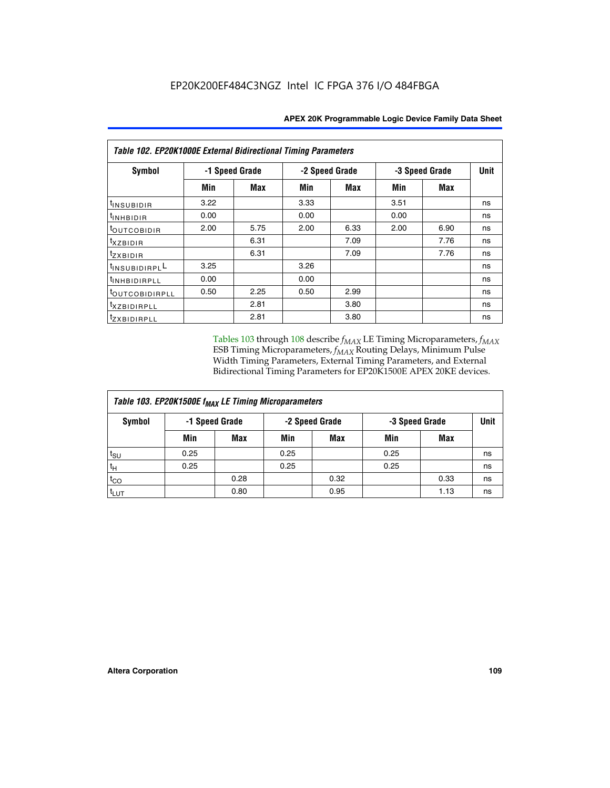| Table 102. EP20K1000E External Bidirectional Timing Parameters |                |      |      |                |                |            |    |  |  |  |
|----------------------------------------------------------------|----------------|------|------|----------------|----------------|------------|----|--|--|--|
| Symbol                                                         | -1 Speed Grade |      |      | -2 Speed Grade | -3 Speed Grade | Unit       |    |  |  |  |
|                                                                | Min            | Max  | Min  | <b>Max</b>     | Min            | <b>Max</b> |    |  |  |  |
| t <sub>INSUBIDIR</sub>                                         | 3.22           |      | 3.33 |                | 3.51           |            | ns |  |  |  |
| <sup>t</sup> INHBIDIR                                          | 0.00           |      | 0.00 |                | 0.00           |            | ns |  |  |  |
| t <sub>outcobidir</sub>                                        | 2.00           | 5.75 | 2.00 | 6.33           | 2.00           | 6.90       | ns |  |  |  |
| <i>txzbidir</i>                                                |                | 6.31 |      | 7.09           |                | 7.76       | ns |  |  |  |
| tzxbidir                                                       |                | 6.31 |      | 7.09           |                | 7.76       | ns |  |  |  |
| tINSUBIDIRPLL                                                  | 3.25           |      | 3.26 |                |                |            | ns |  |  |  |
| t <sub>INHBIDIRPLL</sub>                                       | 0.00           |      | 0.00 |                |                |            | ns |  |  |  |
| tout COBIDIRPLL                                                | 0.50           | 2.25 | 0.50 | 2.99           |                |            | ns |  |  |  |
| <i>txzBIDIRPLL</i>                                             |                | 2.81 |      | 3.80           |                |            | ns |  |  |  |
| tzxBIDIRPLL                                                    |                | 2.81 |      | 3.80           |                |            | ns |  |  |  |

Tables 103 through 108 describe  $f_{MAX}$  LE Timing Microparameters,  $f_{MAX}$ ESB Timing Microparameters, *f<sub>MAX</sub>* Routing Delays, Minimum Pulse Width Timing Parameters, External Timing Parameters, and External Bidirectional Timing Parameters for EP20K1500E APEX 20KE devices.

| Table 103. EP20K1500E f <sub>MAX</sub> LE Timing Microparameters |      |                |                |            |      |                |             |  |  |  |  |
|------------------------------------------------------------------|------|----------------|----------------|------------|------|----------------|-------------|--|--|--|--|
| Symbol                                                           |      | -1 Speed Grade | -2 Speed Grade |            |      | -3 Speed Grade | <b>Unit</b> |  |  |  |  |
|                                                                  | Min  | <b>Max</b>     | Min            | <b>Max</b> | Min  | Max            |             |  |  |  |  |
| $t_{\sf SU}$                                                     | 0.25 |                | 0.25           |            | 0.25 |                | ns          |  |  |  |  |
| $t_H$                                                            | 0.25 |                | 0.25           |            | 0.25 |                | ns          |  |  |  |  |
| $t_{CO}$                                                         |      | 0.28           |                | 0.32       |      | 0.33           | ns          |  |  |  |  |
| t <sub>lut</sub>                                                 |      | 0.80           |                | 0.95       |      | 1.13           | ns          |  |  |  |  |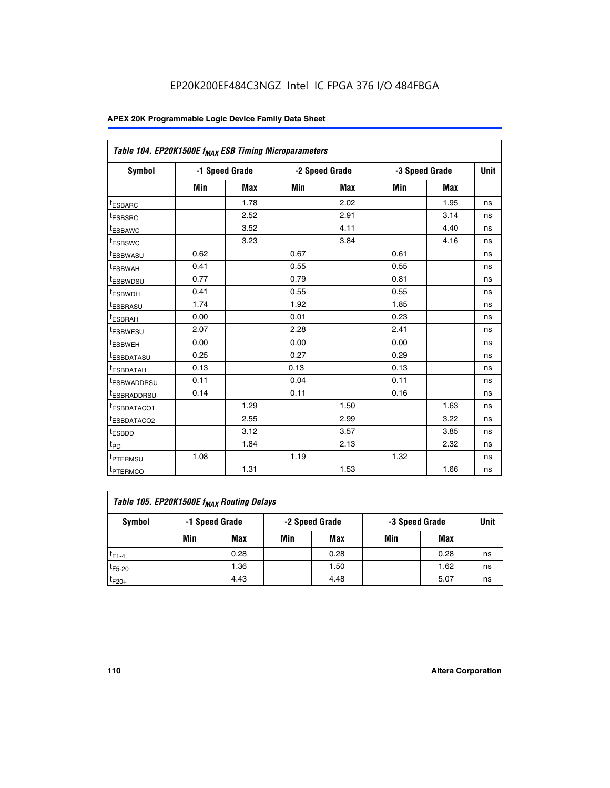|                         | Table 104. EP20K1500E f <sub>MAX</sub> ESB Timing Microparameters |            |            |                |      |                |             |  |  |  |  |  |
|-------------------------|-------------------------------------------------------------------|------------|------------|----------------|------|----------------|-------------|--|--|--|--|--|
| <b>Symbol</b>           | -1 Speed Grade                                                    |            |            | -2 Speed Grade |      | -3 Speed Grade | <b>Unit</b> |  |  |  |  |  |
|                         | Min                                                               | <b>Max</b> | <b>Min</b> | Max            | Min  | Max            |             |  |  |  |  |  |
| <sup>t</sup> ESBARC     |                                                                   | 1.78       |            | 2.02           |      | 1.95           | ns          |  |  |  |  |  |
| t <sub>ESBSRC</sub>     |                                                                   | 2.52       |            | 2.91           |      | 3.14           | ns          |  |  |  |  |  |
| <sup>t</sup> ESBAWC     |                                                                   | 3.52       |            | 4.11           |      | 4.40           | ns          |  |  |  |  |  |
| t <sub>ESBSWC</sub>     |                                                                   | 3.23       |            | 3.84           |      | 4.16           | ns          |  |  |  |  |  |
| t <sub>ESBWASU</sub>    | 0.62                                                              |            | 0.67       |                | 0.61 |                | ns          |  |  |  |  |  |
| t <sub>ESBWAH</sub>     | 0.41                                                              |            | 0.55       |                | 0.55 |                | ns          |  |  |  |  |  |
| <sup>t</sup> ESBWDSU    | 0.77                                                              |            | 0.79       |                | 0.81 |                | ns          |  |  |  |  |  |
| t <sub>ESBWDH</sub>     | 0.41                                                              |            | 0.55       |                | 0.55 |                | ns          |  |  |  |  |  |
| <sup>t</sup> ESBRASU    | 1.74                                                              |            | 1.92       |                | 1.85 |                | ns          |  |  |  |  |  |
| <sup>t</sup> ESBRAH     | 0.00                                                              |            | 0.01       |                | 0.23 |                | ns          |  |  |  |  |  |
| <sup>t</sup> ESBWESU    | 2.07                                                              |            | 2.28       |                | 2.41 |                | ns          |  |  |  |  |  |
| <sup>t</sup> ESBWEH     | 0.00                                                              |            | 0.00       |                | 0.00 |                | ns          |  |  |  |  |  |
| <sup>t</sup> ESBDATASU  | 0.25                                                              |            | 0.27       |                | 0.29 |                | ns          |  |  |  |  |  |
| <sup>t</sup> ESBDATAH   | 0.13                                                              |            | 0.13       |                | 0.13 |                | ns          |  |  |  |  |  |
| <sup>t</sup> ESBWADDRSU | 0.11                                                              |            | 0.04       |                | 0.11 |                | ns          |  |  |  |  |  |
| t <sub>ESBRADDRSU</sub> | 0.14                                                              |            | 0.11       |                | 0.16 |                | ns          |  |  |  |  |  |
| <sup>I</sup> ESBDATACO1 |                                                                   | 1.29       |            | 1.50           |      | 1.63           | ns          |  |  |  |  |  |
| <sup>t</sup> ESBDATACO2 |                                                                   | 2.55       |            | 2.99           |      | 3.22           | ns          |  |  |  |  |  |
| <sup>t</sup> ESBDD      |                                                                   | 3.12       |            | 3.57           |      | 3.85           | ns          |  |  |  |  |  |
| t <sub>PD</sub>         |                                                                   | 1.84       |            | 2.13           |      | 2.32           | ns          |  |  |  |  |  |
| t <sub>PTERMSU</sub>    | 1.08                                                              |            | 1.19       |                | 1.32 |                | ns          |  |  |  |  |  |
| t <sub>PTERMCO</sub>    |                                                                   | 1.31       |            | 1.53           |      | 1.66           | ns          |  |  |  |  |  |

| Table 105. EP20K1500E f <sub>MAX</sub> Routing Delays |                                                    |      |     |      |     |      |    |  |  |  |
|-------------------------------------------------------|----------------------------------------------------|------|-----|------|-----|------|----|--|--|--|
| Symbol                                                | -1 Speed Grade<br>-2 Speed Grade<br>-3 Speed Grade |      |     |      |     |      |    |  |  |  |
|                                                       | Min                                                | Max  | Min | Max  | Min | Max  |    |  |  |  |
| $t_{F1-4}$                                            |                                                    | 0.28 |     | 0.28 |     | 0.28 | ns |  |  |  |
| $t_{F5-20}$                                           |                                                    | 1.36 |     | 1.50 |     | 1.62 | ns |  |  |  |
| $t_{F20+}$                                            |                                                    | 4.43 |     | 4.48 |     | 5.07 | ns |  |  |  |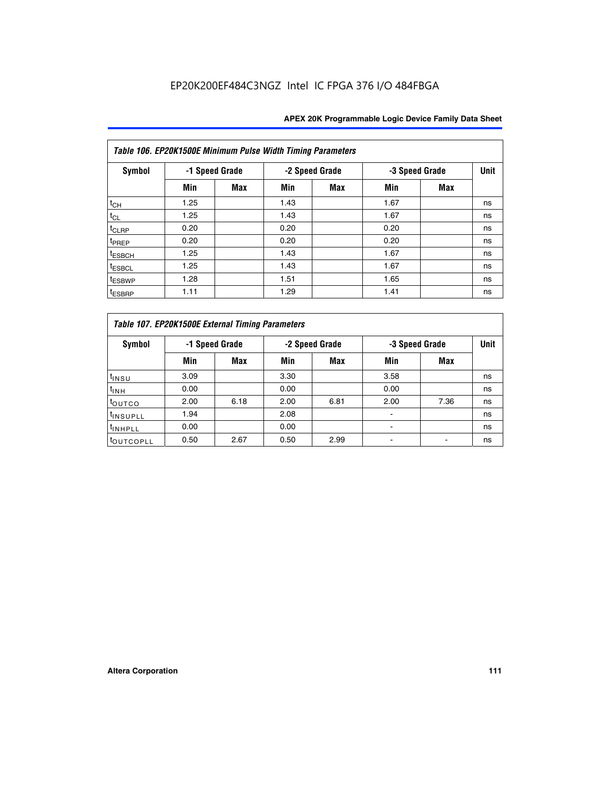|                    | Table 106. EP20K1500E Minimum Pulse Width Timing Parameters |                |      |                |      |                |             |  |  |  |  |  |
|--------------------|-------------------------------------------------------------|----------------|------|----------------|------|----------------|-------------|--|--|--|--|--|
| <b>Symbol</b>      |                                                             | -1 Speed Grade |      | -2 Speed Grade |      | -3 Speed Grade | <b>Unit</b> |  |  |  |  |  |
|                    | Min                                                         | <b>Max</b>     | Min  | Max            | Min  | <b>Max</b>     |             |  |  |  |  |  |
| $t_{CH}$           | 1.25                                                        |                | 1.43 |                | 1.67 |                | ns          |  |  |  |  |  |
| $t_{CL}$           | 1.25                                                        |                | 1.43 |                | 1.67 |                | ns          |  |  |  |  |  |
| $t_{CLRP}$         | 0.20                                                        |                | 0.20 |                | 0.20 |                | ns          |  |  |  |  |  |
| t <sub>PREP</sub>  | 0.20                                                        |                | 0.20 |                | 0.20 |                | ns          |  |  |  |  |  |
| <sup>t</sup> ESBCH | 1.25                                                        |                | 1.43 |                | 1.67 |                | ns          |  |  |  |  |  |
| <sup>t</sup> ESBCL | 1.25                                                        |                | 1.43 |                | 1.67 |                | ns          |  |  |  |  |  |
| <sup>t</sup> ESBWP | 1.28                                                        |                | 1.51 |                | 1.65 |                | ns          |  |  |  |  |  |
| <sup>t</sup> ESBRP | 1.11                                                        |                | 1.29 |                | 1.41 |                | ns          |  |  |  |  |  |

|                       | Table 107. EP20K1500E External Timing Parameters |      |      |                |                          |                |             |  |  |  |  |  |  |
|-----------------------|--------------------------------------------------|------|------|----------------|--------------------------|----------------|-------------|--|--|--|--|--|--|
| Symbol                | -1 Speed Grade                                   |      |      | -2 Speed Grade |                          | -3 Speed Grade | <b>Unit</b> |  |  |  |  |  |  |
|                       | Min                                              | Max  | Min  | <b>Max</b>     | Min                      | Max            |             |  |  |  |  |  |  |
| t <sub>insu</sub>     | 3.09                                             |      | 3.30 |                | 3.58                     |                | ns          |  |  |  |  |  |  |
| $t_{INH}$             | 0.00                                             |      | 0.00 |                | 0.00                     |                | ns          |  |  |  |  |  |  |
| toutco                | 2.00                                             | 6.18 | 2.00 | 6.81           | 2.00                     | 7.36           | ns          |  |  |  |  |  |  |
| <sup>t</sup> INSUPLL  | 1.94                                             |      | 2.08 |                |                          |                | ns          |  |  |  |  |  |  |
| <sup>t</sup> INHPLL   | 0.00                                             |      | 0.00 |                | $\overline{\phantom{0}}$ |                | ns          |  |  |  |  |  |  |
| <sup>t</sup> OUTCOPLL | 0.50                                             | 2.67 | 0.50 | 2.99           |                          |                | ns          |  |  |  |  |  |  |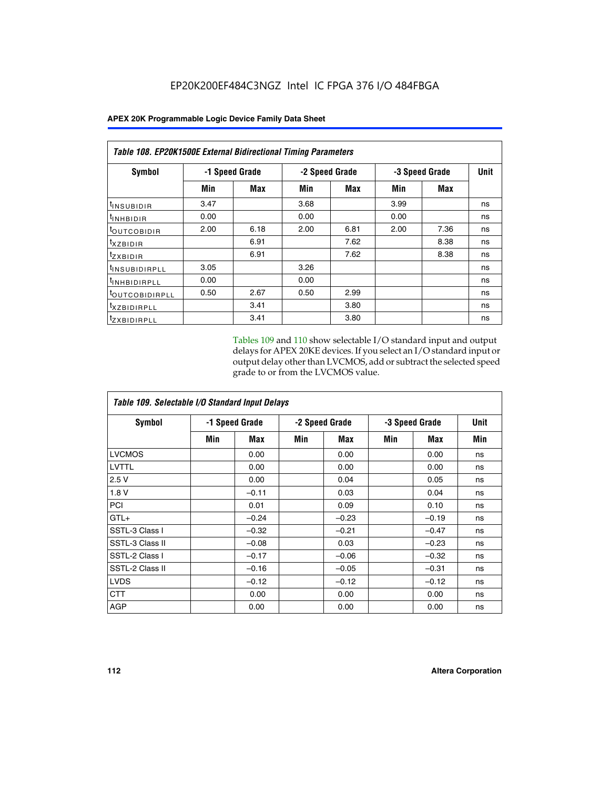| Table 108. EP20K1500E External Bidirectional Timing Parameters |                |      |                |      |                |             |    |  |  |  |  |
|----------------------------------------------------------------|----------------|------|----------------|------|----------------|-------------|----|--|--|--|--|
| Symbol                                                         | -1 Speed Grade |      | -2 Speed Grade |      | -3 Speed Grade | <b>Unit</b> |    |  |  |  |  |
|                                                                | Min            | Max  | Min            | Max  | Min            | Max         |    |  |  |  |  |
| <sup>t</sup> INSUBIDIR                                         | 3.47           |      | 3.68           |      | 3.99           |             | ns |  |  |  |  |
| <sup>t</sup> INHBIDIR                                          | 0.00           |      | 0.00           |      | 0.00           |             | ns |  |  |  |  |
| <sup>t</sup> OUTCOBIDIR                                        | 2.00           | 6.18 | 2.00           | 6.81 | 2.00           | 7.36        | ns |  |  |  |  |
| txzBIDIR                                                       |                | 6.91 |                | 7.62 |                | 8.38        | ns |  |  |  |  |
| $t_{Z}$ <i>x</i> BIDIR                                         |                | 6.91 |                | 7.62 |                | 8.38        | ns |  |  |  |  |
| <sup>t</sup> INSUBIDIRPLL                                      | 3.05           |      | 3.26           |      |                |             | ns |  |  |  |  |
| <sup>t</sup> INHBIDIRPLL                                       | 0.00           |      | 0.00           |      |                |             | ns |  |  |  |  |
| <sup>t</sup> OUTCOBIDIRPLL                                     | 0.50           | 2.67 | 0.50           | 2.99 |                |             | ns |  |  |  |  |
| <sup>t</sup> XZBIDIRPLL                                        |                | 3.41 |                | 3.80 |                |             | ns |  |  |  |  |
| <sup>t</sup> zxbidirpll                                        |                | 3.41 |                | 3.80 |                |             | ns |  |  |  |  |

Tables 109 and 110 show selectable I/O standard input and output delays for APEX 20KE devices. If you select an I/O standard input or output delay other than LVCMOS, add or subtract the selected speed grade to or from the LVCMOS value.

| Table 109. Selectable I/O Standard Input Delays |                |         |     |                |     |                |     |  |  |  |
|-------------------------------------------------|----------------|---------|-----|----------------|-----|----------------|-----|--|--|--|
| <b>Symbol</b>                                   | -1 Speed Grade |         |     | -2 Speed Grade |     | -3 Speed Grade |     |  |  |  |
|                                                 | Min            | Max     | Min | Max            | Min | Max            | Min |  |  |  |
| <b>LVCMOS</b>                                   |                | 0.00    |     | 0.00           |     | 0.00           | ns  |  |  |  |
| <b>LVTTL</b>                                    |                | 0.00    |     | 0.00           |     | 0.00           | ns  |  |  |  |
| 2.5V                                            |                | 0.00    |     | 0.04           |     | 0.05           | ns  |  |  |  |
| 1.8V                                            |                | $-0.11$ |     | 0.03           |     | 0.04           | ns  |  |  |  |
| PCI                                             |                | 0.01    |     | 0.09           |     | 0.10           | ns  |  |  |  |
| $GTL+$                                          |                | $-0.24$ |     | $-0.23$        |     | $-0.19$        | ns  |  |  |  |
| SSTL-3 Class I                                  |                | $-0.32$ |     | $-0.21$        |     | $-0.47$        | ns  |  |  |  |
| SSTL-3 Class II                                 |                | $-0.08$ |     | 0.03           |     | $-0.23$        | ns  |  |  |  |
| SSTL-2 Class I                                  |                | $-0.17$ |     | $-0.06$        |     | $-0.32$        | ns  |  |  |  |
| SSTL-2 Class II                                 |                | $-0.16$ |     | $-0.05$        |     | $-0.31$        | ns  |  |  |  |
| <b>LVDS</b>                                     |                | $-0.12$ |     | $-0.12$        |     | $-0.12$        | ns  |  |  |  |
| <b>CTT</b>                                      |                | 0.00    |     | 0.00           |     | 0.00           | ns  |  |  |  |
| <b>AGP</b>                                      |                | 0.00    |     | 0.00           |     | 0.00           | ns  |  |  |  |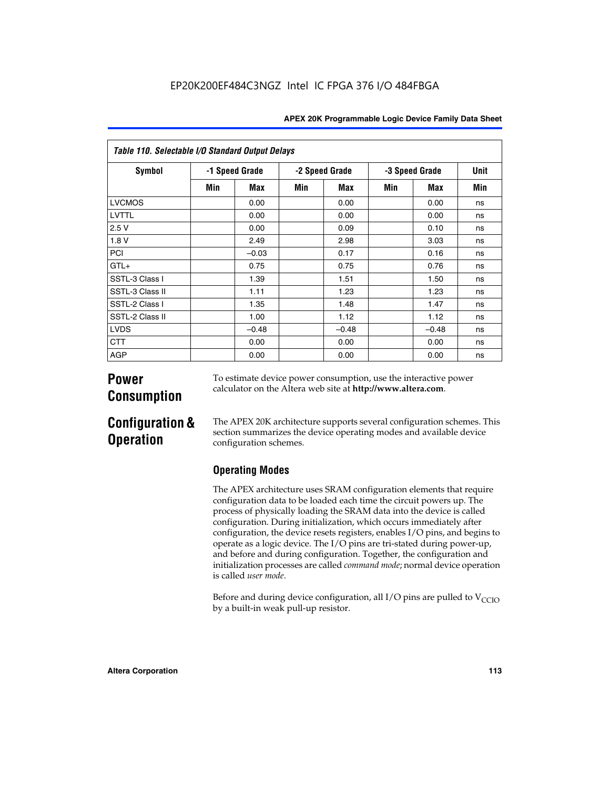| Table 110. Selectable I/O Standard Output Delays |     |                |     |                |     |                |      |  |  |  |  |
|--------------------------------------------------|-----|----------------|-----|----------------|-----|----------------|------|--|--|--|--|
| Symbol                                           |     | -1 Speed Grade |     | -2 Speed Grade |     | -3 Speed Grade | Unit |  |  |  |  |
|                                                  | Min | Max            | Min | Max            | Min | Max            | Min  |  |  |  |  |
| <b>LVCMOS</b>                                    |     | 0.00           |     | 0.00           |     | 0.00           | ns   |  |  |  |  |
| LVTTL                                            |     | 0.00           |     | 0.00           |     | 0.00           | ns   |  |  |  |  |
| 2.5V                                             |     | 0.00           |     | 0.09           |     | 0.10           | ns   |  |  |  |  |
| 1.8 V                                            |     | 2.49           |     | 2.98           |     | 3.03           | ns   |  |  |  |  |
| PCI                                              |     | $-0.03$        |     | 0.17           |     | 0.16           | ns   |  |  |  |  |
| $GTL+$                                           |     | 0.75           |     | 0.75           |     | 0.76           | ns   |  |  |  |  |
| SSTL-3 Class I                                   |     | 1.39           |     | 1.51           |     | 1.50           | ns   |  |  |  |  |
| SSTL-3 Class II                                  |     | 1.11           |     | 1.23           |     | 1.23           | ns   |  |  |  |  |
| SSTL-2 Class I                                   |     | 1.35           |     | 1.48           |     | 1.47           | ns   |  |  |  |  |
| SSTL-2 Class II                                  |     | 1.00           |     | 1.12           |     | 1.12           | ns   |  |  |  |  |
| <b>LVDS</b>                                      |     | $-0.48$        |     | $-0.48$        |     | $-0.48$        | ns   |  |  |  |  |
| <b>CTT</b>                                       |     | 0.00           |     | 0.00           |     | 0.00           | ns   |  |  |  |  |
| <b>AGP</b>                                       |     | 0.00           |     | 0.00           |     | 0.00           | ns   |  |  |  |  |

# **Power Consumption**

To estimate device power consumption, use the interactive power calculator on the Altera web site at **http://www.altera.com**.

# **Configuration & Operation**

The APEX 20K architecture supports several configuration schemes. This section summarizes the device operating modes and available device configuration schemes.

## **Operating Modes**

The APEX architecture uses SRAM configuration elements that require configuration data to be loaded each time the circuit powers up. The process of physically loading the SRAM data into the device is called configuration. During initialization, which occurs immediately after configuration, the device resets registers, enables I/O pins, and begins to operate as a logic device. The I/O pins are tri-stated during power-up, and before and during configuration. Together, the configuration and initialization processes are called *command mode*; normal device operation is called *user mode*.

Before and during device configuration, all I/O pins are pulled to  $V_{\text{CCTO}}$ by a built-in weak pull-up resistor.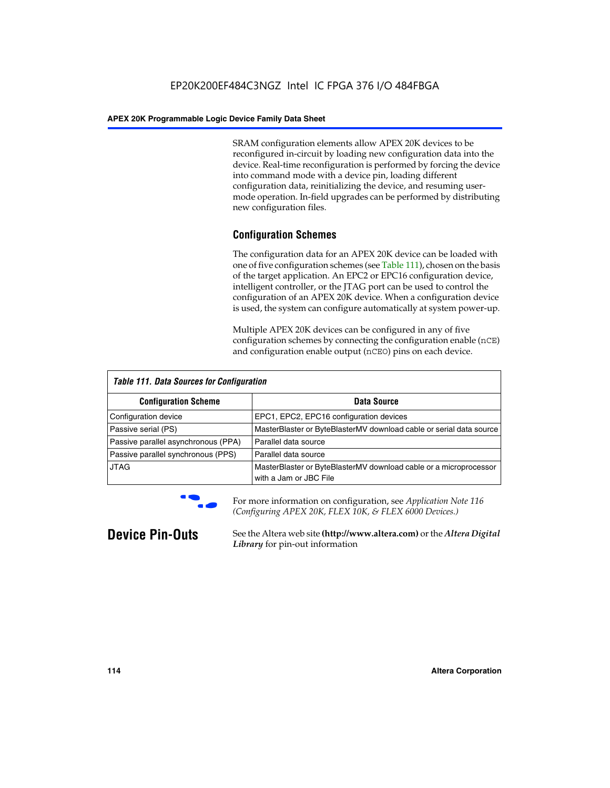SRAM configuration elements allow APEX 20K devices to be reconfigured in-circuit by loading new configuration data into the device. Real-time reconfiguration is performed by forcing the device into command mode with a device pin, loading different configuration data, reinitializing the device, and resuming usermode operation. In-field upgrades can be performed by distributing new configuration files.

## **Configuration Schemes**

The configuration data for an APEX 20K device can be loaded with one of five configuration schemes (see Table 111), chosen on the basis of the target application. An EPC2 or EPC16 configuration device, intelligent controller, or the JTAG port can be used to control the configuration of an APEX 20K device. When a configuration device is used, the system can configure automatically at system power-up.

Multiple APEX 20K devices can be configured in any of five configuration schemes by connecting the configuration enable (nCE) and configuration enable output (nCEO) pins on each device.

| <b>Table 111. Data Sources for Configuration</b> |                                                                                             |
|--------------------------------------------------|---------------------------------------------------------------------------------------------|
| <b>Configuration Scheme</b>                      | Data Source                                                                                 |
| Configuration device                             | EPC1, EPC2, EPC16 configuration devices                                                     |
| Passive serial (PS)                              | MasterBlaster or ByteBlasterMV download cable or serial data source                         |
| Passive parallel asynchronous (PPA)              | Parallel data source                                                                        |
| Passive parallel synchronous (PPS)               | Parallel data source                                                                        |
| <b>JTAG</b>                                      | MasterBlaster or ByteBlasterMV download cable or a microprocessor<br>with a Jam or JBC File |



**For more information on configuration, see Application Note 116** *(Configuring APEX 20K, FLEX 10K, & FLEX 6000 Devices.)*

**Device Pin-Outs** See the Altera web site **(http://www.altera.com)** or the *Altera Digital Library* for pin-out information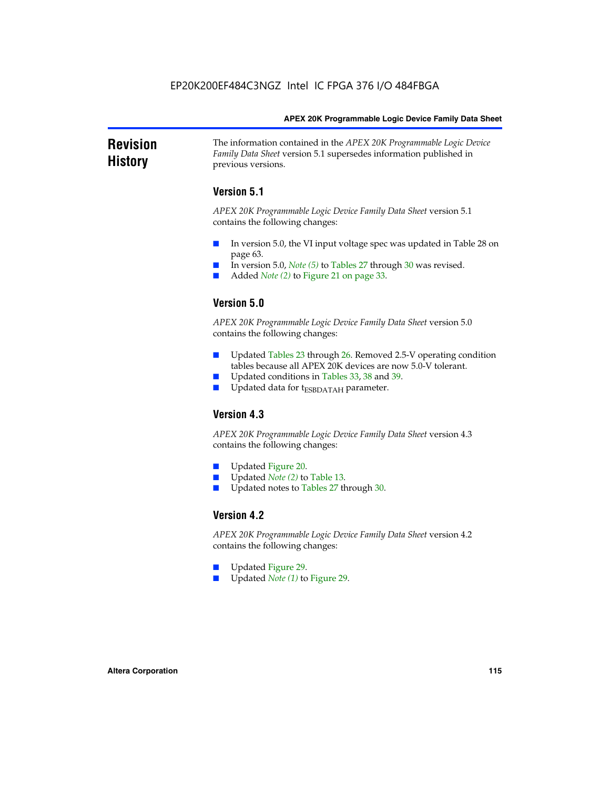### **Revision History** The information contained in the *APEX 20K Programmable Logic Device Family Data Sheet* version 5.1 supersedes information published in previous versions.

## **Version 5.1**

*APEX 20K Programmable Logic Device Family Data Sheet* version 5.1 contains the following changes:

- In version 5.0, the VI input voltage spec was updated in Table 28 on page 63.
- In version 5.0, *Note* (5) to Tables 27 through 30 was revised.
- Added *Note* (2) to Figure 21 on page 33.

## **Version 5.0**

*APEX 20K Programmable Logic Device Family Data Sheet* version 5.0 contains the following changes:

- Updated Tables 23 through 26. Removed 2.5-V operating condition tables because all APEX 20K devices are now 5.0-V tolerant.
- Updated conditions in Tables 33, 38 and 39.
- Updated data for t<sub>ESBDATAH</sub> parameter.

## **Version 4.3**

*APEX 20K Programmable Logic Device Family Data Sheet* version 4.3 contains the following changes:

- Updated Figure 20.
- Updated *Note (2)* to Table 13.
- Updated notes to Tables 27 through 30.

## **Version 4.2**

*APEX 20K Programmable Logic Device Family Data Sheet* version 4.2 contains the following changes:

- Updated Figure 29.
- Updated *Note (1)* to Figure 29.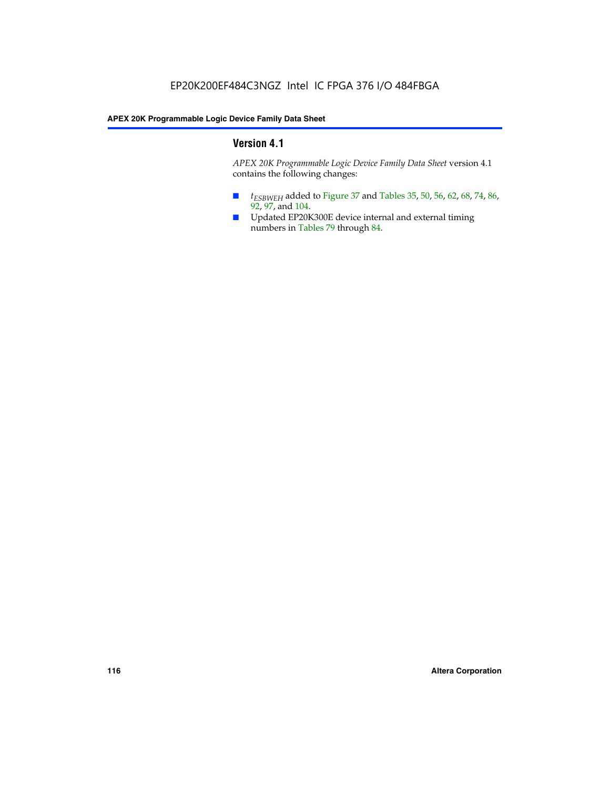## **Version 4.1**

*APEX 20K Programmable Logic Device Family Data Sheet* version 4.1 contains the following changes:

- *t<sub>ESBWEH</sub>* added to Figure 37 and Tables 35, 50, 56, 62, 68, 74, 86, 92, 97, and 104.
- Updated EP20K300E device internal and external timing numbers in Tables 79 through 84.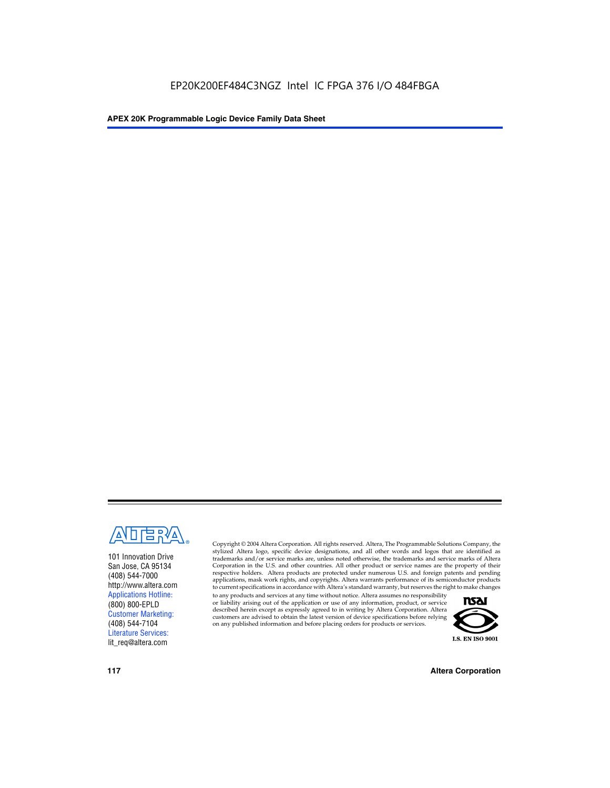

101 Innovation Drive San Jose, CA 95134 (408) 544-7000 http://www.altera.com Applications Hotline: (800) 800-EPLD Customer Marketing: (408) 544-7104 Literature Services: lit\_req@altera.com

Copyright © 2004 Altera Corporation. All rights reserved. Altera, The Programmable Solutions Company, the stylized Altera logo, specific device designations, and all other words and logos that are identified as trademarks and/or service marks are, unless noted otherwise, the trademarks and service marks of Altera Corporation in the U.S. and other countries. All other product or service names are the property of their respective holders. Altera products are protected under numerous U.S. and foreign patents and pending applications, mask work rights, and copyrights. Altera warrants performance of its semiconductor products to current specifications in accordance with Altera's standard warranty, but reserves the right to make changes

to any products and services at any time without notice. Altera assumes no responsibility or liability arising out of the application or use of any information, product, or service described herein except as expressly agreed to in writing by Altera Corporation. Altera customers are advised to obtain the latest version of device specifications before relying on any published information and before placing orders for products or services.



**117 Altera Corporation**